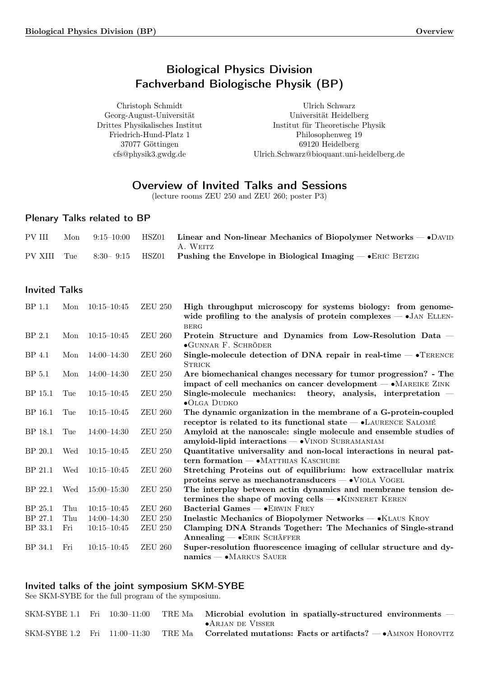# Biological Physics Division Fachverband Biologische Physik (BP)

<span id="page-0-0"></span>Christoph Schmidt Georg-August-Universität Drittes Physikalisches Institut Friedrich-Hund-Platz 1 37077 Göttingen cfs@physik3.gwdg.de

Ulrich Schwarz Universität Heidelberg Institut für Theoretische Physik Philosophenweg 19 69120 Heidelberg Ulrich.Schwarz@bioquant.uni-heidelberg.de

# Overview of Invited Talks and Sessions

(lecture rooms ZEU 250 and ZEU 260; poster P3)

# Plenary Talks related to BP

| PV III      | Mon | $9:15-10:00$ HSZ01 | Linear and Non-linear Mechanics of Biopolymer Networks $-$ • DAVID<br>A. WEITZ |
|-------------|-----|--------------------|--------------------------------------------------------------------------------|
| PV XIII Tue |     |                    | 8:30–9:15 HSZ01 Pushing the Envelope in Biological Imaging $-$ • ERIC BETZIG   |

## Invited Talks

| BP 1.1            | Mon | $10:15 - 10:45$ | <b>ZEU 250</b>  | High throughput microscopy for systems biology: from genome-<br>wide profiling to the analysis of protein complexes $-$ •JAN ELLEN-<br><b>BERG</b> |
|-------------------|-----|-----------------|-----------------|----------------------------------------------------------------------------------------------------------------------------------------------------|
| BP <sub>2.1</sub> | Mon | $10:15 - 10:45$ | <b>ZEU 260</b>  | Protein Structure and Dynamics from Low-Resolution Data –<br>$\bullet$ GUNNAR F. SCHRÖDER                                                          |
| BP 4.1            | Mon | $14:00 - 14:30$ | <b>ZEU 260</b>  | Single-molecule detection of DNA repair in real-time $-$ • TERENCE<br><b>STRICK</b>                                                                |
| BP <sub>5.1</sub> | Mon | $14:00 - 14:30$ | <b>ZEU 250</b>  | Are biomechanical changes necessary for tumor progression? - The<br>impact of cell mechanics on cancer development $- \bullet$ MAREIKE ZINK        |
| BP 15.1           | Tue | $10:15 - 10:45$ | <b>ZEU 250</b>  | Single-molecule mechanics: theory, analysis, interpretation $-$<br>$\bullet$ OLGA DUDKO                                                            |
| BP 16.1           | Tue | $10:15 - 10:45$ | ${\rm ZEU}$ 260 | The dynamic organization in the membrane of a G-protein-coupled<br>receptor is related to its functional state - • LAURENCE SALOMÉ                 |
| BP 18.1           | Tue | $14:00 - 14:30$ | <b>ZEU 250</b>  | Amyloid at the nanoscale: single molecule and ensemble studies of<br>amyloid-lipid interactions - VINOD SUBRAMANIAM                                |
| BP 20.1           | Wed | $10:15 - 10:45$ | ${\rm ZEU}$ 250 | Quantitative universality and non-local interactions in neural pat-<br>tern formation $-\bullet$ MATTHIAS KASCHUBE                                 |
| BP 21.1           | Wed | $10:15 - 10:45$ | <b>ZEU 260</b>  | Stretching Proteins out of equilibrium: how extracellular matrix<br>proteins serve as mechanotransducers $ \bullet$ VIOLA VOGEL                    |
| BP 22.1           | Wed | $15:00 - 15:30$ | <b>ZEU 250</b>  | The interplay between actin dynamics and membrane tension de-<br>termines the shape of moving cells $ \bullet$ KINNERET KEREN                      |
| BP 25.1           | Thu | $10:15 - 10:45$ | <b>ZEU 260</b>  | Bacterial Games - • ERWIN FREY                                                                                                                     |
| BP 27.1           | Thu | $14:00 - 14:30$ | <b>ZEU 250</b>  | Inelastic Mechanics of Biopolymer Networks — • KLAUS KROY                                                                                          |
| BP 33.1           | Fri | $10:15 - 10:45$ | <b>ZEU 250</b>  | Clamping DNA Strands Together: The Mechanics of Single-strand<br>Annealing - ERIK SCHÄFFER                                                         |
| BP 34.1           | Fri | $10:15 - 10:45$ | <b>ZEU 260</b>  | Super-resolution fluorescence imaging of cellular structure and dy-<br>$namics$ $\rightarrow$ MARKUS SAUER                                         |

## Invited talks of the joint symposium SKM-SYBE

See SKM-SYBE for the full program of the symposium.

|  |  | $SKM-SYBE$ 1.1 Fri $10:30-11:00$ TRE Ma Microbial evolution in spatially-structured environments –        |
|--|--|-----------------------------------------------------------------------------------------------------------|
|  |  | $\bullet$ Arjan de Visser                                                                                 |
|  |  | SKM-SYBE 1.2 Fri $11:00-11:30$ TRE Ma Correlated mutations: Facts or artifacts? $-\bullet$ AMNON HOROVITZ |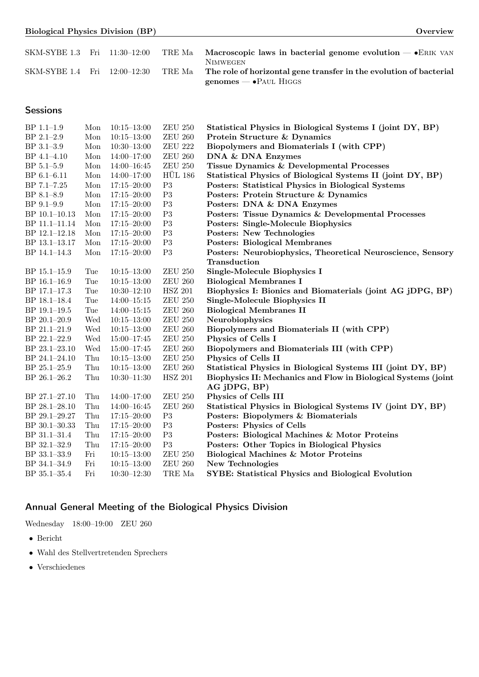|  | <i>Overview</i> |
|--|-----------------|
|  |                 |

| SKM-SYBE 1.3 Fri 11:30-12:00 |  | TRE Ma | Macroscopic laws in bacterial genome evolution $-$ • ERIK VAN                         |
|------------------------------|--|--------|---------------------------------------------------------------------------------------|
| SKM-SYBE 1.4 Fri 12:00–12:30 |  | TRE Ma | <b>NIMWEGEN</b><br>The role of horizontal gene transfer in the evolution of bacterial |
|                              |  |        | genomes $ \bullet$ Paul Higgs                                                         |

# **Sessions**

| BP 1.1-1.9     | Mon | $10:15 - 13:00$ | <b>ZEU 250</b>  | Statistical Physics in Biological Systems I (joint DY, BP)     |  |  |
|----------------|-----|-----------------|-----------------|----------------------------------------------------------------|--|--|
| BP 2.1-2.9     | Mon | $10:15 - 13:00$ | ${\rm ZEU}$ 260 | Protein Structure & Dynamics                                   |  |  |
| BP 3.1-3.9     | Mon | $10:30 - 13:00$ | <b>ZEU 222</b>  | Biopolymers and Biomaterials I (with CPP)                      |  |  |
| BP 4.1-4.10    | Mon | $14:00 - 17:00$ | ${\rm ZEU}$ 260 | DNA & DNA Enzymes                                              |  |  |
| BP 5.1-5.9     | Mon | $14:00 - 16:45$ | ${\rm ZEU}$ 250 | Tissue Dynamics & Developmental Processes                      |  |  |
| BP 6.1-6.11    | Mon | $14:00 - 17:00$ | <b>HÜL 186</b>  | Statistical Physics of Biological Systems II (joint DY, BP)    |  |  |
| BP 7.1-7.25    | Mon | $17:15 - 20:00$ | P3              | Posters: Statistical Physics in Biological Systems             |  |  |
| BP 8.1-8.9     | Mon | $17:15 - 20:00$ | $\mathbf{P}3$   | Posters: Protein Structure & Dynamics                          |  |  |
| BP 9.1-9.9     | Mon | $17:15 - 20:00$ | P3              | Posters: DNA & DNA Enzymes                                     |  |  |
| BP 10.1-10.13  | Mon | $17:15 - 20:00$ | $\mathbf{P}3$   | Posters: Tissue Dynamics & Developmental Processes             |  |  |
| BP 11.1-11.14  | Mon | $17:15 - 20:00$ | P3              | <b>Posters: Single-Molecule Biophysics</b>                     |  |  |
| BP 12.1-12.18  | Mon | $17:15 - 20:00$ | $\mathbf{P}3$   | <b>Posters: New Technologies</b>                               |  |  |
| BP 13.1-13.17  | Mon | $17:15 - 20:00$ | P3              | <b>Posters: Biological Membranes</b>                           |  |  |
| BP 14.1-14.3   | Mon | $17:15 - 20:00$ | P3              | Posters: Neurobiophysics, Theoretical Neuroscience, Sensory    |  |  |
|                |     |                 |                 | <b>Transduction</b>                                            |  |  |
| BP 15.1-15.9   | Tue | $10:15 - 13:00$ | ${\rm ZEU}$ 250 | <b>Single-Molecule Biophysics I</b>                            |  |  |
| $BP$ 16.1-16.9 | Tue | $10:15 - 13:00$ | <b>ZEU 260</b>  | <b>Biological Membranes I</b>                                  |  |  |
| BP 17.1-17.3   | Tue | $10:30 - 12:10$ | <b>HSZ 201</b>  | Biophysics I: Bionics and Biomaterials (joint AG jDPG, BP)     |  |  |
| BP 18.1-18.4   | Tue | $14:00-15:15$   | <b>ZEU 250</b>  | Single-Molecule Biophysics II                                  |  |  |
| BP 19.1-19.5   | Tue | $14:00 - 15:15$ | ${\rm ZEU}$ 260 | <b>Biological Membranes II</b>                                 |  |  |
| BP 20.1-20.9   | Wed | $10:15 - 13:00$ | <b>ZEU 250</b>  | Neurobiophysics                                                |  |  |
| BP 21.1-21.9   | Wed | $10:15 - 13:00$ | ${\rm ZEU}$ 260 | Biopolymers and Biomaterials II (with CPP)                     |  |  |
| BP 22.1-22.9   | Wed | $15:00-17:45$   | <b>ZEU 250</b>  | Physics of Cells I                                             |  |  |
| BP 23.1-23.10  | Wed | $15:00 - 17:45$ | ${\rm ZEU}$ 260 | Biopolymers and Biomaterials III (with CPP)                    |  |  |
| BP 24.1-24.10  | Thu | $10:15 - 13:00$ | <b>ZEU 250</b>  | Physics of Cells II                                            |  |  |
| BP 25.1-25.9   | Thu | $10:15 - 13:00$ | ${\rm ZEU}$ 260 | Statistical Physics in Biological Systems III (joint DY, BP)   |  |  |
| BP 26.1-26.2   | Thu | $10:30 - 11:30$ | <b>HSZ 201</b>  | Biophysics II: Mechanics and Flow in Biological Systems (joint |  |  |
|                |     |                 |                 | AG jDPG, BP)                                                   |  |  |
| BP 27.1-27.10  | Thu | $14:00-17:00$   | <b>ZEU 250</b>  | Physics of Cells III                                           |  |  |
| BP 28.1-28.10  | Thu | $14:00 - 16:45$ | <b>ZEU 260</b>  | Statistical Physics in Biological Systems IV (joint DY, BP)    |  |  |
| BP 29.1-29.27  | Thu | $17:15 - 20:00$ | P3              | Posters: Biopolymers & Biomaterials                            |  |  |
| BP 30.1-30.33  | Thu | $17:15 - 20:00$ | P3              | Posters: Physics of Cells                                      |  |  |
| BP 31.1-31.4   | Thu | $17:15 - 20:00$ | P3              | Posters: Biological Machines & Motor Proteins                  |  |  |
| BP 32.1-32.9   | Thu | $17:15 - 20:00$ | P3              | Posters: Other Topics in Biological Physics                    |  |  |
| BP 33.1-33.9   | Fri | $10:15 - 13:00$ | ${\rm ZEU}$ 250 | Biological Machines & Motor Proteins                           |  |  |
| BP 34.1-34.9   | Fri | $10:15 - 13:00$ | ${\rm ZEU}$ 260 | New Technologies                                               |  |  |
| BP 35.1-35.4   | Fri | $10:30 - 12:30$ | TRE Ma          | SYBE: Statistical Physics and Biological Evolution             |  |  |

# Annual General Meeting of the Biological Physics Division

Wednesday 18:00–19:00 ZEU 260

- ∙ Bericht
- ∙ Wahl des Stellvertretenden Sprechers
- ∙ Verschiedenes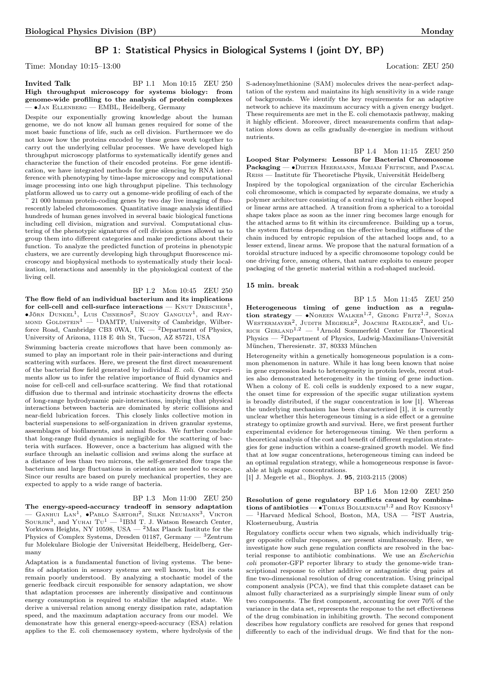## BP 1: Statistical Physics in Biological Systems I (joint DY, BP)

Time: Monday 10:15–13:00 Location: ZEU 250

## **Invited Talk** BP 1.1 Mon 10:15 ZEU 250 High throughput microscopy for systems biology: from genome-wide profiling to the analysis of protein complexes — ∙Jan Ellenberg — EMBL, Heidelberg, Germany

Despite our exponentially growing knowledge about the human genome, we do not know all human genes required for some of the most basic functions of life, such as cell division. Furthermore we do not know how the proteins encoded by these genes work together to carry out the underlying cellular processes. We have developed high throughput microscopy platforms to systematically identify genes and characterize the function of their encoded proteins. For gene identification, we have integrated methods for gene silencing by RNA interference with phenotyping by time-lapse microscopy and computational image processing into one high throughput pipeline. This technology platform allowed us to carry out a genome-wide profiling of each of the ~ 21 000 human protein-coding genes by two day live imaging of fluorescently labeled chromosomes. Quantitative image analysis identified hundreds of human genes involved in several basic biological functions including cell division, migration and survival. Computational clustering of the phenotypic signatures of cell division genes allowed us to group them into different categories and make predictions about their function. To analyze the predicted function of proteins in phenotypic clusters, we are currently developing high throughput fluorescence microscopy and biophysical methods to systematically study their localization, interactions and assembly in the physiological context of the living cell.

#### BP 1.2 Mon 10:45 ZEU 250

The flow field of an individual bacterium and its implications for cell-cell and cell-surface interactions —  $\text{Knut DRESCHER}^1,$  $\bullet$ Jörn Dunkel<sup>1</sup>, Luis Cisneros<sup>2</sup>, Sujoy Ganguly<sup>1</sup>, and Ray-MOND GOLDSTEIN<sup>1</sup> - <sup>1</sup>DAMTP, University of Cambridge, Wilberforce Road, Cambridge CB3 0WA, UK — <sup>2</sup>Department of Physics, University of Arizona, 1118 E 4th St, Tucson, AZ 85721, USA

Swimming bacteria create microflows that have been commonly assumed to play an important role in their pair-interactions and during scattering with surfaces. Here, we present the first direct measurement of the bacterial flow field generated by individual E. coli. Our experiments allow us to infer the relative importance of fluid dynamics and noise for cell-cell and cell-surface scattering. We find that rotational diffusion due to thermal and intrinsic stochasticity drowns the effects of long-range hydrodynamic pair-interactions, implying that physical interactions between bacteria are dominated by steric collisions and near-field lubrication forces. This closely links collective motion in bacterial suspensions to self-organization in driven granular systems, assemblages of biofilaments, and animal flocks. We further conclude that long-range fluid dynamics is negligible for the scattering of bacteria with surfaces. However, once a bacterium has aligned with the surface through an inelastic collision and swims along the surface at a distance of less than two microns, the self-generated flow traps the bacterium and large fluctuations in orientation are needed to escape. Since our results are based on purely mechanical properties, they are expected to apply to a wide range of bacteria.

## BP 1.3 Mon 11:00 ZEU 250

The energy-speed-accuracy tradeoff in sensory adaptation — GANHUI LAN<sup>1</sup>, •PABLO SARTORI<sup>2</sup>, SILKE NEUMANN<sup>3</sup>, VIKTOR<br>SOURJIK<sup>3</sup>, and YUHAI Tu<sup>1</sup> — <sup>1</sup>IBM T. J. Watson Research Center, Yorktown Heights, NY 10598, USA — <sup>2</sup>Max Planck Institute for the Physics of Complex Systems, Dresden 01187, Germany  $-$  3Zentrum fur Molekulare Biologie der Universitat Heidelberg, Heidelberg, Germany

Adaptation is a fundamental function of living systems. The benefits of adaptation in sensory systems are well known, but its costs remain poorly understood. By analyzing a stochastic model of the generic feedback circuit responsible for sensory adaptation, we show that adaptation processes are inherently dissipative and continuous energy consumption is required to stabilize the adapted state. We derive a universal relation among energy dissipation rate, adaptation speed, and the maximum adaptation accuracy from our model. We demonstrate how this general energy-speed-accuracy (ESA) relation applies to the E. coli chemosensory system, where hydrolysis of the <span id="page-2-1"></span>S-adenosylmethionine (SAM) molecules drives the near-perfect adaptation of the system and maintains its high sensitivity in a wide range of backgrounds. We identify the key requirements for an adaptive network to achieve its maximum accuracy with a given energy budget. These requirements are met in the E. coli chemotaxis pathway, making it highly efficient. Moreover, direct measurements confirm that adaptation slows down as cells gradually de-energize in medium without nutrients.

BP 1.4 Mon 11:15 ZEU 250 Looped Star Polymers: Lessons for Bacterial Chromosome Packaging — •DIETER HEERMANN, MIRIAM FRITSCHE, and PASCAL Reiß — Institute für Theoretische Physik, Universität Heidelberg

Inspired by the topological organization of the circular Escherichia coli chromosome, which is compacted by separate domains, we study a polymer architecture consisting of a central ring to which either looped or linear arms are attached. A transition from a spherical to a toroidal shape takes place as soon as the inner ring becomes large enough for the attached arms to fit within its circumference. Building up a torus, the system flattens depending on the effective bending stiffness of the chain induced by entropic repulsion of the attached loops and, to a lesser extend, linear arms. We propose that the natural formation of a toroidal structure induced by a specific chromosome topology could be one driving force, among others, that nature exploits to ensure proper packaging of the genetic material within a rod-shaped nucleoid.

#### 15 min. break

<span id="page-2-2"></span>BP 1.5 Mon 11:45 ZEU 250 Heterogeneous timing of gene induction as a regulation strategy —  $\bullet$ NOREEN WALKER<sup>1,2</sup>, GEORG FRITZ<sup>1,2</sup>, SONJA  $W$ ESTERMAYER<sup>2</sup>. , JUDITH MEGERLE<sup>2</sup>, JOACHIM RAEDLER<sup>2</sup>, and UL-RICH  $G$ ERLAND<sup>1,2</sup> — <sup>1</sup>Arnold Sommerfeld Center for Theoretical Physics — <sup>2</sup>Department of Physics, Ludwig-Maximilians-Universität München, Theresienstr. 37, 80333 München

Heterogeneity within a genetically homogeneous population is a common phenomenon in nature. While it has long been known that noise in gene expression leads to heterogeneity in protein levels, recent studies also demonstrated heterogeneity in the timing of gene induction. When a colony of E. coli cells is suddenly exposed to a new sugar, the onset time for expression of the specific sugar utilization system is broadly distributed, if the sugar concentration is low [1]. Whereas the underlying mechanism has been characterized [1], it is currently unclear whether this heterogeneous timing is a side effect or a genuine strategy to optimize growth and survival. Here, we first present further experimental evidence for heterogeneous timing. We then perform a theoretical analysis of the cost and benefit of different regulation strategies for gene induction within a coarse-grained growth model. We find that at low sugar concentrations, heterogeneous timing can indeed be an optimal regulation strategy, while a homogeneous response is favorable at high sugar concentrations.

[1] J. Megerle et al., Biophys. J. 95, 2103-2115 (2008)

<span id="page-2-0"></span>BP 1.6 Mon 12:00 ZEU 250 Resolution of gene regulatory conflicts caused by combinations of antibiotics —  $\bullet$  TOBIAS BOLLENBACH<sup>1,2</sup> and ROY KISHONY<sup>1</sup>  $-$ <sup>1</sup>Harvard Medical School, Boston, MA, USA  $-$ <sup>2</sup>IST Austria, Klosterneuburg, Austria

Regulatory conflicts occur when two signals, which individually trigger opposite cellular responses, are present simultaneously. Here, we investigate how such gene regulation conflicts are resolved in the bacterial response to antibiotic combinations. We use an Escherichia coli promoter-GFP reporter library to study the genome-wide transcriptional response to either additive or antagonistic drug pairs at fine two-dimensional resolution of drug concentration. Using principal component analysis (PCA), we find that this complete dataset can be almost fully characterized as a surprisingly simple linear sum of only two components. The first component, accounting for over 70% of the variance in the data set, represents the response to the net effectiveness of the drug combination in inhibiting growth. The second component describes how regulatory conflicts are resolved for genes that respond differently to each of the individual drugs. We find that for the non-

<span id="page-2-3"></span>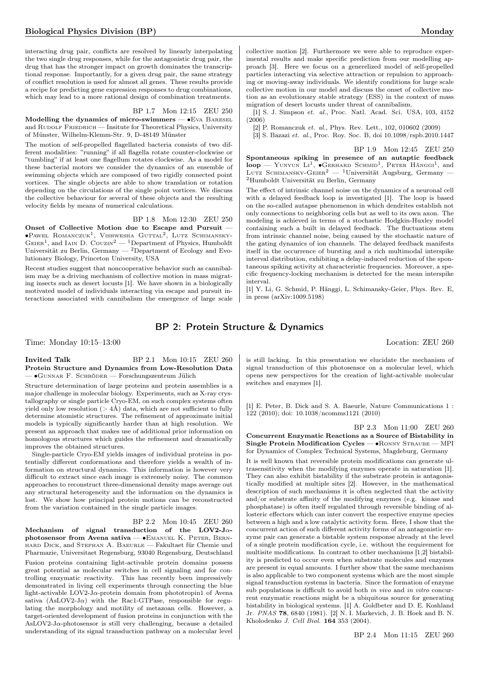interacting drug pair, conflicts are resolved by linearly interpolating the two single drug responses, while for the antagonistic drug pair, the drug that has the stronger impact on growth dominates the transcriptional response. Importantly, for a given drug pair, the same strategy of conflict resolution is used for almost all genes. These results provide a recipe for predicting gene expression responses to drug combinations, which may lead to a more rational design of combination treatments.

## BP 1.7 Mon 12:15 ZEU 250

Modelling the dynamics of micro-swimmers — •Eva BARESEL and RUDOLF FRIEDRICH — Insitute for Theoretical Physics, University of Münster, Wilhelm-Klemm-Str. 9, D-48149 Münster

The motion of self-propelled flagellated bacteria consists of two different modalities: "running" if all flagella rotate counter-clockwise or "tumbling" if at least one flagellum rotates clockwise. As a model for these bacterial motors we consider the dynamics of an ensemble of swimming objects which are composed of two rigidly connected point vortices. The single objects are able to show translation or rotation depending on the circulations of the single point vortices. We discuss the collective behaviour for several of these objects and the resulting velocity fields by means of numerical calculations.

#### BP 1.8 Mon 12:30 ZEU 250

Onset of Collective Motion due to Escape and Pursuit — ∙Pawel Romanczuk<sup>1</sup> , Vishwesha Guttal<sup>2</sup> , Lutz Schimansky-GEIER<sup>1</sup>, and IAIN D. COUZIN<sup>2</sup> — <sup>1</sup>Department of Physics, Humboldt Universität zu Berlin, Germany  $-2$ Department of Ecology and Evolutionary Biology, Princeton University, USA

Recent studies suggest that noncooperative behavior such as cannibalism may be a driving mechanism of collective motion in mass migrating insects such as desert locusts [1]. We have shown in a biologically motivated model of individuals interacting via escape and pursuit interactions associated with cannibalism the emergence of large scale collective motion [2]. Furthermore we were able to reproduce experimental results and make specific prediction from our modelling approach [3]. Here we focus on a generelized model of self-propelled particles interacting via selective attraction or repulsion to approaching or moving-away individuals. We identify conditions for large scale collective motion in our model and discuss the onset of collective motion as an evolutionary stable strategy (ESS) in the context of mass migration of desert locusts under threat of cannibalism.

[1] S. J. Simpson et. al., Proc. Natl. Acad. Sci. USA, 103, 4152 (2006)

[2] P. Romanczuk et. al., Phys. Rev. Lett., 102, 010602 (2009)

[3] S. Bazazi et. al., Proc. Roy. Soc. B, doi 10.1098/rspb.2010.1447

BP 1.9 Mon 12:45 ZEU 250 Spontaneous spiking in presence of an autaptic feedback  $loop - Y$ UNYUN LI<sup>1</sup>,  $\bullet$ GERHARD SCHMID<sup>1</sup>, PETER HÄNGGI<sup>1</sup>, and LUTZ SCHIMANSKY-GEIER<sup>2</sup> — <sup>1</sup>Universität Augsburg, Germany — <sup>2</sup>Humboldt Universität zu Berlin, Germany

The effect of intrinsic channel noise on the dynamics of a neuronal cell with a delayed feedback loop is investigated [1]. The loop is based on the so-called autapse phenomenon in which dendrites establish not only connections to neighboring cells but as well to its own axon. The modeling is achieved in terms of a stochastic Hodgkin-Huxley model containing such a built in delayed feedback. The fluctuations stem from intrinsic channel noise, being caused by the stochastic nature of the gating dynamics of ion channels. The delayed feedback manifests itself in the occurrence of bursting and a rich multimodal interspike interval distribution, exhibiting a delay-induced reduction of the spontaneous spiking activity at characteristic frequencies. Moreover, a specific frequency-locking mechanism is detected for the mean interspike interval.

[1] Y. Li, G. Schmid, P. Hänggi, L. Schimansky-Geier, Phys. Rev. E, in press (arXiv:1009.5198)

## BP 2: Protein Structure & Dynamics

Time: Monday 10:15–13:00 Location: ZEU 260

## **Invited Talk** BP 2.1 Mon 10:15 ZEU 260 Protein Structure and Dynamics from Low-Resolution Data — ∙Gunnar F. Schröder — Forschungszentrum Jülich

Structure determination of large proteins and protein assemblies is a major challenge in molecular biology. Experiments, such as X-ray crystallography or single particle Cryo-EM, on such complex systems often yield only low resolution ( $> 4\AA$ ) data, which are not sufficient to fully determine atomistic structures. The refinement of approximate initial models is typically significantly harder than at high resolution. We present an approach that makes use of additional prior information on homologous structures which guides the refinement and dramatically improves the obtained structures.

Single-particle Cryo-EM yields images of individual proteins in potentially different conformations and therefore yields a wealth of information on structural dynamics. This information is however very difficult to extract since each image is extremely noisy. The common approaches to reconstruct three-dimensional density maps average out any structural heterogeneity and the information on the dynamics is lost. We show how principal protein motions can be reconstructed from the variation contained in the single particle images.

BP 2.2 Mon 10:45 ZEU 260

Mechanism of signal transduction of the LOV2-J $\alpha$ photosensor from Avena sativa — ∙Emanuel K. Peter, Bernhard Dick, and Stephan A. Baeurle — Fakultaet für Chemie und Pharmazie, Universitaet Regensburg, 93040 Regensburg, Deutschland Fusion proteins containing light-activable protein domains possess great potential as molecular switches in cell signaling and for controlling enzymatic reactivity. This has recently been impressively demonstrated in living cell experiments through connecting the blue light-activable LOV2-J $\alpha$ -protein domain from phototropin1 of Avena sativa (AsLOV2-J $\alpha$ ) with the Rac1-GTPase, responsible for regulating the morphology and motility of metazoan cells. However, a target-oriented development of fusion proteins in conjunction with the AsLOV2-J $\alpha$ -photosensor is still very challenging, because a detailed understanding of its signal transduction pathway on a molecular level

is still lacking. In this presentation we elucidate the mechanism of signal transduction of this photosensor on a molecular level, which opens new perspectives for the creation of light-activable molecular switches and enzymes [1].

[1] E. Peter, B. Dick and S. A. Baeurle, Nature Communications 1 : 122 (2010); doi: 10.1038/ncomms1121 (2010)

BP 2.3 Mon 11:00 ZEU 260 Concurrent Enzymatic Reactions as a Source of Bistability in Single Protein Modification Cycles — ∙Ronny Straube — MPI for Dynamics of Complex Technical Systems, Magdeburg, Germany

It is well known that reversible protein modifications can generate ultrasensitivity when the modifying enzymes operate in saturation [1]. They can also exhibit bistability if the substrate protein is antagonistically modified at multiple sites [2]. However, in the mathematical description of such mechanisms it is often neglected that the activity and/or substrate affinity of the modifying enzymes (e.g. kinase and phosphatase) is often itself regulated through reversible binding of allosteric effectors which can inter convert the respective enzyme species between a high and a low catalytic activity form. Here, I show that the concurrent action of such different activity forms of an antagonistic enzyme pair can generate a bistable system response already at the level of a single protein modification cycle, i.e. without the requirement for multisite modifications. In contrast to other mechanisms [1,2] bistability is predicted to occur even when substrate molecules and enzymes are present in equal amounts. I further show that the same mechanism is also applicable to two component systems which are the most simple signal transduction systems in bacteria. Since the formation of enzyme sub populations is difficult to avoid both in vivo and in vitro concurrent enzymatic reactions might be a ubiquitous source for generating bistability in biological systems. [1] A. Goldbeter and D. E. Koshland Jr. PNAS 78, 6840 (1981). [2] N. I. Markevich, J. B. Hoek and B. N. Kholodenko J. Cell Biol. 164 353 (2004).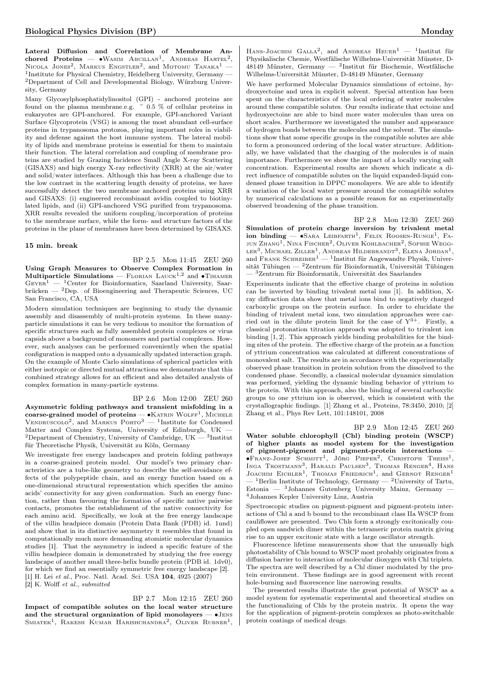Lateral Diffusion and Correlation of Membrane Anchored Proteins —  $\bullet$ Wasim Abuillan<sup>1</sup>, Andreas Hartel<sup>2</sup>, Nicola Jones<sup>2</sup>, Markus Engstler<sup>2</sup>, and Motomu Tanaka<sup>1</sup> -<sup>1</sup>Institute for Physical Chemistry, Heidelberg University, Germany — <sup>2</sup>Department of Cell and Developmental Biology, Würzburg University, Germany

Many Glycosylphosphatidylinositol (GPI) - anchored proteins are found on the plasma membrane.e.g.  $\sim 0.5$  % of cellular proteins in eukaryotes are GPI-anchored. For example, GPI-anchored Variant Surface Glycoprotein (VSG) is among the most abundant cell-surface proteins in trypanosoma protozoa, playing important roles in viability and defense against the host immune system. The lateral mobility of lipids and membrane proteins is essential for them to maintain their function. The lateral correlation and coupling of membrane proteins are studied by Grazing Incidence Small Angle X-ray Scattering (GISAXS) and high energy X-ray reflectivity (XRR) at the air/water and solid/water interfaces. Although this has been a challenge due to the low contrast in the scattering length density of proteins, we have successfully detect the two membrane anchored proteins using XRR and GISAXS: (i) engineered recombinant avidin coupled to biotinylated lipids, and (ii) GPI-anchored VSG purified from trypanosoma. XRR results revealed the uniform coupling/incorporation of proteins to the membrane surface, while the form- and structure factors of the proteins in the plane of membranes have been determined by GISAXS.

#### 15 min. break

BP 2.5 Mon 11:45 ZEU 260

Using Graph Measures to Observe Complex Formation in Multiparticle Simulations — FLORIAN LAUCK<sup>1,2</sup> and • TIHAMER  $G$ EYER<sup>1</sup> — <sup>1</sup>Center for Bioinformatics, Saarland University, Saar $b$ rücken — <sup>2</sup>Dep. of Bioengineering and Therapeutic Sciences, UC San Francisco, CA, USA

Modern simulation techniques are beginning to study the dynamic assembly and disassembly of multi-protein systems. In these manyparticle simulations it can be very tedious to monitor the formation of specific structures such as fully assembled protein complexes or virus capsids above a background of monomers and partial complexes. However, such analyses can be performed conveniently when the spatial configuration is mapped onto a dynamically updated interaction graph. On the example of Monte Carlo simulations of spherical particles with either isotropic or directed mutual attractions we demonstrate that this combined strategy allows for an efficient and also detailed analysis of complex formation in many-particle systems.

## BP 2.6 Mon 12:00 ZEU 260

Asymmetric folding pathways and transient misfolding in a coarse-grained model of proteins — •KATRIN WOLFF<sup>1</sup>, MICHELE VENDRUSCOLO<sup>2</sup>, and MARKUS PORTO<sup>3</sup> — <sup>1</sup>Institute for Condensed Matter and Complex Systems, University of Edinburgh, UK —  ${}^{2}$ Department of Chemistry, University of Cambridge, UK – <sup>3</sup>Institut für Theoretische Physik, Universität zu Köln, Germany

We investigate free energy landscapes and protein folding pathways in a coarse-grained protein model. Our model's two primary characteristics are a tube-like geometry to describe the self-avoidance effects of the polypeptide chain, and an energy function based on a one-dimensional structural representation which specifies the amino acids' connectivity for any given conformation. Such an energy function, rather than favouring the formation of specific native pairwise contacts, promotes the establishment of the native connectivity for each amino acid. Specifically, we look at the free energy landscape of the villin headpiece domain (Protein Data Bank (PDB) id. 1und) and show that in its distinctive asymmetry it resembles that found in computationally much more demanding atomistic molecular dynamics studies [1]. That the asymmetry is indeed a specific feature of the villin headpiece domain is demonstrated by studying the free energy landscape of another small three-helix bundle protein (PDB id. 1dv0), for which we find an essentially symmetric free energy landscape [2]. [1] H. Lei et al., Proc. Natl. Acad. Sci. USA 104, 4925 (2007) [2] K. Wolff et al., submitted

BP 2.7 Mon 12:15 ZEU 260 Impact of compatible solutes on the local water structure and the structural organization of lipid monolayers — ∙Jens SMIATEK<sup>1</sup>, RAKESH KUMAR HARISHCHANDRA<sup>2</sup>, OLIVER RUBNER<sup>1</sup>,

HANS-JOACHIM GALLA<sup>2</sup>, and ANDREAS HEUER<sup>1</sup> - <sup>1</sup>Institut für Physikalische Chemie, Westfälische Wilhelms-Universität Münster, D-48149 Münster, Germany — <sup>2</sup> Institut für Biochemie, Westfälische Wilhelms-Universität Münster, D-48149 Münster, Germany

We have performed Molecular Dynamics simulations of ectoine, hydroxyectoine and urea in explicit solvent. Special attention has been spent on the characteristics of the local ordering of water molecules around these compatible solutes. Our results indicate that ectoine and hydroxyectoine are able to bind more water molecules than urea on short scales. Furthermore we investigated the number and appearance of hydrogen bonds between the molecules and the solvent. The simulations show that some specific groups in the compatible solutes are able to form a pronounced ordering of the local water structure. Additionally, we have validated that the charging of the molecules is of main importance. Furthermore we show the impact of a locally varying salt concentration. Experimental results are shown which indicate a direct influence of compatible solutes on the liquid expanded-liquid condensed phase transition in DPPC monolayers. We are able to identify a variation of the local water pressure around the comaptible solutes by numerical calculations as a possible reason for an experimentally observed broadening of the phase transition.

BP 2.8 Mon 12:30 ZEU 260 Simulation of protein charge inversion by trivalent metal  $ion\ binding$   $-$  •Sara Leibfarth<sup>1</sup>, Felix Roosen-Runge<sup>1</sup>, Fa-JUN ZHANG<sup>1</sup>, NINA FISCHER<sup>2</sup>, OLIVER KOHLBACHER<sup>2</sup>, SOPHIE WEGG-LER<sup>3</sup>, MICHAEL ZILLER<sup>1</sup>, ANDREAS HILDEBRANDT<sup>3</sup>, ELENA JORDAN<sup>1</sup>, and FRANK SCHREIBER<sup>1</sup> — <sup>1</sup>Institut für Angewandte Physik, Universität Tübingen —  $2$ Zentrum für Bioinformatik, Universität Tübingen  ${\rm ^3Zentrum}$  für Bioinformatik, Universität des Saarlandes

Experiments indicate that the effective charge of proteins in solution can be inverted by binding trivalent metal ions [1]. In addition, Xray diffraction data show that metal ions bind to negatively charged carboxylic groups on the protein surface. In order to elucidate the binding of trivalent metal ions, two simulation approaches were carried out in the dilute protein limit for the case of  $Y^{3+}$ . Firstly, a classical protonation titration approach was adopted to trivalent ion binding [1, 2]. This approach yields binding probabilities for the binding sites of the protein. The effective charge of the protein as a function of yttrium concentration was calculated at different concentrations of monovalent salt. The results are in accordance with the experimentally observed phase transition in protein solution from the dissolved to the condensed phase. Secondly, a classical molecular dynamics simulation was performed, yielding the dynamic binding behavior of yttrium to the protein. With this approach, also the binding of several carboxylic groups to one yttrium ion is observed, which is consistent with the crystallographic findings. [1] Zhang et al., Proteins, 78:3450, 2010; [2] Zhang et al., Phys Rev Lett, 101:148101, 2008

BP 2.9 Mon 12:45 ZEU 260 Water soluble chlorophyll (Chl) binding protein (WSCP) of higher plants as model system for the investigation of pigment-pigment and pigment-protein interactions — ∙Franz-Josef Schmitt<sup>1</sup> , Jörg Pieper<sup>2</sup> , Christoph Theiss<sup>1</sup> , INGA TROSTMANN<sup>3</sup>, HARALD PAULSEN<sup>3</sup>, THOMAS RENGER<sup>4</sup>, HANS<br>JOACHIM EICHLER<sup>1</sup>, THOMAS FRIEDRICH<sup>1</sup>, and GERNOT RENGER<sup>1</sup>  $-$ <sup>1</sup>Berlin Institute of Technology, Germany  $-$  <sup>2</sup>University of Tartu, Estonia — <sup>3</sup>Johannes Gutenberg University Mainz, Germany — <sup>4</sup>Johannes Kepler University Linz, Austria

Spectroscopic studies on pigment-pigment and pigment-protein interactions of Chl a and b bound to the recombinant class IIa WSCP from cauliflower are presented. Two Chls form a strongly excitonically coupled open sandwich dimer within the tetrameric protein matrix giving rise to an upper excitonic state with a large oscillator strength.

Fluorescence lifetime measurements show that the unusually high photostability of Chls bound to WSCP most probably originates from a diffusion barrier to interaction of molecular dioxygen with Chl triplets. The spectra are well described by a Chl dimer modulated by the protein environment. These findings are in good agreement with recent hole-burning and fluorescence line narrowing results.

The presented results illustrate the great potential of WSCP as a model system for systematic experimental and theoretical studies on the functionalizing of Chls by the protein matrix. It opens the way for the application of pigment-protein complexes as photo-switchable protein coatings of medical drugs.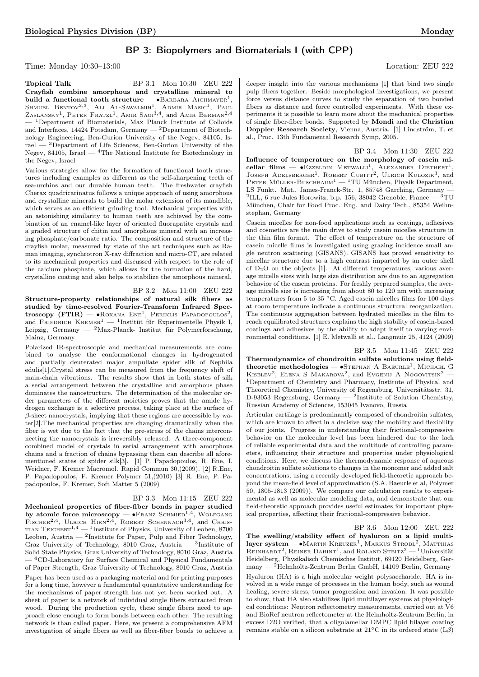## BP 3: Biopolymers and Biomaterials I (with CPP)

Time: Monday 10:30–13:00 Location: ZEU 222

**Topical Talk** BP 3.1 Mon 10:30 ZEU 222 Crayfish combine amorphous and crystalline mineral to build a functional tooth structure —  $\bullet$ Barbara Aichmayer<sup>1</sup>, Shmuel Bentov<sup>2,3</sup>, Ali Al-Sawalmih<sup>1</sup>, Admir Masic<sup>1</sup>, Paul  $Z$ aslansky<sup>1</sup>, Peter Fratzl<sup>1</sup>, Amir Sagi<sup>3,4</sup>, and Amir Berman<sup>2,4</sup> — <sup>1</sup>Department of Biomaterials, Max Planck Institute of Colloids and Interfaces, 14424 Potsdam, Germany  $-$  <sup>2</sup>Department of Biotechnology Engineering, Ben-Gurion University of the Negev, 84105, Israel — <sup>3</sup>Department of Life Sciences, Ben-Gurion University of the Negev, 84105, Israel — <sup>4</sup>The National Institute for Biotechnology in the Negev, Israel

Various strategies allow for the formation of functional tooth structures including examples as different as the self-sharpening teeth of sea-urchins and our durable human teeth. The freshwater crayfish Cherax quadricarinatus follows a unique approach of using amorphous and crystalline minerals to build the molar extension of its mandible, which serves as an efficient grinding tool. Mechanical properties with an astonishing similarity to human teeth are achieved by the combination of an enamel-like layer of oriented fluorapatite crystals and a graded structure of chitin and amorphous mineral with an increasing phosphate/carbonate ratio. The composition and structure of the crayfish molar, measured by state of the art techniques such as Raman imaging, synchrotron X-ray diffraction and micro-CT, are related to its mechanical properties and discussed with respect to the role of the calcium phosphate, which allows for the formation of the hard, crystalline coating and also helps to stabilize the amorphous mineral.

BP 3.2 Mon 11:00 ZEU 222

Structure-property relationships of natural silk fibers as studied by time-resolved Fourier-Transform Infrared Spectroscopy (FTIR) —  $\bullet$ Roxana Ene<sup>1</sup>, Periklis Papadopoulos<sup>2</sup>, and FRIEDRICH KREMER<sup>1</sup> — <sup>1</sup>Institüt für Experimentelle Physik I, Leipzig, Germany — <sup>2</sup>Max-Planck- Institut für Polymerforschung, Mainz, Germany

Polarized IR-spectroscopic and mechanical measurements are combined to analyse the conformational changes in hydrogenated and partially deuterated major ampullate spider silk of Nephila edulis[1].Crystal stress can be measured from the frequency shift of main-chain vibrations. The results show that in both states of silk a serial arrangement between the crystalline and amorphous phase dominates the nanostructure. The determination of the molecular order parameters of the different moieties proves that the amide hydrogen exchange is a selective process, taking place at the surface of  $\beta$ -sheet nanocrystals, implying that these regions are accessible by water[2].The mechanical properties are changing dramatically when the fiber is wet due to the fact that the pre-stress of the chains interconnecting the nanocrystals is irreversibly released. A three-component combined model of crystals in serial arrangement with amorphous chains and a fraction of chains bypassing them can describe all aforementioned states of spider silk[3]. [1] P. Papadopoulos, R. Ene, I. Weidner, F. Kremer Macromol. Rapid Commun 30,(2009). [2] R.Ene, P. Papadopoulos, F. Kremer Polymer 51,(2010) [3] R. Ene, P. Papadopoulos, F. Kremer, Soft Matter 5 (2009)

## BP 3.3 Mon 11:15 ZEU 222

Mechanical properties of fiber-fiber bonds in paper studied by atomic force microscopy —  $\bullet$  Franz Schmied<sup>1,4</sup>, Wolfgang FISCHER<sup>2,4</sup>, ULRICH HIRN<sup>2,4</sup>, ROBERT SCHENNACH<sup>3,4</sup>, and CHRIS-TIAN  $\mathrm{TEICHERT}^{1,4} = \mathrm{^{1}Institute~of~Physics,~University~of~Leoben,~8700}$ Leoben, Austria  $-$  <sup>2</sup>Institute for Paper, Pulp and Fiber Technology, Graz University of Technology, 8010 Graz, Austria — <sup>3</sup>Institute of Solid State Physics, Graz University of Technology, 8010 Graz, Austria — <sup>4</sup>CD-Laboratory for Surface Chemical and Physical Fundamentals of Paper Strength, Graz University of Technology, 8010 Graz, Austria Paper has been used as a packaging material and for printing purposes for a long time, however a fundamental quantitative understanding for the mechanisms of paper strength has not yet been worked out. A sheet of paper is a network of individual single fibers extracted from wood. During the production cycle, these single fibers need to approach close enough to form bonds between each other. The resulting network is than called paper. Here, we present a comprehensive AFM investigation of single fibers as well as fiber-fiber bonds to achieve a

deeper insight into the various mechanisms [1] that bind two single pulp fibers together. Beside morphological investigations, we present force versus distance curves to study the separation of two bonded fibers as distance and force controlled experiments. With these experiments it is possible to learn more about the mechanical properties of single fiber-fiber bonds. Supported by Mondi and the Christian Doppler Research Society, Vienna, Austria. [1] Lindström, T. et al., Proc. 13th Fundamental Research Symp, 2005.

BP 3.4 Mon 11:30 ZEU 222 Influence of temperature on the morphology of casein micellar films —  $\bullet$ Ezzeldin Metwall<sup>1</sup>, Alexander Diethert<sup>1</sup>, Joseph Adelsberger<sup>1</sup>, Robert Cubitt<sup>2</sup>, Ulrich Kulozik<sup>3</sup>, and PETER MÜLLER-BUSCHBAUM<sup>1</sup> — <sup>1</sup>TU München, Physik Department, LS Funkt. Mat., James-Franck-Str. 1, 85748 Garching, Germany — <sup>2</sup>ILL, 6 rue Jules Horowitz, b.p. 156, 38042 Grenoble, France  $-$  <sup>3</sup>TU München, Chair for Food Proc. Eng. and Dairy Tech., 85354 Weihnstephan, Germany

Casein micelles for non-food applications such as coatings, adhesives and cosmetics are the main drive to study casein micelles structure in the thin film format. The effect of temperature on the structure of casein micelle films is investigated using grazing incidence small angle neutron scattering (GISANS). GISANS has proved sensitivity to micellar structure due to a high contrast imparted by an outer shell of D2O on the objects [1]. At different temperatures, various average micelle sizes with large size distribution are due to an aggregation behavior of the casein proteins. For freshly prepared samples, the average micelle size is increasing from about 80 to 120 nm with increasing temperatures from 5 to 35 <sup>∘</sup>C. Aged casein micelles films for 100 days at room temperature indicate a continuous structural reorganization. The continuous aggregation between hydrated micelles in the film to reach equilibrated structures explains the high stability of casein-based coatings and adhesives by the ability to adapt itself to varying environmental conditions. [1] E. Metwalli et al., Langmuir 25, 4124 (2009)

## BP 3.5 Mon 11:45 ZEU 222

Thermodynamics of chondroitin sulfate solutions using fieldtheoretic methodologies — •STEPHAN A BAEURLE<sup>1</sup>, MICHAEL G KISELEV<sup>2</sup>, ELENA S MAKAROVA<sup>2</sup>, and EVGENIJ A NOGOVITSIN<sup>2</sup> -<sup>1</sup>Department of Chemistry and Pharmacy, Institute of Physical and Theoretical Chemistry, University of Regensburg, Universitätsstr. 31, D-93053 Regensburg, Germany  $-$  <sup>2</sup>Institute of Solution Chemistry, Russian Academy of Sciences, 153045 Ivanovo, Russia

Articular cartilage is predominantly composed of chondroitin sulfates, which are known to affect in a decisive way the mobility and flexibility of our joints. Progress in understanding their frictional-compressive behavior on the molecular level has been hindered due to the lack of reliable experimental data and the multitude of controlling parameters, influencing their structure and properties under physiological conditions. Here, we discuss the thermodynamic response of aqueous chondroitin sulfate solutions to changes in the monomer and added salt concentrations, using a recently developed field-theoretic approach beyond the mean-field level of approximation (S.A. Baeurle et al, Polymer 50, 1805-1813 (2009)). We compare our calculation results to experimental as well as molecular modeling data, and demonstrate that our field-theoretic approach provides useful estimates for important physical properties, affecting their frictional-compressive behavior.

BP 3.6 Mon 12:00 ZEU 222 The swelling/stability effect of hyaluron on a lipid multilayer system — • MARTIN KREUZER<sup>1</sup>, MARKUS STROBL<sup>2</sup>, MATTHIAS REINHARDT<sup>2</sup>, REINER DAHINT<sup>1</sup>, and ROLAND STEITZ<sup>2</sup> - <sup>1</sup>Universität Heidelberg, Physikalisch Chemisches Institut, 69120 Heidelberg, Germany — <sup>2</sup>Helmholtz-Zentrum Berlin GmbH, 14109 Berlin, Germany Hyaluron (HA) is a high molecular weight polysaccharide. HA is involved in a wide range of processes in the human body, such as wound healing, severe stress, tumor progression and invasion. It was possible to show, that HA also stabilizes lipid multilayer systems at physiological conditions: Neutron reflectometry measurements, carried out at V6 and BioRef neutron reflectometer at the Helmholtz-Zentrum Berlin, in excess D2O verified, that a oligolamellar DMPC lipid bilayer coating remains stable on a silicon substrate at 21°C in its ordered state  $(L\beta)$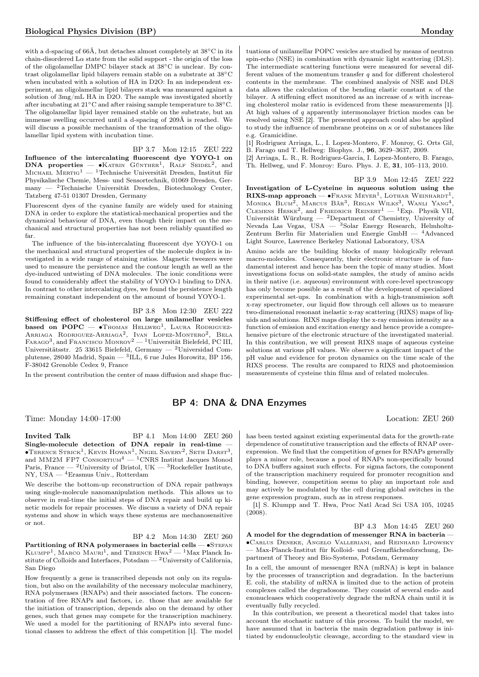with a d-spacing of 66Å, but detaches almost completely at 38∘C in its chain-disordered  $L\alpha$  state from the solid support - the origin of the loss of the oligolamellar DMPC bilayer stack at 38∘C is unclear. By contrast oligolamellar lipid bilayers remain stable on a substrate at 38∘C when incubated with a solution of HA in D2O: In an independent experiment, an oligolamellar lipid bilayers stack was measured against a solution of 3mg/mL HA in D2O. The sample was investigated shortly after incubating at 21∘C and after raising sample temperature to 38∘C. The oligolamellar lipid layer remained stable on the substrate, but an immense swelling occurred until a d-spacing of 209Å is reached. We will discuss a possible mechanism of the transformation of the oligolamellar lipid system with incubation time.

BP 3.7 Mon 12:15 ZEU 222 Influence of the intercalating fluorescent dye YOYO-1 on DNA properties —  $\bullet$ KATRIN GÜNTHER<sup>1</sup>, RALF SEIDEL<sup>2</sup>, and MICHAEL MERTIG<sup>1</sup> — <sup>1</sup>Technische Universität Dresden, Institut für Physikalische Chemie, Mess- und Sensortechnik, 01069 Dresden, Germany — <sup>2</sup>Technische Universität Dresden, Biotechnology Center, Tatzberg 47-51 01307 Dresden, Germany

Fluorescent dyes of the cyanine family are widely used for staining DNA in order to explore the statistical-mechanical properties and the dynamical behaviour of DNA, even though their impact on the mechanical and structural properties has not been reliably quantified so far.

The influence of the bis-intercalating fluorescent dye YOYO-1 on the mechanical and structural properties of the molecule duplex is investigated in a wide range of staining ratios. Magnetic tweezers were used to measure the persistence and the contour length as well as the dye-induced untwisting of DNA molecules. The ionic conditions were found to considerably affect the stability of YOYO-1 binding to DNA. In contrast to other intercalating dyes, we found the persistence length remaining constant independent on the amount of bound YOYO-1.

BP 3.8 Mon 12:30 ZEU 222

Stiffening effect of cholesterol on large unilamellar vesicles based on  $POPC - \bullet$ Thomas Hellweg<sup>1</sup>, LAURA RODRIGUEZ-Arriaga Rodriguez-Arriaga<sup>2</sup>, Ivan Lopez-Montero<sup>2</sup>, Bela<br>Farago<sup>3</sup>, and Francisco Monroy<sup>2</sup> — <sup>1</sup>Universität Bielefeld, PC III, Universitätsstr. 25 33615 Bielefeld, Germany — <sup>2</sup>Universidad Complutense, 28040 Madrid, Spain —  $^3$ ILL, 6 rue Jules Horowitz, BP 156, F-38042 Grenoble Cedex 9, France

In the present contribution the center of mass diffusion and shape fluc-

## BP 4: DNA & DNA Enzymes

Time: Monday 14:00–17:00 Location: ZEU 260

Invited Talk BP 4.1 Mon 14:00 ZEU 260 Single-molecule detection of DNA repair in real-time —  $\bullet$ Terence Strick<sup>1</sup>, Kevin Howan<sup>1</sup>, Nigel Savery<sup>2</sup>, Seth Darst<sup>3</sup>, and MM2M FP7 CONSORTIUM<sup>4</sup>  $-$ <sup>1</sup>CNRS Institut Jacques Monod Paris, France — <sup>2</sup>University of Bristol, UK — <sup>3</sup>Rockefeller Institute, NY, USA — <sup>4</sup>Erasmus Univ., Rotterdam

We describe the bottom-up reconstruction of DNA repair pathways using single-molecule nanomanipulation methods. This allows us to observe in real-time the initial steps of DNA repair and build up kinetic models for repair processes. We discuss a variety of DNA repair systems and show in which ways these systems are mechanosensitive or not.

BP 4.2 Mon 14:30 ZEU 260 Partitioning of RNA polymerases in bacterial cells — •STEFAN KLUMPP<sup>1</sup>, MARCO MAURI<sup>1</sup>, and TERENCE  $Hwa^2 - 1$ Max Planck Institute of Colloids and Interfaces,  $Potsdam - 2$ University of California, San Diego

How frequently a gene is transcribed depends not only on its regulation, but also on the availability of the necessary molecular machinery, RNA polymerases (RNAPs) and their associated factors. The concentration of free RNAPs and factors, i.e. those that are available for the initiation of transcription, depends also on the demand by other genes, such that genes may compete for the transcription machinery. We used a model for the partitioning of RNAPs into several functional classes to address the effect of this competition [1]. The model

tuations of unilamellar POPC vesicles are studied by means of neutron spin-echo (NSE) in combination with dynamic light scattering (DLS). The intermediate scattering functions were measured for several different values of the momentum transfer  $q$  and for different cholesterol contents in the membrane. The combined analysis of NSE and DLS data allows the calculation of the bending elastic constant  $\kappa$  of the bilayer. A stiffening effect monitored as an increase of  $\kappa$  with increasing cholesterol molar ratio is evidenced from these measurements [1]. At high values of  $q$  apparently intermonolayer friction modes can be resolved using NSE [2]. The presented approach could also be applied to study the influence of membrane proteins on  $\kappa$  or of substances like e.g. Gramicidine.

[1] Rodriguez Arriaga, L., I. Lopez-Montero, F. Monroy, G. Orts Gil, B. Farago und T. Hellweg: Biophys. J., 96, 3629–3637, 2009.

[2] Arriaga, L. R., R. Rodriguez-Garcia, I. Lopez-Montero, B. Farago, Th. Hellweg, und F. Monroy: Euro. Phys. J. E, 31, 105–113, 2010.

BP 3.9 Mon 12:45 ZEU 222

Investigation of L-Cysteine in aqueous solution using the RIXS-map approach —  $\bullet$ Frank Meyer<sup>1</sup>, LOTHAR WEINHARDT<sup>1</sup>, Monika  $BLUM^2$ , Marcus Bär<sup>3</sup>, Regan Wilks<sup>3</sup>, Wanli Yang<sup>4</sup>, Clemens Heske<sup>2</sup>, and Friedrich Reinerr<sup>1</sup> — <sup>1</sup>Exp. Physik VII, Universität Würzburg — <sup>2</sup>Department of Chemistry, University of Nevada Las Vegas, USA — <sup>3</sup>Solar Energy Research, Helmholtz-Zentrum Berlin für Materialien und Energie GmbH — <sup>4</sup>Advanced Light Source, Lawrence Berkeley National Laboratory, USA

Amino acids are the building blocks of many biologically relevant macro-molecules. Consequently, their electronic structure is of fundamental interest and hence has been the topic of many studies. Most investigations focus on solid-state samples, the study of amino acids in their native (i.e. aqueous) environment with core-level spectroscopy has only become possible as a result of the development of specialized experimental set-ups. In combination with a high-transmission soft x-ray spectrometer, our liquid flow through cell allows us to measure two-dimensional resonant inelastic x-ray scattering (RIXS) maps of liquids and solutions. RIXS maps display the x-ray emission intensity as a function of emission and excitation energy and hence provide a comprehensive picture of the electronic structure of the investigated material. In this contribution, we will present RIXS maps of aqueous cysteine solutions at various pH values. We observe a significant impact of the pH value and evidence for proton dynamics on the time scale of the RIXS process. The results are compared to RIXS and photoemission measurements of cysteine thin films and of related molecules.

has been tested against existing experimental data for the growth-rate dependence of constitutive transcription and the effects of RNAP overexpression. We find that the competition of genes for RNAPs generally plays a minor role, because a pool of RNAPs non-specifically bound to DNA buffers against such effects. For sigma factors, the component of the transcription machinery required for promoter recognition and binding, however, competition seems to play an important role and may actively be modulated by the cell during global switches in the

gene expression program, such as in stress responses. [1] S. Klumpp and T. Hwa, Proc Natl Acad Sci USA 105, 10245 (2008).

BP 4.3 Mon 14:45 ZEU 260

A model for the degradation of messenger RNA in bacteria — ∙Carlus Deneke, Angelo Valleriani, and Reinhard Lipowsky — Max-Planck-Institut für Kolloid- und Grenzflächenforschung, Department of Theory and Bio-Systems, Potsdam, Germany

In a cell, the amount of messenger RNA (mRNA) is kept in balance by the processes of transcription and degradation. In the bacterium E. coli, the stability of mRNA is limited due to the action of protein complexes called the degradosome. They consist of several endo- and exonucleases which cooperatively degrade the mRNA chain until it is eventually fully recycled.

In this contribution, we present a theoretical model that takes into account the stochastic nature of this process. To build the model, we have assumed that in bacteria the main degradation pathway is initiated by endonucleolytic cleavage, according to the standard view in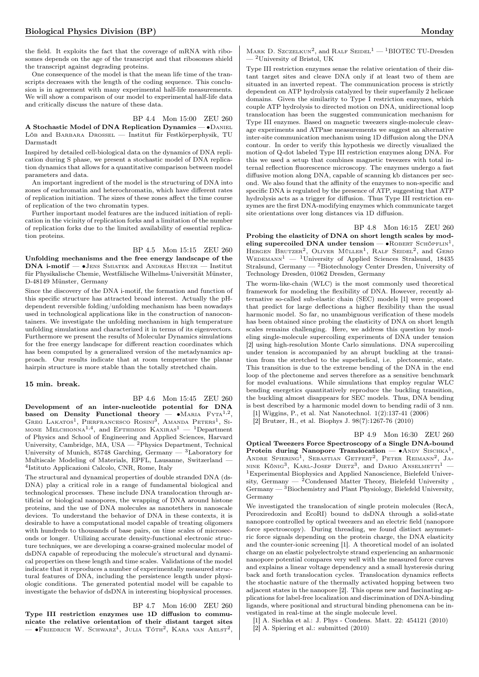the field. It exploits the fact that the coverage of mRNA with ribosomes depends on the age of the transcript and that ribosomes shield the transcript against degrading proteins.

One consequence of the model is that the mean life time of the transcripts decreases with the length of the coding sequence. This conclusion is in agreement with many experimental half-life measurements. We will show a comparison of our model to experimental half-life data and critically discuss the nature of these data.

BP 4.4 Mon 15:00 ZEU 260

A Stochastic Model of DNA Replication Dynamics — ∙Daniel Löb and Barbara Drossel — Institut für Festkörperphysik, TU Darmstadt

Inspired by detailed cell-biological data on the dynamics of DNA replication during S phase, we present a stochastic model of DNA replication dynamics that allows for a quantitative comparison between model parameters and data.

An important ingredient of the model is the structuring of DNA into zones of euchromatin and heterochromatin, which have different rates of replication initiation. The sizes of these zones affect the time course of replication of the two chromatin types.

Further important model features are the induced initiation of replication in the vicinity of replication forks and a limitation of the number of replication forks due to the limited availability of essential replication proteins.

BP 4.5 Mon 15:15 ZEU 260 Unfolding mechanisms and the free energy landscape of the DNA i-motif — ∙Jens Smiatek and Andreas Heuer — Institut für Physikalische Chemie, Westfälische Wilhelms-Universität Münster, D-48149 Münster, Germany

Since the discovery of the DNA i-motif, the formation and function of this specific structure has attracted broad interest. Actually the pHdependent reversible folding/unfolding mechanism has been nowadays used in technological applications like in the construction of nanocontainers. We investigate the unfolding mechanism in high temperature unfolding simulations and characterized it in terms of its eigenvectors. Furthermore we present the results of Molecular Dynamics simulations for the free energy landscape for different reaction coordinates which has been computed by a generalized version of the metadynamics approach. Our results indicate that at room temperature the planar hairpin structure is more stable than the totally stretched chain.

## 15 min. break.

BP 4.6 Mon 15:45 ZEU 260 Development of an inter-nucleotide potential for DNA based on Density Functional theory — • MARIA  $FYTA^{1,2}$ , GREG LAKATOS<sup>1</sup>, PIERFRANCESCO ROSINI<sup>3</sup>, AMANDA PETERS<sup>1</sup>, SI-MONE MELCHIONNA<sup>1,4</sup>, and EFTHIMIOS  $Kaxiras<sup>1</sup> - <sup>1</sup>Department$ of Physics and School of Engineering and Applied Sciences, Harvard University, Cambridge, MA, USA — <sup>2</sup>Physics Department, Technical University of Munich, 85748 Garching, Germany — <sup>3</sup>Laboratory for Multiscale Modeling of Materials, EPFL, Lausanne, Switzerland — 4 Istituto Applicazioni Calcolo, CNR, Rome, Italy

The structural and dynamical properties of double stranded DNA (ds-DNA) play a critical role in a range of fundamental biological and technological processes. These include DNA translocation through artificial or biological nanopores, the wrapping of DNA around histone proteins, and the use of DNA molecules as nanotethers in nanoscale devices. To understand the behavior of DNA in these contexts, it is desirable to have a computational model capable of treating oligomers with hundreds to thousands of base pairs, on time scales of microseconds or longer. Utilizing accurate density-functional electronic structure techniques, we are developing a coarse-grained molecular model of dsDNA capable of reproducing the molecule's structural and dynamical properties on these length and time scales. Validations of the model indicate that it reproduces a number of experimentally measured structural features of DNA, including the persistence length under physiologic conditions. The generated potential model will be capable to investigate the behavior of dsDNA in interesting biophysical processes.

BP 4.7 Mon 16:00 ZEU 260 Type III restriction enzymes use 1D diffusion to communicate the relative orientation of their distant target sites — •Friedrich W. Schwarz<sup>1</sup>, Julia Tóth<sup>2</sup>, Kara van Aelst<sup>2</sup>,

MARK D. SZCZELKUN<sup>2</sup>, and RALF SEIDEL<sup>1</sup>  $-$ <sup>1</sup>BIOTEC TU-Dresden  $^2$  University of Bristol, UK

Type III restriction enzymes sense the relative orientation of their distant target sites and cleave DNA only if at least two of them are situated in an inverted repeat. The communication process is strictly dependent on ATP hydrolysis catalyzed by their superfamily 2 helicase domains. Given the similarity to Type I restriction enzymes, which couple ATP hydrolysis to directed motion on DNA, unidirectional loop translocation has been the suggested communication mechanism for Type III enzymes. Based on magnetic tweezers single-molecule cleavage experiments and ATPase measurements we suggest an alternative inter-site communication mechanism using 1D diffusion along the DNA contour. In order to verify this hypothesis we directly visualized the motion of Q-dot labeled Type III restriction enzymes along DNA. For this we used a setup that combines magnetic tweezers with total internal reflection fluorescence microscopy. The enzymes undergo a fast diffusive motion along DNA, capable of scanning kb distances per second. We also found that the affinity of the enzymes to non-specific and specific DNA is regulated by the presence of ATP, suggesting that ATP hydrolysis acts as a trigger for diffusion. Thus Type III restriction enzymes are the first DNA-modifying enzymes which communicate target site orientations over long distances via 1D diffusion.

BP 4.8 Mon 16:15 ZEU 260

Probing the elasticity of DNA on short length scales by modeling supercoiled DNA under tension — • ROBERT SCHÖPFLIN<sup>1</sup>, HERGEN BRUTZER<sup>2</sup>, OLIVER MÜLLER<sup>1</sup>, RALF SEIDEL<sup>2</sup>, and GERO WEDEMANN<sup>1</sup> — <sup>1</sup>University of Applied Sciences Stralsund, 18435 Stralsund, Germany — <sup>2</sup>Biotechnology Center Dresden, University of Technology Dresden, 01062 Dresden, Germany

The worm-like-chain (WLC) is the most commonly used theoretical framework for modeling the flexibility of DNA. However, recently alternative so-called sub-elastic chain (SEC) models [1] were proposed that predict for large deflections a higher flexibility than the usual harmonic model. So far, no unambiguous verification of these models has been obtained since probing the elasticity of DNA on short length scales remains challenging. Here, we address this question by modeling single-molecule supercoiling experiments of DNA under tension [2] using high-resolution Monte Carlo simulations. DNA supercoiling under tension is accompanied by an abrupt buckling at the transition from the stretched to the superhelical, i.e. plectonemic, state. This transition is due to the extreme bending of the DNA in the end loop of the plectoneme and serves therefore as a sensitive benchmark for model evaluations. While simulations that employ regular WLC bending energetics quantitatively reproduce the buckling transition, the buckling almost disappears for SEC models. Thus, DNA bending is best described by a harmonic model down to bending radii of 3 nm.

[1] Wiggins, P., et al. Nat Nanotechnol. 1(2):137-41 (2006) [2] Brutzer, H., et al. Biophys J. 98(7):1267-76 (2010)

BP 4.9 Mon 16:30 ZEU 260 Optical Tweezers Force Spectroscopy of a Single DNA-bound Protein during Nanopore Translocation —  $\bullet$ ANDY SISCHKA<sup>1</sup>, ANDRE SPIERING<sup>1</sup>, SEBASTIAN GETFERT<sup>2</sup>, PETER REIMANN<sup>2</sup>, JA-NINE KÖNIG<sup>3</sup>, KARL-JOSEF DIETZ<sup>3</sup>, and DARIO ANSELMETTI<sup>1</sup> – <sup>1</sup>Experimental Biophysics and Applied Nanoscience, Bielefeld University, Germany  $-$  <sup>2</sup>Condensed Matter Theory, Bielefeld University, Germany  $-$  3Biochemistry and Plant Physiology, Bielefeld University, Germany

We investigated the translocation of single protein molecules (RecA, Peroxiredoxin and EcoRI) bound to dsDNA through a solid-state nanopore controlled by optical tweezers and an electric field (nanopore force spectroscopy). During threading, we found distinct asymmetric force signals depending on the protein charge, the DNA elasticity and the counter-ionic screening [1]. A theoretical model of an isolated charge on an elastic polyelectrolyte strand experiencing an anharmonic nanopore potential compares very well with the measured force curves and explains a linear voltage dependency and a small hysteresis during back and forth translocation cycles. Translocation dynamics reflects the stochastic nature of the thermally activated hopping between two adjacent states in the nanopore [2]. This opens new and fascinating applications for label-free localization and discrimination of DNA-binding ligands, where positional and structural binding phenomena can be investigated in real-time at the single molecule level.

[1] A. Sischka et al.: J. Phys - Condens. Matt. 22: 454121 (2010) [2] A. Spiering et al.: submitted (2010)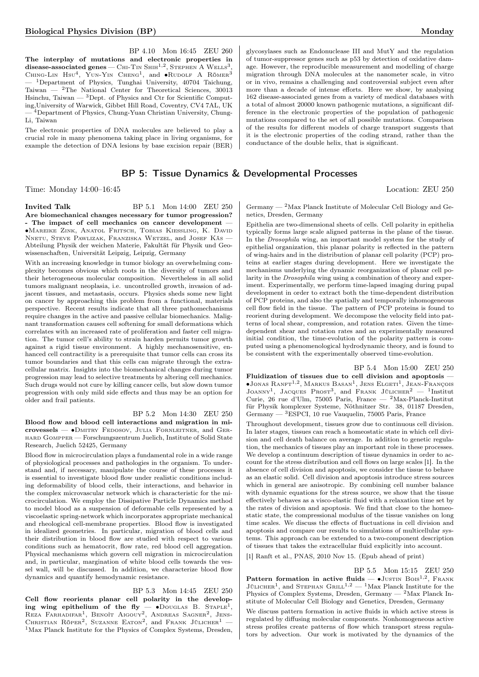BP 4.10 Mon 16:45 ZEU 260 The interplay of mutations and electronic properties in  $\operatorname{disease-associated~genes} -$  Chi-Tin Shih<sup>1,2</sup>, Stephen A Wells<sup>3</sup> disease-associated genes — Сні-Тім Ѕнін<sup>1,2</sup>, Ѕтернем A Wells<sup>3</sup>, Снімс-Lin Hsu<sup>4</sup>, Yun-Yin Cнемс<sup>1</sup>, and •Rudolf A Röмек<sup>3</sup> <sup>1</sup>Department of Physics, Tunghai University, 40704 Taichung, Taiwan  $-$  <sup>2</sup>The National Center for Theoretical Sciences, 30013 Hsinchu, Taiwan —  $^3$ Dept. of Physics and Ctr for Scientific Computing,University of Warwick, Gibbet Hill Road, Coventry, CV4 7AL, UK — <sup>4</sup>Department of Physics, Chung-Yuan Christian University, Chung-Li, Taiwan

The electronic properties of DNA molecules are believed to play a crucial role in many phenomena taking place in living organisms, for example the detection of DNA lesions by base excision repair (BER)

## BP 5: Tissue Dynamics & Developmental Processes

Time: Monday 14:00–16:45 Location: ZEU 250

## Invited Talk BP 5.1 Mon 14:00 ZEU 250 Are biomechanical changes necessary for tumor progression? - The impact of cell mechanics on cancer development -

∙Mareike Zink, Anatol Fritsch, Tobias Kießling, K. David Nnetu, Steve Pawlizak, Franziska Wetzel, and Josef Käs — Abteilung Physik der weichen Materie, Fakultät für Physik und Geowissenschaften, Universität Leipzig, Leipzig, Germany

With an increasing knowledge in tumor biology an overwhelming complexity becomes obvious which roots in the diversity of tumors and their heterogeneous molecular composition. Nevertheless in all solid tumors malignant neoplasia, i.e. uncontrolled growth, invasion of adjacent tissues, and metastasis, occurs. Physics sheds some new light on cancer by approaching this problem from a functional, materials perspective. Recent results indicate that all three pathomechanisms require changes in the active and passive cellular biomechanics. Malignant transformation causes cell softening for small deformations which correlates with an increased rate of proliferation and faster cell migration. The tumor cell's ability to strain harden permits tumor growth against a rigid tissue environment. A highly mechanosensitive, enhanced cell contractility is a prerequisite that tumor cells can cross its tumor boundaries and that this cells can migrate through the extracellular matrix. Insights into the biomechanical changes during tumor progression may lead to selective treatments by altering cell mechanics. Such drugs would not cure by killing cancer cells, but slow down tumor progression with only mild side effects and thus may be an option for older and frail patients.

## BP 5.2 Mon 14:30 ZEU 250

Blood flow and blood cell interactions and migration in microvessels — ∙Dmitry Fedosov, Julia Fornleitner, and Gerhard Gompper — Forschungszentrum Juelich, Institute of Solid State Research, Juelich 52425, Germany

Blood flow in microcirculation plays a fundamental role in a wide range of physiological processes and pathologies in the organism. To understand and, if necessary, manipulate the course of these processes it is essential to investigate blood flow under realistic conditions including deformability of blood cells, their interactions, and behavior in the complex microvascular network which is characteristic for the microcirculation. We employ the Dissipative Particle Dynamics method to model blood as a suspension of deformable cells represented by a viscoelastic spring-network which incorporates appropriate mechanical and rheological cell-membrane properties. Blood flow is investigated in idealized geometries. In particular, migration of blood cells and their distribution in blood flow are studied with respect to various conditions such as hematocrit, flow rate, red blood cell aggregation. Physical mechanisms which govern cell migration in microcirculation and, in particular, margination of white blood cells towards the vessel wall, will be discussed. In addition, we characterize blood flow dynamics and quantify hemodynamic resistance.

BP 5.3 Mon 14:45 ZEU 250 Cell flow reorients planar cell polarity in the developing wing epithelium of the fly — •Douglas B. Staple<sup>1</sup>,<br>Reza Farhadifar<sup>1</sup>, Benoît Aigouy<sup>2</sup>, Andreas Sagner<sup>2</sup>, Jens-<br>Christian Röper<sup>2</sup>, Suzanne Eaton<sup>2</sup>, and Frank Jülicher<sup>1</sup> — <sup>1</sup>Max Planck Institute for the Physics of Complex Systems, Dresden, glycosylases such as Endonuclease III and MutY and the regulation of tumor-suppressor genes such as p53 by detection of oxidative damage. However, the reproducible measurement and modelling of charge migration through DNA molecules at the nanometer scale, in vitro or in vivo, remains a challenging and controversial subject even after more than a decade of intense efforts. Here we show, by analysing 162 disease-associated genes from a variety of medical databases with a total of almost 20000 known pathogenic mutations, a significant difference in the electronic properties of the population of pathogenic mutations compared to the set of all possible mutations. Comparison of the results for different models of charge transport suggests that it is the electronic properties of the coding strand, rather than the conductance of the double helix, that is significant.

Germany  $-$  <sup>2</sup>Max Planck Institute of Molecular Cell Biology and Genetics, Dresden, Germany

Epithelia are two-dimensional sheets of cells. Cell polarity in epithelia typically forms large scale aligned patterns in the plane of the tissue. In the Drosophila wing, an important model system for the study of epithelial organization, this planar polarity is reflected in the pattern of wing-hairs and in the distribution of planar cell polarity (PCP) proteins at earlier stages during development. Here we investigate the mechanisms underlying the dynamic reorganization of planar cell polarity in the Drosophila wing using a combination of theory and experiment. Experimentally, we perform time-lapsed imaging during pupal development in order to extract both the time-dependent distribution of PCP proteins, and also the spatially and temporally inhomogeneous cell flow field in the tissue. The pattern of PCP proteins is found to reorient during development. We decompose the velocity field into patterns of local shear, compression, and rotation rates. Given the timedependent shear and rotation rates and an experimentally measured initial condition, the time-evolution of the polarity pattern is computed using a phenomenological hydrodynamic theory, and is found to be consistent with the experimentally observed time-evolution.

BP 5.4 Mon 15:00 ZEU 250 Fluidization of tissues due to cell division and apoptosis —  $\bullet$ Jonas Ranft<sup>1,2</sup>, Markus Basan<sup>1</sup>, Jens Elgeti<sup>1</sup>, Jean-François JOANNY<sup>1</sup>, JACQUES PROST<sup>3</sup>, and FRANK JÜLICHER<sup>2</sup> - <sup>1</sup>Institut Curie, 26 rue d'Ulm, 75005 Paris, France — <sup>2</sup>Max-Planck-Institut für Physik komplexer Systeme, Nöthnitzer Str. 38, 01187 Dresden, Germany  $-$  <sup>3</sup>ESPCI, 10 rue Vauquelin, 75005 Paris, France

Throughout development, tissues grow due to continuous cell division. In later stages, tissues can reach a homeostatic state in which cell division and cell death balance on average. In addition to genetic regulation, the mechanics of tissues play an important role in these processes. We develop a continuum description of tissue dynamics in order to account for the stress distribution and cell flows on large scales [1]. In the absence of cell division and apoptosis, we consider the tissue to behave as an elastic solid. Cell division and apoptosis introduce stress sources which in general are anisotropic. By combining cell number balance with dynamic equations for the stress source, we show that the tissue effectively behaves as a visco-elastic fluid with a relaxation time set by the rates of division and apoptosis. We find that close to the homeostatic state, the compressional modulus of the tissue vanishes on long time scales. We discuss the effects of fluctuations in cell division and apoptosis and compare our results to simulations of multicellular systems. This approach can be extended to a two-component description of tissues that takes the extracellular fluid explicitly into account.

[1] Ranft et al., PNAS, 2010 Nov 15. (Epub ahead of print)

BP 5.5 Mon 15:15 ZEU 250 Pattern formation in active fluids  $-$  •JUSTIN BOIS<sup>1,2</sup>, FRANK JÜLICHER<sup>1</sup>, and STEPHAN GRILL<sup>1,2</sup> — <sup>1</sup>Max Planck Institute for the Physics of Complex Systems, Dresden, Germany — <sup>2</sup>Max Planck Institute of Molecular Cell Biology and Genetics, Dresden, Germany

We discuss pattern formation in active fluids in which active stress is regulated by diffusing molecular components. Nonhomogeneous active stress profiles create patterns of flow which transport stress regulators by advection. Our work is motivated by the dynamics of the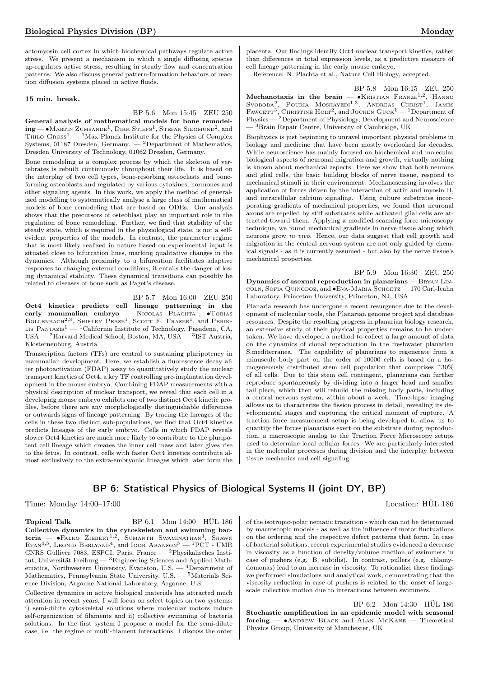actomyosin cell cortex in which biochemical pathways regulate active stress. We present a mechanism in which a single diffusing species up-regulates active stress, resulting in steady flow and concentration patterns. We also discuss general pattern-formation behaviors of reaction diffusion systems placed in active fluids.

## 15 min. break.

## BP 5.6 Mon 15:45 ZEU 250

General analysis of mathematical models for bone remodel- $\mathbf{ing}$  —  $\bullet$ Martin Zumsande<sup>1</sup>, Dirk Stiefs<sup>1</sup>, Stefan Siegmund<sup>2</sup>, and THILO  $G$ ROSS<sup>1</sup> — <sup>1</sup>Max Planck Institute for the Physics of Complex Systems, 01187 Dresden, Germany.  $-$  <sup>2</sup>Department of Mathematics, Dresden University of Technology, 01062 Dresden, Germany.

Bone remodeling is a complex process by which the skeleton of vertebrates is rebuilt continuously throughout their life. It is based on the interplay of two cell types, bone-resorbing osteoclasts and boneforming osteoblasts and regulated by various cytokines, hormones and other signaling agents. In this work, we apply the method of generalized modelling to systematically analyse a large class of mathematical models of bone remodeling that are based on ODEs. Our analysis shows that the precursors of osteoblast play an important role in the regulation of bone remodeling. Further, we find that stability of the steady state, which is required in the physiological state, is not a selfevident properties of the models. In contrast, the parameter regime that is most likely realized in nature based on experimental input is situated close to bifurcation lines, marking qualitative changes in the dynamics. Although proximity to a bifurcation facilitates adaptive responses to changing external conditions, it entails the danger of losing dynamical stability. These dynamical transitions can possibly be related to diseases of bone such as Paget's disease.

BP 5.7 Mon 16:00 ZEU 250 Oct4 kinetics predicts cell lineage patterning in the  $\textbf{early} \quad \textbf{mammalian} \quad \textbf{embryo} \ = \ \text{Nicolas} \ \ \text{PLACHTA}^{\text{I}}, \ \ \bullet \text{TOBIAS}$ BOLLENBACH<sup>2,3</sup>, SHIRLEY PEASE<sup>1</sup>, SCOTT E. FRASER<sup>1</sup>, and PERIK-LIS PANTAZIS<sup>1</sup> — <sup>1</sup>California Institute of Technology, Pasadena, CA, USA — <sup>2</sup>Harvard Medical School, Boston, MA, USA — <sup>3</sup> IST Austria, Klosterneuburg, Austria

Transcription factors (TFs) are central to sustaining pluripotency in mammalian development. Here, we establish a fluorescence decay after photoactivation (FDAP) assay to quantitatively study the nuclear transport kinetics of Oct4, a key TF controlling pre-implantation development in the mouse embryo. Combining FDAP measurements with a physical description of nuclear transport, we reveal that each cell in a developing mouse embryo exhibits one of two distinct Oct4 kinetic profiles, before there are any morphologically distinguishable differences or outwards signs of lineage patterning. By tracing the lineages of the cells in these two distinct sub-populations, we find that Oct4 kinetics predicts lineages of the early embryo. Cells in which FDAP reveals slower Oct4 kinetics are much more likely to contribute to the pluripotent cell lineage which creates the inner cell mass and later gives rise to the fetus. In contrast, cells with faster Oct4 kinetics contribute almost exclusively to the extra-embryonic lineages which later form the

placenta. Our findings identify Oct4 nuclear transport kinetics, rather than differences in total expression levels, as a predictive measure of cell lineage patterning in the early mouse embryo.

Reference: N. Plachta et al., Nature Cell Biology, accepted.

BP 5.8 Mon 16:15 ZEU 250 Mechanotaxis in the brain — •KRISTIAN FRANZE<sup>1,2</sup>, HANNO<br>SVOBODA<sup>2</sup>, POURIA MOSHAYEDI<sup>1,3</sup>, ANDREAS CHRIST<sup>1</sup>, JAMES<br>FAWCETT<sup>3</sup>, CHRISTINE HOLT<sup>2</sup>, and JOCHEN GUCK<sup>1</sup> — <sup>1</sup>Department of Physics — <sup>2</sup>Department of Physiology, Development and Neuroscience — <sup>3</sup>Brain Repair Centre, University of Cambridge, UK

Biophysics is just beginning to unravel important physical problems in biology and medicine that have been mostly overlooked for decades. While neuroscience has mainly focused on biochemical and molecular biological aspects of neuronal migration and growth, virtually nothing is known about mechanical aspects. Here we show that both neurons and glial cells, the basic building blocks of nerve tissue, respond to mechanical stimuli in their environment. Mechanosensing involves the application of forces driven by the interaction of actin and myosin II, and intracellular calcium signaling. Using culture substrates incorporating gradients of mechanical properties, we found that neuronal axons are repelled by stiff substrates while activated glial cells are attracted toward them. Applying a modified scanning force microscopy technique, we found mechanical gradients in nerve tissue along which neurons grow in vivo. Hence, our data suggest that cell growth and migration in the central nervous system are not only guided by chemical signals - as it is currently assumed - but also by the nerve tissue's mechanical properties.

BP 5.9 Mon 16:30 ZEU 250 Dynamics of asexual reproduction in planarians — Bryan Lincoln, Sofia Quinodoz, and ∙Eva-Maria Schoetz — 170 Carl-Icahn Laboratory, Princeton University, Princeton, NJ, USA

Planaria research has undergone a recent resurgence due to the development of molecular tools, the Planarian genome project and database resources. Despite the resulting progress in planarian biology research, an extensive study of their physical properties remains to be undertaken. We have developed a method to collect a large amount of data on the dynamics of clonal reproduction in the freshwater planarian S.mediterranea. The capability of planarians to regenerate from a minuscule body part on the order of 10000 cells is based on a homogeneously distributed stem cell population that comprises ~30% of all cells. Due to this stem cell contingent, planarians can further reproduce spontaneously by dividing into a larger head and smaller tail piece, which then will rebuild the missing body parts, including a central nervous system, within about a week. Time-lapse imaging allows us to characterize the fission process in detail, revealing its developmental stages and capturing the critical moment of rupture. A traction force measurement setup is being developed to allow us to quantify the forces planarians exert on the substrate during reproduction, a macroscopic analog to the Traction Force Microscopy setups used to determine local cellular forces. We are particularly interested in the molecular processes during division and the interplay between tissue mechanics and cell signaling.

## BP 6: Statistical Physics of Biological Systems II (joint DY, BP)

Time: Monday 14:00–17:00 Location: HÜL 186

Topical Talk BP 6.1 Mon 14:00 HÜL 186 Collective dynamics in the cytoskeleton and swimming bac- $\text{teria}$  —  $\bullet$ Falko Ziebert<sup>1,2</sup>, Sumanth Swaminathan<sup>3</sup>, Shawn  $\text{Ryan}^{4,5}$ , Leonid Berlyand<sup>4</sup>, and Igor Aranson<sup>5</sup> — <sup>1</sup>PCT - UMR CNRS Gulliver 7083, ESPCI, Paris, France — <sup>2</sup>Physikalisches Institut, Universität Freiburg —  ${}^{3}$ Engineering Sciences and Applied Mathematics, Northwestern University, Evanston, U.S. —  $4$ Department of Mathematics, Pennsylvania State University, U.S. — <sup>5</sup>Materials Science Division, Argonne National Laboratory, Argonne, U.S.

Collective dynamics in active biological materials has attracted much attention in recent years. I will focus on select topics on two systems: i) semi-dilute cytoskeletal solutions where molecular motors induce self-organization of filaments and ii) collective swimming of bacteria solutions. In the first system I propose a model for the semi-dilute case, i.e. the regime of multi-filament interactions. I discuss the order

of the isotropic-polar nematic transition - which can not be determined by macroscopic models - as well as the influence of motor fluctuations on the ordering and the respective defect patterns that form. In case of bacterial solutions, recent experimental studies evidenced a decrease in viscosity as a function of density/volume fraction of swimmers in case of pushers (e.g. B. subtilis). In contrast, pullers (e.g. chlamydomonas) lead to an increase in viscosity. To rationalize these findings we performed simulations and analytical work, demonstrating that the viscosity reduction in case of pushers is related to the onset of largescale collective motion due to interactions between swimmers.

BP 6.2 Mon 14:30 HÜL 186 Stochastic amplification in an epidemic model with seasonal forcing — ∙Andrew Black and Alan McKane — Theoretical Physics Group, University of Manchester, UK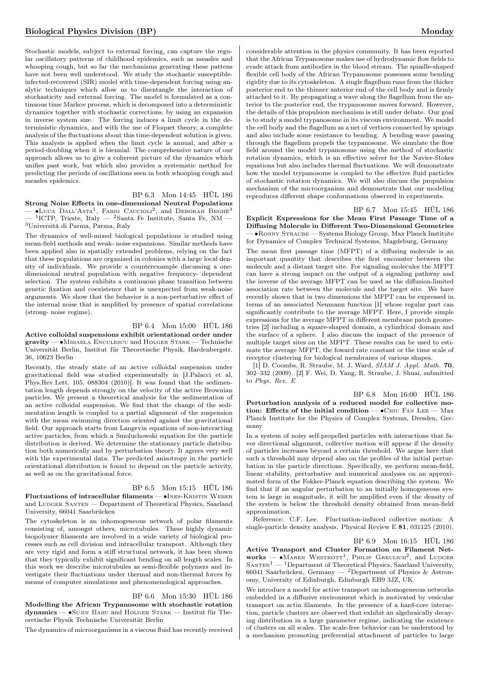Stochastic models, subject to external forcing, can capture the regular oscillatory patterns of childhood epidemics, such as measles and whooping cough, but so far the mechanisms generating these pattens have not been well understood. We study the stochastic susceptibleinfected-recovered (SIR) model with time-dependent forcing using analytic techniques which allow us to disentangle the interaction of stochasticity and external forcing. The model is formulated as a continuous time Markov process, which is decomposed into a deterministic dynamics together with stochastic corrections, by using an expansion in inverse system size. The forcing induces a limit cycle in the deterministic dynamics, and with the use of Floquet theory, a complete analysis of the fluctuations about this time-dependent solution is given. This analysis is applied when the limit cycle is annual, and after a period-doubling when it is biennial. The comprehensive nature of our approach allows us to give a coherent picture of the dynamics which unifies past work, but which also provides a systematic method for predicting the periods of oscillations seen in both whooping cough and measles epidemics.

## BP 6.3 Mon 14:45 HÜL 186

Strong Noise Effects in one-dimensional Neutral Populations  $-$  •Luca Dall'Asta<sup>1</sup>, Fabio Caccioli<sup>2</sup>, and Deborah Весне<sup>3</sup>  $-$  <sup>1</sup>ICTP, Trieste, Italy  $-$  <sup>2</sup>Santa Fe Institute, Santa Fe, NM  $-$ 

<sup>3</sup>Università di Parma, Parma, Italy The dynamics of well-mixed biological populations is studied using

mean-field methods and weak- noise expansions. Similar methods have been applied also in spatially extended problems, relying on the fact that these populations are organized in colonies with a large local density of individuals. We provide a counterexample discussing a onedimensional neutral population with negative frequency- dependent selection. The system exhibits a continuous phase transition between genetic fixation and coexistence that is unexpected from weak-noise arguments. We show that the behavior is a non-perturbative effect of the internal noise that is amplified by presence of spatial correlations (strong- noise regime).

## BP 6.4 Mon 15:00 HÜL 186

Active colloidal suspensions exhibit orientational order under gravity — ∙Mihaela Enculescu und Holger Stark — Technische Universität Berlin, Institut für Theoretische Physik, Hardenbergstr. 36, 10623 Berlin

Recently, the steady state of an active colloidal suspension under gravitational field was studied experimentally in [J.Palacci et al, Phys.Rev.Lett. 105, 088304 (2010)]. It was found that the sedimentation length depends strongly on the velocity of the active Brownian particles. We present a theoretical analysis for the sedimentation of an active colloidal suspension. We find that the change of the sedimentation length is coupled to a partial alignment of the suspension with the mean swimming direction oriented against the gravitational field. Our approach starts from Langevin equations of non-interacting active particles, from which a Smoluchowski equation for the particle distribution is derived. We determine the stationary particle distribution both numerically and by perturbation theory. It agrees very well with the experimental data. The predicted anisotropy in the particle orientational distribution is found to depend on the particle activity, as well as on the gravitational force.

## BP 6.5 Mon 15:15 HÜL 186

Fluctuations of intracellular filaments — •INES-KRISTIN WEBER and Ludger Santen — Department of Theoretical Physics, Saarland University, 66041 Saarbrücken

The cytoskeleton is an inhomogeneous network of polar filaments consisting of, amongst others, microtubules. These highly dynamic biopolymer filaments are involved in a wide variety of biological processes such as cell division and intracellular transport. Although they are very rigid and form a stiff structural network, it has been shown that they typically exhibit significant bending on all length scales. In this work we describe microtubules as semi-flexible polymers and investigate their fluctuations under thermal and non-thermal forces by means of computer simulations and phenomenological approaches.

## BP 6.6 Mon 15:30 HÜL 186

Modelling the African Trypanosome with stochastic rotation  $d$ vnamics —  $\bullet$ Sujin Babu and Holger Stark — Institut für Theoretische Physik Technische Universität Berlin

The dynamics of microorganisms in a viscous fluid has recently received

considerable attention in the physics community. It has been reported that the African Trypanosome makes use of hydrodynamic flow fields to evade attack from antibodies in the blood stream. The spindle-shaped flexible cell body of the African Trypanosome possesses some bending rigidity due to its cytoskeleton. A single flagellum runs from the thicker posterior end to the thinner anterior end of the cell body and is firmly attached to it. By propagating a wave along the flagellum from the anterior to the posterior end, the trypanosome moves forward. However, the details of this propulsion mechanism is still under debate. Our goal is to study a model trypanosome in its viscous environment. We model the cell body and the flagellum as a net of vertices connected by springs and also include some resistance to bending. A bending wave passing through the flagellum propels the trypanosome. We simulate the flow field around the model trypanosome using the method of stochastic rotation dynamics, which is an effective solver for the Navier-Stokes equations but also includes thermal fluctuations. We will demonstrate how the model trypanosome is coupled to the effective fluid particles of stochastic rotation dynamics. We will also discuss the propulsion mechanism of the microorganism and demonstrate that our modeling reproduces different shape conformations observed in experiments.

## BP 6.7 Mon 15:45 HÜL 186

Explicit Expressions for the Mean First Passage Time of a Diffusing Molecule in Different Two-Dimensional Geometries — ∙Ronny Straube — Systems Biology Group, Max Planck Institute for Dynamics of Complex Technical Systems, Magdeburg, Germany

The mean first passage time (MFPT) of a diffusing molecule is an important quantity that describes the first encounter between the molecule and a distant target site. For signaling molecules the MFPT can have a strong impact on the output of a signaling pathway and the inverse of the average MFPT can be used as the diffusion-limited association rate between the molecule and the target site. We have recently shown that in two dimensions the MFPT can be expressed in terms of an associated Neumann function [1] whose regular part can significantly contribute to the average MFPT. Here, I provide simple expressions for the average MFPT in different membrane patch geometries [2] including a square-shaped domain, a cylindrical domain and the surface of a sphere. I also discuss the impact of the presence of multiple target sites on the MFPT. These results can be used to estimate the average MFPT, the foward rate constant or the time scale of receptor clustering for biological membranes of various shapes.

[1] D. Coombs, R. Straube, M. J. Ward, SIAM J. Appl. Math. 70, 302–332 (2009). [2] F. Wei, D. Yang, R. Straube, J. Shuai, submitted to Phys. Rev. E

BP 6.8 Mon 16:00 HÜL 186 Perturbation analysis of a reduced model for collective motion: Effects of the initial condition —  $\bullet$ CHIU FAN LEE — Max Planck Institute for the Physics of Complex Systems, Dresden, Germany

In a system of noisy self-propelled particles with interactions that favor directional alignment, collective motion will appear if the density of particles increases beyond a certain threshold. We argue here that such a threshold may depend also on the profiles of the initial perturbation in the particle directions. Specifically, we perform mean-field, linear stability, perturbative and numerical analyses on an approximated form of the Fokker-Planck equation describing the system. We find that if an angular perturbation to an initially homogeneous system is large in magnitude, it will be amplified even if the density of the system is below the threshold density obtained from mean-field approximation.

Reference: C.F. Lee. Fluctuation-induced collective motion: A single-particle density analysis. Physical Review E 81, 031125 (2010).

#### BP 6.9 Mon 16:15 HÜL 186

Active Transport and Cluster Formation on Filament Networks —  $\bullet$ Maren Westkott<sup>1</sup>, Philip Greulich<sup>2</sup>, and Ludger  $SANTEN<sup>1</sup>$  — <sup>1</sup>Department of Theoretical Physics, Saarland University, 66041 Saarbrücken, Germany — <sup>2</sup>Department of Physics & Astronomy, University of Edinburgh, Edinburgh EH9 3JZ, UK

We introduce a model for active transport on inhomogeneous networks embedded in a diffusive environment which is motivated by vesicular transport on actin filaments. In the presence of a hard-core interaction, particle clusters are observed that exhibit an algebraically decaying distribution in a large parameter regime, indicating the existence of clusters on all scales. The scale-free behavior can be understood by a mechanism promoting preferential attachment of particles to large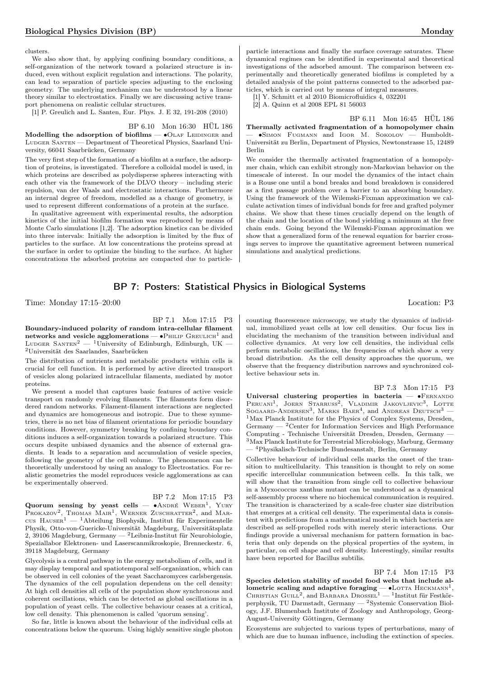clusters.

We also show that, by applying confining boundary conditions, a self-organization of the network toward a polarized structure is induced, even without explicit regulation and interactions. The polarity, can lead to separation of particle species adjusting to the enclosing geometry. The underlying mechanism can be understood by a linear theory similar to electrostatics. Finally we are discussing active transport phenomena on realistic cellular structures.

[1] P. Greulich and L. Santen, Eur. Phys. J. E 32, 191-208 (2010)

BP 6.10 Mon 16:30 HÜL 186

Modelling the adsorption of biofilms —  $\bullet$ OLAF LEIDINGER and LUDGER SANTEN — Department of Theoretical Physics, Saarland University, 66041 Saarbrücken, Germany

The very first step of the formation of a biofilm at a surface, the adsorption of proteins, is investigated. Therefore a colloidal model is used, in which proteins are described as polydisperse spheres interacting with each other via the framework of the DLVO theory – including steric repulsion, van der Waals and electrostatic interactions. Furthermore an internal degree of freedom, modelled as a change of geometry, is used to represent different conformations of a protein at the surface.

In qualitative agreement with experimental results, the adsorption kinetics of the initial biofilm formation was reproduced by means of Monte Carlo simulations [1,2]. The adsorption kinetics can be divided into three intervals: Initially the adsorption is limited by the flux of particles to the surface. At low concentrations the proteins spread at the surface in order to optimize the binding to the surface. At higher concentrations the adsorbed proteins are compacted due to particleparticle interactions and finally the surface coverage saturates. These dynamical regimes can be identified in experimental and theoretical investigations of the adsorbed amount. The comparison between experimentally and theoretically generated biofilms is completed by a detailed analysis of the point patterns connected to the adsorbed particles, which is carried out by means of integral measures.

[1] Y. Schmitt et al 2010 Biomicrofluidics 4, 032201

[2] A. Quinn et al 2008 EPL 81 56003

BP 6.11 Mon 16:45 HÜL 186

Thermally activated fragmentation of a homopolymer chain — ∙Simon Fugmann and Igor M. Sokolov — Humboldt-Universität zu Berlin, Department of Physics, Newtonstrasse 15, 12489 Berlin

We consider the thermally activated fragmentation of a homopolymer chain, which can exhibit strongly non-Markovian behavior on the timescale of interest. In our model the dynamics of the intact chain is a Rouse one until a bond breaks and bond breakdown is considered as a first passage problem over a barrier to an absorbing boundary. Using the framework of the Wilemski-Fixman approximation we calculate activation times of individual bonds for free and grafted polymer chains. We show that these times crucially depend on the length of the chain and the location of the bond yielding a minimum at the free chain ends. Going beyond the Wilemski-Fixman approximation we show that a generalized form of the renewal equation for barrier crossings serves to improve the quantitative agreement between numerical simulations and analytical predictions.

## BP 7: Posters: Statistical Physics in Biological Systems

Time: Monday 17:15–20:00 Location: P3

BP 7.1 Mon 17:15 P3

Boundary-induced polarity of random intra-cellular filament networks and vesicle agglomerations —  $\bullet$ PHILIP GREULICH<sup>1</sup> and LUDGER SANTEN<sup>2</sup> — <sup>1</sup>University of Edinburgh, Edinburgh, UK — <sup>2</sup>Universität des Saarlandes, Saarbrücken

The distribution of nutrients and metabolic products within cells is crucial for cell function. It is performed by active directed transport of vesicles along polarized intracellular filaments, mediated by motor proteins.

We present a model that captures basic features of active vesicle transport on randomly evolving filaments. The filaments form disordered random networks. Filament-filament interactions are neglected and dynamics are homogeneous and isotropic. Due to these symmetries, there is no net bias of filament orientations for periodic boundary conditions. However, symmetry breaking by confining boundary conditions induces a self-organization towards a polarized structure. This occurs despite unbiased dynamics and the absence of external gradients. It leads to a separation and accumulation of vesicle species, following the geometry of the cell volume. The phenomenon can be theoretically understood by using an analogy to Electrostatics. For realistic geometries the model reproduces vesicle agglomerations as can be experimentally observed.

| BP 7.2 Mon 17:15 |  |  | $_{\rm P3}$ |
|------------------|--|--|-------------|
|------------------|--|--|-------------|

Quorum sensing by yeast cells —  $\bullet$ ANDRÉ WEBER<sup>1</sup>, YURY PROKAZOV<sup>2</sup>, THOMAS MAIR<sup>1</sup>, WERNER ZUSCHRATTER<sup>2</sup>, and MARcus  $H$ Ause $R^1$  — <sup>1</sup>Abteilung Biophysik, Institut für Experimentelle Physik, Otto-von-Guericke-Universität Magdeburg, Universitätsplatz 2, 39106 Magdeburg, Germany — <sup>2</sup>Leibniz-Institut für Neurobiologie, Speziallabor Elektronen- und Laserscanmikroskopie, Brenneckestr. 6, 39118 Magdeburg, Germany

Glycolysis is a central pathway in the energy metabolism of cells, and it may display temporal and spatiotemporal self-organization, which can be observed in cell colonies of the yeast Saccharomyces carlsbergensis. The dynamics of the cell population dependens on the cell density: At high cell densities all cells of the population show synchronous and coherent oscillations, which can be detected as global oscillations in a population of yeast cells. The collective behaviour ceases at a critical, low cell density. This phenomenon is called 'quorum sensing'.

So far, little is known about the behaviour of the individual cells at concentrations below the quorum. Using highly sensitive single photon

counting fluorescence microscopy, we study the dynamics of individual, immobilized yeast cells at low cell densities. Our focus lies in elucidating the mechanism of the transition between individual and collective dynamics. At very low cell densities, the individual cells perform metabolic oscillations, the frequencies of which show a very broad distribution. As the cell density approaches the quorum, we observe that the frequency distribution narrows and synchronized collective behaviour sets in.

BP 7.3 Mon 17:15 P3

Universal clustering properties in bacteria — •FERNANDO PERUANI<sup>1</sup>, JOERN STARRUSS<sup>2</sup>, VLADIMIR JAKOVLJEVIC<sup>3</sup>, LOTTE SOGAARD-ANDERSEN<sup>3</sup>, MARKS BAER<sup>4</sup>, and ANDREAS DEUTSCH<sup>3</sup> – <sup>1</sup>Max Planck Institute for the Physics of Complex Systems, Dresden, Germany — <sup>2</sup>Center for Information Services and High Performance Computing - Technische Universität Dresden, Dresden, Germany — <sup>3</sup>Max Planck Institute for Terrestrial Microbiology, Marburg, Germany — <sup>4</sup>Physikalisch-Technische Bundesanstalt, Berlin, Germany

Collective behaviour of individual cells marks the onset of the transition to multicellularity. This transition is thought to rely on some specific intercellular communication between cells. In this talk, we will show that the transition from single cell to collective behaviour in a Myxococcus xanthus mutant can be understood as a dynamical self-assembly process where no biochemical communication is required. The transition is characterized by a scale-free cluster size distribution that emerges at a critical cell density. The experimental data is consistent with predictions from a mathematical model in which bacteria are described as self-propelled rods with merely steric interactions. Our findings provide a universal mechanism for pattern formation in bacteria that only depends on the physical properties of the system, in particular, on cell shape and cell density. Interestingly, similar results have been reported for Bacillus subtilis.

#### BP 7.4 Mon 17:15 P3

Species deletion stability of model food webs that include allometric scaling and adaptive foraging —  $\bullet$ LOTTA HECKMANN<sup>1</sup>, CHRISTIAN GUILL<sup>2</sup>, and BARBARA DROSSEL<sup>1</sup> — <sup>1</sup>Institut für Festkörperphysik, TU Darmstadt, Germany — <sup>2</sup>Systemic Conservation Biology, J.F. Blumenbach Institute of Zoology and Anthropology, Georg-August-University Göttingen, Germany

Ecosystems are subjected to various types of perturbations, many of which are due to human influence, including the extinction of species.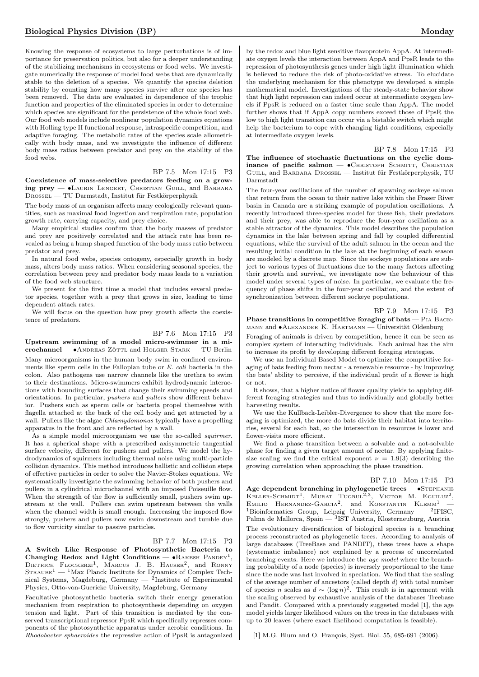Knowing the response of ecosystems to large perturbations is of importance for preservation politics, but also for a deeper understanding of the stabilizing mechanisms in ecosystems or food webs. We investigate numerically the response of model food webs that are dynamically stable to the deletion of a species. We quantify the species deletion stability by counting how many species survive after one species has been removed. The data are evaluated in dependence of the trophic function and properties of the eliminated species in order to determine which species are significant for the persistence of the whole food web. Our food web models include nonlinear population dynamics equations with Holling type II functional response, intraspecific competition, and adaptive foraging. The metabolic rates of the species scale allometrically with body mass, and we investigate the influence of different body mass ratios between predator and prey on the stability of the food webs.

## BP 7.5 Mon 17:15 P3

Coexistence of mass-selective predators feeding on a growing prey — ∙Laurin Lengert, Christian Guill, and Barbara Drossel — TU Darmstadt, Institut für Festkörperphysik

The body mass of an organism affects many ecologically relevant quantities, such as maximal food ingestion and respiration rate, population growth rate, carrying capacity, and prey choice.

Many empirical studies confirm that the body masses of predator and prey are positively correlated and the attack rate has been revealed as being a hump shaped function of the body mass ratio between predator and prey.

In natural food webs, species ontogeny, especially growth in body mass, alters body mass ratios. When considering seasonal species, the correlation between prey and predator body mass leads to a variation of the food web structure.

We present for the first time a model that includes several predator species, together with a prey that grows in size, leading to time dependent attack rates.

We will focus on the question how prey growth affects the coexistence of predators.

## BP 7.6 Mon 17:15 P3

Upstream swimming of a model micro-swimmer in a microchannel — ∙Andreas Zöttl and Holger Stark — TU Berlin Many microorganisms in the human body swim in confined environments like sperm cells in the Fallopian tube or E. coli bacteria in the colon. Also pathogens use narrow channels like the urethra to swim to their destinations. Micro-swimmers exhibit hydrodynamic interactions with bounding surfaces that change their swimming speeds and orientations. In particular, pushers and pullers show different behavior. Pushers such as sperm cells or bacteria propel themselves with flagella attached at the back of the cell body and get attracted by a wall. Pullers like the algae *Chlamydomonas* typically have a propelling apparatus in the front and are reflected by a wall.

As a simple model microorganism we use the so-called *squirmer*. It has a spherical shape with a prescribed axisymmetric tangential surface velocity, different for pushers and pullers. We model the hydrodynamics of squirmers including thermal noise using multi-particle collision dynamics. This method introduces ballistic and collision steps of effective particles in order to solve the Navier-Stokes equations. We systematically investigate the swimming behavior of both pushers and pullers in a cylindrical microchannel with an imposed Poiseuille flow. When the strength of the flow is sufficiently small, pushers swim upstream at the wall. Pullers can swim upstream between the walls when the channel width is small enough. Increasing the imposed flow strongly, pushers and pullers now swim downstream and tumble due to flow vorticity similar to passive particles.

## BP 7.7 Mon 17:15 P3

A Switch Like Response of Photosynthetic Bacteria to Changing Redox and Light Conditions —  $\bullet$  RAKESH PANDEY<sup>1</sup>, DIETRICH FLOCKERZI<sup>1</sup>, MARCUS J. B. HAUSER<sup>2</sup>, and RONNY  $\mathrm{Strawee}^1$  —  $^1\mathrm{Max}$  Planck Institute for Dynamics of Complex Technical Systems, Magdeburg, Germany — <sup>2</sup> Institute of Experimental Physics, Otto-von-Guericke University, Magdeburg, Germany

Facultative photosynthetic bacteria switch their energy generation mechanism from respiration to photosynthesis depending on oxygen tension and light. Part of this transition is mediated by the conserved transcriptional repressor PpsR which specifically represses components of the photosynthetic apparatus under aerobic conditions. In Rhodobacter sphaeroides the repressive action of PpsR is antagonized

by the redox and blue light sensitive flavoprotein AppA. At intermediate oxygen levels the interaction between AppA and PpsR leads to the repression of photosynthesis genes under high light illumination which is believed to reduce the risk of photo-oxidative stress. To elucidate the underlying mechanism for this phenotype we developed a simple mathematical model. Investigations of the steady-state behavior show that high light repression can indeed occur at intermediate oxygen levels if PpsR is reduced on a faster time scale than AppA. The model further shows that if AppA copy numbers exceed those of PpsR the low to high light transition can occur via a bistable switch which might help the bacterium to cope with changing light conditions, especially at intermediate oxygen levels.

BP 7.8 Mon 17:15 P3 The influence of stochastic fluctuations on the cyclic dominance of pacific salmon —  $\bullet$ Christoph Schmitt, Christian Guill, and Barbara Drossel — Institut für Festkörperphysik, TU Darmstadt

The four-year oscillations of the number of spawning sockeye salmon that return from the ocean to their native lake within the Fraser River basin in Canada are a striking example of population oscillations. A recently introduced three-species model for these fish, their predators and their prey, was able to reproduce the four-year oscillation as a stable attractor of the dynamics. This model describes the population dynamics in the lake between spring and fall by coupled differential equations, while the survival of the adult salmon in the ocean and the resulting initial condition in the lake at the beginning of each season are modeled by a discrete map. Since the sockeye populations are subject to various types of fluctuations due to the many factors affecting their growth and survival, we investigate now the behaviour of this model under several types of noise. In particular, we evaluate the frequency of phase shifts in the four-year oscillation, and the extent of synchronization between different sockeye populations.

#### BP 7.9 Mon 17:15 P3

Phase transitions in competitive foraging of bats — PIA BACKmann and ∙Alexander K. Hartmann — Universität Oldenburg

Foraging of animals is driven by competition, hence it can be seen as complex system of interacting individuals. Each animal has the aim to increase its profit by developing different foraging strategies.

We use an Individual Based Model to optimize the competitive foraging of bats feeding from nectar - a renewable resource - by improving the bats' ability to perceive, if the individual profit of a flower is high or not.

It shows, that a higher notice of flower quality yields to applying different foraging strategies and thus to individually and globally better harvesting results.

We use the Kullback-Leibler-Divergence to show that the more foraging is optimized, the more do bats divide their habitat into territories, several for each bat, so the intersection in resources is lower and flower-visits more efficient.

We find a phase transition between a solvable and a not-solvable phase for finding a given target amount of nectar. By applying finitesize scaling we find the critical exponent  $\nu = 1.9(3)$  describing the growing correlation when approaching the phase transition.

## BP 7.10 Mon 17:15 P3

Age dependent branching in phylogenetic trees — •STEPHANIE  $KL$ LER-SCHMIDT<sup>1</sup>, MURAT TUGRUL<sup>2,3</sup>, VICTOR M. EGUILUZ<sup>2</sup>, EMILIO HERNANDEZ-GARCIA<sup>2</sup>, and KONSTANTIN  $KLEMM$ <sup>1</sup> – <sup>1</sup>Bioinformatics Group, Leipzig University, Germany  $-$  <sup>2</sup>IFISC, Palma de Mallorca, Spain — <sup>3</sup>IST Austria, Klosterneuburg, Austria

The evolutionary diversification of biological species is a branching process reconstructed as phylogenetic trees. According to analysis of large databases (TreeBase and PANDIT), these trees have a shape (systematic imbalance) not explained by a process of uncorrelated branching events. Here we introduce the age model where the branching probability of a node (species) is inversely proportional to the time since the node was last involved in speciation. We find that the scaling of the average number of ancestors (called depth  $d$ ) with total number of species *n* scales as  $d \sim (\log n)^2$ . This result is in agreement with the scaling observed by exhaustive analysis of the databases Treebase and Pandit. Compared with a previously suggested model [1], the age model yields larger likelihood values on the trees in the databases with up to 20 leaves (where exact likelihood computation is feasible).

[1] M.G. Blum and O. François, Syst. Biol. 55, 685-691 (2006).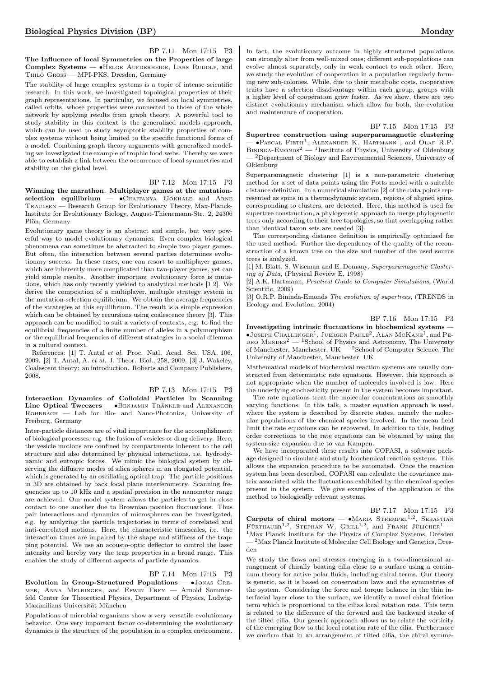## BP 7.11 Mon 17:15 P3

The Influence of local Symmetries on the Properties of large Complex Systems — • HELGE AUFDERHEIDE, LARS RUDOLF, and Thilo Gross — MPI-PKS, Dresden, Germany

The stability of large complex systems is a topic of intense scientific research. In this work, we investigated topological properties of their graph representations. In particular, we focused on local symmetries, called orbits, whose properties were connected to those of the whole network by applying results from graph theory. A powerful tool to study stability in this context is the generalized models approach, which can be used to study asymptotic stability properties of complex systems without being limited to the specific functional forms of a model. Combining graph theory arguments with generalized modeling we investigated the example of trophic food webs. Thereby we were able to establish a link between the occurrence of local symmetries and stability on the global level.

## BP 7.12 Mon 17:15 P3

Winning the marathon. Multiplayer games at the mutationselection equilibrium — •CHAITANYA GOKHALE and ARNE Traulsen — Research Group for Evolutionary Theory, Max-Planck-Institute for Evolutionary Biology, August-Thienemann-Str. 2, 24306 Plön, Germany

Evolutionary game theory is an abstract and simple, but very powerful way to model evolutionary dynamics. Even complex biological phenomena can sometimes be abstracted to simple two player games. But often, the interaction between several parties determines evolutionary success. In these cases, one can resort to multiplayer games, which are inherently more complicated than two-player games, yet can yield simple results. Another important evolutionary force is mutations, which has only recently yielded to analytical methods [1,2]. We derive the composition of a multiplayer, multiple strategy system in the mutation-selection equilibrium. We obtain the average frequencies of the strategies at this equilibrium. The result is a simple expression which can be obtained by recursions using coalescence theory [3]. This approach can be modified to suit a variety of contexts, e.g. to find the equilibrial frequencies of a finite number of alleles in a polymorphism or the equilibrial frequencies of different strategies in a social dilemma in a cultural context.

References: [1] T. Antal et al. Proc. Natl. Acad. Sci. USA, 106, 2009. [2] T. Antal, A. et al. J. Theor. Biol., 258, 2009. [3] J. Wakeley. Coalescent theory: an introduction. Roberts and Company Publishers, 2008.

## BP 7.13 Mon 17:15 P3

Interaction Dynamics of Colloidal Particles in Scanning Line Optical Tweezers — • BENJAMIN TRÄNKLE and ALEXANDER ROHRBACH — Lab for Bio- and Nano-Photonics, University of Freiburg, Germany

Inter-particle distances are of vital importance for the accomplishment of biological processes, e.g. the fusion of vesicles or drug delivery. Here, the vesicle motions are confined by compartments inherent to the cell structure and also determined by physical interactions, i.e. hydrodynamic and entropic forces. We mimic the biological system by observing the diffusive modes of silica spheres in an elongated potential, which is generated by an oscillating optical trap. The particle positions in 3D are obtained by back focal plane interferometry. Scanning frequencies up to 10 kHz and a spatial precision in the nanometer range are achieved. Our model system allows the particles to get in close contact to one another due to Brownian position fluctuations. Thus pair interactions and dynamics of microspheres can be investigated, e.g. by analyzing the particle trajectories in terms of correlated and anti-correlated motions. Here, the characteristic timescales, i.e. the interaction times are impaired by the shape and stiffness of the trapping potential. We use an acousto-optic deflector to control the laser intensity and hereby vary the trap properties in a broad range. This enables the study of different aspects of particle dynamics.

#### BP 7.14 Mon 17:15 P3

Evolution in Group-Structured Populations — ∙Jonas Cremer, Anna Melbinger, and Erwin Frey — Arnold Sommerfeld Center for Theoretical Physics, Department of Physics, Ludwig-Maximilians Universität München

Populations of microbial organisms show a very versatile evolutionary behavior. One very important factor co-determining the evolutionary dynamics is the structure of the population in a complex environment. In fact, the evolutionary outcome in highly structured populations can strongly alter from well-mixed ones; different sub-populations can evolve almost separately, only in weak contact to each other. Here, we study the evolution of cooperation in a population regularly forming new sub-colonies. While, due to their metabolic costs, cooperative traits have a selection disadvantage within each group, groups with a higher level of cooperation grow faster. As we show, there are two distinct evolutionary mechanism which allow for both, the evolution and maintenance of cooperation.

## BP 7.15 Mon 17:15 P3

Supertree construction using superparamagnetic clustering  $-$  •Pascal Fieth<sup>1</sup>, Alexander K. Hartmann<sup>1</sup>, and Olaf R.P.  $\text{Binim-A-Emon's}^2$  — <sup>1</sup>Institute of Physics, University of Oldenburg — <sup>2</sup>Department of Biology and Environmental Sciences, University of Oldenburg

Superparamagnetic clustering [1] is a non-parametric clustering method for a set of data points using the Potts model with a suitable distance definition. In a numerical simulation [2] of the data points represented as spins in a thermodynamic system, regions of aligned spins, corresponding to clusters, are detected. Here, this method is used for supertree construction, a phylogenetic approach to merge phylogenetic trees only according to their tree topologies, so that overlapping rather than identical taxon sets are needed [3].

The corresponding distance definition is empirically optimized for the used method. Further the dependency of the quality of the reconstruction of a known tree on the size and number of the used source trees is analyzed.

[1] M. Blatt, S. Wiseman and E. Domany, Superparamagnetic Clustering of Data, (Physical Review E, 1998)

[2] A.K. Hartmann, Practical Guide to Computer Simulations, (World Scientific, 2009)

[3] O.R.P. Bininda-Emonds The evolution of supertrees, (TRENDS in Ecology and Evolution, 2004)

#### BP 7.16 Mon 17:15 P3

Investigating intrinsic fluctuations in biochemical systems — ∙Joseph Challenger<sup>1</sup> , Juergen Pahle<sup>2</sup> , Alan McKane<sup>1</sup> , and Pe-DRO MENDES<sup>2</sup> — <sup>1</sup>School of Physics and Astronomy, The University of Manchester, Manchester, UK — <sup>2</sup>School of Computer Science, The University of Manchester, Manchester, UK

Mathematical models of biochemical reaction systems are usually constructed from determinstic rate equations. However, this approach is not appropriate when the number of molecules involved is low. Here the underlying stochasticity present in the system becomes important.

<span id="page-13-0"></span>The rate equations treat the molecular concentrations as smoothly varying functions. In this talk, a master equation approach is used, where the system is described by discrete states, namely the molecular populations of the chemical species involved. In the mean field limit the rate equations can be recovered. In addition to this, leading order corrections to the rate equations can be obtained by using the system-size expansion due to van Kampen.

We have incorporated these results into COPASI, a software package designed to simulate and study biochemical reaction systems. This allows the expansion procedure to be automated. Once the reaction system has been described, COPASI can calculate the covariance matrix associated with the fluctuations exhibited by the chemical species present in the system. We give examples of the application of the method to biologically relevant systems.

## BP 7.17 Mon 17:15 P3

Carpets of chiral motors  $-$  •Maria Strempel<sup>1,2</sup>, Sebastian FÜRTHAUER<sup>1,2</sup>, STEPHAN W. GRILL<sup>1,2</sup>, and FRANK JÜLICHER<sup>1</sup> -<sup>1</sup>Max Planck Institute for the Physics of Complex Systems, Dresden — <sup>2</sup>Max Planck Institute of Molecular Cell Biology and Genetics, Dres-

den We study the flows and stresses emerging in a two-dimensional ar-

rangement of chirally beating cilia close to a surface using a continuum theory for active polar fluids, including chiral terms. Our theory is generic, as it is based on conservation laws and the symmetries of the system. Considering the force and torque balance in the thin interfacial layer close to the surface, we identify a novel chiral friction term which is proportional to the cilias local rotation rate. This term is related to the difference of the forward and the backward stroke of the tilted cilia. Our generic approach allows us to relate the vorticity of the emerging flow to the local rotation rate of the cilia. Furthermore we confirm that in an arrangement of tilted cilia, the chiral symme-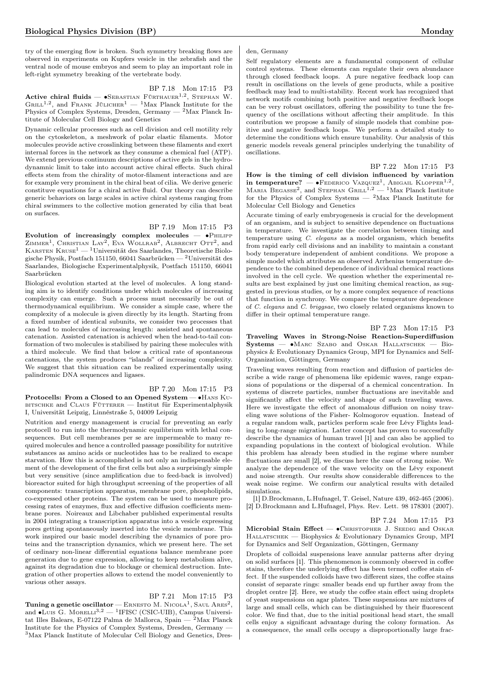try of the emerging flow is broken. Such symmetry breaking flows are observed in experiments on Kupfers vesicle in the zebrafish and the ventral node of mouse embryos and seem to play an important role in left-right symmetry breaking of the vertebrate body.

BP 7.18 Mon 17:15 P3 Active chiral fluids —  $\bullet$ Sebastian Fürthauer<sup>1,2</sup>, Stephan W. GRILL<sup>1,2</sup>, and FRANK JÜLICHER<sup>1</sup> — <sup>1</sup>Max Planck Institute for the Physics of Complex Systems, Dresden, Germany —  ${}^{2}$ Max Planck Intitute of Molecular Cell Biology and Genetics

Dynamic cellcular processes such as cell division and cell motility rely on the cytoskeleton, a meshwork of polar elastic filaments. Motor molecules provide active crosslinking between these filaments and exert internal forces in the network as they consume a chemical fuel (ATP). We extend previous continuum descriptions of active gels in the hydrodynamnic limit to take into account active chiral effects. Such chiral effects stem from the chirality of motor-filament interactions and are for example very prominent in the chiral beat of cilia. We derive generic constituve equations for a chiral active fluid. Our theory can describe generic behaviors on large scales in active chiral systems ranging from chiral swimmers to the collective motion generated by cilia that beat on surfaces.

## BP 7.19 Mon 17:15 P3

Evolution of increasingly complex molecules —  $\bullet$ PHILIPP ZIMMER<sup>1</sup>, CHRISTIAN LAY<sup>2</sup>, EVA WOLLRAB<sup>2</sup>, ALBRECHT OTT<sup>2</sup>, and KARSTEN KRUSE<sup>1</sup> — <sup>1</sup>Universität des Saarlandes, Theoretische Biologische Physik, Postfach 151150, 66041 Saarbrücken —  $^2$ Universität des Saarlandes, Biologische Experimentalphysik, Postfach 151150, 66041 Saarbrücken

Biological evolution started at the level of molecules. A long standing aim is to identify conditions under which molecules of increasing complexity can emerge. Such a process must necessarily be out of thermodynamical equilibrium. We consider a simple case, where the complexity of a molecule is given directly by its length. Starting from a fixed number of identical subunits, we consider two processes that can lead to molecules of increasing length: assisted and spontaneous catenation. Assisted catenation is achieved when the head-to-tail conformation of two molecules is stabilised by pairing these molecules with a third molecule. We find that below a critical rate of spontaneous catenations, the system produces "islands" of increasing complexity. We suggest that this situation can be realized experimentally using palindromic DNA sequences and ligases.

BP 7.20 Mon 17:15 P3 Protocells: From a Closed to an Opened System — • HANS K∪- $BITSCHKE$  and  $CLMIS$   $FijTTERER$  — Institut für Experimentalphysik I, Universität Leipzig, Linnéstraße 5, 04009 Leipzig

Nutrition and energy management is crucial for preventing an early protocell to run into the thermodynamic equilibrium with lethal consequences. But cell membranes per se are impermeable to many required molecules and hence a controlled passage possibility for nutritive substances as amino acids or nucleotides has to be realized to escape starvation. How this is accomplished is not only an indispensable element of the development of the first cells but also a surprisingly simple but very sensitive (since amplification due to feed-back is involved) bioreactor suited for high throughput screening of the properties of all components: transcription apparatus, membrane pore, phospholipids, co-expressed other proteins. The system can be used to measure processing rates of enzymes, flux and effective diffusion coefficients membrane pores. Noireaux and Libchaber published experimental results in 2004 integrating a transcription apparatus into a vesicle expressing pores getting spontaneously inserted into the vesicle membrane. This work inspired our basic model describing the dynamics of pore proteins and the transcription dynamics, which we present here. The set of ordinary non-linear differential equations balance membrane pore generation due to gene expression, allowing to keep metabolism alive, against its degradation due to blockage or chemical destruction. Integration of other properties allows to extend the model conveniently to various other assays.

## BP 7.21 Mon 17:15 P3

 $\mathbf{Tuning\ a\ genetic\ oscillator} - \mathrm{En{NSTO\ M\ .\ Nicola^1, \ S\text{AUL\ ARES}^2, }$ and •Luis G. MoreLLi<sup>3,2</sup> — <sup>1</sup>IFISC (CSIC-UIB), Campus Universitat Illes Balears, E-07122 Palma de Mallorca, Spain —  $^2$ Max Planck Institute for the Physics of Complex Systems, Dresden, Germany — <sup>3</sup>Max Planck Institute of Molecular Cell Biology and Genetics, Dres-

## den, Germany

Self regulatory elements are a fundamental component of cellular control systems. These elements can regulate their own abundance through closed feedback loops. A pure negative feedback loop can result in oscillations on the levels of gene products, while a positive feedback may lead to multi-stability. Recent work has recognized that network motifs combining both positive and negative feedback loops can be very robust oscillators, offering the possibility to tune the frequency of the oscillations without affecting their amplitude. In this contribution we propose a family of simple models that combine positive and negative feedback loops. We perform a detailed study to determine the conditions which ensure tunability. Our analysis of this generic models reveals general principles underlying the tunability of oscillations.

BP 7.22 Mon 17:15 P3

How is the timing of cell division influenced by variation in temperature? — • FEDERICO VAZQUEZ<sup>1</sup>, ABIGAIL KLOPPER<sup>1,2</sup>, MARIA BEGASSE<sup>2</sup>, and STEPHAN GRILL<sup>1,2</sup> - <sup>1</sup>Max Planck Institute for the Physics of Complex Systems — <sup>2</sup>Max Planck Institute for Molecular Cell Biology and Genetics

Accurate timing of early embryogenesis is crucial for the development of an organism, and is subject to sensitive dependence on fluctuations in temperature. We investigate the correlation between timing and temperature using C. elegans as a model organism, which benefits from rapid early cell divisions and an inability to maintain a constant body temperature independent of ambient conditions. We propose a simple model which attributes an observed Arrhenius temperature dependence to the combined dependence of individual chemical reactions involved in the cell cycle. We question whether the experimental results are best explained by just one limiting chemical reaction, as suggested in previous studies, or by a more complex sequence of reactions that function in synchrony. We compare the temperature dependence of C. elegans and C. briggsae, two closely related organisms known to differ in their optimal temperature range.

## BP 7.23 Mon 17:15 P3

Traveling Waves in Strong-Noise Reaction-Superdiffusion Systems — ∙Marc Szabo and Oskar Hallatschek — Biophysics & Evolutionary Dynamics Group, MPI for Dynamics and Self-Organization, Göttingen, Germany

Traveling waves resulting from reaction and diffusion of particles describe a wide range of phenomena like epidemic waves, range expansions of populations or the dispersal of a chemical concentration. In systems of discrete particles, number fluctuations are inevitable and significantly affect the velocity and shape of such traveling waves. Here we investigate the effect of anomalous diffusion on noisy traveling wave solutions of the Fisher- Kolmogorov equation. Instead of a regular random walk, particles perform scale free Lévy Flights leading to long-range migration. Latter concept has proven to successfully describe the dynamics of human travel [1] and can also be applied to expanding populations in the context of biological evolution. While this problem has already been studied in the regime where number fluctuations are small [2], we discuss here the case of strong noise. We analyze the dependence of the wave velocity on the Lévy exponent and noise strength. Our results show considerable differences to the weak noise regime. We confirm our analytical results with detailed simulations.

[1] D.Brockmann, L.Hufnagel, T. Geisel, Nature 439, 462-465 (2006). [2] D.Brockmann and L.Hufnagel, Phys. Rev. Lett. 98 178301 (2007).

## BP 7.24 Mon 17:15 P3

Microbial Stain Effect — • CHRISTOPHER J. SEEDIG and OSKAR HALLATSCHEK — Biophysics & Evolutionary Dynamics Group, MPI for Dynamics and Self Organization, Göttingen, Germany

Droplets of colloidal suspensions leave annular patterns after drying on solid surfaces [1]. This phenomenon is commonly observed in coffee stains, therefore the underlying effect has been termed coffee stain effect. If the suspended colloids have two different sizes, the coffee stains consist of separate rings: smaller beads end up further away from the droplet centre [2]. Here, we study the coffee stain effect using droplets of yeast suspensions on agar plates. These suspensions are mixtures of large and small cells, which can be distinguished by their fluorescent color. We find that, due to the initial positional head start, the small cells enjoy a significant advantage during the colony formation. As a consequence, the small cells occupy a disproportionally large frac-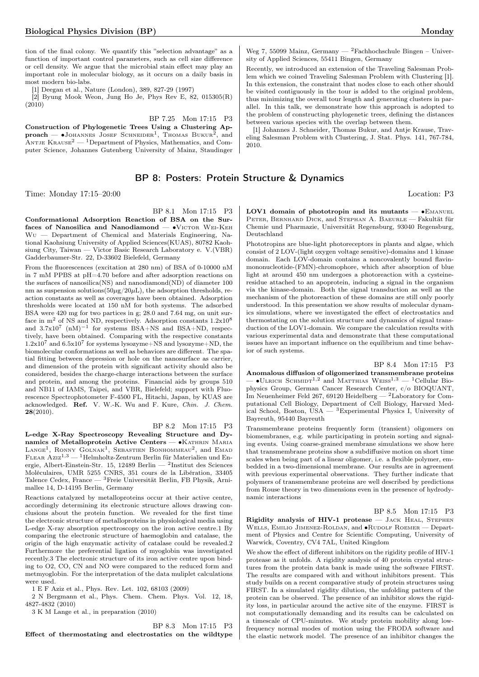tion of the final colony. We quantify this "selection advantage" as a function of important control parameters, such as cell size difference or cell density. We argue that the microbial stain effect may play an important role in molecular biology, as it occurs on a daily basis in most modern bio-labs.

[1] Deegan et al., Nature (London), 389, 827-29 (1997)

[2] Byung Mook Weon, Jung Ho Je, Phys Rev E, 82, 015305(R)  $(2010)$ 

BP 7.25 Mon 17:15 P3

Construction of Phylogenetic Trees Using a Clustering Ap- $\mathbf{proach} \boldsymbol{\mathcal{O}}$  •Johannes Josef Schneider<sup>1</sup>, Thomas Bukur<sup>2</sup> , and ANTJE  $K_{\text{RAUSE}}^2$  — <sup>1</sup>Department of Physics, Mathematics, and Computer Science, Johannes Gutenberg University of Mainz, Staudinger

## BP 8: Posters: Protein Structure & Dynamics

BP 8.1 Mon 17:15 P3

Conformational Adsorption Reaction of BSA on the Surfaces of Nanosilica and Nanodiamond — •VICTOR WEI-KEH Wu — Department of Chemical and Materials Engineering, National Kaohsiung University of Applied Sciences(KUAS), 80782 Kaohsiung City, Taiwan — Victor Basic Research Laboratory e. V.(VBR) Gadderbaumer-Str. 22, D-33602 Bielefeld, Germany

From the fluorescences (excitation at 280 nm) of BSA of 0-10000 nM in 7 mM PPBS at pH=4.70 before and after adsorption reactions on the surfaces of nanosilica(NS) and nanodiamond(ND) of diameter 100 nm as suspension solutions( $50\mu$ g/20 $\mu$ L), the adsorption thresholds, reaction constants as well as coverages have been obtained. Adsorption thresholds were located at 150 nM for both systems. The adsorbed BSA were 420 mg for two partices in g; 28.0 and 7.64 mg, on unit surface in  $m^2$  of NS and ND, respectively. Adsorption constants  $1.2x10^8$ and  $3.7x10^7$  (nM)<sup>-1</sup> for systems BSA+NS and BSA+ND, respectively, have been obtained. Comparing with the respective constants  $1.2 \times 10^7$  and  $6.5 \times 10^7$  for systems lysozyme+NS and lysozyme+ND, the biomolecular conformations as well as behaviors are different. The spatial fitting between depression or hole on the nanosurface as carrier, and dimension of the protein with significant activity should also be considered, besides the charge-charge interactions between the surface and protein, and among the proteins. Financial aids by groups 510 and NB11 of IAMS, Taipei, and VBR, Bielefeld; support with Fluorescence Spectrophotometer F-4500 FL, Hitachi, Japan, by KUAS are acknowledged. Ref. V. W.-K. Wu and F. Kure, Chin. J. Chem. 28(2010).

BP 8.2 Mon 17:15 P3

L-edge X-Ray Spectroscopy Revealing Structure and Dynamics of Metalloprotein Active Centers — • KATHRIN MARIA LANGE<sup>1</sup>, RONNY GOLNAK<sup>1</sup>, SEBASTIEN BONHOMMEAU<sup>2</sup>, and EMAD FLEAR  $Az\bar{z}^{1,3}$  — <sup>1</sup>Helmholtz-Zentrum Berlin für Materialien und Energie, Albert-Einstein-Str. 15, 12489 Berlin — <sup>2</sup> Institut des Sciences Moléculaires, UMR 5255 CNRS, 351 cours de la Libération, 33405 Talence Cedex, France — <sup>3</sup>Freie Universität Berlin, FB Physik, Arnimallee 14, D-14195 Berlin, Germany

Reactions catalyzed by metalloproteins occur at their active centre, accordingly determining its electronic structure allows drawing conclusions about the protein function. We revealed for the first time the electronic structure of metalloproteins in physiological media using L-edge X-ray absorption spectroscopy on the iron active centre.1 By comparing the electronic structure of haemoglobin and catalase, the origin of the high enzymatic activity of catalase could be revealed.2 Furthermore the preferential ligation of myoglobin was investigated recently.3 The electronic structure of its iron active centre upon binding to O2, CO, CN and NO were compared to the reduced form and metmyoglobin. For the interpretation of the data muliplet calculations were used.

1 E F Aziz et al., Phys. Rev. Let. 102, 68103 (2009)

2 N Bergmann et al., Phys. Chem. Chem. Phys. Vol. 12, 18, 4827-4832 (2010)

3 K M Lange et al., in preparation (2010)

BP 8.3 Mon 17:15 P3 Effect of thermostating and electrostatics on the wildtype

Weg 7, 55099 Mainz, Germany —  ${}^{2}$ Fachhochschule Bingen – University of Applied Sciences, 55411 Bingen, Germany

Recently, we introduced an extension of the Traveling Salesman Problem which we coined Traveling Salesman Problem with Clustering [1]. In this extension, the constraint that nodes close to each other should be visited contiguously in the tour is added to the original problem, thus minimizing the overall tour length and generating clusters in parallel. In this talk, we demonstrate how this approach is adopted to the problem of constructing phylogenetic trees, defining the distances between various species with the overlap between them.

[1] Johannes J. Schneider, Thomas Bukur, and Antje Krause, Traveling Salesman Problem with Clustering, J. Stat. Phys. 141, 767-784, 2010.

Time: Monday 17:15–20:00 Location: P3

LOV1 domain of phototropin and its mutants — ∙Emanuel Peter, Bernhard Dick, and Stephan A. Baeurle — Fakultät für Chemie und Pharmazie, Universität Regensburg, 93040 Regensburg, Deutschland

Phototropins are blue-light photoreceptors in plants and algae, which consist of 2 LOV-(light oxygen voltage sensitive)-domains and 1 kinase domain. Each LOV-domain contains a noncovalently bound flavinmononucleotide-(FMN)-chromophore, which after absorption of blue light at around 450 nm undergoes a photoreaction with a cysteineresidue attached to an apoprotein, inducing a signal in the organism via the kinase-domain. Both the signal transduction as well as the mechanism of the photoreaction of these domains are still only poorly understood. In this presentation we show results of molecular dynamics simulations, where we investigated the effect of electrostatics and thermostating on the solution structure and dynamics of signal transduction of the LOV1-domain. We compare the calculation results with various experimental data and demonstrate that these computational issues have an important influence on the equilibrium and time behavior of such systems.

BP 8.4 Mon 17:15 P3

Anomalous diffusion of oligomerized transmembrane proteins • ULRICH SCHMIDT<sup>1,2</sup> and MATTHIAS WEISS<sup>1,3</sup> — <sup>1</sup>Cellular Biophysics Group, German Cancer Research Center, c/o BIOQUANT, Im Neuenheimer Feld 267, 69120 Heidelberg — <sup>2</sup>Laboratory for Computational Cell Biology, Department of Cell Biology, Harvard Medical School, Boston, USA — <sup>3</sup>Experimental Physics I, University of Bayreuth, 95440 Bayreuth

Transmembrane proteins frequently form (transient) oligomers on biomembranes, e.g. while participating in protein sorting and signaling events. Using coarse-grained membrane simulations we show here that transmembrane proteins show a subdiffusive motion on short time scales when being part of a linear oligomer, i.e. a flexible polymer, embedded in a two-dimensional membrane. Our results are in agreement with previous experimental observations. They further indicate that polymers of transmembrane proteins are well described by predictions from Rouse theory in two dimensions even in the presence of hydrodynamic interactions

BP 8.5 Mon 17:15 P3

Rigidity analysis of HIV-1 protease - JACK HEAL, STEPHEN Wells, Emilio Jimenez-Roldan, and ∙Rudolf Roemer — Department of Physics and Centre for Scientific Computing, University of Warwick, Coventry, CV4 7AL, United Kingdom

We show the effect of different inhibitors on the rigidity profile of HIV-1 protease as it unfolds. A rigidity analysis of 40 protein crystal structures from the protein data bank is made using the software FIRST. The results are compared with and without inhibitors present. This study builds on a recent comparative study of protein structures using FIRST. In a simulated rigidity dilution, the unfolding pattern of the protein can be observed. The presence of an inhibitor slows the rigidity loss, in particular around the active site of the enzyme. FIRST is not computationally demanding and its results can be calculated on a timescale of CPU-minutes. We study protein mobility along lowfrequency normal modes of motion using the FRODA software and the elastic network model. The presence of an inhibitor changes the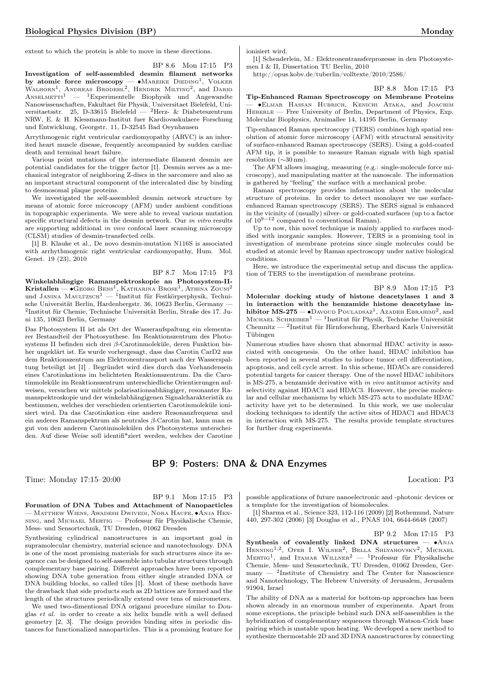extent to which the protein is able to move in these directions.

BP 8.6 Mon 17:15 P3 Investigation of self-assembled desmin filament networks by atomic force microscopy —  $\bullet$ Mareike Dieding<sup>1</sup>, Volker WALHORN<sup>1</sup>, ANDREAS BRODEHL<sup>2</sup>, HENDRIK MILTING<sup>2</sup>, and DARIO ANSELMETTI<sup>1</sup> — <sup>1</sup>Experimentelle Biophysik und Angewandte Nanowissenschaften, Fakultaet für Physik, Universitaet Bielefeld, Universitaetsstr. 25, D-33615 Bielefeld — <sup>2</sup>Herz- & Diabeteszentrum NRW, E. & H. Klessmann-Institut fuer Kardiovaskulaere Forschung und Entwicklung, Georgstr. 11, D-32545 Bad Oeynhausen

Arrythmogenic right ventricular cardiomyopathy (ARVC) is an inherited heart muscle disease, frequently accompanied by sudden cardiac death and terminal heart failure.

Various point mutations of the intermediate filament desmin are potential candidates for the trigger factor [1]. Desmin serves as a mechanical integrator of neighboring Z-discs in the sarcomere and also as an important structural component of the intercalated disc by binding to desmosomal plaque proteins.

We investigated the self-assembled desmin network structure by means of atomic force microscopy (AFM) under ambient conditions in topographic experiments. We were able to reveal various mutation specific structural defects in the desmin network. Our in vitro results are supporting additional in vivo confocal laser scanning microscopy (CLSM) studies of desmin-transfected cells.

[1] B. Klauke et al., De novo desmin-mutation N116S is associated with arrhythmogenic right ventricular cardiomyopathy, Hum. Mol. Genet. 19 (23), 2010

BP 8.7 Mon 17:15 P3 Winkelabhängige Ramanspektroskopie an Photosystem-II- $\mathrm{Kristallen} \mathrm{-}\bullet \mathrm{Ge}$ org Bens<sup>1</sup>, Katharina Brose<sup>1</sup>, Athina Zouni<sup>2</sup> und Janina Maultzsch $1 - 1$ Institut für Festkörperphysik, Technische Universität Berlin, Hardenbergstr. 36, 10623 Berlin, Germany — 2 Institut für Chemie, Technische Universität Berlin, Straße des 17. Juni 135, 10623 Berlin, Germany

Das Photosystem II ist als Ort der Wasseraufspaltung ein elementarer Bestandteil der Photosynthese. Im Reaktionszentrum des Photosystems II befinden sich drei  $\beta$ -Carotinmoleküle, deren Funktion bisher ungeklärt ist. Es wurde vorhergesagt, dass das Carotin CarD2 aus dem Reaktionszentrum am Elektronentransport nach der Wasserspaltung beteiligt ist [1] . Begründet wird dies durch das Vorhandensein eines Carotinkations im belichteten Reaktionszentrum. Da die Carotinmoleküle im Reaktionszentrum unterschiedliche Orientierungen aufweisen, versuchen wir mittels polarisationsabhängiger, resonanter Ramanspektroskopie und der winkelabhängigenen Signalcharakteristik zu bestimmen, welches der verschieden orientierten Carotinmoleküle ionisiert wird. Da das Carotinkation eine andere Resonanzfrequenz und ein anderes Ramanspektrum als neutrales  $\beta$ -Carotin hat, kann man es gut von den anderen Carotinmolekülen des Photosystems unterscheiden. Auf diese Weise soll identifi\*ziert werden, welches der Carotine ionisiert wird.

[1] Schenderlein, M.: Elektronentransferprozesse in den Photosystemen I & II, Dissertation TU Berlin, 2010

http://opus.kobv.de/tuberlin/volltexte/2010/2586/

BP 8.8 Mon 17:15 P3

Tip-Enhanced Raman Spectroscopy on Membrane Proteins — ∙Elmar Hassan Hubrich, Kenichi Ataka, and Joachim HEBERLE — Free University of Berlin, Department of Physics, Exp. Molecular Biophysics, Arnimallee 14, 14195 Berlin, Germany

Tip-enhanced Raman spectroscopy (TERS) combines high spatial resolution of atomic force microscopy (AFM) with structural sensitivity of surface-enhanced Raman spectroscopy (SERS). Using a gold-coated AFM tip, it is possible to measure Raman signals with high spatial resolution (∼30 nm).

The AFM allows imaging, measuring (e.g.: single-molecule force microscopy), and manipulating matter at the nanoscale. The information is gathered by "feeling" the surface with a mechanical probe.

Raman spectroscopy provides information about the molecular structure of proteins. In order to detect monolayer we use surfaceenhanced Raman spectroscopy (SERS). The SERS signal is enhanced in the vicinity of (usually) silver- or gold-coated surfaces (up to a factor of  $10^{9-12}$  compared to conventional Raman).

Up to now, this novel technique is mainly applied to surfaces modified with inorganic samples. However, TERS is a promising tool in investigation of membrane proteins since single molecules could be studied at atomic level by Raman spectroscopy under native biological conditions.

Here, we introduce the experimental setup and discuss the application of TERS to the investigation of membrane proteins.

BP 8.9 Mon 17:15 P3

Molecular docking study of histone deacetylases 1 and 3 in interaction with the benzamide histone deacetylase inhibitor MS-275 —  $\bullet$ Davoud Pouladsaz<sup>1</sup>, Azadeh Ebrahimi<sup>2</sup>, and MICHAEL SCHREIBER<sup>1</sup> — <sup>1</sup>Institut für Physik, Technische Universität Chemnitz — <sup>2</sup> Institut für Hirnforschung, Eberhard Karls Universität Tübingen

Numerous studies have shown that abnormal HDAC activity is associated with oncogenesis. On the other hand, HDAC inhibition has been reported in several studies to induce tumor cell differentiation, apoptosis, and cell cycle arrest. In this scheme, HDACs are considered potential targets for cancer therapy. One of the novel HDAC inhibitors is MS-275, a benzamide derivative with in vivo antitumor activity and selectivity against HDAC1 and HDAC3. However, the precise molecular and cellular mechanisms by which MS-275 acts to modulate HDAC activity have yet to be determined. In this work, we use molecular docking techniques to identify the active sites of HDAC1 and HDAC3 in interaction with MS-275. The results provide template structures for further drug experiments.

## BP 9: Posters: DNA & DNA Enzymes

Time: Monday 17:15–20:00 Location: P3

BP 9.1 Mon 17:15 P3

Formation of DNA Tubes and Attachment of Nanoparticles — Matthew Wiens, Awadesh Dwivedi, Nora Haufe, ∙Anja Henning, and Michael Mertig — Professur für Physikalische Chemie, Mess- und Sensortechnik, TU Dresden, 01062 Dresden

Synthesizing cylindrical nanostructures is an important goal in supramolecular chemistry, material science and nanotechnology. DNA is one of the most promising materials for such structures since its sequence can be designed to self-assemble into tubular structures through complementary base pairing. Different approaches have been reported showing DNA tube generation from either single stranded DNA or DNA building blocks, so called tiles [1]. Most of these methods have the drawback that side products such as 2D lattices are formed and the length of the structures periodically extend over tens of micrometers.

We used two-dimentional DNA origami procedure similar to Douglas et al. in order to create a six helix bundle with a well defined geometry [2, 3]. The design provides binding sites in periodic distances for functionalized nanoparticles. This is a promising feature for

possible applications of future nanoelectronic and -photonic devices or a template for the investigation of biomolecules.

[1] Sharma et al., Science 323, 112-116 (2009) [2] Rothemund, Nature 440, 297-302 (2006) [3] Douglas et al., PNAS 104, 6644-6648 (2007)

BP 9.2 Mon 17:15 P3

Synthesis of covalently linked DNA structures —  $\bullet$ Anja HENNING<sup>1,2</sup>, OFER I. WILNER<sup>2</sup>, BELLA SHLYAHOVSKY<sup>2</sup>, MICHAEL MERTIG<sup>1</sup>, and ITAMAR WILLNER<sup>2</sup> - <sup>1</sup>Professur für Physikalische Chemie, Mess- und Sensortechnik, TU Dresden, 01062 Dresden, Ger- $\text{many} = {}^{2}\text{Institute of Chemistry and The Center for Nanoscience}$ and Nanotechnology, The Hebrew University of Jerusalem, Jerusalem 91904, Israel

The ability of DNA as a material for bottom-up approaches has been shown already in an enormous number of experiments. Apart from some exceptions, the principle behind such DNA self-assemblies is the hybridization of complementary sequences through Watson-Crick base pairing which is unstable upon heating. We developed a new method to synthesize thermostable 2D and 3D DNA nanostructures by connecting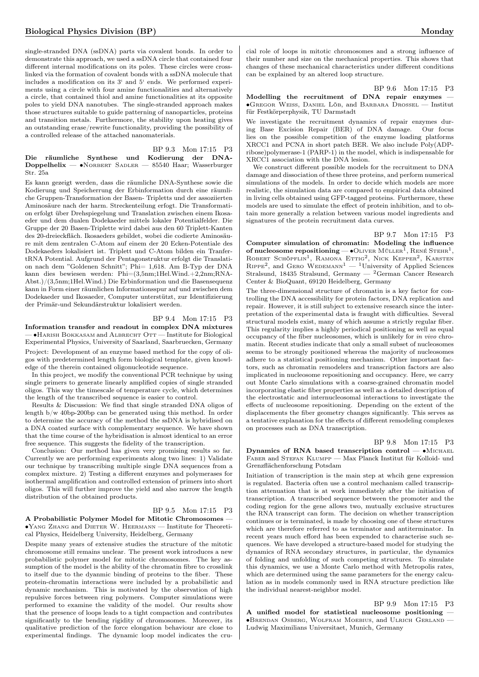single-stranded DNA (ssDNA) parts via covalent bonds. In order to demonstrate this approach, we used a ssDNA circle that contained four different internal modifications on its poles. These circles were crosslinked via the formation of covalent bonds with a ssDNA molecule that includes a modification on its 3' and 5' ends. We performed experiments using a circle with four amine functionalities and alternatively a circle, that contained thiol and amine functionalities at its opposite poles to yield DNA nanotubes. The single-stranded approach makes those structures suitable to guide patterning of nanoparticles, proteins and transition metals. Furthermore, the stability upon heating gives an outstanding erase/rewrite functionality, providing the possibility of a controlled release of the attached nanomaterials.

BP 9.3 Mon 17:15 P3 Die räumliche Synthese und Kodierung der DNA-Doppelhelix — •NORBERT SADLER — 85540 Haar; Wasserburger Str. 25a

Es kann gezeigt werden, dass die räumliche DNA-Synthese sowie die Kodierung und Speicherrung der Erbinformation durch eine räumliche Gruppen-Transformation der Basen- Tripletts und der assoziierten Aminosäure nach der harm. Streckenteilung erfogt. Die Transformation erfolgt über Drehspiegelung und Translation zwischen einem Ikosaeder und dem dualen Dodekaeder mittels lokaler Potentialfelder. Die Gruppe der 20 Basen-Triplette wird dabei aus den 60 Triplett-Kanten des 20-dreieckfläch. Ikosaeders gebildet, wobei die codierte Aminosäure mit dem zentralen C-Atom auf einem der 20 Ecken-Potentiale des Dodekaeders lokalisiert ist. Triplett und C-Atom bilden ein TranfertRNA Potential. Aufgrund der Pentagonstruktur erfolgt die Translation nach dem "Goldenen Schnitt"; Phi= 1,618. Am B-Typ der DNA kann dies bewiesen werden: Phi=(3,5nm;1Hel.Wind.+2,2nm;RNA-Abst.)/(3,5nm;1Hel.Wind.) Die Erbinformation und die Basensequenz kann in Form einer räumlichen Informationsspur auf und zwischen dem Dodekaeder und Ikosaeder, Computer unterstützt, zur Identifizierung der Primär-und Sekundärstruktur lokalisiert werden.

## BP 9.4 Mon 17:15 P3

Information transfer and readout in complex DNA mixtures — ∙Harish Bokkasam and Albrecht Ott — Institute for Biological Experimental Physics, University of Saarland, Saarbruecken, Germany Project: Development of an enzyme based method for the copy of oligos with predetermined length form biological template, given knowledge of the therein contained oligonucleotide sequence.

In this project, we modify the conventional PCR technique by using single primers to generate linearly amplified copies of single stranded oligos. This way the timescale of temperature cycle, which determines the length of the transcribed sequence is easier to control.

Results & Discussion: We find that single stranded DNA oligos of length b/w 40bp-200bp can be generated using this method. In order to determine the accuracy of the method the ssDNA is hybridised on a DNA coated surface with complementary sequence. We have shown that the time course of the hybridisation is almost identical to an error free sequence. This suggests the fidelity of the transcription.

Conclusion: Our method has given very promising results so far. Currently we are performing experiments along two lines: 1) Validate our technique by transcribing multiple single DNA sequences from a complex mixture. 2) Testing a different enzymes and polymerases for isothermal amplification and controlled extension of primers into short oligos. This will further improve the yield and also narrow the length distribution of the obtained products.

## BP 9.5 Mon 17:15 P3

A Probabilistic Polymer Model for Mitotic Chromosomes — ∙Yang Zhang and Dieter W. Heermann — Institute for Theoretical Physics, Heidelberg University, Heidelberg, Germany

Despite many years of extensive studies the structure of the mitotic chromosome still remains unclear. The present work introduces a new probabilistic polymer model for mitotic chromosomes. The key assumption of the model is the ability of the chromatin fibre to crosslink to itself due to the dyanmic binding of proteins to the fiber. These protein-chromatin interactions were included by a probabilistic and dynamic mechanism. This is motivated by the observation of high repulsive forces between ring polymers. Computer simulations were performed to examine the validity of the model. Our results show that the presence of loops leads to a tight compaction and contributes significantly to the bending rigidity of chromosomes. Moreover, its qualitative prediction of the force elongation behaviour are close to experimental findings. The dynamic loop model indicates the crucial role of loops in mitotic chromosomes and a strong influence of their number and size on the mechanical properties. This shows that changes of these mechanical characteristics under different conditions can be explained by an altered loop structure.

BP 9.6 Mon 17:15 P3

Modelling the recruitment of DNA repair enzymes — ∙Gregor Weiss, Daniel Löb, and Barbara Drossel — Institut für Festkörperphysik, TU Darmstadt

We investigate the recruitment dynamics of repair enzymes during Base Excision Repair (BER) of DNA damage. Our focus lies on the possible competition of the enzyme loading platforms XRCC1 and PCNA in short patch BER. We also include Poly(ADPribose)polymerase-1 (PARP-1) in the model, which is indispensable for XRCC1 association with the DNA lesion.

We construct different possible models for the recruitment to DNA damage and dissociation of these three proteins, and perform numerical simulations of the models. In order to decide which models are more realistic, the simulation data are compared to empirical data obtained in living cells obtained using GFP-tagged proteins. Furthermore, these models are used to simulate the effect of protein inhibition, and to obtain more generally a relation between various model ingredients and signatures of the protein recruitment data curves.

BP 9.7 Mon 17:15 P3 Computer simulation of chromatin: Modeling the influence of nucleosome repositioning —  $\bullet$  Oliver Müller<sup>1</sup>, René Stehr<sup>1</sup>, ROBERT SCHÖPFLIN<sup>1</sup>, RAMONA ETTIG<sup>2</sup>, NICK KEPPER<sup>2</sup>, KARSTEN  $R$ IPPE<sup>2</sup>, and GERO WEDEMANN<sup>1</sup> — <sup>1</sup>University of Applied Sciences Stralsund, 18435 Stralsund, Germany — <sup>2</sup>German Cancer Research Center & BioQuant, 69120 Heidelberg, Germany

The three-dimensional structure of chromatin is a key factor for controlling the DNA accessibility for protein factors, DNA replication and repair. However, it is still subject to extensive research since the interpretation of the experimental data is fraught with difficulties. Several structural models exist, many of which assume a strictly regular fiber. This regularity implies a highly periodical positioning as well as equal occupancy of the fiber nucleosomes, which is unlikely for in vivo chromatin. Recent studies indicate that only a small subset of nucleosomes seems to be strongly positioned whereas the majority of nucleosomes adhere to a statistical positioning mechanism. Other important factors, such as chromatin remodelers and transcription factors are also implicated in nucleosome repositioning and occupancy. Here, we carry out Monte Carlo simulations with a coarse-grained chromatin model incorporating elastic fiber properties as well as a detailed description of the electrostatic and internucleosomal interactions to investigate the effects of nucleosome repositioning. Depending on the extent of the displacements the fiber geometry changes significantly. This serves as a tentative explanation for the effects of different remodeling complexes on processes such as DNA transcription.

## BP 9.8 Mon 17:15 P3

Dynamics of RNA based transcription control — • MICHAEL FABER and STEFAN KLUMPP — Max Planck Institut für Kolloid- und Grenzflächenforschung Potsdam

Initiation of transcription is the main step at whcih gene expression is regulated. Bacteria often use a control mechanism called transcription attenuation that is at work immediately after the initiation of transcription. A transcribed sequence between the promoter and the coding region for the gene allows two, mutually exclusive structures the RNA transcript can form. The decision on whether transcription continues or is terminated, is made by choosing one of these structures which are therefore referred to as terminator and antiterminator. In recent years much efford has been expended to characterise such sequences. We have developed a structure-based model for studying the dynamics of RNA secondary structures, in particular, the dynamics of folding and unfolding of such competing structures. To simulate this dynamics, we use a Monte Carlo method with Metropolis rates, which are determined using the same parameters for the energy calculation as in models commonly used in RNA structure prediction like the individual nearest-neighbor model.

BP 9.9 Mon 17:15 P3 A unified model for statistical nucleosome positioning — ∙Brendan Osberg, Wolfram Moebius, and Ulrich Gerland — Ludwig Maximilians Universitaet, Munich, Germany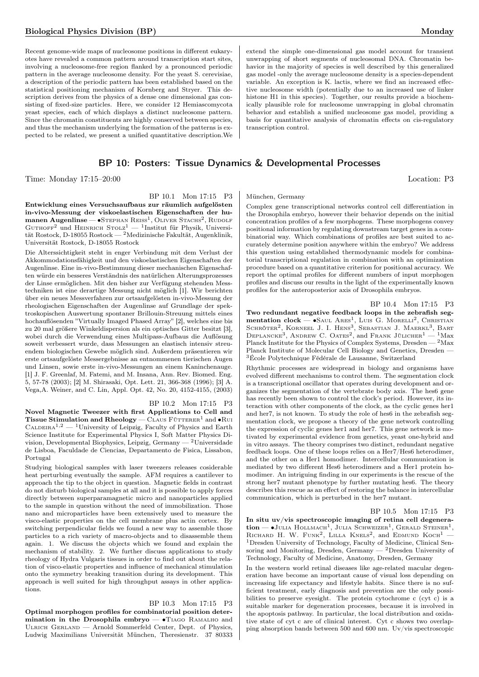## Biological Physics Division (BP) Monday

Recent genome-wide maps of nucleosome positions in different eukaryotes have revealed a common pattern around transcription start sites, involving a nucleosome-free region flanked by a pronounced periodic pattern in the average nucleosome density. For the yeast S. cerevisiae, a description of the periodic pattern has been established based on the statistical positioning mechanism of Kornberg and Stryer. This description derives from the physics of a dense one dimensional gas consisting of fixed-size particles. Here, we consider 12 Hemiascomycota yeast species, each of which displays a distinct nucleosome pattern. Since the chromatin constituents are highly conserved between species, and thus the mechanism underlying the formation of the patterns is expected to be related, we present a unified quantitative description.We

## BP 10: Posters: Tissue Dynamics & Developmental Processes

Time: Monday 17:15–20:00 Location: P3

BP 10.1 Mon 17:15 P3

Entwicklung eines Versuchsaufbaus zur räumlich aufgelösten in-vivo-Messung der viskoelastischen Eigenschaften der humanen Augenlinse — •STEPHAN REISS<sup>1</sup>, OLIVER STACHS<sup>2</sup>, RUDOLF GUTHOFF<sup>2</sup> und HEINRICH STOLZ<sup>1</sup> — <sup>1</sup>Institut für Physik, Universität Rostock, D-18055 Rostock — <sup>2</sup>Medizinische Fakultät, Augenklinik, Universität Rostock, D-18055 Rostock

Die Alterssichtigkeit steht in enger Verbindung mit dem Verlust der Akkommodationsfähigkeit und den viskoelastischen Eigenschaften der Augenlinse. Eine in-vivo-Bestimmung dieser mechanischen Eigenschaften würde ein besseres Verständnis des natürlichen Alterungsprozesses der Linse ermöglichen. Mit den bisher zur Verfügung stehenden Messtechniken ist eine derartige Messung nicht möglich [1]. Wir berichten über ein neues Messverfahren zur ortsaufgelösten in-vivo-Messung der rheologischen Eigenschaften der Augenlinse auf Grundlage der spektroskopischen Auswertung spontaner Brillouin-Streuung mittels eines hochauflösenden "Virtually Imaged Phased Array" [2], welches eine bis zu 20 mal größere Winkeldispersion als ein optisches Gitter besitzt [3], wobei durch die Verwendung eines Multipass-Aufbaus die Auflösung soweit verbessert wurde, dass Messungen an elastisch intensiv streuendem biologischen Gewebe möglich sind. Außerdem präsentieren wir erste ortsaufgelöste Messergebnisse an entnommenen tierischen Augen und Linsen, sowie erste in-vivo-Messungen an einem Kaninchenauge. [1] J. F. Greenlaf, M. Fatemi, and M. Insana, Ann. Rev. Biomed. Eng. 5, 57-78 (2003); [2] M. Shirasaki, Opt. Lett. 21, 366-368 (1996); [3] A. Vega,A. Weiner, and C. Lin, Appl. Opt. 42, No. 20, 4152-4155, (2003)

#### BP 10.2 Mon 17:15 P3

Novel Magnetic Tweezer with first Applications to Cell and Tissue Stimulation and Rheology —  $CLAUS$  FÜTTERER<sup>1</sup> and •RUI  $\text{CALDEIRA}^{1,2}$  — <sup>1</sup>University of Leipzig, Faculty of Physics and Earth Science Institute for Experimental Physics I, Soft Matter Physics Division, Developmental Biophysics, Leipzig, Germany  $-2$ Universidade de Lisboa, Faculdade de Ciencias, Departamento de Fisica, Lissabon, Portugal

Studying biological samples with laser tweezers releases cosiderable heat perturbing eventually the sample. AFM requires a cantilever to approach the tip to the object in question. Magnetic fields in contrast do not disturb biological samples at all and it is possible to apply forces directly between superparamagnetic micro and nanoparticles applied to the sample in question without the need of immobilization. Those nano and microparticles have been extensively used to measure the visco-elastic properties on the cell membrane plus actin cortex. By switching perpendicular fields we found a new way to assemble those particles to a rich variety of macro-objects and to disassemble them again. 1. We discuss the objects which we found and explain the mechanism of stability. 2. We further discuss applications to study rheology of Hydra Vulgaris tissues in order to find out about the relation of visco-elastic properties and influence of mechanical stimulation onto the symmetry breaking transition during its development. This approach is well suited for high throughput assays in other applications.

## BP 10.3 Mon 17:15 P3

Optimal morphogen profiles for combinatorial position determination in the Drosophila embryo — ∙Tiago Ramalho and ULRICH GERLAND — Arnold Sommerfeld Center, Dept. of Physics, Ludwig Maximilians Universität München, Theresienstr. 37 80333

extend the simple one-dimensional gas model account for transient unwrapping of short segments of nucleosomal DNA. Chromatin behavior in the majority of species is well described by this generalized gas model -only the average nucleosome density is a species-dependent variable. An exception is K. lactis, where we find an increased effective nucleosome width (potentially due to an increased use of linker histone H1 in this species). Together, our results provide a biochemically plausible role for nucleosome unwrapping in global chromatin behavior and establish a unified nucleosome gas model, providing a basis for quantitative analysis of chromatin effects on cis-regulatory transcription control.

#### München, Germany

Complex gene transcriptional networks control cell differentiation in the Drosophila embryo, however their behavior depends on the initial concentration profiles of a few morphogens. These morphogens convey positional information by regulating downstream target genes in a combinatorial way. Which combinations of profiles are best suited to accurately determine position anywhere within the embryo? We address this question using established thermodynamic models for combinatorial transcriptional regulation in combination with an optimization procedure based on a quantitative criterion for positional accuracy. We report the optimal profiles for different numbers of input morphogen profiles and discuss our results in the light of the experimentally known profiles for the anteroposterior axis of Drosophila embryos.

BP 10.4 Mon 17:15 P3

Two redundant negative feedback loops in the zebrafish segmentation  $clock - \bullet S$ aul Ares<sup>1</sup>, Luis G. Morelli<sup>2</sup>, Christian SCHRÖTER<sup>2</sup>, KORNEEL J. I. HENS<sup>3</sup>, SEBASTIAN J. MAERKL<sup>3</sup>, BART DEPLANCKE<sup>3</sup>, ANDREW C. OATES<sup>2</sup>, and FRANK JÜLICHER<sup>1</sup> - <sup>1</sup>Max Planck Institute for the Physics of Complex Systems, Dresden — <sup>2</sup>Max Planck Institute of Molecular Cell Biology and Genetics, Dresden — <sup>3</sup>École Polytechnique Fédérale de Lausanne, Switzerland

Rhythmic processes are widespread in biology and organisms have evolved different mechanisms to control them. The segmentation clock is a transcriptional oscillator that operates during development and organizes the segmentation of the vertebrate body axis. The hes6 gene has recently been shown to control the clock's period. However, its interaction with other components of the clock, as the cyclic genes her1 and her7, is not known. To study the role of hes6 in the zebrafish segmentation clock, we propose a theory of the gene network controlling the expression of cyclic genes her1 and her7. This gene network is motivated by experimental evidence from genetics, yeast one-hybrid and in vitro assays. The theory comprises two distinct, redundant negative feedback loops. One of these loops relies on a Her7/Hes6 heterodimer, and the other on a Her1 homodimer. Intercellular communication is mediated by two different Hes6 heterodimers and a Her1 protein homodimer. An intriguing finding in our experiments is the rescue of the strong her7 mutant phenotype by further mutating hes6. The theory describes this rescue as an effect of restoring the balance in intercellular communication, which is perturbed in the her7 mutant.

BP 10.5 Mon 17:15 P3

In situ uv/vis spectroscopic imaging of retina cell degenera- $\text{tion} - \bullet \text{Julia Hollander}^1$ , Julia Schweizer<sup>1</sup>, Gerald Steiner<sup>1</sup>, RICHARD H. W. FUNK<sup>2</sup>, LILLA KNELS<sup>2</sup>, and EDMUND KOCH<sup>1</sup> -<sup>1</sup>Dresden University of Technology, Faculty of Medicine, Clinical Sensoring and Monitoring, Dresden, Germany  $-$  <sup>2</sup>Dresden University of Technology, Faculty of Medicine, Anatomy, Dresden, Germany

In the western world retinal diseases like age-related macular degeneration have become an important cause of visual loss depending on increasing life expectancy and lifestyle habits. Since there is no sufficient treatment, early diagnosis and prevention are the only possibilities to preserve eyesight. The protein cytochrome c (cyt c) is a suitable marker for degeneration processes, because it is involved in the apoptosis pathway. In particular, the local distribution and oxidative state of cyt c are of clinical interest. Cyt c shows two overlapping absorption bands between 500 and 600 nm. Uv/vis spectroscopic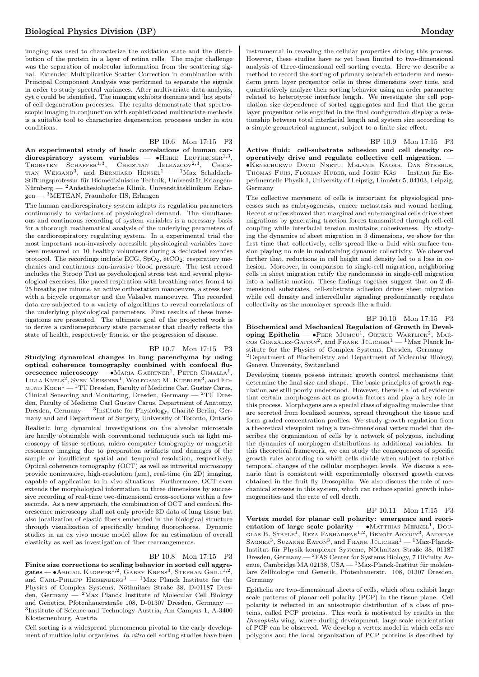imaging was used to characterize the oxidation state and the distribution of the protein in a layer of retina cells. The major challenge was the separation of molecular information from the scattering signal. Extended Multiplicative Scatter Correction in combination with Principal Component Analysis was performed to separate the signals in order to study spectral variances. After multivariate data analysis, cyt c could be identified. The imaging exhibits domains and 'hot spots' of cell degeneration processes. The results demonstrate that spectroscopic imaging in conjunction with sophisticated multivariate methods is a suitable tool to characterize degeneration processes under in situ conditions.

BP 10.6 Mon 17:15 P3

An experimental study of basic correlations of human cardiorespiratory system variables — •Heike Leutheuser<sup>1,3</sup>,<br>Thorsten Schaffer<sup>1,3</sup>, Christian Jeleazcov<sup>2,3</sup>, Chris-TIAN WEIGAND<sup>3</sup>, and BERNHARD  $H$ ENSEL<sup>1</sup> — <sup>1</sup>Max Schaldach-Stiftungsprofessur für Biomedizinische Technik, Universität Erlangen- $\textit{N}\xspace\ddots$  Mürnberg —  $\textit{2}\xspace\textit{An}\xspace\ddots\textit{as}$  <br/>klesiologische Klinik, Universitätsklinikum Erlangen — <sup>3</sup>METEAN, Fraunhofer IIS, Erlangen

The human cardiorespiratory system adapts its regulation parameters continuously to variations of physiological demand. The simultaneous and continuous recording of system variables is a necessary basis for a thorough mathematical analysis of the underlying parameters of the cardiorespiratory regulating system. In a experimental trial the most important non-invasively accessible physiological variables have been measured on 10 healthy volunteers during a dedicated exercise protocol. The recordings include ECG,  $SpO<sub>2</sub>$ ,  $etCO<sub>2</sub>$ , respiratory mechanics and continuous non-invasive blood pressure. The test record includes the Stroop Test as psychological stress test and several physiological exercises, like paced respiration with breathing rates from 4 to 25 breaths per minute, an active orthostatism manoeuvre, a stress test with a bicycle ergometer and the Valsalva manoeuvre. The recorded data are subjected to a variety of algorithms to reveal correlations of the underlying physiological parameters. First results of these investigations are presented. The ultimate goal of the projected work is to derive a cardiorespiratory state parameter that clearly reflects the state of health, respectively fitness, or the progression of disease.

#### BP 10.7 Mon 17:15 P3

Studying dynamical changes in lung parenchyma by using optical coherence tomography combined with confocal fluorescence microscopy —  $\bullet$ Maria Gaertner<sup>1</sup>, Peter Cimalla<sup>1</sup>, LILLA  $\rm{Knels}^2,$  Sven  $\rm{Merssner}^1,$  Wolfgang M.  $\rm{Kuebler}^3,$  and Ed-MUND  $KocH<sup>1</sup>$  – <sup>1</sup>TU Dresden, Faculty of Medicine Carl Gustav Carus, Clinical Sensoring and Monitoring, Dresden, Germany  $-$  <sup>2</sup>TU Dresden, Faculty of Medicine Carl Gustav Carus, Department of Anatomy, Dresden, Germany — <sup>3</sup>Institute for Physiology, Charité Berlin, Germany and and Department of Surgery, University of Toronto, Ontario Realistic lung dynamical investigations on the alveolar microscale are hardly obtainable with conventional techniques such as light microscopy of tissue sections, micro computer tomography or magnetic resonance imaging due to preparation artifacts and damages of the sample or insufficient spatial and temporal resolution, respectively. Optical coherence tomography (OCT) as well as intravital microscopy provide noninvasive, high-resolution  $(\mu m)$ , real-time (in 2D) imaging, capable of application to in vivo situations. Furthermore, OCT even extends the morphological information to three dimensions by successive recording of real-time two-dimensional cross-sections within a few seconds. As a new approach, the combination of OCT and confocal fluorescence microscopy shall not only provide 3D data of lung tissue but also localization of elastic fibers embedded in the biological structure through visualization of specifically binding fluorophores. Dynamic studies in an ex vivo mouse model allow for an estimation of overall elasticity as well as investigation of fiber rearrangements.

## BP 10.8 Mon 17:15 P3

Finite size corrections to scaling behavior in sorted cell aggre- ${\rm gates}\! =\! \bullet$ Abigail Klopper<sup>1,2</sup>, Gabby Krens<sup>3</sup>, Stephan Grill<sup>1,2</sup>, and CARL-PHILIPP HEISENBERG<sup>3</sup> — <sup>1</sup>Max Planck Institute for the Physics of Complex Systems, Nöthnitzer Straße 38, D-01187 Dresden, Germany —  $^{2}$ Max Planck Institute of Molecular Cell Biology and Genetics, Pfotenhauerstraße 108, D-01307 Dresden, Germany — 3 Institute of Science and Technology Austria, Am Campus 1, A-3400 Klosterneuburg, Austria

Cell sorting is a widespread phenomenon pivotal to the early development of multicellular organisms. In vitro cell sorting studies have been

instrumental in revealing the cellular properties driving this process. However, these studies have as yet been limited to two-dimensional analysis of three-dimensional cell sorting events. Here we describe a method to record the sorting of primary zebrafish ectoderm and mesoderm germ layer progenitor cells in three dimensions over time, and quantitatively analyze their sorting behavior using an order parameter related to heterotypic interface length. We investigate the cell population size dependence of sorted aggregates and find that the germ layer progenitor cells engulfed in the final configuration display a relationship between total interfacial length and system size according to a simple geometrical argument, subject to a finite size effect.

BP 10.9 Mon 17:15 P3

Active fluid: cell-substrate adhesion and cell density cooperatively drive and regulate collective cell migration. — ∙Kenechukwu David Nnetu, Melanie Knorr, Dan Strehle, THOMAS FUHS, FLORIAN HUBER, and JOSEF KÄS - Institut für Experimentelle Physik I, University of Leipzig, Linnéstr 5, 04103, Leipzig, Germany

The collective movement of cells is important for physiological processes such as embryogenesis, cancer metastasis and wound healing. Recent studies showed that marginal and sub-marginal cells drive sheet migrations by generating traction forces transmitted through cell-cell coupling while interfacial tension maintains cohesiveness. By studying the dynamics of sheet migration in 3 dimensions, we show for the first time that collectively, cells spread like a fluid with surface tension playing no role in maintaining dynamic collectivity. We observed further that, reductions in cell height and density led to a loss in cohesion. Moreover, in comparison to single-cell migration, neighboring cells in sheet migration ratify the randomness in single-cell migration into a ballistic motion. These findings together suggest that on 2 dimensional substrates, cell-substrate adhesion drives sheet migration while cell density and intercellular signaling predominantly regulate collectivity as the monolayer spreads like a fluid.

### BP 10.10 Mon 17:15 P3

Biochemical and Mechanical Regulation of Growth in Developing Epithelia —  $\bullet$ PEER MUMCU<sup>1</sup>, ORTRUD WARTLICK<sup>2</sup>, MARcos González-Gaitán<sup>2</sup>, and Frank Jülicher<sup>1</sup> — <sup>1</sup>Max Planck Institute for the Physics of Complex Systems, Dresden, Germany — <sup>2</sup>Department of Biochemistry and Department of Molecular Biology, Geneva University, Switzerland

Developing tissues possess intrinsic growth control mechanisms that determine the final size and shape. The basic principles of growth regulation are still poorly understood. However, there is a lot of evidence that certain morphogens act as growth factors and play a key role in this process. Morphogens are a special class of signaling molecules that are secreted from localized sources, spread throughout the tissue and form graded concentration profiles. We study growth regulation from a theoretical viewpoint using a two-dimensional vertex model that describes the organization of cells by a network of polygons, including the dynamics of morphogen distributions as additional variables. In this theoretical framework, we can study the consequences of specific growth rules according to which cells divide when subject to relative temporal changes of the cellular morphogen levels. We discuss a scenario that is consistent with experimentally observed growth curves obtained in the fruit fly Drosophila. We also discuss the role of mechanical stresses in this system, which can reduce spatial growth inhomogeneities and the rate of cell death.

BP 10.11 Mon 17:15 P3

Vertex model for planar cell polarity: emergence and reorientation of large scale polarity —  $\bullet$ MATTHIAS MERKEL<sup>1</sup>, Douglas B. Staple1 , Reza Farhadifar1,<sup>2</sup> , Benoît Aigouy<sup>3</sup> , Andreas SAGNER<sup>3</sup>, SUZANNE EATON<sup>3</sup>, and FRANK JÜLICHER<sup>1</sup> — <sup>1</sup>Max-Planck-Institut für Physik komplexer Systeme, Nöthnitzer Straße 38, 01187 Dresden, Germany — <sup>2</sup>FAS Center for Systems Biology, 7 Divinity Avenue, Cambridge MA 02138, USA —  ${}^{3}$ Max-Planck-Institut für molekulare Zellbiologie und Genetik, Pfotenhauerstr. 108, 01307 Dresden, Germany

Epithelia are two-dimensional sheets of cells, which often exhibit large scale patterns of planar cell polarity (PCP) in the tissue plane. Cell polarity is reflected in an anisotropic distribution of a class of proteins, called PCP proteins. This work is motivated by results in the Drosophila wing, where during development, large scale reorientation of PCP can be observed. We develop a vertex model in which cells are polygons and the local organization of PCP proteins is described by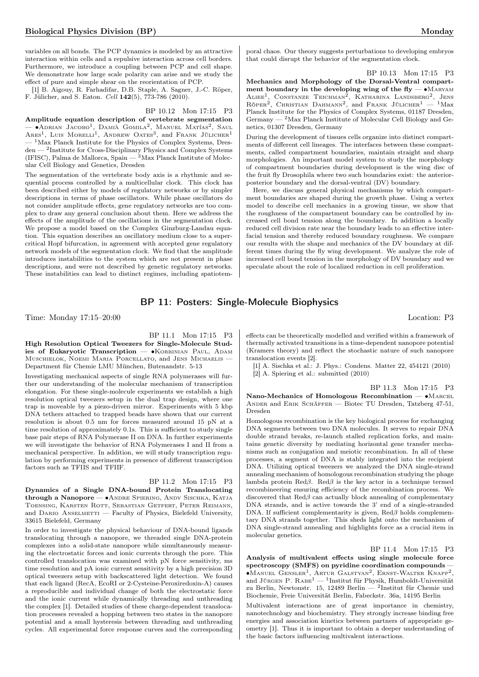variables on all bonds. The PCP dynamics is modeled by an attractive interaction within cells and a repulsive interaction across cell borders. Furthermore, we introduce a coupling between PCP and cell shape. We demonstrate how large scale polarity can arise and we study the effect of pure and simple shear on the reorientation of PCP.

[1] B. Aigouy, R. Farhadifar, D.B. Staple, A. Sagner, J.-C. Röper, F. Jülicher, and S. Eaton. Cell 142(5), 773-786 (2010).

## BP 10.12 Mon 17:15 P3

Amplitude equation description of vertebrate segmentation — •Аdrian Jacobo<sup>1</sup>, Damià Gomila<sup>2</sup>, Manuel Matías<sup>2</sup>, Saul<br>Ares<sup>1</sup>, Luis Morelli<sup>1</sup>, Andrew Oates<sup>3</sup>, and Frank Jülicher<sup>1</sup>  $-$ <sup>1</sup>Max Planck Institute for the Physics of Complex Systems, Dresden — <sup>2</sup>Institute for Cross-Disciplinary Physics and Complex Systems (IFISC), Palma de Mallorca, Spain — <sup>3</sup>Max Planck Institute of Molecular Cell Biology and Genetics, Dresden

The segmentation of the vertebrate body axis is a rhythmic and sequential process controlled by a multicellular clock. This clock has been described either by models of regulatory networks or by simpler descriptions in terms of phase oscillators. While phase oscillators do not consider amplitude effects, gene regulatory networks are too complex to draw any general conclusion about them. Here we address the effects of the amplitude of the oscillations in the segmentation clock. We propose a model based on the Complex Ginzburg-Landau equation. This equation describes an oscillatory medium close to a supercritical Hopf bifurcation, in agreement with accepted gene regulatory network models of the segmentation clock. We find that the amplitude introduces instabilities to the system which are not present in phase descriptions, and were not described by genetic regulatory networks. These instabilities can lead to distinct regimes, including spatiotem-

### BP 10.13 Mon 17:15 P3

Mechanics and Morphology of the Dorsal-Ventral compartment boundary in the developing wing of the fly — •MARYAM ALIEE<sup>1</sup>, CONSTANZE TEICHMAN<sup>2</sup>, KATHARINA LANDSBERG<sup>2</sup>, JENS<br>Röper<sup>2</sup>, Christian Dahmann<sup>2</sup>, and Frank Jülicher<sup>1</sup> — <sup>1</sup>Max Planck Institute for the Physics of Complex Systems, 01187 Dresden, Germany — <sup>2</sup>Max Planck Institute of Molecular Cell Biology and Genetics, 01307 Dresden, Germany

During the development of tissues cells organize into distinct compartments of different cell lineages. The interfaces between these compartments, called compartment boundaries, maintain straight and sharp morphologies. An important model system to study the morphology of compartment boundaries during development is the wing disc of the fruit fly Drosophila where two such boundaries exist: the anteriorposterior boundary and the dorsal-ventral (DV) boundary.

Here, we discuss general physical mechanisms by which compartment boundaries are shaped during the growth phase. Using a vertex model to describe cell mechanics in a growing tissue, we show that the roughness of the compartment boundary can be controlled by increased cell bond tension along the boundary. In addition a locally reduced cell division rate near the boundary leads to an effective interfacial tension and thereby reduced boundary roughness. We compare our results with the shape and mechanics of the DV boundary at different times during the fly wing development. We analyze the role of increased cell bond tension in the morphology of DV boundary and we speculate about the role of localized reduction in cell proliferation.

## BP 11: Posters: Single-Molecule Biophysics

Time: Monday 17:15–20:00 Location: P3

BP 11.1 Mon 17:15 P3

High Resolution Optical Tweezers for Single-Molecule Studies of Eukaryotic Transcription — •KORBINIAN PAUL, ADAM Muschielok, Noemi Maria Porcellato, and Jens Michaelis -Department für Chemie LMU München, Butenandstr. 5-13

Investigating mechanical aspects of single RNA polymerases will further our understanding of the molecular mechanism of transcription elongation. For these single-molecule experiments we establish a high resolution optical tweezers setup in the dual trap design, where one trap is moveable by a piezo-driven mirror. Experiments with 5 kbp DNA tethers attached to trapped beads have shown that our current resolution is about 0.5 nm for forces measured around 15 pN at a time resolution of approximately 0.1s. This is sufficient to study single base pair steps of RNA Polymerase II on DNA. In further experiments we will investigate the behavior of RNA Polymerases I and II from a mechanical perspective. In addition, we will study transcription regulation by performing experiments in presence of different transcription factors such as TFIIS and TFIIF.

## BP 11.2 Mon 17:15 P3

Dynamics of a Single DNA-bound Protein Translocating through a Nanopore — ∙Andre Spiering, Andy Sischka, Katja Toensing, Karsten Rott, Sebastian Getfert, Peter Reimann, and DARIO ANSELMETTI  $-$  Faculty of Physics, Bielefeld University, 33615 Bielefeld, Germany

In order to investigate the physical behaviour of DNA-bound ligands translocating through a nanopore, we threaded single DNA-protein complexes into a solid-state nanopore while simultaneously measuring the electrostatic forces and ionic currents through the pore. This controlled translocation was examined with pN force sensitivity, ms time resolution and pA ionic current sensitivity by a high precision 3D optical tweezers setup with backscattered light detection. We found that each ligand (RecA, EcoRI or 2-Cysteine-Peroxiredoxin-A) causes a reproducible and individual change of both the electrostatic force and the ionic current while dynamically threading and unthreading the complex [1]. Detailed studies of these charge-dependent translocation processes revealed a hopping between two states in the nanopore potential and a small hysteresis between threading and unthreading cycles. All experimental force response curves and the corresponding

effects can be theoretically modelled and verified within a framework of thermally activated transitions in a time-dependent nanopore potential (Kramers theory) and reflect the stochastic nature of such nanopore translocation events [2].

[1] A. Sischka et al.: J. Phys.: Condens. Matter 22, 454121 (2010) [2] A. Spiering et al.: submitted (2010)

BP 11.3 Mon 17:15 P3 Nano-Mechanics of Homologous Recombination — • MARCEL Ander and Erik Schäffer — Biotec TU Dresden, Tatzberg 47-51, Dresden

Homologous recombination is the key biological process for exchanging DNA segments between two DNA molecules. It serves to repair DNA double strand breaks, re-launch stalled replication forks, and maintains genetic diversity by mediating horizontal gene transfer mechanisms such as conjugation and meiotic recombination. In all of these processes, a segment of DNA is stably integrated into the recipient DNA. Utilizing optical tweezers we analyzed the DNA single-strand annealing mechanism of homologous recombination studying the phage lambda protein Red $\beta$ . Red $\beta$  is the key actor in a technique termed recombineering ensuring efficiency of the recombination process. We discovered that  $\text{Red}\beta$  can actually block annealing of complementary DNA strands, and is active towards the 3' end of a single-stranded DNA. If sufficient complementarity is given,  $\text{Red}\beta$  holds complementary DNA strands together. This sheds light onto the mechanism of DNA single-strand annealing and highlights force as a crucial item in molecular genetics.

BP 11.4 Mon 17:15 P3

Analysis of multivalent effects using single molecule force spectroscopy (SMFS) on pyridine coordination compounds — ∙Manuel Gensler<sup>1</sup> , Artur Galstyan<sup>2</sup> , Ernst-Walter Knapp<sup>2</sup> , and Jürgen P. RABE<sup>1</sup> — <sup>1</sup>Institut für Physik, Humboldt-Universität zu Berlin, Newtonstr. 15, 12489 Berlin — <sup>2</sup> Institut für Chemie und Biochemie, Freie Universität Berlin, Fabeckstr. 36a, 14195 Berlin

Multivalent interactions are of great importance in chemistry, nanotechnology and biochemistry. They strongly increase binding free energies and association kinetics between partners of appropriate geometry [1]. Thus it is important to obtain a deeper understanding of the basic factors influencing multivalent interactions.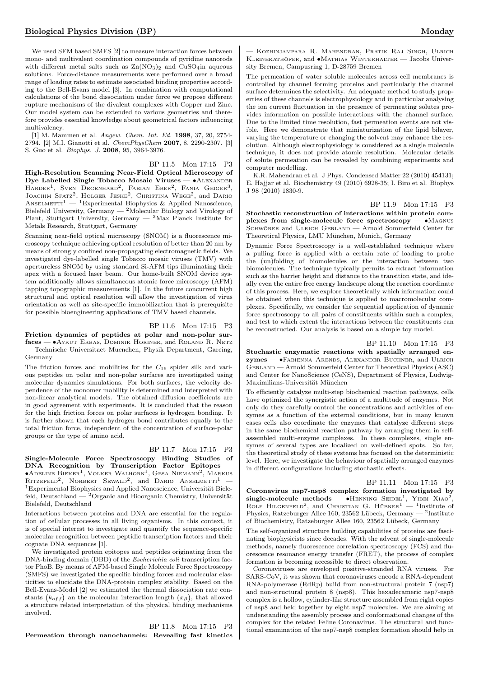We used SFM based SMFS [2] to measure interaction forces between mono- and multivalent coordination compounds of pyridine nanorods with different metal salts such as  $\text{Zn}(\text{NO}_3)_2$  and  $\text{CuSO}_4$ in aqueous solutions. Force-distance measurements were performed over a broad range of loading rates to estimate associated binding properties according to the Bell-Evans model [3]. In combination with computational calculations of the bond dissociation under force we propose different rupture mechanisms of the divalent complexes with Copper and Zinc. Our model system can be extended to various geometries and therefore provides essential knowledge about geometrical factors influencing multivalency.

[1] M. Mammen et al. Angew. Chem. Int. Ed. 1998, 37, 20, 2754- 2794. [2] M.I. Gianotti et al. ChemPhysChem 2007, 8, 2290-2307. [3] S. Guo et al. Biophys. J. 2008, 95, 3964-3976.

BP 11.5 Mon 17:15 P3

High-Resolution Scanning Near-Field Optical Microscopy of Dye Labelled Single Tobacco Mosaic Viruses — ∙Alexander HARDER<sup>1</sup>, SVEN DEGENHARD<sup>2</sup>, FABIAN EBER<sup>2</sup>, FANIA GEIGER<sup>3</sup>, JOACHIM SPATZ<sup>2</sup>, HOLGER JESKE<sup>2</sup>, CHRISTINA WEGE<sup>2</sup>, and DARIO ANSELMETTI<sup>1</sup> — <sup>1</sup>Experimental Biophysics & Applied Nanoscience, Bielefeld University, Germany — <sup>2</sup>Molecular Biology and Virology of Plant, Stuttgart University, Germany  $-3$  Max Planck Institute for Metals Research, Stuttgart, Germany

Scanning near-field optical microscopy (SNOM) is a fluorescence microscopy technique achieving optical resolution of better than 20 nm by means of strongly confined non-propagating electromagnetic fields. We investigated dye-labelled single Tobacco mosaic viruses (TMV) with apertureless SNOM by using standard Si-AFM tips illuminating their apex with a focused laser beam. Our home-built SNOM device system additionally allows simultaneous atomic force microscopy (AFM) tapping topographic measurements [1]. In the future concurrent high structural and optical resolution will allow the investigation of virus orientation as well as site-specific immobilization that is prerequisite for possible bioengineering applications of TMV based channels.

BP 11.6 Mon 17:15 P3 Friction dynamics of peptides at polar and non-polar surfaces — ∙Aykut Erbas, Dominik Horinek, and Roland R. Netz

— Technische Universitaet Muenchen, Physik Department, Garcing, Germany

The friction forces and mobilities for the  $C_{16}$  spider silk and various peptides on polar and non-polar surfaces are investigated using molecular dynamics simulations. For both surfaces, the velocity dependence of the monomer mobility is determined and interpreted with non-linear analytical models. The obtained diffusion coefficients are in good agreement with experiments. It is concluded that the reason for the high friction forces on polar surfaces is hydrogen bonding. It is further shown that each hydrogen bond contributes equally to the total friction force, independent of the concentration of surface-polar groups or the type of amino acid.

## BP 11.7 Mon 17:15 P3

Single-Molecule Force Spectroscopy Binding Studies of DNA Recognition by Transcription Factor Epitopes ∙Adeline Bieker<sup>1</sup> , Volker Walhorn<sup>1</sup> , Gesa Niemann<sup>2</sup> , Markus RITZEFELD<sup>2</sup>, NORBERT SEWALD<sup>2</sup>, and DARIO ANSELMETTI<sup>1</sup> – <sup>1</sup>Experimental Biophysics and Applied Nanoscience, Universität Bielefeld, Deutschland — <sup>2</sup>Organic and Bioorganic Chemistry, Universität Bielefeld, Deutschland

Interactions between proteins and DNA are essential for the regulation of cellular processes in all living organisms. In this context, it is of special interest to investigate and quantify the sequence-specific molecular recognition between peptidic transcription factors and their cognate DNA sequences [1].

We investigated protein epitopes and peptides originating from the DNA-binding domain (DBD) of the *Escherichia coli* transcription factor PhoB. By means of AFM-based Single Molecule Force Spectroscopy (SMFS) we investigated the specific binding forces and molecular elasticities to elucidate the DNA-protein complex stability. Based on the Bell-Evans-Model [2] we estimated the thermal dissociation rate constants  $(k_{off})$  an the molecular interaction length  $(x_{\beta})$ , that allowed a structure related interpretation of the physical binding mechanisms involved.

BP 11.8 Mon 17:15 P3 Permeation through nanochannels: Revealing fast kinetics

— Kozhinjampara R. Mahendran, Pratik Raj Singh, Ulrich Kleinekathöfer, and ∙Mathias Winterhalter — Jacobs University Bremen, Campusring 1, D-28759 Bremen

The permeation of water soluble molecules across cell membranes is controlled by channel forming proteins and particularly the channel surface determines the selectivity. An adequate method to study properties of these channels is electrophysiology and in particular analysing the ion current fluctuation in the presence of permeating solutes provides information on possible interactions with the channel surface. Due to the limited time resolution, fast permeation events are not visible. Here we demonstrate that miniaturization of the lipid bilayer, varying the temperature or changing the solvent may enhance the resolution. Although electrophysiology is considered as a single molecule technique, it does not provide atomic resolution. Molecular details of solute permeation can be revealed by combining experiments and computer modelling.

K.R. Mahendran et al. J Phys. Condensed Matter 22 (2010) 454131; E. Hajjar et al. Biochemistry 49 (2010) 6928-35; I. Biro et al. Biophys J 98 (2010) 1830-9.

BP 11.9 Mon 17:15 P3

Stochastic reconstruction of interactions within protein complexes from single-molecule force spectroscopy — ∙Magnus SCHWÖRER and ULRICH GERLAND — Arnold Sommerfeld Center for Theoretical Physics, LMU München, Munich, Germany

Dynamic Force Spectroscopy is a well-established technique where a pulling force is applied with a certain rate of loading to probe the (un)folding of biomolecules or the interaction between two biomolecules. The technique typically permits to extract information such as the barrier height and distance to the transition state, and ideally even the entire free energy landscape along the reaction coordinate of this process. Here, we explore theoretically which information could be obtained when this technique is applied to macromolecular complexes. Specifically, we consider the sequential application of dynamic force spectroscopy to all pairs of constituents within such a complex, and test to which extent the interactions between the constituents can be reconstructed. Our analysis is based on a simple toy model.

#### BP 11.10 Mon 17:15 P3

Stochastic enzymatic reactions with spatially arranged enzymes — ∙Fabienna Arends, Alexander Buchner, and Ulrich Gerland — Arnold Sommerfeld Center for Theoretical Physics (ASC) and Center for NanoScience (CeNS), Department of Physics, Ludwig-Maximilians-Universität München

To efficiently catalyze multi-step biochemical reaction pathways, cells have optimized the synergistic action of a multitude of enzymes. Not only do they carefully control the concentrations and activities of enzymes as a function of the external conditions, but in many known cases cells also coordinate the enzymes that catalyze different steps in the same biochemical reaction pathway by arranging them in selfassembled multi-enzyme complexes. In these complexes, single enzymes of several types are localized on well-defined spots. So far, the theoretical study of these systems has focused on the deterministic level. Here, we investigate the behaviour of spatially arranged enzymes in different configurations including stochastic effects.

## BP 11.11 Mon 17:15 P3

Coronavirus nsp7-nsp8 complex formation investigated by single-molecule methods —  $\bullet$ HENNING SEIDEL<sup>1</sup>, YIBEI XIAO<sup>2</sup>, ROLF HILGENFELD<sup>2</sup>, and CHRISTIAN G. HÜBNER<sup>1</sup> - <sup>1</sup>Institute of Physics, Ratzeburger Allee 160, 23562 Lübeck, Germany — <sup>2</sup> Institute of Biochemistry, Ratzeburger Allee 160, 23562 Lübeck, Germany

The self-organized structure building capabilities of proteins are fascinating biophysicists since decades. With the advent of single-molecule methods, namely fluorescence correlation spectroscopy (FCS) and fluorescence resonance energy transfer (FRET), the process of complex formation is becoming accessible to direct observation.

Coronaviruses are enveloped positive-stranded RNA viruses. For SARS-CoV, it was shown that coronaviruses encode a RNA-dependent RNA-polymerase (RdRp) build from non-structural protein 7 (nsp7) and non-structural protein 8 (nsp8). This hexadecameric nsp7-nsp8 complex is a hollow, cylinder-like structure assembled from eight copies of nsp8 and held together by eight nsp7 molecules. We are aiming at understanding the assembly process and conformational changes of the complex for the related Feline Coronavirus. The structural and functional examination of the nsp7-nsp8 complex formation should help in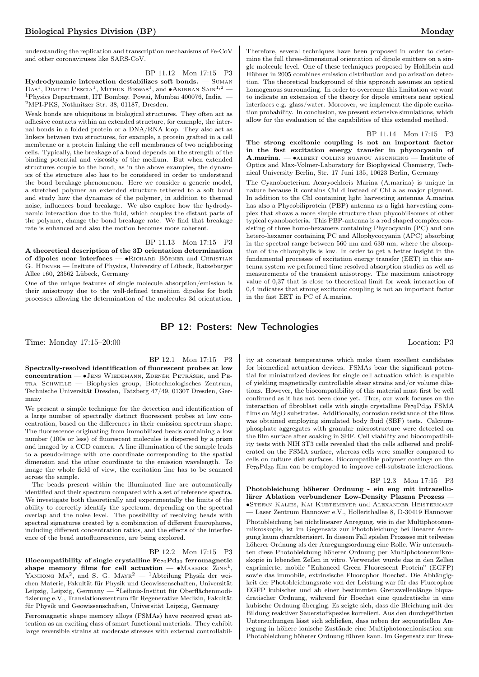understanding the replication and transcription mechanisms of Fe-CoV and other coronaviruses like SARS-CoV.

BP 11.12 Mon 17:15 P3 Hydrodynamic interaction destabilizes soft bonds. — Suman  $\text{Das}^1$ , Dimitri Pescia<sup>1</sup>, Mithun Biswas<sup>1</sup>, and •Anirban Sain<sup>1,2</sup> — <sup>1</sup>Physics Department, IIT Bombay. Powai, Mumbai 400076, India. — <sup>2</sup>MPI-PKS, Nothnitzer Str. 38, 01187, Dresden.

Weak bonds are ubiquitous in biological structures. They often act as adhesive contacts within an extended structure, for example, the internal bonds in a folded protein or a DNA/RNA loop. They also act as linkers between two structures, for example, a protein grafted in a cell membrane or a protein linking the cell membranes of two neighboring cells. Typically, the breakage of a bond depends on the strength of the binding potential and viscosity of the medium. But when extended structures couple to the bond, as in the above examples, the dynamics of the structure also has to be considered in order to understand the bond breakage phenomenon. Here we consider a generic model, a stretched polymer an extended structure tethered to a soft bond and study how the dynamics of the polymer, in addition to thermal noise, influences bond breakage. We also explore how the hydrodynamic interaction due to the fluid, which couples the distant parts of the polymer, change the bond breakage rate. We find that breakage rate is enhanced and also the motion becomes more coherent.

BP 11.13 Mon 17:15 P3 A theoretical description of the 3D orientation determination of dipoles near interfaces — ∙Richard Börner and Christian G. Hübner — Insitute of Physics, University of Lübeck, Ratzeburger Allee 160, 23562 Lübeck, Germany

One of the unique features of single molecule absorption/emission is their anisotropy due to the well-defined transition dipoles for both processes allowing the determination of the molecules 3d orientation. Therefore, several techniques have been proposed in order to determine the full three-dimensional orientation of dipole emitters on a single molecule level. One of these techniques proposed by Hohlbein and Hübner in 2005 combines emission distribution and polarization detection. The theoretical background of this approach assumes an optical homogenous surrounding. In order to overcome this limitation we want to indicate an extension of the theory for dipole emitters near optical interfaces e.g. glass/water. Moreover, we implement the dipole excitation probability. In conclusion, we present extensive simulations, which allow for the evaluation of the capabilities of this extended method.

BP 11.14 Mon 17:15 P3

The strong excitonic coupling is not an important factor in the fast excitation energy transfer in phycocyanin of A.marina. — ∙albert collins nganou assonkeng — Institute of Optics and Max-Volmer-Laboratory for Biophysical Chemistry, Technical University Berlin, Str. 17 Juni 135, 10623 Berlin, Germany

The Cyanobacterium Acaryochloris Marina (A.marina) is unique in nature because it contains Chl d instead of Chl a as major pigment. In addition to the Chl containing light harvesting antennas A.marina has also a Phycobiliprotein (PBP) antenna as a light harvesting complex that shows a more simple structure than phycobilisomes of other typical cyanobacteria. This PBP-antenna is a rod shaped complex consisting of three homo-hexamers containing Phycocyanin (PC) and one hetero-hexamer containing PC and Allophycocyanin (APC) absorbing in the spectral range between 560 nm and 630 nm, where the absorption of the chlorophylls is low. In order to get a better insight in the fundamental processes of excitation energy transfer (EET) in this antenna system we performed time resolved absorption studies as well as measurements of the transient anisotropy. The maximum anisotropy value of 0,37 that is close to theoretical limit for weak interaction of 0,4 indicates that strong excitonic coupling is not an important factor in the fast EET in PC of A.marina.

## BP 12: Posters: New Technologies

Time: Monday 17:15–20:00 Location: P3

## BP 12.1 Mon 17:15 P3

Spectrally-resolved identification of fluorescent probes at low concentration — •JENS WIEDEMANN, ZDENĚK PETRÁŠEK, and PEtra Schwille — Biophysics group, Biotechnologisches Zentrum, Technische Universität Dresden, Tatzberg 47/49, 01307 Dresden, Germany

We present a simple technique for the detection and identification of a large number of spectrally distinct fluorescent probes at low concentration, based on the differences in their emission spectrum shape. The fluorescence originating from immobilized beads containing a low number (100s or less) of fluorescent molecules is dispersed by a prism and imaged by a CCD camera. A line illumination of the sample leads to a pseudo-image with one coordinate corresponding to the spatial dimension and the other coordinate to the emission wavelength. To image the whole field of view, the excitation line has to be scanned across the sample.

The beads present within the illuminated line are automatically identified and their spectrum compared with a set of reference spectra. We investigate both theoretically and experimentally the limits of the ability to correctly identify the spectrum, depending on the spectral overlap and the noise level. The possibility of resolving beads with spectral signatures created by a combination of different fluorophores, including different concentration ratios, and the effects of the interference of the bead autofluorescence, are being explored.

## BP 12.2 Mon 17:15 P3

Biocompatibility of single crystalline  $Fe_{70}Pd_{30}$  ferromagnetic shape memory films for cell actuation —  $\bullet$ MAREIKE ZINK<sup>1</sup>, YANHONG  $MA^2$ , and S. G.  $MAYR^2 - 1$ Abteilung Physik der weichen Materie, Fakultät für Physik und Geowissenschaften, Universität Leipzig, Leipzig, Germany — <sup>2</sup>Leibniz-Institut für Oberflächenmodifizierung e.V., Translationszentrum für Regenerative Medizin, Fakultät für Physik und Geowissenschaften, Universität Leipzig, Germany

Ferromagnetic shape memory alloys (FSMAs) have received great attention as an exciting class of smart functional materials. They exhibit large reversible strains at moderate stresses with external controllability at constant temperatures which make them excellent candidates for biomedical actuation devices. FSMAs bear the significant potential for miniaturized devices for single cell actuation which is capable of yielding magnetically controllable shear strains and/or volume dilations. However, the biocompatibility of this material must first be well confirmed as it has not been done yet. Thus, our work focuses on the interaction of fibroblast cells with single crystalline  $Fe_{70}Pd_{30}$  FSMA films on MgO substrates. Additionally, corrosion resistance of the films was obtained employing simulated body fluid (SBF) tests. Calciumphosphate aggregates with granular microstructure were detected on the film surface after soaking in SBF. Cell viability and biocompatibility tests with NIH 3T3 cells revealed that the cells adhered and proliferated on the FSMA surface, whereas cells were smaller compared to cells on culture dish surfaces. Biocompatible polymer coatings on the Fe70Pd<sup>30</sup> film can be employed to improve cell-substrate interactions.

## BP 12.3 Mon 17:15 P3

Photobleichung höherer Ordnung - ein eng mit intrazellulärer Ablation verbundener Low-Density Plasma Prozess — ∙Stefan Kalies, Kai Kuetemeyer und Alexander Heisterkamp — Laser Zentrum Hannover e.V., Hollerithallee 8, D-30419 Hannover Photobleichung bei nichtlinearer Anregung, wie in der Multiphotonenmikroskopie, ist im Gegensatz zur Photobleichung bei linearer Anregung kaum charakterisiert. In diesem Fall spielen Prozesse mit teilweise höherer Ordnung als der Anregungsordnung eine Rolle. Wir untersuchten diese Photobleichung höherer Ordnung per Multiphotonenmikroskopie in lebenden Zellen in vitro. Verwendet wurde das in den Zellen exprimierte, mobile "Enhanced Green Fluorescent Protein" (EGFP) sowie das immobile, extrinsische Fluorophor Hoechst. Die Abhängigkeit der Photobleichungsrate von der Leistung war für das Fluorophor EGFP kubischer und ab einer bestimmten Grenzwellenlänge biquadratischer Ordnung, während für Hoechst eine quadratische in eine kubische Ordnung überging. Es zeigte sich, dass die Bleichung mit der Bildung reaktiver Sauerstoffspezies korreliert. Aus den durchgeführten Untersuchungen lässt sich schließen, dass neben der sequentiellen Anregung in höhere ionische Zustände eine Multiphotonenionisation zur Photobleichung höherer Ordnung führen kann. Im Gegensatz zur linea-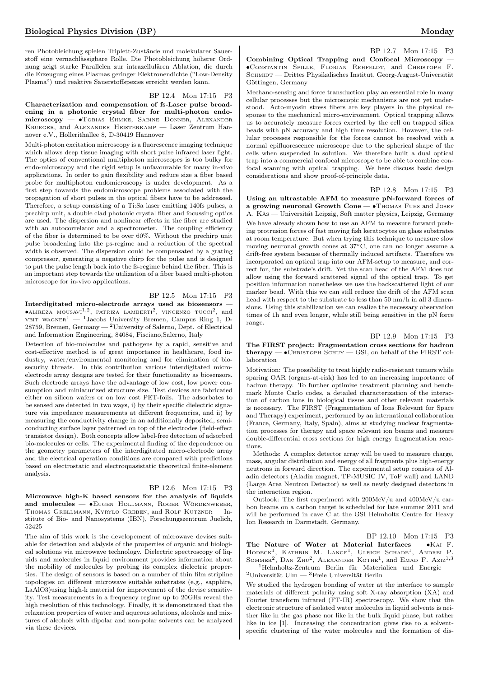ren Photobleichung spielen Triplett-Zustände und molekularer Sauerstoff eine vernachlässigbare Rolle. Die Photobleichung höherer Ordnung zeigt starke Parallelen zur intrazellulären Ablation, die durch die Erzeugung eines Plasmas geringer Elektronendichte ("Low-Density Plasma") und reaktive Sauerstoffspezies erreicht werden kann.

#### BP 12.4 Mon 17:15 P3

Characterization and compensation of fs-Laser pulse broadening in a photonic crystal fiber for multi-photon endomicroscopy — ∙Tobias Ehmke, Sabine Donner, Alexander Krueger, and Alexander Heisterkamp — Laser Zentrum Hannover e.V., Hollerithallee 8, D-30419 Hannover

Multi-photon excitation microscopy is a fluorescence imaging technique which allows deep tissue imaging with short pulse infrared laser light. The optics of conventional multiphoton microscopes is too bulky for endo-microscopy and the rigid setup is unfavourable for many in-vivo applications. In order to gain flexibility and reduce size a fiber based probe for multiphoton endomicroscopy is under development. As a first step towards the endomicroscope problems associated with the propagation of short pulses in the optical fibers have to be addressed. Therefore, a setup consisting of a Ti:Sa laser emitting 140fs pulses, a prechirp unit, a double clad photonic crystal fiber and focussing optics are used. The dispersion and nonlinear effects in the fiber are studied with an autocorrelator and a spectrometer. The coupling efficiency of the fiber is determined to be over 60%. Without the prechirp unit pulse broadening into the ps-regime and a reduction of the spectral width is observed. The dispersion could be compensated by a grating compressor, generating a negative chirp for the pulse and is designed to put the pulse length back into the fs-regime behind the fiber. This is an important step towards the utilization of a fiber based multi-photon microscope for in-vivo applications.

## BP 12.5 Mon 17:15 P3

Interdigitated micro-electrode arrays used as biosensors —  $\bullet$ ALIREZA MOUSAVI<sup>1,2</sup>, PATRIZA LAMBERTI<sup>2</sup>, VINCENZO TUCCI<sup>2</sup>, and veit wagner<sup>1</sup> — <sup>1</sup>Jacobs University Bremen, Campus Ring 1, D-28759, Bremen, Germany — <sup>2</sup>University of Salerno, Dept. of Electrical and Information Engineering, 84084, Fisciano,Salerno, Italy

Detection of bio-molecules and pathogens by a rapid, sensitive and cost-effective method is of great importance in healthcare, food industry, water/environmental monitoring and for elimination of biosecurity threats. In this contribution various interdigitated microelectrode array designs are tested for their functionality as biosensors. Such electrode arrays have the advantage of low cost, low power consumption and miniaturized structure size. Test devices are fabricated either on silicon wafers or on low cost PET-foils. The adsorbates to be sensed are detected in two ways, i) by their specific dielectric signature via impedance measurements at different frequencies, and ii) by measuring the conductivity change in an additionally deposited, semiconducting surface layer patterned on top of the electrodes (field-effect transistor design). Both concepts allow label-free detection of adsorbed bio-molecules or cells. The experimental finding of the dependence on the geometry parameters of the interdigitated micro-electrode array and the electrical operation conditions are compared with predictions based on electrostatic and electroquasistatic theoretical finite-element analysis.

## BP 12.6 Mon 17:15 P3

Microwave high-K based sensors for the analysis of liquids and molecules — ∙Eugen Hollmann, Roger Wördenweber, Thomas Grellmann, Kyrylo Greben, and Rolf Kutzner — Institute of Bio- and Nanosystems (IBN), Forschungszentrum Juelich, 52425

The aim of this work is the developement of microwave devises suitable for detection and alalysis of the properties of organic and biological solutions via microwave technology. Dielectric spectroscopy of liquids and molecules in liquid environment provides information about the mobility of molecules by probing its complex dielectric properties. The design of sensors is based on a number of thin film stripline topologies on different microwave suitable substrates (e.g., sapphire, LaAlO3)using high-k material for improvement of the devise sensitivity. Test measurements in a frequency regime up to 20GHz reveal the high resolution of this technology. Finally, it is demonstrated that the relaxation properties of water and aqueous solutions, alcohols and mixtures of alcohols with dipolar and non-polar solvents can be analyzed via these devices.

BP 12.7 Mon 17:15 P3 Combining Optical Trapping and Confocal Microscopy — ∙Constantin Spille, Florian Rehfeldt, and Christoph F.  ${\bf SCHMIDT-Drittes\ Physikalisches\ Institute, Georg-August-Universität}$ Göttingen, Germany

Mechano-sensing and force transduction play an essential role in many cellular processes but the microscopic mechanisms are not yet understood. Acto-myosin stress fibers are key players in the physical response to the mechanical micro-environment. Optical trapping allows us to accurately measure forces exerted by the cell on trapped silica beads with pN accuracy and high time resolution. However, the cellular processes responsible for the forces cannot be resolved with a normal epifluorescence microscope due to the spherical shape of the cells when suspended in solution. We therefore built a dual optical trap into a commercial confocal microscope to be able to combine confocal scanning with optical trapping. We here discuss basic design considerations and show proof-of-principle data.

## BP 12.8 Mon 17:15 P3

Using an ultrastable AFM to measure pN-forward forces of a growing neuronal Growth Cone — •Thomas Funs and Joser A. Käs — Universität Leipzig, Soft matter physics, Leipzig, Germany We have already shown how to use an AFM to measure forward pushing protrusion forces of fast moving fish keratocytes on glass substrates at room temperature. But when trying this technique to measure slow moving neuronal growth cones at 37∘C, one can no longer assume a drift-free system because of thermally induced artifacts. Therefore we incorporated an optical trap into our AFM-setup to measure, and correct for, the substrate's drift. Yet the scan head of the AFM does not allow using the forward scattered signal of the optical trap. To get position information nonetheless we use the backscattered light of our marker bead. With this we can still reduce the drift of the AFM scan head with respect to the substrate to less than 50 nm/h in all 3 dimensions. Using this stabilization we can realize the necessary observation times of 1h and even longer, while still being sensitive in the pN force range.

## BP 12.9 Mon 17:15 P3

## The FIRST project: Fragmentation cross sections for hadron  $thera$ py —  $\bullet$ Christoph Schuy — GSI, on behalf of the FIRST collaboration

Motivation: The possibility to treat highly radio-resistant tumors while sparing OAR (organs-at-risk) has led to an increasing importance of hadron therapy. To further optimize treatment planning and benchmark Monte Carlo codes, a detailed characterization of the interaction of carbon ions in biological tissue and other relevant materials is necessary. The FIRST (Fragmentation of Ions Relevant for Space and Therapy) experiment, performed by an international collaboration (France, Germany, Italy, Spain), aims at studying nuclear fragmentation processes for therapy and space relevant ion beams and measure double-differential cross sections for high energy fragmentation reactions.

Methods: A complex detector array will be used to measure charge, mass, angular distribution and energy of all fragments plus high-energy neutrons in forward direction. The experimental setup consists of Aladin detectors (Aladin magnet, TP-MUSIC IV, ToF wall) and LAND (Large Area Neutron Detector) as well as newly designed detectors in the interaction region.

Outlook: The first experiment with 200MeV/u and 400MeV/u carbon beams on a carbon target is scheduled for late summer 2011 and will be performed in cave C at the GSI Helmholtz Centre for Heavy Ion Research in Darmstadt, Germany.

BP 12.10 Mon 17:15 P3

The Nature of Water at Material Interfaces — ∙Kai F. HODECK<sup>1</sup>, KATHRIN M. LANGE<sup>1</sup>, ULRICH SCHADE<sup>1</sup>, ANDREI P. SOMMER<sup>2</sup>, DAN ZHU<sup>2</sup>, ALEXANDER KOTHE<sup>1</sup>, and EMAD F. Aziz<sup>1,3</sup> — <sup>1</sup>Helmholtz-Zentrum Berlin für Materialien und Energie —  $^2$ Universität Ulm —  $^3$  Freie Universität Berlin

We studied the hydrogen bonding of water at the interface to sample materials of different polarity using soft X-ray absorption (XA) and Fourier transform infrared (FT-IR) spectroscopy. We show that the electronic structure of isolated water molecules in liquid solvents is neither like in the gas phase nor like in the bulk liquid phase, but rather like in ice [1]. Increasing the concentration gives rise to a solventspecific clustering of the water molecules and the formation of dis-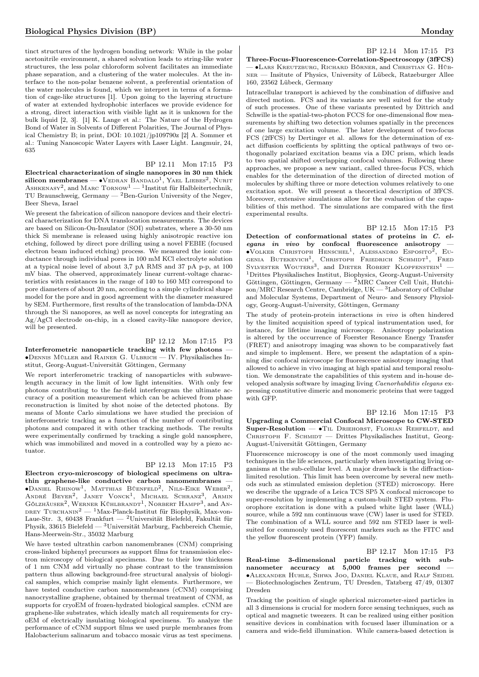tinct structures of the hydrogen bonding network: While in the polar acetonitrile environment, a shared solvation leads to string-like water structures, the less polar chloroform solvent facilitates an immediate phase separation, and a clustering of the water molecules. At the interface to the non-polar benzene solvent, a preferential orientation of the water molecules is found, which we interpret in terms of a formation of cage-like structures [1]. Upon going to the layering structure of water at extended hydrophobic interfaces we provide evidence for a strong, direct interaction with visible light as it is unknown for the bulk liquid [2, 3]. [1] K. Lange et al.: The Nature of the Hydrogen Bond of Water in Solvents of Different Polarities, The Journal of Physical Chemistry B; in print, DOI: 10.1021/jp109790z [2] A. Sommer et al.: Tuning Nanoscopic Water Layers with Laser Light. Langmuir, 24, 635

## BP 12.11 Mon 17:15 P3

Electrical characterization of single nanopores in 30 nm thick silicon membranes —  $\bullet$ Vedran Bandalo<sup>1</sup>, Yael Liebes<sup>2</sup>, Nurit ASHKENASY<sup>2</sup>, and MARC  $To know<sup>1</sup> - 1$ Institut für Halbleitertechnik, TU Braunschweig, Germany  $-$  <sup>2</sup>Ben-Gurion University of the Negev, Beer Sheva, Israel

We present the fabrication of silicon nanopore devices and their electrical characterization for DNA translocation measurements. The devices are based on Silicon-On-Insulator (SOI) substrates, where a 30-50 nm thick Si membrane is released using highly anisotropic reactive ion etching, followed by direct pore drilling using a novel FEBIE (focused electron beam induced etching) process. We measured the ionic conductance through individual pores in 100 mM KCl electrolyte solution at a typical noise level of about 3,7 pA RMS and 37 pA p-p, at 100 mV bias. The observed, approximately linear current-voltage characteristics with resistances in the range of 140 to 160  $\text{M}\Omega$  correspond to pore diameters of about 20 nm, according to a simple cylindrical shape model for the pore and in good agreement with the diameter measured by SEM. Furthermore, first results of the translocation of lambda-DNA through the Si nanopores, as well as novel concepts for integrating an Ag/AgCl electrode on-chip, in a closed cavity-like nanopore device, will be presented.

## BP 12.12 Mon 17:15 P3

Interferometric nanoparticle tracking with few photons -∙Dennis Müller and Rainer G. Ulbrich — IV. Physikalisches Institut, Georg-August-Universität Göttingen, Germany

We report interferometric tracking of nanoparticles with subwavelength accuracy in the limit of low light intensities. With only few photons contributing to the far-field interferogram the ultimate accuracy of a position measurement which can be achieved from phase reconstruction is limited by shot noise of the detected photons. By means of Monte Carlo simulations we have studied the precision of interferometric tracking as a function of the number of contributing photons and compared it with other tracking methods. The results were experimentally confirmed by tracking a single gold nanosphere, which was immobilized and moved in a controlled way by a piezo actuator.

## BP 12.13 Mon 17:15 P3

Electron cryo-microscopy of biological specimens on ultrathin graphene-like conductive carbon nanomembranes — ∙Daniel Rhinow<sup>1</sup> , Matthias Büenfeld<sup>2</sup> , Nils-Eike Weber<sup>2</sup> , ANDRÉ BEYER<sup>2</sup>, JANET VONCK<sup>1</sup>, MICHAEL SCHRANZ<sup>3</sup>, ARMIN Gölzhäuser<sup>2</sup>, Werner Kühlbrandt<sup>1</sup>, Norbert Hampp<sup>3</sup>, and An-DREY TURCHANIN<sup>2</sup> — <sup>1</sup>Max-Planck-Institut für Biophysik, Max-von-Laue-Str. 3, 60438 Frankfurt — <sup>2</sup>Universität Bielefeld, Fakultät für Physik, 33615 Bielefeld — <sup>3</sup>Universität Marburg, Fachbereich Chemie, Hans-Meerwein-Str., 35032 Marburg

We have tested ultrathin carbon nanomembranes (CNM) comprising cross-linked biphenyl precursors as support films for transmission electron microscopy of biological specimens. Due to their low thickness of 1 nm CNM add virtually no phase contrast to the transmission pattern thus allowing background-free structural analysis of biological samples, which comprise mainly light elements. Furthermore, we have tested conductive carbon nanomembranes (cCNM) comprising nanocrystalline graphene, obtained by thermal treatment of CNM, as supports for cryoEM of frozen-hydrated biological samples. cCNM are graphene-like substrates, which ideally match all requirements for cryoEM of electrically insulating biological specimens. To analyze the performance of cCNM support films we used purple membranes from Halobacterium salinarum and tobacco mosaic virus as test specimens.

BP 12.14 Mon 17:15 P3 Three-Focus-Fluorescence-Correlation-Spectroscopy (3fFCS) — ∙Lars Kreutzburg, Richard Börner, and Christian G. Hübner — Insitute of Physics, University of Lübeck, Ratzeburger Allee 160, 23562 Lübeck, Germany

Intracellular transport is achieved by the combination of diffusive and directed motion. FCS and its variants are well suited for the study of such processes. One of these variants presented by Dittrich and Schwille is the spatial-two-photon FCCS for one-dimensional flow measurements by shifting two detection volumes spatially in the precences of one large excitation volume. The later development of two-focus FCS (2fFCS) by Dertinger et al. allows for the determination of exact diffusion coefficients by splitting the optical pathways of two orthogonally polarized excitation beams via a DIC prism, which leads to two spatial shifted overlapping confocal volumes. Following these approaches, we propose a new variant, called three-focus FCS, which enables for the determination of the direction of directed motion of molecules by shifting three or more detection volumes relatively to one excitation spot. We will present a theoretical description of 3fFCS. Moreover, extensive simulations allow for the evaluation of the capabilities of this method. The simulations are compared with the first experimental results.

BP 12.15 Mon 17:15 P3 Detection of conformational states of proteins in C. elegans in vivo by confocal fluorescence anisotropy –<br>●Volker Christoph Henschel<sup>1</sup>, Alessandro Esposito<sup>2</sup>, Eu-GENIA BUTEKEVICH<sup>1</sup>, CHRISTOPH FRIEDRICH SCHMIDT<sup>1</sup>, FRED SYLVESTER WOUTERS<sup>3</sup>, and DIETER ROBERT KLOPFENSTEIN<sup>1</sup> -<sup>1</sup>Drittes Physikalisches Institut, Biophysics, Georg-August-University Göttingen, Göttingen, Germany —  ${}^{2}\text{MRC}$  Cancer Cell Unit, Hutchison/MRC Research Centre, Cambridge, UK — <sup>3</sup>Laboratory of Cellular and Molecular Systems, Department of Neuro- and Sensory Physiology, Georg-August-University, Göttingen, Germany

The study of protein-protein interactions in vivo is often hindered by the limited acquisition speed of typical instrumentation used, for instance, for lifetime imaging microscopy. Anisotropy polarization is altered by the occurrence of Foerster Resonance Energy Transfer (FRET) and anisotropy imaging was shown to be comparatively fast and simple to implement. Here, we present the adaptation of a spinning disc confocal microscope for fluorescence anisotropy imaging that allowed to achieve in vivo imaging at high spatial and temporal resolution. We demonstrate the capabilities of this system and in-house developed analysis software by imaging living Caenorhabditis elegans expressing constitutive dimeric and monomeric proteins that were tagged with GFP.

## BP 12.16 Mon 17:15 P3

Upgrading a Commercial Confocal Microscope to CW-STED Super-Resolution — •TIL DRIEHORST, FLORIAN REHFELDT, and CHRISTOPH F. SCHMIDT — Drittes Physikalisches Institut, Georg-August-Universität Göttingen, Germany

Fluorescence microscopy is one of the most commonly used imaging techniques in the life sciences, particularly when investigating living organisms at the sub-cellular level. A major drawback is the diffractionlimited resolution. This limit has been overcome by several new methods such as stimulated emission depletion (STED) microscopy. Here we describe the upgrade of a Leica TCS SP5 X confocal microscope to super-resolution by implementing a custom-built STED system. Fluorophore excitation is done with a pulsed white light laser (WLL) source, while a 592 nm continuous wave (CW) laser is used for STED. The combination of a WLL source and 592 nm STED laser is wellsuited for commonly used fluorescent markers such as the FITC and the yellow fluorescent protein (YFP) family.

BP 12.17 Mon 17:15 P3 Real-time 3-dimensional particle tracking with subnanometer accuracy at 5,000 frames per second — ∙Alexander Huhle, Sihwa Joo, Daniel Klaue, and Ralf Seidel — Biotechnologisches Zentrum, TU Dresden, Tatzberg 47/49, 01307 Dresden

Tracking the position of single spherical micrometer-sized particles in all 3 dimensions is crucial for modern force sensing techniques, such as optical and magnetic tweezers. It can be realized using either position sensitive devices in combination with focused laser illumination or a camera and wide-field illumination. While camera-based detection is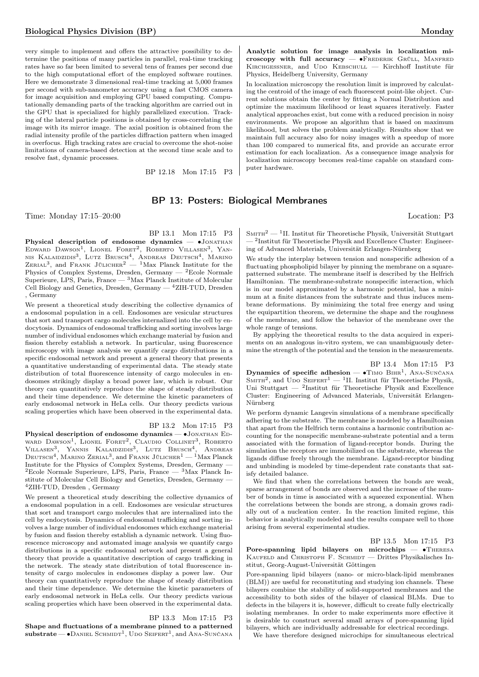very simple to implement and offers the attractive possibility to determine the positions of many particles in parallel, real-time tracking rates have so far been limited to several tens of frames per second due to the high computational effort of the employed software routines. Here we demonstrate 3 dimensional real-time tracking at 5,000 frames per second with sub-nanometer accuracy using a fast CMOS camera for image acquisition and employing GPU based computing. Computationally demanding parts of the tracking algorithm are carried out in the GPU that is specialized for highly parallelized execution. Tracking of the lateral particle positions is obtained by cross-correlating the image with its mirror image. The axial position is obtained from the radial intensity profile of the particles diffraction pattern when imaged in overfocus. High tracking rates are crucial to overcome the shot-noise limitations of camera-based detection at the second time scale and to resolve fast, dynamic processes.

BP 12.18 Mon 17:15 P3

## Analytic solution for image analysis in localization microscopy with full accuracy —  $\bullet$ FREDERIK GRÜLL, MANFRED KIRCHGESSNER, and UDO KEBSCHULL — Kirchhoff Institute für Physics, Heidelberg University, Germany

In localization microscopy the resolution limit is improved by calculating the centroid of the image of each fluorescent point-like object. Current solutions obtain the center by fitting a Normal Distribution and optimize the maximum likelihood or least squares iteratively. Faster analytical approaches exist, but come with a reduced precision in noisy environments. We propose an algorithm that is based on maximum likelihood, but solves the problem analytically. Results show that we maintain full accuracy also for noisy images with a speedup of more than 100 compared to numerical fits, and provide an accurate error estimation for each localization. As a consequence image analysis for localization microscopy becomes real-time capable on standard computer hardware.

## BP 13: Posters: Biological Membranes

Time: Monday 17:15–20:00 Location: P3

## BP 13.1 Mon 17:15 P3

Physical description of endosome dynamics — •JONATHAN EDWARD DAWSON<sup>1</sup>, LIONEL FORET<sup>2</sup>, ROBERTO VILLASEN<sup>3</sup>, YAN-NIS KALAIDZIDIS<sup>3</sup>, LUTZ BRUSCH<sup>4</sup>, ANDREAS DEUTSCH<sup>4</sup>, MARINO<br>ZERIAL<sup>3</sup>, and FRANK JÜLICHER<sup>2</sup> — <sup>1</sup>Max Planck Institute for the Physics of Complex Systems, Dresden, Germany —  ${}^{2}$ Ecole Normale Superieure, LPS, Paris, France — <sup>3</sup>Max Planck Institute of Molecular Cell Biology and Genetics, Dresden, Germany —  $^4{\rm ZIH-TUD},$  Dresden , Germany

We present a theoretical study describing the collective dynamics of a endosomal population in a cell. Endosomes are vesicular structures that sort and transport cargo molecules internalized into the cell by endocytosis. Dynamics of endosomal trafficking and sorting involves large number of individual endosomes which exchange material by fusion and fission thereby establish a network. In particular, using fluorescence microscopy with image analysis we quantify cargo distributions in a specific endosomal network and present a general theory that presents a quantitative understanding of experimental data. The steady state distribution of total fluorescence intensity of cargo molecules in endosomes strikingly display a broad power law, which is robust. Our theory can quantitatively reproduce the shape of steady distribution and their time dependence. We determine the kinetic parameters of early endosomal network in HeLa cells. Our theory predicts various scaling properties which have been observed in the experimental data.

## BP 13.2 Mon 17:15 P3

Physical description of endosome dynamics — •JONATHAN EDward Dawson<sup>1</sup>, Lionel Foret<sup>2</sup>, Claudio Collinet<sup>3</sup>, Roberto Villasen<sup>3</sup>, Yannis Kalaidzidis<sup>3</sup>, Lutz Brusch<sup>4</sup>, Andreas  $\tt D$ eutsch<sup>4</sup>, Marino Zerial<sup>3</sup>, and Frank Jülicher<sup>1</sup> — <sup>1</sup>Max Planck Institute for the Physics of Complex Systems, Dresden, Germany — <sup>2</sup>Ecole Normale Superieure, LPS, Paris, France —  ${}^{3}$ Max Planck Institute of Molecular Cell Biology and Genetics, Dresden, Germany — <sup>4</sup>ZIH-TUD, Dresden , Germany

We present a theoretical study describing the collective dynamics of a endosomal population in a cell. Endosomes are vesicular structures that sort and transport cargo molecules that are internalized into the cell by endocytosis. Dynamics of endosomal trafficking and sorting involves a large number of individual endosomes which exchange material by fusion and fission thereby establish a dynamic network. Using fluorescence microscopy and automated image analysis we quantify cargo distributions in a specific endosomal network and present a general theory that provide a quantitative description of cargo trafficking in the network. The steady state distribution of total fluorescence intensity of cargo molecules in endosomes display a power law. Our theory can quantitatively reproduce the shape of steady distribution and their time dependence. We determine the kinetic parameters of early endosomal network in HeLa cells. Our theory predicts various scaling properties which have been observed in the experimental data.

## BP 13.3 Mon 17:15 P3

Shape and fluctuations of a membrane pinned to a patterned  ${\bf substrate}\,$ – $\bullet$ Daniel Schmidt<sup>1</sup>, Udo Seifert<sup>1</sup>, and Ana-Sunčana

 $S$ MITH<sup>2</sup> — <sup>1</sup>II. Institut für Theoretische Physik, Universität Stuttgart — <sup>2</sup> Institut für Theoretische Physik and Excellence Cluster: Engineering of Advanced Materials, Universität Erlangen-Nürnberg

We study the interplay between tension and nonspecific adhesion of a fluctuating phospholipid bilayer by pinning the membrane on a squarepatterned substrate. The membrane itself is described by the Helfrich Hamiltonian. The membrane-substrate nonspecific interaction, which is in our model approximated by a harmonic potential, has a minimum at a finite distances from the substrate and thus induces membrane deformations. By minimizing the total free energy and using the equipartition theorem, we determine the shape and the roughness of the membrane, and follow the behavior of the membrane over the whole range of tensions.

By applying the theoretical results to the data acquired in experiments on an analogous in-vitro system, we can unambiguously determine the strength of the potential and the tension in the measurements.

## BP 13.4 Mon 17:15 P3

Dynamics of specific adhesion — • TIMO BIHR<sup>1</sup>, ANA-SUNČANA SMITH<sup>2</sup>, and UDO SEIFERT<sup>1</sup> — <sup>1</sup>II. Institut für Theoretische Physik, Uni Stuttgart — <sup>2</sup>Institut für Theoretische Physik and Excellence Cluster: Engineering of Advanced Materials, Universität Erlangen-Nürnberg

We perform dynamic Langevin simulations of a membrane specifically adhering to the substrate. The membrane is modeled by a Hamiltonian that apart from the Helfrich term contains a harmonic contribution accounting for the nonspecific membrane-substrate potential and a term associated with the formation of ligand-receptor bonds. During the simulation the receptors are immobilized on the substrate, whereas the ligands diffuse freely through the membrane. Ligand-receptor binding and unbinding is modeled by time-dependent rate constants that satisfy detailed balance.

We find that when the correlations between the bonds are weak. sparse arrangement of bonds are observed and the increase of the number of bonds in time is associated with a squeezed exponential. When the correlations between the bonds are strong, a domain grows radially out of a nucleation center. In the reaction limited regime, this behavior is analytically modeled and the results compare well to those arising from several experimental studies.

BP 13.5 Mon 17:15 P3

Pore-spanning lipid bilayers on microchips — ∙Theresa KAUFELD and CHRISTOPH F. SCHMIDT — Drittes Physikalisches Institut, Georg-August-Universität Göttingen

Pore-spanning lipid bilayers (nano- or micro-black-lipid membranes (BLM)) are useful for reconstituting and studying ion channels. These bilayers combine the stability of solid-supported membranes and the accessibility to both sides of the bilayer of classical BLMs. Due to defects in the bilayers it is, however, difficult to create fully electrically isolating membranes. In order to make experiments more effective it is desirable to construct several small arrays of pore-spanning lipid bilayers, which are individually addressable for electrical recordings.

We have therefore designed microchips for simultaneous electrical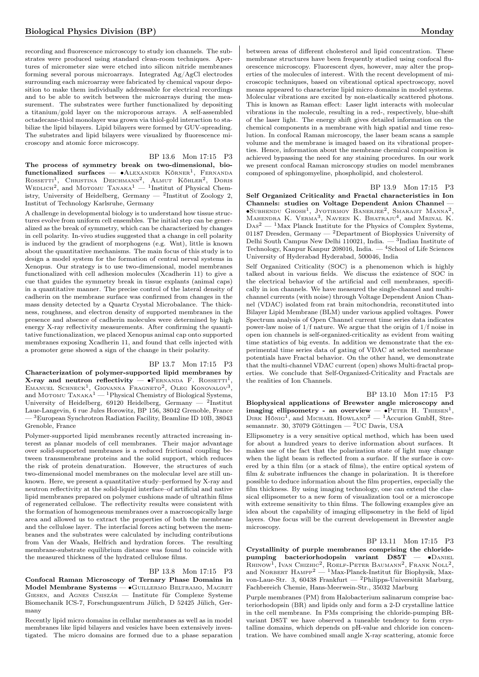recording and fluorescence microscopy to study ion channels. The substrates were produced using standard clean-room techniques. Apertures of micrometer size were etched into silicon nitride membranes forming several porous microarrays. Integrated Ag/AgCl electrodes surrounding each microarray were fabricated by chemical vapour deposition to make them individually addressable for electrical recordings and to be able to switch between the microarrays during the measurement. The substrates were further functionalized by depositing a titanium/gold layer on the microporous arrays. A self-assembled octadecane-thiol monolayer was grown via thiol-gold interaction to stabilize the lipid bilayers. Lipid bilayers were formed by GUV-spreading. The substrates and lipid bilayers were visualized by fluorescence microscopy and atomic force microscopy.

BP 13.6 Mon 17:15 P3

The process of symmetry break on two-dimensional, biofunctionalized surfaces —  $\bullet$ Alexander Körner<sup>1</sup>, Fernanda ROSSETTI<sup>1</sup>, CHRISTINA DEICHMANN<sup>2</sup>, ALMUT KÖHLER<sup>2</sup>, DORIS<br>WEDLICH<sup>2</sup>, and MOTOMU TANAKA<sup>1</sup> — <sup>1</sup>Institut of Physical Chemistry, University of Heidelberg, Germany —  $^2$ Institut of Zoology 2, Institut of Technology Karlsruhe, Germany

A challenge in developmental biology is to understand how tissue structures evolve from uniform cell ensembles. The initial step can be generalized as the break of symmetry, which can be characterized by changes in cell polarity. In-vivo studies suggested that a change in cell polarity is induced by the gradient of morphogens (e.g. Wnt), little is known about the quantitative mechanisms. The main focus of this study is to design a model system for the formation of central nerval systems in Xenopus. Our strategy is to use two-dimensional, model membranes functionalized with cell adhesion molecules (Xcadherin 11) to give a cue that guides the symmetry break in tissue explants (animal caps) in a quantitative manner. The precise control of the lateral density of cadherin on the membrane surface was confirmed from changes in the mass density detected by a Quartz Crystal Microbalance. The thickness, roughness, and electron density of supported membranes in the presence and absence of cadherin molecules were determined by high energy X-ray reflectivity measurements. After confirming the quantitative functionalization, we placed Xenopus animal cap onto supported membranes exposing Xcadherin 11, and found that cells injected with a promoter gene showed a sign of the change in their polarity.

## BP 13.7 Mon 17:15 P3

Characterization of polymer-supported lipid membranes by X-ray and neutron reflectivity —  $\bullet$ FERNANDA F. ROSSETTI<sup>1</sup>, EMANUEL SCHNECK<sup>1</sup>, GIOVANNA FRAGNETO<sup>2</sup>, OLEG KONOVALOV<sup>3</sup>, and MOTOMU  $\mathrm{TanAKA}^1$  —  $^1\mathrm{Physical}$  Chemistry of Biological Systems, University of Heidelberg, 69120 Heidelberg, Germany — <sup>2</sup>Institut Laue-Langevin, 6 rue Jules Horowitz, BP 156, 38042 Grenoble, France  $-$ <sup>3</sup>European Synchrotron Radiation Facility, Beamline ID 10B, 38043 Grenoble, France

Polymer-supported lipid membranes recently attracted increasing interest as planar models of cell membranes. Their major advantage over solid-supported membranes is a reduced frictional coupling between transmembrane proteins and the solid support, which reduces the risk of protein denaturation. However, the structures of such two-dimensional model membranes on the molecular level are still unknown. Here, we present a quantitative study–performed by X-ray and neutron reflectivity at the solid-liquid interface–of artificial and native lipid membranes prepared on polymer cushions made of ultrathin films of regenerated cellulose. The reflectivity results were consistent with the formation of homogeneous membranes over a macroscopically large area and allowed us to extract the properties of both the membrane and the cellulose layer. The interfacial forces acting between the membranes and the substrates were calculated by including contributions from Van der Waals, Helfrich and hydration forces. The resulting membrane-substrate equilibrium distance was found to coincide with the measured thickness of the hydrated cellulose films.

#### BP 13.8 Mon 17:15 P3

Confocal Raman Microscopy of Ternary Phase Domains in Model Membrane Systems — ∙Guillermo Beltramo, Magret Giesen, and Agnes Csiszár — Institute für Complexe Systeme Biomechanik ICS-7, Forschungszentrum Jülich, D 52425 Jülich, Germany

Recently lipid micro domains in cellular membranes as well as in model membranes like lipid bilayers and vesicles have been extensively investigated. The micro domains are formed due to a phase separation

between areas of different cholesterol and lipid concentration. These membrane structures have been frequently studied using confocal fluorescence microscopy. Fluorescent dyes, however, may alter the properties of the molecules of interest. With the recent development of microscopic techniques, based on vibrational optical spectroscopy, novel means appeared to characterize lipid micro domains in model systems. Molecular vibrations are excited by non-elastically scattered photons. This is known as Raman effect: Laser light interacts with molecular vibrations in the molecule, resulting in a red-, respectively, blue-shift of the laser light. The energy shift gives detailed information on the chemical components in a membrane with high spatial and time resolution. In confocal Raman microscopy, the laser beam scans a sample volume and the membrane is imaged based on its vibrational properties. Hence, information about the membrane chemical composition is achieved bypassing the need for any staining procedures. In our work we present confocal Raman microscopy studies on model membranes composed of sphingomyeline, phospholipid, and cholesterol.

#### BP 13.9 Mon 17:15 P3

Self Organized Criticality and Fractal characteristics in Ion Channels: studies on Voltage Dependent Anion Channel — ∙Subhendu Ghosh<sup>1</sup> , Jyotirmoy Banerjee<sup>2</sup> , Smarajit Manna<sup>2</sup> , MAHENDRA K. VERMA<sup>3</sup>, NAVEEN K. BHATRAJU<sup>4</sup>, and MRINAL K.  $\text{Das}^2$  — <sup>1</sup>Max Planck Institute for the Physics of Complex Systems, 01187 Dresden, Germany — <sup>2</sup>Department of Biophysics University of Delhi South Campus New Delhi 110021, India.  $-$ <sup>3</sup>Indian Institute of Technology, Kanpur Kanpur 208016, India. — <sup>4</sup>School of Life Sciences University of Hyderabad Hyderabad, 500046, India

Self Organized Criticality (SOC) is a phenomenon which is highly talked about in various fields. We discuss the existence of SOC in the electrical behavior of the artificial and cell membranes, specifically in ion channels. We have measured the single-channel and multichannel currents (with noise) through Voltage Dependent Anion Channel (VDAC) isolated from rat brain mitochondria, reconstituted into Bilayer Lipid Membrane (BLM) under various applied voltages. Power Spectrum analysis of Open Channel current time series data indicates power-law noise of 1/f nature. We argue that the origin of 1/f noise in open ion channels is self-organized-criticality as evident from waiting time statistics of big events. In addition we demonstrate that the experimental time series data of gating of VDAC at selected membrane potentials have Fractal behavior. On the other hand, we demonstrate that the multi-channel VDAC current (open) shows Multi-fractal properties. We conclude that Self-Organized-Criticality and Fractals are the realities of Ion Channels.

BP 13.10 Mon 17:15 P3 Biophysical applications of Brewster angle microscopy and imaging ellipsometry - an overview —  $\bullet$ PETER H. THIESEN<sup>1</sup>, DIRK HÖNIG<sup>1</sup>, and MICHAEL HOWLAND<sup>2</sup> - <sup>1</sup>Accurion GmbH, Stresemannstr. 30, 37079 Göttingen — <sup>2</sup>UC Davis, USA

Ellipsometry is a very sensitive optical method, which has been used for about a hundred years to derive information about surfaces. It makes use of the fact that the polarization state of light may change when the light beam is reflected from a surface. If the surface is covered by a thin film (or a stack of films), the entire optical system of film  $\&$  substrate influences the change in polarization. It is therefore possible to deduce information about the film properties, especially the film thickness. By using imaging technology, one can extend the classical ellipsometer to a new form of visualization tool or a microscope with extreme sensitivity to thin films. The following examples give an idea about the capability of imaging ellipsometry in the field of lipid layers. One focus will be the current developement in Brewster angle microscopy.

## BP 13.11 Mon 17:15 P3

Crystallinity of purple membranes comprising the chloridepumping bacteriorhodopsin variant D85T — ∙Daniel RHINOW<sup>1</sup>, IVAN CHIZHIC<sup>2</sup>, ROELF-PETER BAUMANN<sup>2</sup>, FRANK NOLL<sup>2</sup>, and NORBERT HAMPP<sup>2</sup> — <sup>1</sup>Max-Planck-Institut für Biophysik, Maxvon-Laue-Str. 3, 60438 Frankfurt — <sup>2</sup>Philipps-Universität Marburg, Fachbereich Chemie, Hans-Meerwein-Str., 35032 Marburg

Purple membranes (PM) from Halobacterium salinarum comprise bacteriorhodopsin (BR) and lipids only and form a 2-D crystalline lattice in the cell membrane. In PMs comprising the chloride-pumping BRvariant D85T we have observed a tuneable tendency to form crystalline domains, which depends on pH-value and chloride ion concentration. We have combined small angle X-ray scattering, atomic force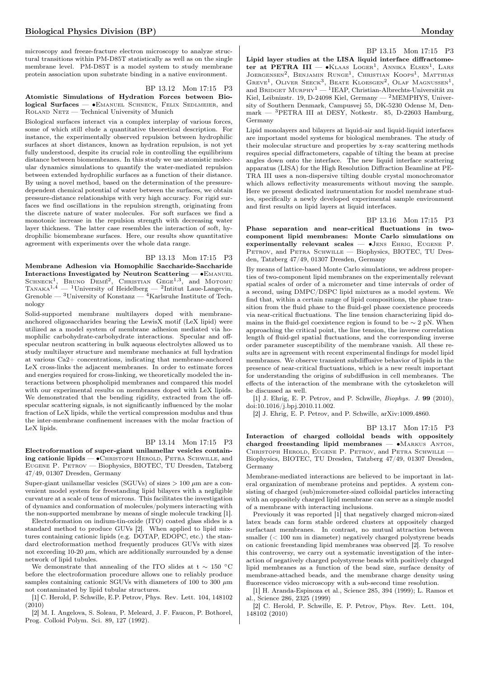microscopy and freeze-fracture electron microscopy to analyze structural transitions within PM-D85T statistically as well as on the single membrane level. PM-D85T is a model system to study membrane protein association upon substrate binding in a native environment.

## BP 13.12 Mon 17:15 P3 Atomistic Simulations of Hydration Forces between Biological Surfaces — • EMANUEL SCHNECK, FELIX SEDLMEIER, and Roland Netz — Technical University of Munich

Biological surfaces interact via a complex interplay of various forces, some of which still elude a quantitative theoretical description. For instance, the experimentally observed repulsion between hydrophilic surfaces at short distances, known as hydration repulsion, is not yet fully understood, despite its crucial role in controlling the equilibrium distance between biomembranes. In this study we use atomistic molecular dynamics simulations to quantify the water-mediated repulsion between extended hydrophilic surfaces as a function of their distance. By using a novel method, based on the determination of the pressuredependent chemical potential of water between the surfaces, we obtain pressure-distance relationships with very high accuracy. For rigid surfaces we find oscillations in the repulsion strength, originating from the discrete nature of water molecules. For soft surfaces we find a monotonic increase in the repulsion strength with decreasing water layer thickness. The latter case resembles the interaction of soft, hydrophilic biomembrane surfaces. Here, our results show quantitative agreement with experiments over the whole data range.

## BP 13.13 Mon 17:15 P3

Membrane Adhesion via Homophilic Saccharide-Saccharide Interactions Investigated by Neutron Scattering — ∙Emanuel SCHNECK<sup>1</sup>, BRUNO DEMÉ<sup>2</sup>, CHRISTIAN GEGE<sup>1,3</sup>, and MOTOMU  $T_{ANAKA}^{1,4}$  — <sup>1</sup>University of Heidelberg — <sup>2</sup>Intitut Laue-Langevin, Grenoble —  $\rm^3$ University of Konstanz —  $\rm^4$ Karlsruhe Institute of Technology

Solid-supported membrane multilayers doped with membraneanchored oligosaccharides bearing the LewisX motif (LeX lipid) were utilized as a model system of membrane adhesion mediated via homophilic carbohydrate-carbohydrate interactions. Specular and offspecular neutron scattering in bulk aqueous electrolytes allowed us to study multilayer structure and membrane mechanics at full hydration at various Ca2+ concentrations, indicating that membrane-anchored LeX cross-links the adjacent membranes. In order to estimate forces and energies required for cross-linking, we theoretically modeled the interactions between phospholipid membranes and compared this model with our experimental results on membranes doped with LeX lipids. We demonstrated that the bending rigidity, extracted from the offspecular scattering signals, is not significantly influenced by the molar fraction of LeX lipids, while the vertical compression modulus and thus the inter-membrane confinement increases with the molar fraction of LeX lipids.

## BP 13.14 Mon 17:15 P3

Electroformation of super-giant unilamellar vesicles containing cationic lipids — •Снвизторн Неводр, Ретва Schwille, and Eugene P. Petrov — Biophysics, BIOTEC, TU Dresden, Tatzberg 47/49, 01307 Dresden, Germany

Super-giant unilamellar vesicles (SGUVs) of sizes  $> 100 \mu$ m are a convenient model system for freestanding lipid bilayers with a negligible curvature at a scale of tens of microns. This facilitates the investigation of dynamics and conformation of molecules/polymers interacting with the non-supported membrane by means of single molecule tracking [1].

Electroformation on indium-tin-oxide (ITO) coated glass slides is a standard method to produce GUVs [2]. When applied to lipid mixtures containing cationic lipids (e.g. DOTAP, EDOPC, etc.) the standard electroformation method frequently produces GUVs with sizes not exceeding  $10-20 \mu m$ , which are additionally surrounded by a dense network of lipid tubules.

We demonstrate that annealing of the ITO slides at t  $\sim 150$  °C before the electroformation procedure allows one to reliably produce samples containing cationic SGUVs with diameters of 100 to 300  $\mu$ m not contaminated by lipid tubular structures.

[1] C. Herold, P. Schwille, E.P. Petrov, Phys. Rev. Lett. 104, 148102 (2010)

[2] M. I. Angelova, S. Soleau, P. Meleard, J. F. Faucon, P. Bothorel, Prog. Colloid Polym. Sci. 89, 127 (1992).

BP 13.15 Mon 17:15 P3 Lipid layer studies at the LISA liquid interface diffractometer at PETRA III —  $\bullet$ Klaas Loger<sup>1</sup>, Annika Elsen<sup>1</sup>, Lars JOERGENSEN<sup>2</sup>, BENJAMIN RUNGE<sup>1</sup>, CHRISTIAN KOOPS<sup>1</sup>, MATTHIAS GREVE<sup>1</sup>, OLIVER SEECK<sup>3</sup>, BEATE KLOESGEN<sup>2</sup>, OLAF MAGNUSSEN<sup>1</sup>, and BRIDGET MURPHY<sup>1</sup> — <sup>1</sup>IEAP, Christian-Albrechts-Universität zu Kiel, Leibnizstr. 19, D-24098 Kiel, Germany — <sup>2</sup>MEMPHYS, University of Southern Denmark, Campusvej 55, DK-5230 Odense M, Denmark — <sup>3</sup>PETRA III at DESY, Notkestr. 85, D-22603 Hamburg, Germany

Lipid monolayers and bilayers at liquid-air and liquid-liquid interfaces are important model systems for biological membranes. The study of their molecular structure and properties by x-ray scattering methods requires special diffractometers, capable of tilting the beam at precise angles down onto the interface. The new liquid interface scattering apparatus (LISA) for the High Resolution Diffraction Beamline at PE-TRA III uses a non-dispersive tilting double crystal monochromator which allows reflectivity measurements without moving the sample. Here we present dedicated instrumentation for model membrane studies, specifically a newly developed experimental sample environment and first results on lipid layers at liquid interfaces.

BP 13.16 Mon 17:15 P3

Phase separation and near-critical fluctuations in twocomponent lipid membranes: Monte Carlo simulations on experimentally relevant scales — ∙Jens Ehrig, Eugene P. PETROV, and PETRA SCHWILLE - Biophysics, BIOTEC, TU Dresden, Tatzberg 47/49, 01307 Dresden, Germany

By means of lattice-based Monte Carlo simulations, we address properties of two-component lipid membranes on the experimentally relevant spatial scales of order of a micrometer and time intervals of order of a second, using DMPC/DSPC lipid mixtures as a model system. We find that, within a certain range of lipid compositions, the phase transition from the fluid phase to the fluid-gel phase coexistence proceeds via near-critical fluctuations. The line tension characterizing lipid domains in the fluid-gel coexistence region is found to be  $\sim 2$  pN. When approaching the critical point, the line tension, the inverse correlation length of fluid-gel spatial fluctuations, and the corresponding inverse order parameter susceptibility of the membrane vanish. All these results are in agreement with recent experimental findings for model lipid membranes. We observe transient subdiffusive behavior of lipids in the presence of near-critical fluctuations, which is a new result important for understanding the origins of subdiffusion in cell membranes. The effects of the interaction of the membrane with the cytoskeleton will be discussed as well.

[1] J. Ehrig, E. P. Petrov, and P. Schwille, Biophys. J. 99 (2010), doi:10.1016/j.bpj.2010.11.002.

[2] J. Ehrig, E. P. Petrov, and P. Schwille, arXiv:1009.4860.

BP 13.17 Mon 17:15 P3

Interaction of charged colloidal beads with oppositely charged freestanding lipid membranes — ∙Markus Anton, CHRISTOPH HEROLD, EUGENE P. PETROV, and PETRA SCHWILLE -Biophysics, BIOTEC, TU Dresden, Tatzberg 47/49, 01307 Dresden, Germany

Membrane-mediated interactions are believed to be important in lateral organization of membrane proteins and peptides. A system consisting of charged (sub)micrometer-sized colloidal particles interacting with an oppositely charged lipid membrane can serve as a simple model of a membrane with interacting inclusions.

Previously it was reported [1] that negatively charged micron-sized latex beads can form stable ordered clusters at oppositely charged surfactant membranes. In contrast, no mutual attraction between smaller (< 100 nm in diameter) negatively charged polystyrene beads on cationic freestanding lipid membranes was observed [2]. To resolve this controversy, we carry out a systematic investigation of the interaction of negatively charged polystyrene beads with positively charged lipid membranes as a function of the bead size, surface density of membrane-attached beads, and the membrane charge density using fluorescence video microscopy with a sub-second time resolution.

[1] H. Aranda-Espinoza et al., Science 285, 394 (1999); L. Ramos et al., Science 286, 2325 (1999)

[2] C. Herold, P. Schwille, E. P. Petrov, Phys. Rev. Lett. 104, 148102 (2010)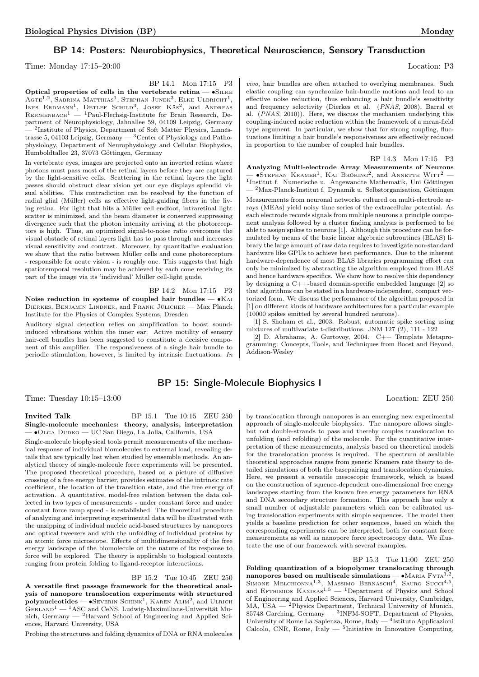## BP 14: Posters: Neurobiophysics, Theoretical Neuroscience, Sensory Transduction

Time: Monday 17:15–20:00 Location: P3

BP 14.1 Mon 17:15 P3 Optical properties of cells in the vertebrate retina — ∙Silke  $\rm{Agre}^{1,2},$  Sabrina Matthias<sup>1</sup>, Stephan Junek<sup>3</sup>, Elke Ulbricht<sup>1</sup>, INES ERDMANN<sup>1</sup>, DETLEF SCHILD<sup>3</sup>, JOSEF KÄS<sup>2</sup>, and ANDREAS  $\rm R$ EICHENBACH<sup>1</sup> — <sup>1</sup>Paul-Flechsig-Institute for Brain Research, Department of Neurophysiology, Jahnallee 59, 04109 Leipzig, Germany — <sup>2</sup> Institute of Physics, Department of Soft Matter Physics, Linnèstrasse 5, 04103 Leipzig, Germany  $-$ <sup>3</sup> Center of Physiology and Pathophysiology, Department of Neurophysiology and Cellular Biophysics, Humboldtallee 23, 37073 Göttingen, Germany

In vertebrate eyes, images are projected onto an inverted retina where photons must pass most of the retinal layers before they are captured by the light-sensitive cells. Scattering in the retinal layers the light passes should obstruct clear vision yet our eye displays splendid visual abilities. This contradiction can be resolved by the function of radial glial (Müller) cells as effective light-guiding fibers in the living retina. For light that hits a Müller cell endfoot, intraretinal light scatter is minimized, and the beam diameter is conserved suppressing divergence such that the photon intensity arriving at the photoreceptors is high. Thus, an optimized signal-to-noise ratio overcomes the visual obstacle of retinal layers light has to pass through and increases visual sensitivity and contrast. Moreover, by quantitative evaluation we show that the ratio between Müller cells and cone photoreceptors - responsible for acute vision - is roughly one. This suggests that high spatiotemporal resolution may be achieved by each cone receiving its part of the image via its 'individual' Müller cell-light guide.

BP 14.2 Mon 17:15 P3 Noise reduction in systems of coupled hair bundles — ∙Kai Dierkes, Benjamin Lindner, and Frank Jülicher — Max Planck Institute for the Physics of Complex Systems, Dresden

Auditory signal detection relies on amplification to boost soundinduced vibrations within the inner ear. Active motility of sensory hair-cell bundles has been suggested to constitute a decisive component of this amplifier. The responsiveness of a single hair bundle to periodic stimulation, however, is limited by intrinsic fluctuations. In

vivo, hair bundles are often attached to overlying membranes. Such elastic coupling can synchronize hair-bundle motions and lead to an effective noise reduction, thus enhancing a hair bundle's sensitivity and frequency selectivity (Dierkes et al. (PNAS, 2008), Barral et al. (PNAS, 2010)). Here, we discuss the mechanism underlying this coupling-induced noise reduction within the framework of a mean-field type argument. In particular, we show that for strong coupling, fluctuations limiting a hair bundle's responsiveness are effectively reduced in proportion to the number of coupled hair bundles.

## BP 14.3 Mon 17:15 P3

Analyzing Multi-electrode Array Measurements of Neurons  $-$  •Stephan Kramer<sup>1</sup>, Kai Bröking<sup>2</sup>, and Annette Witt<sup>2</sup>  $-$ </sup> 1 Institut f. Numerische u. Angewandte Mathematik, Uni Göttingen — <sup>2</sup>Max-Planck-Institut f. Dynamik u. Selbstorganisation, Göttingen Measurements from neuronal networks cultured on multi-electrode arrays (MEAs) yield noisy time series of the extracellular potential. As each electrode records signals from multiple neurons a principle component analysis followed by a cluster finding analysis is performed to be able to assign spikes to neurons [1]. Although this procedure can be formulated by means of the basic linear algebraic subroutines (BLAS) library the large amount of raw data requires to investigate non-standard hardware like GPUs to achieve best performance. Due to the inherent

hardware-dependence of most BLAS libraries programming effort can only be minimized by abstracting the algorithm employed from BLAS and hence hardware specifics. We show how to resolve this dependency by designing a C++-based domain-specific embedded language [2] so that algorithms can be stated in a hardware-independent, compact vectorized form. We discuss the performance of the algorithm proposed in [1] on different kinds of hardware architectures for a particular example (10000 spikes emitted by several hundred neurons).

[1] S. Shoham et al., 2003. Robust, automatic spike sorting using mixtures of multivariate t-distributions. JNM 127 (2), 111 - 122

[2] D. Abrahams, A. Gurtovoy, 2004. C++ Template Metaprogramming: Concepts, Tools, and Techniques from Boost and Beyond, Addison-Wesley

## BP 15: Single-Molecule Biophysics I

Time: Tuesday 10:15–13:00 Location: ZEU 250

**Invited Talk** BP 15.1 Tue 10:15 ZEU 250 Single-molecule mechanics: theory, analysis, interpretation — ∙Olga Dudko — UC San Diego, La Jolla, California, USA

Single-molecule biophysical tools permit measurements of the mechanical response of individual biomolecules to external load, revealing details that are typically lost when studied by ensemble methods. An analytical theory of single-molecule force experiments will be presented. The proposed theoretical procedure, based on a picture of diffusive crossing of a free energy barrier, provides estimates of the intrinsic rate coefficient, the location of the transition state, and the free energy of activation. A quantitative, model-free relation between the data collected in two types of measurements - under constant force and under constant force ramp speed - is established. The theoretical procedure of analyzing and interpreting experimental data will be illustrated with the unzipping of individual nucleic acid-based structures by nanopores and optical tweezers and with the unfolding of individual proteins by an atomic force microscope. Effects of multidimensionality of the free energy landscape of the biomolecule on the nature of its response to force will be explored. The theory is applicable to biological contexts ranging from protein folding to ligand-receptor interactions.

BP 15.2 Tue 10:45 ZEU 250

A versatile first passage framework for the theoretical analysis of nanopore translocation experiments with structured **polynucleotides** — • SEVERIN SCHINK<sup>1</sup>, KAREN ALIM<sup>2</sup>, and ULRICH  $G$ ERLAND<sup>1</sup> — <sup>1</sup>ASC and CeNS, Ludwig-Maximilians-Universität Munich, Germany — <sup>2</sup>Harvard School of Engineering and Applied Sciences, Harvard University, USA

Probing the structures and folding dynamics of DNA or RNA molecules

by translocation through nanopores is an emerging new experimental approach of single-molecule biophysics. The nanopore allows singlebut not double-strands to pass and thereby couples translocation to unfolding (and refolding) of the molecule. For the quantitative interpretation of these measurements, analysis based on theoretical models for the translocation process is required. The spectrum of available theoretical approaches ranges from generic Kramers rate theory to detailed simulations of both the basepairing and translocation dynamics. Here, we present a versatile mesoscopic framework, which is based on the construction of squence-dependent one-dimensional free energy landscapes starting from the known free energy parameters for RNA and DNA secondary structure formation. This approach has only a small number of adjustable parameters which can be calibrated using translocation experiments with simple sequences. The model then yields a baseline prediction for other sequences, based on which the corresponding experiments can be interpreted, both for constant force measurements as well as nanopore force spectroscopy data. We illustrate the use of our framework with several examples.

BP 15.3 Tue 11:00 ZEU 250 Folding quantization of a biopolymer translocating through nanopores based on multiscale simulations — •MARIA  $FYTA^{1,2}$ , SIMONE MELCHIONNA<sup>1,3</sup>, MASSIMO BERNASCHI<sup>4</sup>, SAURO SUCCI<sup>4,5</sup>, and Efthimios Kaxiras<sup>1,5</sup> — <sup>1</sup>Department of Physics and School of Engineering and Applied Sciences, Harvard University, Cambridge, MA, USA — <sup>2</sup>Physics Department, Technical University of Munich, 85748 Garching, Germany  $-$  <sup>3</sup>INFM-SOFT, Department of Physics, University of Rome La Sapienza, Rome, Italy — <sup>4</sup>Istituto Applicazioni Calcolo, CNR, Rome, Italy  $-$  <sup>5</sup>Initiative in Innovative Computing,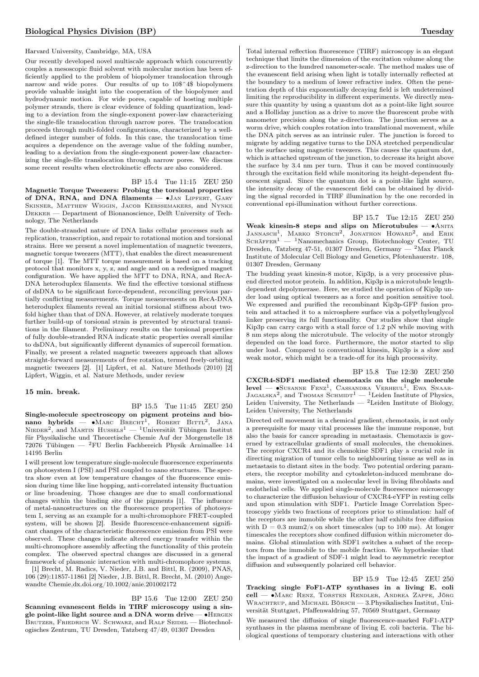## Harvard University, Cambridge, MA, USA

Our recently developed novel multiscale approach which concurrently couples a mesoscopic fluid solvent with molecular motion has been efficiently applied to the problem of biopolymer translocation through narrow and wide pores. Our results of up to 10\$^4\$ biopolymers provide valuable insight into the cooperation of the biopolymer and hydrodynamic motion. For wide pores, capable of hosting multiple polymer strands, there is clear evidence of folding quantization, leading to a deviation from the single-exponent power-law characterizing the single-file translocation through narrow pores. The translocation proceeds through multi-folded configurations, characterized by a welldefined integer number of folds. In this case, the translocation time acquires a dependence on the average value of the folding number, leading to a deviation from the single-exponent power-law characterizing the single-file translocation through narrow pores. We discuss some recent results when electrokinetic effects are also considered.

BP 15.4 Tue 11:15 ZEU 250 Magnetic Torque Tweezers: Probing the torsional properties of DNA, RNA, and DNA filaments — ∙Jan Lipfert, Gary Skinner, Matthew Wiggin, Jacob Kerssemakers, and Nynke  ${\tt DekkER}$  — Department of Bionanoscience, Delft University of Technology, The Netherlands

The double-stranded nature of DNA links cellular processes such as replication, transcription, and repair to rotational motion and torsional strains. Here we present a novel implementation of magnetic tweezers, magnetic torque tweezers (MTT), that enables the direct measurement of torque [1]. The MTT torque measurement is based on a tracking protocol that monitors x, y, z, and angle and on a redesigned magnet configuration. We have applied the MTT to DNA, RNA, and RecA-DNA heteroduplex filaments. We find the effective torsional stiffness of dsDNA to be significant force-dependent, reconciling previous partially conflicting measurements. Torque measurements on RecA-DNA heteroduplex filaments reveal an initial torsional stiffness about twofold higher than that of DNA. However, at relatively moderate torques further build-up of torsional strain is prevented by structural transitions in the filament. Preliminary results on the torsional properties of fully double-stranded RNA indicate static properties overall similar to dsDNA, but significantly different dynamics of supercoil formation. Finally, we present a related magnetic tweezers approach that allows straight-forward measurements of free rotation, termed freely-orbiting magnetic tweezers [2]. [1] Lipfert, et al. Nature Methods (2010) [2] Lipfert, Wiggin, et al. Nature Methods, under review

#### 15 min. break.

BP 15.5 Tue 11:45 ZEU 250

Single-molecule spectroscopy on pigment proteins and bionano hybrids —  $\bullet$ Marc Brecht<sup>1</sup>, Robert Bittl<sup>2</sup>, Jana NIEDER<sup>2</sup>, and MARTIN HUSSELS<sup>1</sup> — <sup>1</sup>Universität Tübingen Institut für Physikalische und Theoretische Chemie Auf der Morgenstelle 18 72076 Tübingen — <sup>2</sup>FU Berlin Fachbereich Physik Arnimallee 14 14195 Berlin

I will present low temperature single-molecule fluorescence experiments on photosystem I (PSI) and PSI coupled to nano structures. The spectra show even at low temperature changes of the fluorescence emission during time like line hopping, anti-correlated intensity fluctuation or line broadening. Those changes are due to small conformational changes within the binding site of the pigments [1]. The influence of metal-nanostructures on the fluorescence properties of photosystem I, serving as an example for a multi-chromophore FRET-coupled system, will be shown [2]. Beside fluorescence-enhancement significant changes of the characteristic fluorescence emission from PSI were observed. These changes indicate altered energy transfer within the multi-chromophore assembly affecting the functionality of this protein complex. The observed spectral changes are discussed in a general framework of plasmonic interaction with multi-chromophore systems.

[1] Brecht, M. Radics, V. Nieder, J.B. and Bittl, R. (2009), PNAS, 106 (29):11857-11861 [2] Nieder, J.B. Bittl, R. Brecht, M. (2010) Angewandte Chemie,dx.doi.org/10.1002/anie.201002172

BP 15.6 Tue 12:00 ZEU 250 Scanning evanescent fields in TIRF microscopy using a single point-like light source and a DNA worm drive — • HERGEN BRUTZER, FRIEDRICH W. SCHWARZ, and RALF SEIDEL - Biotechnologisches Zentrum, TU Dresden, Tatzberg 47/49, 01307 Dresden

Total internal reflection fluorescence (TIRF) microscopy is an elegant technique that limits the dimension of the excitation volume along the z-direction to the hundred nanometer-scale. The method makes use of the evanescent field arising when light is totally internally reflected at the boundary to a medium of lower refractive index. Often the penetration depth of this exponentially decaying field is left undetermined limiting the reproducibility in different experiments. We directly measure this quantity by using a quantum dot as a point-like light source and a Holliday junction as a drive to move the fluorescent probe with nanometer precision along the z-direction. The junction serves as a worm drive, which couples rotation into translational movement, while the DNA pitch serves as an intrinsic ruler. The junction is forced to migrate by adding negative turns to the DNA stretched perpendicular to the surface using magnetic tweezers. This causes the quantum dot, which is attached upstream of the junction, to decrease its height above the surface by 3.4 nm per turn. Thus it can be moved continuously through the excitation field while monitoring its height-dependent fluorescent signal. Since the quantum dot is a point-like light source, the intensity decay of the evanescent field can be obtained by dividing the signal recorded in TIRF illumination by the one recorded in conventional epi-illumination without further corrections.

BP 15.7 Tue 12:15 ZEU 250 Weak kinesin-8 steps and slips on Microtubules — • ANITA JANNASCH<sup>1</sup>, MARKO STORCH<sup>2</sup>, JONATHON HOWARD<sup>2</sup>, and ERIK SCHÄFFER<sup>1</sup> — <sup>1</sup>Nanomechanics Group, Biotechnology Center, TU Dresden, Tatzberg 47-51, 01307 Dresden, Germany — <sup>2</sup>Max Planck Institute of Molecular Cell Biology and Genetics, Pfotenhauerstr. 108, 01307 Dresden, Germany

The budding yeast kinesin-8 motor, Kip3p, is a very processive plusend directed motor protein. In addition, Kip3p is a microtubule lengthdependent depolymerase. Here, we studied the operation of Kip3p under load using optical tweezers as a force and position sensitive tool. We expressed and purified the recombinant Kip3p-GFP fusion protein and attached it to a microsphere surface via a polyethylenglycol linker preserving its full functionality. Our studies show that single Kip3p can carry cargo with a stall force of 1.2 pN while moving with 8 nm steps along the microtubule. The velocity of the motor strongly depended on the load force. Furthermore, the motor started to slip under load. Compared to conventional kinesin, Kip3p is a slow and weak motor, which might be a trade-off for its high processivity.

BP 15.8 Tue 12:30 ZEU 250 CXCR4-SDF1 mediated chemotaxis on the single molecule level — •Susanne Fenz<sup>1</sup>, Cassandra Verheul<sup>1</sup>, Ewa Snaar- $J_{AGALSKA}^2$ , and Thomas SCHMIDT<sup>1</sup> — <sup>1</sup>Leiden Institute of Physics, Leiden University, The Netherlands — <sup>2</sup>Leiden Institute of Biology, Leiden University, The Netherlands

Directed cell movement in a chemical gradient, chemotaxis, is not only a prerequisite for many vital processes like the immune response, but also the basis for cancer spreading in metastasis. Chemotaxis is governed by extracellular gradients of small molecules, the chemokines. The receptor CXCR4 and its chemokine SDF1 play a crucial role in directing migration of tumor cells to neighbouring tissue as well as in metastasis to distant sites in the body. Two potential ordering parameters, the receptor mobility and cytoskeleton-induced membrane domains, were investigated on a molecular level in living fibroblasts and endothelial cells. We applied single-molecule fluorescence microscopy to characterize the diffusion behaviour of CXCR4-eYFP in resting cells and upon stimulation with SDF1. Particle Image Correlation Spectroscopy yields two fractions of receptors prior to stimulation: half of the receptors are immobile while the other half exhibits free diffusion with  $D = 0.3$  mum $2/s$  on short timescales (up to 100 ms). At longer timescales the receptors show confined diffusion within micrometer domains. Global stimulation with SDF1 switches a subset of the receptors from the immobile to the mobile fraction. We hypothesize that the impact of a gradient of SDF-1 might lead to asymmetric receptor diffusion and subsequently polarized cell behavior.

BP 15.9 Tue 12:45 ZEU 250 Tracking single FoF1-ATP synthases in a living E. coli cell — ∙Marc Renz, Torsten Rendler, Andrea Zappe, Jörg WRACHTRUP, and MICHAEL BÖRSCH — 3.Physikalisches Institut, Universität Stuttgart, Pfaffenwaldring 57, 70569 Stuttgart, Germany

We measured the diffusion of single fluorescence-marked FoF1-ATP synthases in the plasma membrane of living E. coli bacteria. The biological questions of temporary clustering and interactions with other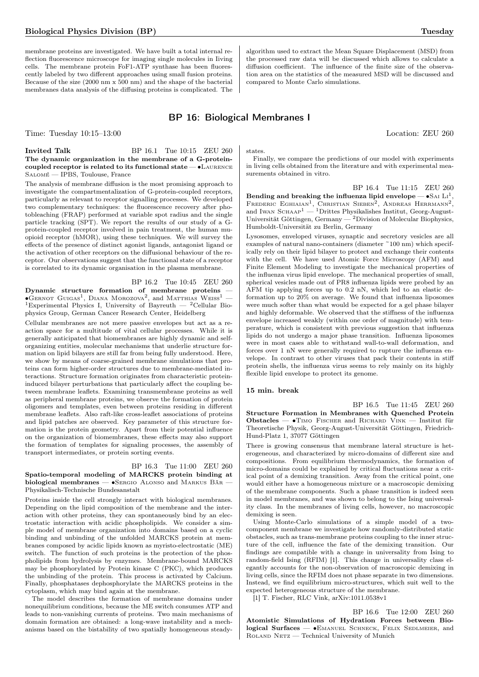membrane proteins are investigated. We have built a total internal reflection fluorescence microscope for imaging single molecules in Iiving cells. The membrane protein FoF1-ATP synthase has been fluorescently labeled by two different approaches using small fusion proteins. Because of the size (2000 nm x 500 nm) and the shape of the bacterial membranes data analysis of the diffusing proteins is complicated. The

algorithm used to extract the Mean Square Displacement (MSD) from the processed raw data will be discussed which allows to calculate a diffusion coefficient. The influence of the finite size of the observation area on the statistics of the measured MSD will be discussed and compared to Monte Carlo simulations.

## BP 16: Biological Membranes I

Time: Tuesday 10:15–13:00 Location: ZEU 260

#### **Invited Talk** BP 16.1 Tue 10:15 ZEU 260 The dynamic organization in the membrane of a G-proteincoupled receptor is related to its functional state — ∙Laurence Salomé — IPBS, Toulouse, France

The analysis of membrane diffusion is the most promising approach to investigate the compartmentalization of G-protein-coupled receptors, particularly as relevant to receptor signalling processes. We developed two complementary techniques: the fluorescence recovery after photobleaching (FRAP) performed at variable spot radius and the single particle tracking (SPT). We report the results of our study of a Gprotein-coupled receptor involved in pain treatment, the human muopioid receptor (hMOR), using these techniques. We will survey the effects of the presence of distinct agonist ligands, antagonist ligand or the activation of other receptors on the diffusional behaviour of the receptor. Our observations suggest that the functional state of a receptor is correlated to its dynamic organisation in the plasma membrane.

#### BP 16.2 Tue 10:45 ZEU 260

 $\begin{minipage}[c]{0.9\linewidth} \textbf{Dynamic} & \textbf{structure} & \textbf{formation} & \textbf{ of} & \textbf{membrane} & \textbf{proteins} \end{minipage}$  $\bullet$ Gernot Guigas<sup>1</sup>, Diana Morozova<sup>2</sup>, and Matthias Weiss<sup>1</sup> — <sup>1</sup>Experimental Physics I, University of Bayreuth — <sup>2</sup>Cellular Biophysics Group, German Cancer Research Center, Heidelberg

Cellular membranes are not mere passive envelopes but act as a reaction space for a multitude of vital cellular processes. While it is generally anticipated that biomembranes are highly dynamic and selforganizing entities, molecular mechanisms that underlie structure formation on lipid bilayers are still far from being fully understood. Here, we show by means of coarse-grained membrane simulations that proteins can form higher-order structures due to membrane-mediated interactions. Structure formation originates from characteristic proteininduced bilayer perturbations that particularly affect the coupling between membrane leaflets. Examining transmembrane proteins as well as peripheral membrane proteins, we observe the formation of protein oligomers and templates, even between proteins residing in different membrane leaflets. Also raft-like cross-leaflet associations of proteins and lipid patches are observed. Key parameter of this structure formation is the protein geometry. Apart from their potential influence on the organization of biomembranes, these effects may also support the formation of templates for signaling processes, the assembly of transport intermediates, or protein sorting events.

## BP 16.3 Tue 11:00 ZEU 260 Spatio-temporal modeling of MARCKS protein binding at biological membranes — ∙Sergio Alonso and Markus Bär — Physikalisch-Technische Bundesanstalt

Proteins inside the cell strongly interact with biological membranes. Depending on the lipid composition of the membrane and the interaction with other proteins, they can spontaneously bind by an electrostatic interaction with acidic phospholipids. We consider a simple model of membrane organization into domains based on a cyclic binding and unbinding of the unfolded MARCKS protein at membranes composed by acidic lipids known as myristo-electrostatic (ME) switch. The function of such proteins is the protection of the phospholipids from hydrolysis by enzymes. Membrane-bound MARCKS may be phosphorylated by Protein kinase C (PKC), which produces the unbinding of the protein. This process is activated by Calcium. Finally, phosphatases dephosphorylate the MARCKS proteins in the cytoplasm, which may bind again at the membrane.

The model describes the formation of membrane domains under nonequilibrium conditions, because the ME switch consumes ATP and leads to non-vanishing currents of proteins. Two main mechanisms of domain formation are obtained: a long-wave instability and a mechanisms based on the bistability of two spatially homogeneous steadystates.

Finally, we compare the predictions of our model with experiments in living cells obtained from the literature and with experimental measurements obtained in vitro.

BP 16.4 Tue 11:15 ZEU 260 Bending and breaking the influenza lipid envelope —  $\bullet$ SAI LI<sup>1</sup>, FREDERIC EGHIAIAN<sup>1</sup>, CHRISTIAN SIEBEN<sup>2</sup>, ANDREAS HERRMANN<sup>2</sup>, and Iwan Schaap<sup>1</sup> — <sup>1</sup>Drittes Physikalishes Institut, Georg-August-Universität Göttingen, Germany  $-$ <sup>2</sup>Division of Molecular Biophysics, Humboldt-Universität zu Berlin, Germany

Lysosomes, enveloped viruses, synaptic and secretory vesicles are all examples of natural nano-containers (diameter ~100 nm) which specifically rely on their lipid bilayer to protect and exchange their contents with the cell. We have used Atomic Force Microscopy (AFM) and Finite Element Modeling to investigate the mechanical properties of the influenza virus lipid envelope. The mechanical properties of small, spherical vesicles made out of PR8 influenza lipids were probed by an AFM tip applying forces up to 0.2 nN, which led to an elastic deformation up to 20% on average. We found that influenza liposomes were much softer than what would be expected for a gel phase bilayer and highly deformable. We observed that the stiffness of the influenza envelope increased weakly (within one order of magnitude) with temperature, which is consistent with previous suggestion that influenza lipids do not undergo a major phase transition. Influenza liposomes were in most cases able to withstand wall-to-wall deformation, and forces over 1 nN were generally required to rupture the influenza envelope. In contrast to other viruses that pack their contents in stiff protein shells, the influenza virus seems to rely mainly on its highly flexible lipid envelope to protect its genome.

## 15 min. break

BP 16.5 Tue 11:45 ZEU 260 Structure Formation in Membranes with Quenched Protein Obstacles — ∙Timo Fischer and Richard Vink — Institut für Theoretische Physik, Georg-August-Universität Göttingen, Friedrich-Hund-Platz 1, 37077 Göttingen

There is growing consensus that membrane lateral structure is heterogeneous, and characterized by micro-domains of different size and compositions. From equilibrium thermodynamics, the formation of micro-domains could be explained by critical fluctuations near a critical point of a demixing transition. Away from the critical point, one would either have a homogeneous mixture or a macroscopic demixing of the membrane components. Such a phase transition is indeed seen in model membranes, and was shown to belong to the Ising universality class. In the membranes of living cells, however, no macroscopic demixing is seen.

Using Monte-Carlo simulations of a simple model of a twocomponent membrane we investigate how randomly-distributed static obstacles, such as trans-membrane proteins coupling to the inner structure of the cell, influence the fate of the demixing transition. Our findings are compatible with a change in universality from Ising to random-field Ising (RFIM) [1]. This change in universality class elegantly accounts for the non-observation of macroscopic demixing in living cells, since the RFIM does not phase separate in two dimensions. Instead, we find equilibrium micro-structures, which suit well to the expected heterogeneous structure of the membrane.

[1] T. Fischer, RLC Vink, arXiv:1011.0538v1

BP 16.6 Tue 12:00 ZEU 260 Atomistic Simulations of Hydration Forces between Biological Surfaces — • EMANUEL SCHNECK, FELIX SEDLMEIER, and Roland Netz — Technical University of Munich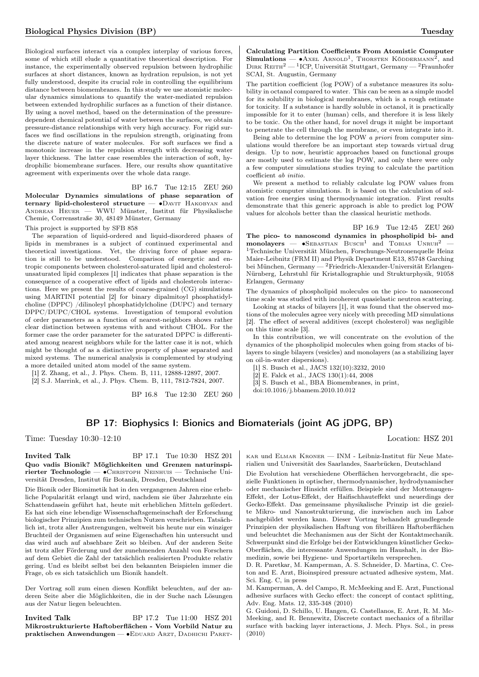Biological surfaces interact via a complex interplay of various forces, some of which still elude a quantitative theoretical description. For instance, the experimentally observed repulsion between hydrophilic surfaces at short distances, known as hydration repulsion, is not yet fully understood, despite its crucial role in controlling the equilibrium distance between biomembranes. In this study we use atomistic molecular dynamics simulations to quantify the water-mediated repulsion between extended hydrophilic surfaces as a function of their distance. By using a novel method, based on the determination of the pressuredependent chemical potential of water between the surfaces, we obtain pressure-distance relationships with very high accuracy. For rigid surfaces we find oscillations in the repulsion strength, originating from the discrete nature of water molecules. For soft surfaces we find a monotonic increase in the repulsion strength with decreasing water layer thickness. The latter case resembles the interaction of soft, hydrophilic biomembrane surfaces. Here, our results show quantitative agreement with experiments over the whole data range.

BP 16.7 Tue 12:15 ZEU 260 Molecular Dynamics simulations of phase separation of ternary lipid-cholesterol structure — •DAVIT HAKOBYAN and Andreas Heuer — WWU Münster, Institut für Physikalische Chemie, Corrensstraße 30, 48149 Münster, Germany

This project is supported by SFB 858

The separation of liquid-ordered and liquid-disordered phases of lipids in membranes is a subject of continued experimental and theoretical investigations. Yet, the driving force of phase separation is still to be understood. Comparison of energetic and entropic components between cholesterol-saturated lipid and cholesterolunsaturated lipid complexes [1] indicates that phase separation is the consequence of a cooperative effect of lipids and cholesterols interactions. Here we present the results of coarse-grained (CG) simulations using MARTINI potential [2] for binary dipalmitoyl phosphatidylcholine (DPPC) /dilinoleyl phosphatidylcholine (DUPC) and ternary DPPC/DUPC/CHOL systems. Investigation of temporal evolution of order parameters as a function of nearest-neighbors shows rather clear distinction between systems with and without CHOL. For the former case the order parameter for the saturated DPPC is differentiated among nearest neighbors while for the latter case it is not, which might be thought of as a distinctive property of phase separated and mixed systems. The numerical analysis is complemented by studying a more detailed united atom model of the same system.

[1] Z. Zhang, et al., J. Phys. Chem. B, 111, 12888-12897, 2007.

[2] S.J. Marrink, et al., J. Phys. Chem. B, 111, 7812-7824, 2007.

BP 16.8 Tue 12:30 ZEU 260

Calculating Partition Coefficients From Atomistic Computer Simulations —  $\bullet$  Axel Arnold<sup>1</sup>, Thorsten Köddermann<sup>2</sup>, and DIRK REITH<sup>2</sup> — <sup>1</sup>ICP, Universität Stuttgart, Germany — <sup>2</sup>Fraunhofer SCAI, St. Augustin, Germany

The partition coefficient (log POW) of a substance measures its solubility in octanol compared to water. This can be seen as a simple model for its solubility in biological membranes, which is a rough estimate for toxicity. If a substance is hardly soluble in octanol, it is practically impossible for it to enter (human) cells, and therefore it is less likely to be toxic. On the other hand, for novel drugs it might be important to penetrate the cell through the membrane, or even integrate into it.

Being able to determine the log POW a priori from computer simulations would therefore be an important step towards virtual drug design. Up to now, heuristic approaches based on functional groups are mostly used to estimate the log POW, and only there were only a few computer simulations studies trying to calculate the partition coefficient ab initio.

We present a method to reliably calculate log POW values from atomistic computer simulations. It is based on the calculation of solvation free energies using thermodynamic integration. First results demonstrate that this generic approach is able to predict log POW values for alcohols better than the classical heuristic methods.

BP 16.9 Tue 12:45 ZEU 260 The pico- to nanoscond dynamics in phospholipid bi- and  $\text{monolayers}$  —  $\bullet$ SEBASTIAN BUSCH<sup>1</sup> and TOBIAS UNRUH<sup>2</sup> – <sup>1</sup>Technische Universität München, Forschungs-Neutronenquelle Heinz Maier-Leibnitz (FRM II) and Physik Department E13, 85748 Garching bei München, Germany — <sup>2</sup>Friedrich-Alexander-Universität Erlangen-Nürnberg, Lehrstuhl für Kristallographie und Strukturphysik, 91058 Erlangen, Germany

The dynamics of phospholipid molecules on the pico- to nanosecond time scale was studied with incoherent quasielastic neutron scattering.

Looking at stacks of bilayers [1], it was found that the observed motions of the molecules agree very nicely with preceding MD simulations [2]. The effect of several additives (except cholesterol) was negligible on this time scale [3].

In this contribution, we will concentrate on the evolution of the dynamics of the phospholipid molecules when going from stacks of bilayers to single bilayers (vesicles) and monolayers (as a stabilizing layer on oil-in-water dispersions).

[1] S. Busch et al., JACS 132(10):3232, 2010

 $[2]$ E. Falck et al., JACS $130(1).44, \, 2008$ 

[3] S. Busch et al., BBA Biomembranes, in print,

doi:10.1016/j.bbamem.2010.10.012

## BP 17: Biophysics I: Bionics and Biomaterials (joint AG jDPG, BP)

Time: Tuesday 10:30–12:10 Location: HSZ 201

## **Invited Talk** BP 17.1 Tue 10:30 HSZ 201 Quo vadis Bionik? Möglichkeiten und Grenzen naturinspirierter Technologie — ∙Christoph Neinhuis — Technische Universität Dresden, Institut für Botanik, Dresden, Deutschland

Die Bionik oder Biomimetik hat in den vergangenen Jahren eine erhebliche Popularität erlangt und wird, nachdem sie über Jahrzehnte ein Schattendasein geführt hat, heute mit erheblichen Mitteln gefördert. Es hat sich eine lebendige Wissenschaftsgemeinschaft der Erforschung biologischer Prinzipien zum technischen Nutzen verschrieben. Tatsächlich ist, trotz aller Anstrengungen, weltweit bis heute nur ein winziger Bruchteil der Organismen auf seine Eigenschaften hin untersucht und das wird auch auf absehbare Zeit so bleiben. Auf der anderen Seite ist trotz aller Förderung und der zunehmenden Anzahl von Forschern auf dem Gebiet die Zahl der tatsächlich realisierten Produkte relativ gering. Und es bleibt selbst bei den bekannten Beispielen immer die Frage, ob es sich tatsächlich um Bionik handelt.

Der Vortrag soll zum einen diesen Konflikt beleuchten, auf der anderen Seite aber die Möglichkeiten, die in der Suche nach Lösungen aus der Natur liegen beleuchten.

Invited Talk BP 17.2 Tue 11:00 HSZ 201 Mikrostrukturierte Haftoberflächen - Vom Vorbild Natur zu praktischen Anwendungen — • EDUARD ARZT, DADHICHI PARET-

kar und Elmar Kroner — INM - Leibniz-Institut für Neue Materialien und Universität des Saarlandes, Saarbrücken, Deutschland

Die Evolution hat verschiedene Oberflächen hervorgebracht, die spezielle Funktionen in optischer, thermodynamischer, hydrodynamischer oder mechanischer Hinsicht erfüllen. Beispiele sind der Mottenaugen-Effekt, der Lotus-Effekt, der Haifischhauteffekt und neuerdings der Gecko-Effekt. Das gemeinsame physikalische Prinzip ist die gezielte Mikro- und Nanostrukturierung, die inzwischen auch im Labor nachgebildet werden kann. Dieser Vortrag behandelt grundlegende Prinzipien der physikalischen Haftung von fibrillären Haftoberflächen und beleuchtet die Mechanismen aus der Sicht der Kontaktmechanik. Schwerpunkt sind die Erfolge bei der Entwicklungen künstlicher Gecko-Oberflächen, die interessante Anwendungen im Haushalt, in der Biomedizin, sowie bei Hygiene- und Sportartikeln versprechen.

D. R. Paretkar, M. Kamperman, A. S. Schneider, D. Martina, C. Creton and E. Arzt, Bioinspired pressure actuated adhesive system, Mat. Sci. Eng. C, in press

M. Kamperman, A. del Campo, R. McMeeking and E. Arzt, Functional adhesive surfaces with Gecko effect: the concept of contact splitting, Adv. Eng. Mats. 12, 335-348 (2010)

G. Guidoni, D. Schillo, U. Hangen, G. Castellanos, E. Arzt, R. M. Mc-Meeking, and R. Bennewitz, Discrete contact mechanics of a fibrillar surface with backing layer interactions, J. Mech. Phys. Sol., in press (2010)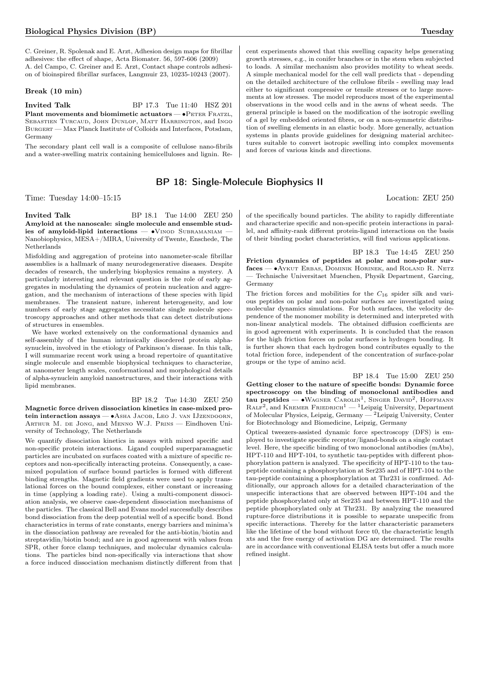C. Greiner, R. Spolenak and E. Arzt, Adhesion design maps for fibrillar adhesives: the effect of shape, Acta Biomater. 56, 597-606 (2009) A. del Campo, C. Greiner and E. Arzt, Contact shape controls adhesion of bioinspired fibrillar surfaces, Langmuir 23, 10235-10243 (2007).

## Break (10 min)

**Invited Talk** BP 17.3 Tue 11:40 HSZ 201 Plant movements and biomimetic actuators — •PETER FRATZL, Sebastien Turcaud, John Dunlop, Matt Harrington, and Ingo BURGERT — Max Planck Institute of Colloids and Interfaces, Potsdam, Germany

The secondary plant cell wall is a composite of cellulose nano-fibrils and a water-swelling matrix containing hemicelluloses and lignin. Re-

## BP 18: Single-Molecule Biophysics II

Time: Tuesday 14:00–15:15 Location: ZEU 250

**Invited Talk** BP 18.1 Tue 14:00 ZEU 250 Amyloid at the nanoscale: single molecule and ensemble studies of amyloid-lipid interactions — •VINOD SUBRAMANIAM Nanobiophysics, MESA+/MIRA, University of Twente, Enschede, The Netherlands

Misfolding and aggregation of proteins into nanometer-scale fibrillar assemblies is a hallmark of many neurodegenerative diseases. Despite decades of research, the underlying biophysics remains a mystery. A particularly interesting and relevant question is the role of early aggregates in modulating the dynamics of protein nucleation and aggregation, and the mechanism of interactions of these species with lipid membranes. The transient nature, inherent heterogeneity, and low numbers of early stage aggregates necessitate single molecule spectroscopy approaches and other methods that can detect distributions of structures in ensembles.

We have worked extensively on the conformational dynamics and self-assembly of the human intrinsically disordered protein alphasynuclein, involved in the etiology of Parkinson's disease. In this talk, I will summarize recent work using a broad repertoire of quantitative single molecule and ensemble biophysical techniques to characterize, at nanometer length scales, conformational and morphological details of alpha-synuclein amyloid nanostructures, and their interactions with lipid membranes.

## BP 18.2 Tue 14:30 ZEU 250

Magnetic force driven dissociation kinetics in case-mixed protein interaction assays — ∙Asha Jacob, Leo J. van IJzendoorn, ARTHUR M. DE JONG, and MENNO W.J. PRINS - Eindhoven University of Technology, The Netherlands

We quantify dissociation kinetics in assays with mixed specific and non-specific protein interactions. Ligand coupled superparamagnetic particles are incubated on surfaces coated with a mixture of specific receptors and non-specifically interacting proteins. Consequently, a casemixed population of surface bound particles is formed with different binding strengths. Magnetic field gradients were used to apply translational forces on the bound complexes, either constant or increasing in time (applying a loading rate). Using a multi-component dissociation analysis, we observe case-dependent dissociation mechanisms of the particles. The classical Bell and Evans model successfully describes bond dissociation from the deep potential well of a specific bond. Bond characteristics in terms of rate constants, energy barriers and minima's in the dissociation pathway are revealed for the anti-biotin/biotin and streptavidin/biotin bond; and are in good agreement with values from SPR, other force clamp techniques, and molecular dynamics calculations. The particles bind non-specifically via interactions that show a force induced dissociation mechanism distinctly different from that cent experiments showed that this swelling capacity helps generating growth stresses, e.g., in conifer branches or in the stem when subjected to loads. A similar mechanism also provides motility to wheat seeds. A simple mechanical model for the cell wall predicts that - depending on the detailed architecture of the cellulose fibrils - swelling may lead either to significant compressive or tensile stresses or to large movements at low stresses. The model reproduces most of the experimental observations in the wood cells and in the awns of wheat seeds. The general principle is based on the modification of the isotropic swelling of a gel by embedded oriented fibres, or on a non-symmetric distribution of swelling elements in an elastic body. More generally, actuation systems in plants provide guidelines for designing material architectures suitable to convert isotropic swelling into complex movements and forces of various kinds and directions.

of the specifically bound particles. The ability to rapidly differentiate and characterize specific and non-specific protein interactions in parallel, and affinity-rank different protein-ligand interactions on the basis of their binding pocket characteristics, will find various applications.

BP 18.3 Tue 14:45 ZEU 250 Friction dynamics of peptides at polar and non-polar surfaces — ∙Aykut Erbas, Dominik Horinek, and Roland R. Netz — Technische Universitaet Muenchen, Physik Department, Garcing, Germany

The friction forces and mobilities for the  $C_{16}$  spider silk and various peptides on polar and non-polar surfaces are investigated using molecular dynamics simulations. For both surfaces, the velocity dependence of the monomer mobility is determined and interpreted with non-linear analytical models. The obtained diffusion coefficients are in good agreement with experiments. It is concluded that the reason for the high friction forces on polar surfaces is hydrogen bonding. It is further shown that each hydrogen bond contributes equally to the total friction force, independent of the concentration of surface-polar groups or the type of amino acid.

BP 18.4 Tue 15:00 ZEU 250 Getting closer to the nature of specific bonds: Dynamic force spectroscopy on the binding of monoclonal antibodies and tau peptides —  $\bullet$ WAGNER CAROLIN<sup>1</sup>, SINGER DAVID<sup>2</sup>, HOFFMANN  $\text{RALF}^2$ , and KREMER FRIEDRICH<sup>1</sup> — <sup>1</sup>Leipzig University, Department of Molecular Physics, Leipzig, Germany — <sup>2</sup>Leipzig University, Center for Biotechnology and Biomedicine, Leipzig, Germany

Optical tweezers-assisted dynamic force spectroscopy (DFS) is employed to investigate specific receptor/ligand-bonds on a single contact level. Here, the specific binding of two monoclonal antibodies (mAbs), HPT-110 and HPT-104, to synthetic tau-peptides with different phosphorylation pattern is analyzed. The specificity of HPT-110 to the taupeptide containing a phosphorylation at Ser235 and of HPT-104 to the tau-peptide containing a phosphorylation at Thr231 is confirmed. Additionally, our approach allows for a detailed characterization of the unspecific interactions that are observed between HPT-104 and the peptide phosphorylated only at Ser235 and between HPT-110 and the peptide phosphorylated only at Thr231. By analyzing the measured rupture-force distributions it is possible to separate unspecific from specific interactions. Thereby for the latter characteristic parameters like the lifetime of the bond without force t0, the characteristic length xts and the free energy of activation DG are determined. The results are in accordance with conventional ELISA tests but offer a much more refined insight.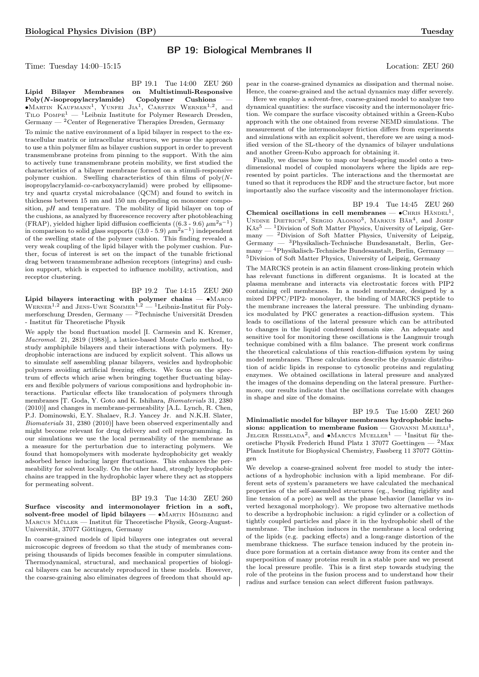## BP 19: Biological Membranes II

Time: Tuesday 14:00–15:15 Location: ZEU 260

# pear in the coarse-grained dynamics as dissipation and thermal noise.

BP 19.1 Tue 14:00 ZEU 260 Lipid Bilayer Membranes on Multistimuli-Responsive  $Poly(N-isopropylacrylamide)$  Copolymer Cushions ∙Martin Kaufmann<sup>1</sup> , Yunfei Jia<sup>1</sup> , Carsten Werner1,<sup>2</sup> , and TILO POMPE<sup>1</sup> — <sup>1</sup>Leibniz Institute for Polymer Research Dresden,

 $\rm{Germany} \xrightarrow{~~} 2\rm{Center}$  of Regenerative Therapies Dresden, Germany To mimic the native environment of a lipid bilayer in respect to the extracellular matrix or intracellular structures, we pursue the approach to use a thin polymer film as bilayer cushion support in order to prevent transmembrane proteins from pinning to the support. With the aim to actively tune transmembrane protein mobility, we first studied the characteristics of a bilayer membrane formed on a stimuli-responsive polymer cushion. Swelling characteristics of thin films of poly(Nisopropylacrylamid-co-carboxyacrylamid) were probed by ellipsometry and quartz crystal microbalance (QCM) and found to switch in thickness between 15 nm and 150 nm depending on monomer composition,  $pH$  and temperature. The mobility of lipid bilayer on top of the cushions, as analyzed by fluorescence recovery after photobleaching (FRAP), yielded higher lipid diffusion coefficients ((6.3 - 9.6)  $\mu$ m<sup>2</sup>s<sup>-1</sup>) in comparison to solid glass supports  $((3.0 - 5.9) \ \mu \text{m}^2 \text{s}^{-1})$  independent of the swelling state of the polymer cushion. This finding revealed a very weak coupling of the lipid bilayer with the polymer cushion. Further, focus of interest is set on the impact of the tunable frictional drag between transmembrane adhesion receptors (integrins) and cushion support, which is expected to influence mobility, activation, and receptor clustering.

BP 19.2 Tue 14:15 ZEU 260

Lipid bilayers interacting with polymer chains — ∙Marco WERNER<sup>1,2</sup> and JENS-UWE SOMMER<sup>1,2</sup>  $-$ <sup>1</sup>Leibniz-Institut für Polymerforschung Dresden, Germany — <sup>2</sup>Technische Universität Dresden - Institut für Theoretische Physik

We apply the bond fluctuation model [I. Carmesin and K. Kremer, Macromol. 21, 2819 (1988)], a lattice-based Monte Carlo method, to study amphiphile bilayers and their interactions with polymers. Hydrophobic interactions are induced by explicit solvent. This allows us to simulate self assembling planar bilayers, vesicles and hydrophobic polymers avoiding artificial freezing effects. We focus on the spectrum of effects which arise when bringing together fluctuating bilayers and flexible polymers of various compositions and hydrophobic interactions. Particular effects like translocation of polymers through membranes [T. Goda, Y. Goto and K. Ishihara, Biomaterials 31, 2380 (2010)] and changes in membrane-permeability [A.L. Lynch, R. Chen, P.J. Dominowski, E.Y. Shalaev, R.J. Yancey Jr. and N.K.H. Slater, Biomaterials 31, 2380 (2010)] have been observed experimentally and might become relevant for drug delivery and cell reprogramming. In our simulations we use the local permeability of the membrane as a measure for the perturbation due to interacting polymers. We found that homopolymers with moderate hydrophobicity get weakly adsorbed hence inducing larger fluctuations. This enhances the permeability for solvent locally. On the other hand, strongly hydrophobic chains are trapped in the hydrophobic layer where they act as stoppers for permeating solvent.

BP 19.3 Tue 14:30 ZEU 260 Surface viscosity and intermonolayer friction in a soft, solvent-free model of lipid bilayers — •MARTIN HÖMBERG and Marcus Müller — Institut für Theoretische Physik, Georg-August-Universität, 37077 Göttingen, Germany

In coarse-grained models of lipid bilayers one integrates out several microscopic degrees of freedom so that the study of membranes comprising thousands of lipids becomes feasible in computer simulations. Thermodynamical, structural, and mechanical properties of biological bilayers can be accurately reproduced in these models. However, the coarse-graining also eliminates degrees of freedom that should apHence, the coarse-grained and the actual dynamics may differ severely.

Here we employ a solvent-free, coarse-grained model to analyze two dynamical quantities: the surface viscosity and the intermonolayer friction. We compare the surface viscosity obtained within a Green-Kubo approach with the one obtained from reverse NEMD simulations. The measurement of the intermonolayer friction differs from experiments and simulations with an explicit solvent, therefore we are using a modified version of the SL-theory of the dynamics of bilayer undulations and another Green-Kubo approach for obtaining it.

Finally, we discuss how to map our bead-spring model onto a twodimensional model of coupled monolayers where the lipids are represented by point particles. The interactions and the thermostat are tuned so that it reproduces the RDF and the structure factor, but more importantly also the surface viscosity and the intermonolayer friction.

BP 19.4 Tue 14:45 ZEU 260

Chemical oscillations in cell membranes —  $\bullet$ CHRIS HÄNDEL<sup>1</sup>, UNDINE DIETRICH<sup>2</sup>, SERGIO ALONSO<sup>3</sup>, MARKUS BÄR<sup>4</sup>, and JOSEF  $K\ddot{a}s^5$  — <sup>1</sup>Division of Soft Matter Physics, University of Leipzig, Germany — <sup>2</sup>Division of Soft Matter Physics, University of Leipzig, Germany — <sup>3</sup>Physikalisch-Technische Bundesanstalt, Berlin, Germany — <sup>4</sup>Physikalisch-Technische Bundesanstalt, Berlin, Germany — <sup>5</sup>Division of Soft Matter Physics, University of Leipzig, Germany

The MARCKS protein is an actin filament cross-linking protein which has relevant functions in different organisms. It is located at the plasma membrane and interacts via electrostatic forces with PIP2 containing cell membranes. In a model membrane, designed by a mixed DPPC/PIP2- monolayer, the binding of MARCKS peptide to the membrane increases the lateral pressure. The unbinding dynamics modulated by PKC generates a reaction-diffusion system. This leads to oscillations of the lateral pressure which can be attributed to changes in the liquid condensed domain size. An adequate and sensitive tool for monitoring these oscillations is the Langmuir trough technique combined with a film balance. The present work confirms the theoretical calculations of this reaction-diffusion system by using model membranes. These calculations describe the dynamic distribution of acidic lipids in response to cytosolic proteins and regulating enzymes. We obtained oscillations in lateral pressure and analyzed the images of the domains depending on the lateral pressure. Furthermore, our results indicate that the oscillations correlate with changes in shape and size of the domains.

BP 19.5 Tue 15:00 ZEU 260 Minimalistic model for bilayer membranes hydrophobic inclusions: application to membrane fusion —  $G_{IOVANNI}$  MARELLI<sup>1</sup>, JELGER RISSELADA<sup>2</sup>, and •Marcus Mueller<sup>1</sup> — <sup>1</sup>Insitut für theoretische Physik Frederich Hund Platz 1 37077 Goettingen — <sup>2</sup>Max Planck Institute for Biophysical Chemistry, Fassberg 11 37077 Göttingen

We develop a coarse-grained solvent free model to study the interactions of a hydrophobic inclusion with a lipid membrane. For different sets of system's parameters we have calculated the mechanical properties of the self-assembled structures (eg., bending rigidity and line tension of a pore) as well as the phase behavior (lamellar vs inverted hexagonal morphology). We propose two alternative methods to describe a hydrophobic inclusion: a rigid cylinder or a collection of tightly coupled particles and place it in the hydrophobic shell of the membrane. The inclusion induces in the membrane a local ordering of the lipids (e.g. packing effects) and a long-range distortion of the membrane thickness. The surface tension induced by the protein induce pore formation at a certain distance away from its center and the superposition of many proteins result in a stable pore and we present the local pressure profile. This is a first step towards studying the role of the proteins in the fusion process and to understand how their radius and surface tension can select different fusion pathways.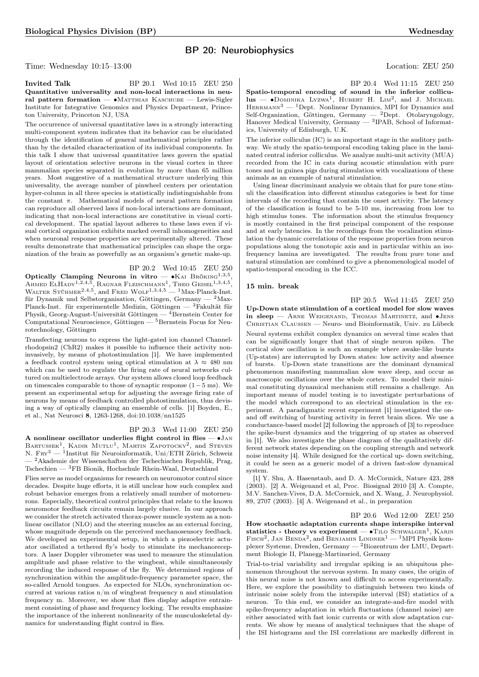## BP 20: Neurobiophysics

Time: Wednesday 10:15–13:00 Location: ZEU 250

**Invited Talk** BP 20.1 Wed 10:15 ZEU 250 Quantitative universality and non-local interactions in neural pattern formation — •MATTHIAS KASCHUBE — Lewis-Sigler Institute for Integrative Genomics and Physics Department, Princeton University, Princeton NJ, USA

The occurrence of universal quantitative laws in a strongly interacting multi-component system indicates that its behavior can be elucidated through the identification of general mathematical principles rather than by the detailed characterization of its individual components. In this talk I show that universal quantitative laws govern the spatial layout of orientation selective neurons in the visual cortex in three mammalian species separated in evolution by more than 65 million years. Most suggestive of a mathematical structure underlying this universality, the average number of pinwheel centers per orientation hyper-column in all three species is statistically indistinguishable from the constant  $\pi$ . Mathematical models of neural pattern formation can reproduce all observed laws if non-local interactions are dominant, indicating that non-local interactions are constitutive in visual cortical development. The spatial layout adheres to these laws even if visual cortical organization exhibits marked overall inhomogeneities and when neuronal response properties are experimentally altered. These results demonstrate that mathematical principles can shape the organization of the brain as powerfully as an organism's genetic make-up.

## BP 20.2 Wed 10:45 ZEU 250

**Optically Clamping Neurons in vitro** — •KAI BRÖKING<sup>1,3,5</sup>, AHMED ELHADY<sup>1,2,4,5</sup>, RAGNAR FLEISCHMANN<sup>1</sup>, THEO GEISEL<sup>1,3,4,5</sup>, WALTER STÜHMER<sup>2,4,5</sup>, and FRED WOLF<sup>1,3,4,5</sup> — <sup>1</sup>Max-Planck-Inst. für Dynamik und Selbstorganisation, Göttingen, Germany —  $^2$ Max-Planck-Inst. für experimentelle Medizin, Göttingen — <sup>3</sup>Fakultät für Physik, Georg-August-Universität Göttingen —  $\frac{4}{3}$ Bernstein Center for Computational Neuroscience, Göttingen —  $5$ Bernstein Focus for Neurotechnology, Göttingen

Transfecting neurons to express the light-gated ion channel Channelrhodopsin2 (ChR2) makes it possible to influence their activity noninvasively, by means of photostimulation [1]. We have implemented a feedback control system using optical stimulation at  $\lambda \approx 480$  nm which can be used to regulate the firing rate of neural networks cultured on multielectrode arrays. Our system allows closed loop feedback on timescales comparable to those of synaptic response (1−5 ms). We present an experimental setup for adjusting the average firing rate of neurons by means of feedback controlled photostimulation, thus devising a way of optically clamping an ensemble of cells. [1] Boyden, E., et al., Nat Neurosci 8, 1263-1268, doi:10.1038/nn1525

#### BP 20.3 Wed 11:00 ZEU 250

A nonlinear oscillator underlies flight control in flies — ∙Jan BARTUSSEK<sup>1</sup>, KADIR MUTLU<sup>1</sup>, MARTIN ZAPOTOCKY<sup>2</sup>, and STEVEN N. Fr $x^3$  — <sup>1</sup>Institut für Neuroinformatik, Uni/ETH Zürich, Schweiz — <sup>2</sup>Akademie der Wissenschaften der Tschechischen Republik, Prag, Tschechien — <sup>3</sup>FB Bionik, Hochschule Rhein-Waal, Deutschland

Flies serve as model organisms for research on neuromotor control since decades. Despite huge efforts, it is still unclear how such complex and robust behavior emerges from a relatively small number of motorneurons. Especially, theoretical control principles that relate to the known neuromotor feedback circuits remain largely elusive. In our approach we consider the stretch activated thorax-power muscle system as a nonlinear oscillator (NLO) and the steering muscles as an external forcing, whose magnitude depends on the perceived mechanosensory feedback. We developed an experimental setup, in which a piezoelectric actuator oscillated a tethered fly's body to stimulate its mechanoreceptors. A laser Doppler vibrometer was used to measure the stimulation amplitude and phase relative to the wingbeat, while simultaneously recording the induced response of the fly. We determined regions of synchronization within the amplitude-frequency parameter space, the so-called Arnold tongues. As expected for NLOs, synchronization occurred at various ratios n/m of wingbeat frequency n and stimulation frequency m. Moreover, we show that flies display adaptive entrainment consisting of phase and frequency locking. The results emphasize the importance of the inherent nonlinearity of the musculoskeletal dynamics for understanding flight control in flies.

BP 20.4 Wed 11:15 ZEU 250

Spatio-temporal encoding of sound in the inferior collicu- $\text{lus}$   $\text{-}\text{Dominika}$  Lyzwa<sup>1</sup>, HUBERT H. LIM<sup>2</sup>, and J. Michael  $H$ ERRMANN<sup>3</sup> — <sup>1</sup>Dept. Nonlinear Dynamics, MPI for Dynamics and Self-Organization, Göttingen, Germany — <sup>2</sup>Dept. Otolaryngology, Hanover Medical University, Germany — <sup>3</sup> IPAB, School of Informatics, University of Edinburgh, U.K.

The inferior colliculus (IC) is an important stage in the auditory pathway. We study the spatio-temporal encoding taking place in the laminated central inferior colliculus. We analyze multi-unit activity (MUA) recorded from the IC in cats during acoustic stimulation with pure tones and in guinea pigs during stimulation with vocalizations of these animals as an example of natural stimulation.

Using linear discriminant analysis we obtain that for pure tone stimuli the classification into different stimulus categories is best for time intervals of the recording that contain the onset activity. The latency of the classification is found to be 5-10 ms, increasing from low to high stimulus tones. The information about the stimulus frequency is mostly contained in the first principal component of the response and at early latencies. In the recordings from the vocalization stimulation the dynamic correlations of the response properties from neuron populations along the tonotopic axis and in particular within an isofrequency lamina are investigated. The results from pure tone and natural stimulation are combined to give a phenomenological model of spatio-temporal encoding in the ICC.

## 15 min. break

BP 20.5 Wed 11:45 ZEU 250

Up-Down state stimulation of a cortical model for slow waves in sleep — Arne Weigenand, Thomas Martinetz, and ∙Jens Christian Claussen — Neuro- und Bioinformatik, Univ. zu Lübeck Neural systems exhibit complex dynamics on several time scales that can be significantly longer that that of single neuron spikes. The cortical slow oscillation is such an example where awake-like bursts (Up-states) are interrupted by Down states: low activity and absence of bursts. Up-Down state transitions are the dominant dynamical phenomenon manifesting mammalian slow wave sleep, and occur as macroscopic oscillations over the whole cortex. To model their minimal constituting dynamical mechanism still remains a challenge. An important means of model testing is to investigate perturbations of the model which correspond to an electrical stimulation in the experiment. A paradigmatic recent experiment [1] investigated the onand off switching of bursting activity in ferret brain slices. We use a conductance-based model [2] following the approach of [3] to reproduce the spike-burst dynamics and the triggering of up states as observed in [1]. We also investigate the phase diagram of the qualitatively different network states depending on the coupling strength and network noise intensity [4]. While designed for the cortical up- down switching, it could be seen as a generic model of a driven fast-slow dynamical system.

[1] Y. Shu, A. Hasenstaub, and D. A. McCormick, Nature 423, 288 (2003). [2] A. Weigenand et al, Proc. Biosignal 2010 [3] A. Compte, M.V. Sanchez-Vives, D.A. McCormick, and X. Wang, J. Neurophysiol. 89, 2707 (2003). [4] A. Weigenand et al., in preparation

BP 20.6 Wed 12:00 ZEU 250 How stochastic adaptation currents shape interspike interval statistics - theory vs experiment —  $\bullet$ TILO SCHWALGER<sup>1</sup>, KARIN FISCH<sup>2</sup>, JAN BENDA<sup>2</sup>, and BENJAMIN LINDNER<sup>1</sup> — <sup>1</sup>MPI Physik komplexer Systeme, Dresden, Germany — <sup>2</sup>Biozentrum der LMU, Department Biologie II, Planegg-Martinsried, Germany

Trial-to-trial variability and irregular spiking is an ubiquitous phenomenon throughout the nervous system. In many cases, the origin of this neural noise is not known and difficult to access experimentally. Here, we explore the possibility to distinguish between two kinds of intrinsic noise solely from the interspike interval (ISI) statistics of a neuron. To this end, we consider an integrate-and-fire model with spike-frequency adaptation in which fluctuations (channel noise) are either associated with fast ionic currents or with slow adaptation currents. We show by means of analytical techniques that the shape of the ISI histograms and the ISI correlations are markedly different in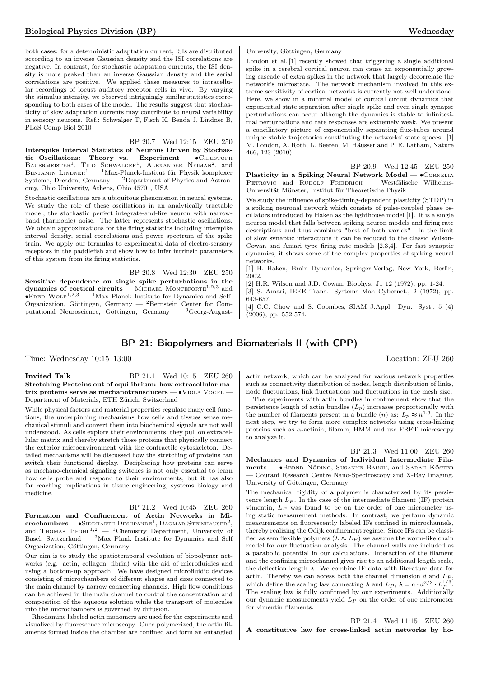both cases: for a deterministic adaptation current, ISIs are distributed according to an inverse Gaussian density and the ISI correlations are negative. In contrast, for stochastic adaptation currents, the ISI density is more peaked than an inverse Gaussian density and the serial correlations are positive. We applied these measures to intracellular recordings of locust auditory receptor cells in vivo. By varying the stimulus intensity, we observed intriguingly similar statistics corresponding to both cases of the model. The results suggest that stochasticity of slow adaptation currents may contribute to neural variability in sensory neurons. Ref.: Schwalger T, Fisch K, Benda J, Lindner B, PLoS Comp Biol 2010

BP 20.7 Wed 12:15 ZEU 250 Interspike Interval Statistics of Neurons Driven by Stochastic Oscillations: Theory vs. Experiment — • CHRISTOPH BAUERMEISTER<sup>1</sup>, TILO SCHWALGER<sup>1</sup>, ALEXANDER NEIMAN<sup>2</sup>, and BENJAMIN LINDNER<sup>1</sup> — <sup>1</sup>Max-Planck-Institut für Physik komplexer Systeme, Dresden, Germany  $-$  2Department of Physics and Astronomy, Ohio University, Athens, Ohio 45701, USA

Stochastic oscillations are a ubiquitous phenomenon in neural systems. We study the role of these oscillations in an analytically tractable model, the stochastic perfect integrate-and-fire neuron with narrowband (harmonic) noise. The latter represents stochastic oscillations. We obtain approximations for the firing statistics including interspike interval density, serial correlations and power spectrum of the spike train. We apply our formulas to experimental data of electro-sensory receptors in the paddlefish and show how to infer intrinsic parameters of this system from its firing statistics.

BP 20.8 Wed 12:30 ZEU 250 Sensitive dependence on single spike perturbations in the dynamics of cortical circuits — MICHAEL MONTEFORTE<sup>1,2,3</sup> and  $\bullet$ FRED WOLF<sup>1,2,3</sup> — <sup>1</sup>Max Planck Institute for Dynamics and Self-Organization, Göttingen, Germany — <sup>2</sup>Bernstein Center for Computational Neuroscience, Göttingen, Germany — <sup>3</sup>Georg-AugustUniversity, Göttingen, Germany

London et al. [1] recently showed that triggering a single additional spike in a cerebral cortical neuron can cause an exponentially growing cascade of extra spikes in the network that largely decorrelate the network's microstate. The network mechanism involved in this extreme sensitivity of cortical networks is currently not well understood. Here, we show in a minimal model of cortical circuit dynamics that exponential state separation after single spike and even single synapse perturbations can occur although the dynamics is stable to infinitesimal perturbations and rate responses are extremely weak. We present a conciliatory picture of exponentially separating flux-tubes around unique stable trajectories constituting the networks' state spaces. [1] M. London, A. Roth, L. Beeren, M. Häusser and P. E. Latham, Nature 466, 123 (2010);

BP 20.9 Wed 12:45 ZEU 250 Plasticity in a Spiking Neural Network Model — • CORNELIA PETROVIC and RUDOLF FRIEDRICH - Westfälische Wilhelms-Universität Münster, Institut für Theoretische Physik

We study the influence of spike-timing-dependent plasticity (STDP) in a spiking neuronal network which consists of pulse-coupled phase oscillators introduced by Haken as the lighthouse model [1]. It is a single neuron model that falls between spiking neuron models and firing rate descriptions and thus combines "best of both worlds". In the limit of slow synaptic interactions it can be reduced to the classic Wilson-Cowan and Amari type firing rate models [2,3,4]. For fast synaptic dynamics, it shows some of the complex properties of spiking neural networks.

[1] H. Haken, Brain Dynamics, Springer-Verlag, New York, Berlin, 2002.

[2] H.R. Wilson and J.D. Cowan, Biophys. J., 12 (1972), pp. 1-24.

[3] S. Amari, IEEE Trans. Systems Man Cybernet., 2 (1972), pp.

643-657. [4] C.C. Chow and S. Coombes, SIAM J.Appl. Dyn. Syst., 5 (4) (2006), pp. 552-574.

## BP 21: Biopolymers and Biomaterials II (with CPP)

Time: Wednesday 10:15–13:00 Location: ZEU 260

**Invited Talk** BP 21.1 Wed 10:15 ZEU 260 Stretching Proteins out of equilibrium: how extracellular matrix proteins serve as mechanotransducers — ∙Viola Vogel — Department of Materials, ETH Zürich, Switzerland

While physical factors and material properties regulate many cell functions, the underpinning mechanisms how cells and tissues sense mechanical stimuli and convert them into biochemical signals are not well understood. As cells explore their environments, they pull on extracellular matrix and thereby stretch those proteins that physically connect the exterior microenvironment with the contractile cytoskeleton. Detailed mechanisms will be discussed how the stretching of proteins can switch their functional display. Deciphering how proteins can serve as mechano-chemical signaling switches is not only essential to learn how cells probe and respond to their environments, but it has also far reaching implications in tissue engineering, systems biology and medicine.

## BP 21.2 Wed 10:45 ZEU 260

Formation and Confinement of Actin Networks in Mi- ${\rm\bf crochambers}\! =\! {\rm\bf s}$ Iddharth Deshpande $^1,$  Dagmar Steinhauser $^2,$ and Thomas  $P_{F}$ OHL<sup>1,2</sup> — <sup>1</sup>Chemistry Department, University of Basel, Switzerland —  $2$ Max Plank Institute for Dynamics and Self Organization, Göttingen, Germany

Our aim is to study the spatiotemporal evolution of biopolymer networks (e.g. actin, collagen, fibrin) with the aid of microfluidics and using a bottom-up approach. We have designed microfluidic devices consisting of microchambers of different shapes and sizes connected to the main channel by narrow connecting channels. High flow conditions can be achieved in the main channel to control the concentration and composition of the aqueous solution while the transport of molecules into the microchambers is governed by diffusion.

Rhodamine labeled actin monomers are used for the experiments and visualized by fluorescence microscopy. Once polymerized, the actin filaments formed inside the chamber are confined and form an entangled

actin network, which can be analyzed for various network properties such as connectivity distribution of nodes, length distribution of links, node fluctuations, link fluctuations and fluctuations in the mesh size.

The experiments with actin bundles in confinement show that the persistence length of actin bundles  $(L_p)$  increases proportionally with the number of filaments present in a bundle (*n*) as:  $L_p \approx n^{1.3}$ . In the next step, we try to form more complex networks using cross-linking proteins such as  $\alpha$ -actinin, filamin, HMM and use FRET microscopy to analyze it.

BP 21.3 Wed 11:00 ZEU 260 Mechanics and Dynamics of Individual Intermediate Filaments — ∙Bernd Nöding, Susanne Bauch, and Sarah Köster — Courant Research Centre Nano-Spectroscopy and X-Ray Imaging, University of Göttingen, Germany

The mechanical rigidity of a polymer is characterized by its persistence length  $L_P$ . In the case of the intermediate filament (IF) protein vimentin,  $L_P$  was found to be on the order of one micrometer using static measurement methods. In contrast, we perform dynamic measurements on fluorescently labeled IFs confined in microchannels, thereby realizing the Odijk confinement regime. Since IFs can be classified as semiflexible polymers  $(L \approx L_P)$  we assume the worm-like chain model for our fluctuation analysis. The channel walls are included as a parabolic potential in our calculations. Interaction of the filament and the confining microchannel gives rise to an additional length scale, the deflection length  $\lambda$ . We combine IF data with literature data for actin. Thereby we can access both the channel dimension  $d$  and  $L_P$ . which define the scaling law connecting  $\lambda$  and  $L_P$ ,  $\lambda = a \cdot d^{2/3} \cdot L_P^{1/3}$ . The scaling law is fully confirmed by our experiments. Additionally our dynamic measurements yield  $L_P$  on the order of one micrometer for vimentin filaments.

BP 21.4 Wed 11:15 ZEU 260 A constitutive law for cross-linked actin networks by ho-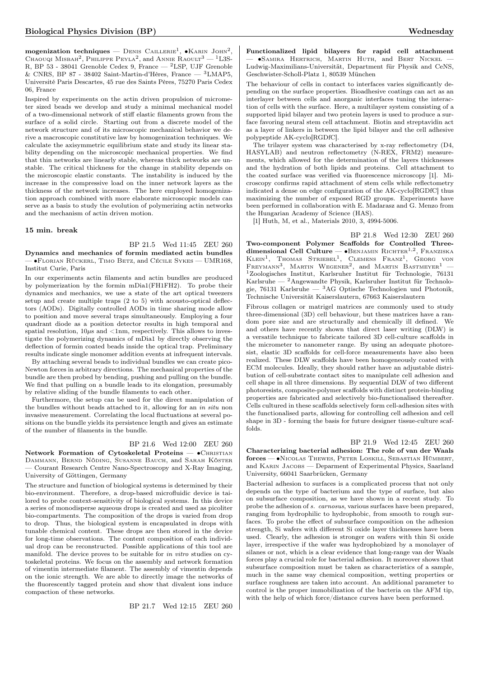mogenization techniques — DENIS CAILLERIE<sup>1</sup>,  $\bullet$ KARIN JOHN<sup>2</sup>, Chaouqi Misbah<sup>2</sup>, Philippe Peyla<sup>2</sup>, and Annie Raoult<sup>3</sup> — <sup>1</sup>L3S-R, BP 53 - 38041 Grenoble Cedex 9, France — <sup>2</sup>LSP, UJF Grenoble & CNRS, BP 87 - 38402 Saint-Martin-d'Hères, France — <sup>3</sup>LMAP5, Université Paris Descartes, 45 rue des Saints Pères, 75270 Paris Cedex 06, France

Inspired by experiments on the actin driven propulsion of micrometer sized beads we develop and study a minimal mechanical model of a two-dimensional network of stiff elastic filaments grown from the surface of a solid circle. Starting out from a discrete model of the network structure and of its microscopic mechanical behavior we derive a macroscopic constitutive law by homogenization techniques. We calculate the axisymmetric equilibrium state and study its linear stability depending on the microscopic mechanical properties. We find that thin networks are linearly stable, whereas thick networks are unstable. The critical thickness for the change in stability depends on the microscopic elastic constants. The instability is induced by the increase in the compressive load on the inner network layers as the thickness of the network increases. The here employed homogenization approach combined with more elaborate microscopic models can serve as a basis to study the evolution of polymerizing actin networks and the mechanism of actin driven motion.

#### 15 min. break

BP 21.5 Wed 11:45 ZEU 260

Dynamics and mechanics of formin mediated actin bundles — ∙Florian Rückerl, Timo Betz, and Cécile Sykes — UMR168, Institut Curie, Paris

In our experiments actin filaments and actin bundles are produced by polymerization by the formin mDia1(FH1FH2). To probe their dynamics and mechanics, we use a state of the art optical tweezers setup and create multiple traps (2 to 5) with acousto-optical deflectors (AODs). Digitally controlled AODs in time sharing mode allow to position and move several traps simultaneously. Employing a four quadrant diode as a position detector results in high temporal and spatial resolution,  $10\mu s$  and  $\langle 1 \text{nm} \rangle$ , respectively. This allows to investigate the polymerizing dynamics of mDia1 by directly observing the deflection of formin coated beads inside the optical trap. Preliminary results indicate single monomer addition events at infrequent intervals.

By attaching several beads to individual bundles we can create pico-Newton forces in arbitrary directions. The mechanical properties of the bundle are then probed by bending, pushing and pulling on the bundle. We find that pulling on a bundle leads to its elongation, presumably by relative sliding of the bundle filaments to each other.

Furthermore, the setup can be used for the direct manipulation of the bundles without beads attached to it, allowing for an in situ non invasive measurement. Correlating the local fluctuations at several positions on the bundle yields its persistence length and gives an estimate of the number of filaments in the bundle.

## BP 21.6 Wed 12:00 ZEU 260

Network Formation of Cytoskeletal Proteins — •CHRISTIAN Dammann, Bernd Nöding, Susanne Bauch, and Sarah Köster — Courant Research Centre Nano-Spectroscopy and X-Ray Imaging, University of Göttingen, Germany

The structure and function of biological systems is determined by their bio-environment. Therefore, a drop-based microfluidic device is tailored to probe context-sensitivity of biological systems. In this device a series of monodisperse aqueous drops is created and used as picoliter bio-compartments. The composition of the drops is varied from drop to drop. Thus, the biological system is encapsulated in drops with tunable chemical content. These drops are then stored in the device for long-time observations. The content composition of each individual drop can be reconstructed. Possible applications of this tool are manifold. The device proves to be suitable for in vitro studies on cytoskeletal proteins. We focus on the assembly and network formation of vimentin intermediate filament. The assembly of vimentin depends on the ionic strength. We are able to directly image the networks of the fluorescently tagged protein and show that divalent ions induce compaction of these networks.

BP 21.7 Wed 12:15 ZEU 260

Functionalized lipid bilayers for rapid cell attachment — ∙Samira Hertrich, Martin Huth, and Bert Nickel — Ludwig-Maximilians-Universität, Department für Physik and CeNS, Geschwister-Scholl-Platz 1, 80539 München

The behaviour of cells in contact to interfaces varies significantly depending on the surface properties. Bioadhesive coatings can act as an interlayer between cells and anorganic interfaces tuning the interaction of cells with the surface. Here, a multilayer system consisting of a supported lipid bilayer and two protein layers is used to produce a surface favoring neural stem cell attachment. Biotin and streptavidin act as a layer of linkers in between the lipid bilayer and the cell adhesive polypeptide AK-cyclo[RGDfC].

The trilayer system was characterised by x-ray reflectometry (D4, HASYLAB) and neutron reflectometry (N-REX, FRM2) measurements, which allowed for the determination of the layers thicknesses and the hydration of both lipids and proteins. Cell attachment to the coated surface was verified via fluorescence microscopy [1]. Microscopy confirms rapid attachment of stem cells while reflectometry indicated a dense on edge configuration of the AK-cyclo[RGDfC] thus maximizing the number of exposed RGD groups. Experiments have been performed in collaboration with E. Madarasz and G. Menzo from the Hungarian Academy of Science (HAS).

[1] Huth, M, et al., Materials 2010, 3, 4994-5006.

BP 21.8 Wed 12:30 ZEU 260 Two-component Polymer Scaffolds for Controlled Threedimensional Cell Culture —  $\bullet$ Benjamin Richter<sup>1,2</sup>, Franziska KLEIN<sup>1</sup>, THOMAS STRIEBEL<sup>1</sup>, CLEMENS FRANZ<sup>1</sup>, GEORG VON FREYMANN<sup>3</sup>, MARTIN WEGENER<sup>2</sup>, and MARTIN BASTMEYER<sup>1</sup> -<sup>1</sup>Zoologisches Institut, Karlsruher Institut für Technologie, 76131 Karlsruhe — <sup>2</sup>Angewandte Physik, Karlsruher Institut für Technologie, 76131 Karlsruhe —  ${}^{3}$ AG Optische Technologien und Photonik, Technische Universität Kaiserslautern, 67663 Kaiserslautern

Fibrous collagen or matrigel matrices are commonly used to study three-dimensional (3D) cell behaviour, but these matrices have a random pore size and are structurally and chemically ill defined. We and others have recently shown that direct laser writing (DLW) is a versatile technique to fabricate tailored 3D cell-culture scaffolds in the micrometer to nanometer range. By using an adequate photoresist, elastic 3D scaffolds for cell-force measurements have also been realized. These DLW scaffolds have been homogeneously coated with ECM molecules. Ideally, they should rather have an adjustable distribution of cell-substrate contact sites to manipulate cell adhesion and cell shape in all three dimensions. By sequential DLW of two different photoresists, composite-polymer scaffolds with distinct protein-binding properties are fabricated and selectively bio-functionalised thereafter. Cells cultured in these scaffolds selectively form cell-adhesion sites with the functionalised parts, allowing for controlling cell adhesion and cell shape in 3D - forming the basis for future designer tissue-culture scaffolds.

## BP 21.9 Wed 12:45 ZEU 260

Characterizing bacterial adhesion: The role of van der Waals forces — ∙Nicolas Thewes, Peter Loskill, Sebastian Hümbert, and KARIN JACOBS — Deparment of Experimental Physics, Saarland University, 66041 Saarbrücken, Germany

Bacterial adhesion to surfaces is a complicated process that not only depends on the type of bacterium and the type of surface, but also on subsurface composition, as we have shown in a recent study. To probe the adhesion of s. carnosus, various surfaces have been prepared, ranging from hydrophilic to hydrophobic, from smooth to rough surfaces. To probe the effect of subsurface composition on the adhesion strength, Si wafers with different Si oxide layer thicknesses have been used. Clearly, the adhesion is stronger on wafers with thin Si oxide layer, irrespective if the wafer was hydrophobized by a monolayer of silanes or not, which is a clear evidence that long-range van der Waals forces play a crucial role for bacterial adhesion. It moreover shows that subsurface composition must be taken as characteristics of a sample, much in the same way chemical composition, wetting properties or surface roughness are taken into account. An additional parameter to control is the proper immobilization of the bacteria on the AFM tip, with the help of which force/distance curves have been performed.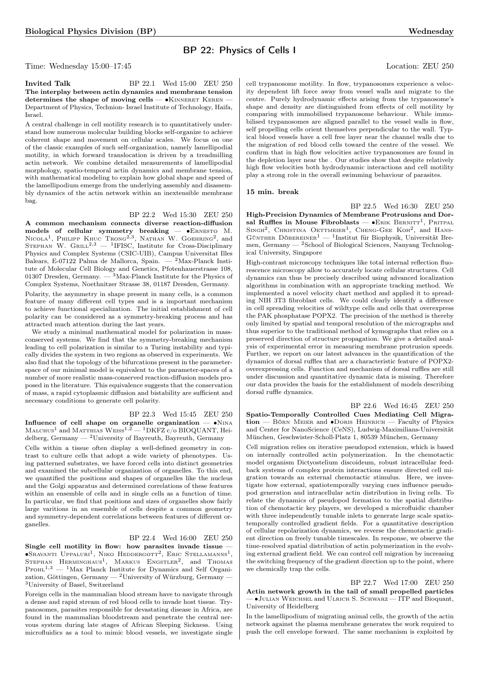## BP 22: Physics of Cells I

Time: Wednesday 15:00–17:45 Location: ZEU 250

**Invited Talk** BP 22.1 Wed 15:00 ZEU 250 The interplay between actin dynamics and membrane tension determines the shape of moving cells — •KINNERET KEREN -Department of Physics, Technion- Israel Institute of Technology, Haifa, Israel.

A central challenge in cell motility research is to quantitatively understand how numerous molecular building blocks self-organize to achieve coherent shape and movement on cellular scales. We focus on one of the classic examples of such self-organization, namely lamellipodial motility, in which forward translocation is driven by a treadmilling actin network. We combine detailed measurements of lamellipodial morphology, spatio-temporal actin dynamics and membrane tension, with mathematical modeling to explain how global shape and speed of the lamellipodium emerge from the underlying assembly and disassembly dynamics of the actin network within an inextensible membrane bag.

BP 22.2 Wed 15:30 ZEU 250

A common mechanism connects diverse reaction-diffusion models of cellular symmetry breaking — •ЕRNESTO М.<br>Nicola<sup>1</sup>, Philipp Khuc Trong<sup>2,3</sup>, Nathan W. Goehring<sup>2</sup>, and STEPHAN W. GRILL<sup>2,3</sup>  $-$  <sup>1</sup>IFISC, Institute for Cross-Disciplinary Physics and Complex Systems (CSIC-UIB), Campus Universitat Illes Balears, E-07122 Palma de Mallorca, Spain. — <sup>2</sup>Max-Planck Institute of Molecular Cell Biology and Genetics, Pfotenhauerstrasse 108, 01307 Dresden, Germany.  $-$  <sup>3</sup>Max-Planck Institute for the Physics of Complex Systems, Noethnitzer Strasse 38, 01187 Dresden, Germany.

Polarity, the asymmetry in shape present in many cells, is a common feature of many different cell types and is a important mechanism to achieve functional specialization. The initial establishment of cell polarity can be considered as a symmetry-breaking process and has attracted much attention during the last years.

We study a minimal mathematical model for polarization in massconserved systems. We find that the symmetry-breaking mechanism leading to cell polarization is similar to a Turing instability and typically divides the system in two regions as observed in experiments. We also find that the topology of the bifurcations present in the parameterspace of our minimal model is equivalent to the parameter-spaces of a number of more realistic mass-conserved reaction-diffusion models proposed in the literature. This equivalence suggests that the conservation of mass, a rapid cytoplasmic diffusion and bistability are sufficient and necessary conditions to generate cell polarity.

BP 22.3 Wed 15:45 ZEU 250

Influence of cell shape on organelle organization —  $\bullet$ NINA MALCHUS<sup>1</sup> and MATTHIAS WEISS<sup>1,2</sup> - <sup>1</sup>DKFZ c/o BIOQUANT, Heidelberg, Germany — <sup>2</sup>University of Bayreuth, Bayreuth, Germany

Cells within a tissue often display a well-defined geometry in contrast to culture cells that adopt a wide variety of phenotypes. Using patterned substrates, we have forced cells into distinct geometries and examined the subcellular organization of organelles. To this end, we quantified the positions and shapes of organelles like the nucleus and the Golgi apparatus and determined correlations of these features within an ensemble of cells and in single cells as a function of time. In particular, we find that positions and sizes of organelles show fairly large varitions in an ensemble of cells despite a common geometry and symmetry-dependent correlations between features of different organelles.

## BP 22.4 Wed 16:00 ZEU 250

Single cell motility in flow: how parasites invade tissue — ∙Sravanti Uppaluri<sup>1</sup> , Niko Heddergott<sup>2</sup> , Eric Stellamanns<sup>1</sup> , STEPHAN HERMINGHAUS<sup>1</sup>, MARKUS ENGSTLER<sup>2</sup>, and Thomas  $P_{\text{FOHL}}^{1,3}$  — <sup>1</sup>Max Planck Institute for Dynamics and Self Organization, Göttingen, Germany — <sup>2</sup>University of Würzburg, Germany – <sup>3</sup>University of Basel, Switzerland

Foreign cells in the mammalian blood stream have to navigate through a dense and rapid stream of red blood cells to invade host tissue. Trypanosomes, parasites responsible for devastating disease in Africa, are found in the mammalian bloodstream and penetrate the central nervous system during late stages of African Sleeping Sickness. Using microfluidics as a tool to mimic blood vessels, we investigate single

cell trypanosome motility. In flow, trypanosomes experience a velocity dependent lift force away from vessel walls and migrate to the centre. Purely hydrodynamic effects arising from the trypanosome's shape and density are distinguished from effects of cell motility by comparing with immobilised trypanosome behaviour. While immobilised trypanosomes are aligned parallel to the vessel walls in flow, self propelling cells orient themselves perpendicular to the wall. Typical blood vessels have a cell free layer near the channel walls due to the migration of red blood cells toward the centre of the vessel. We confirm that in high flow velocities active trypanosomes are found in the depletion layer near the . Our studies show that despite relatively high flow velocities both hydrodynamic interactions and cell motility play a strong role in the overall swimming behaviour of parasites.

#### 15 min. break

BP 22.5 Wed 16:30 ZEU 250 High-Precision Dynamics of Membrane Protrusions and Dorsal Ruffles in Mouse Fibroblasts —  $\bullet$ Erik Bernitt<sup>1</sup>, Pritpal SINGH<sup>2</sup>, CHRISTINA OETTMEIER<sup>1</sup>, CHENG-GEE KOH<sup>2</sup>, and HANS-Günther Döbereiner<sup>1</sup> — <sup>1</sup>Institut für Biophysik, Universität Bremen, Germany —  $^2$ School of Biological Sciences, Nanyang Technological University, Singapore

High-contrast microscopy techniques like total internal reflection fluorescence microscopy allow to accurately locate cellular structures. Cell dynamics can thus be precisely described using advanced localization algorithms in combination with an appropriate tracking method. We implemented a novel velocity chart method and applied it to spreading NIH 3T3 fibroblast cells. We could clearly identify a difference in cell spreading velocities of wildtype cells and cells that overexpress the PAK phosphatase POPX2. The precision of the method is thereby only limited by spatial and temporal resolution of the micrographs and thus superior to the traditional method of kymographs that relies on a preserved direction of structure propagation. We give a detailed analysis of experimental error in measuring membrane protrusion speeds. Further, we report on our latest advances in the quantification of the dynamics of dorsal ruffles that are a characteristic feature of POPX2 overexpressing cells. Function and mechanism of dorsal ruffles are still under discussion and quantitative dynamic data is missing. Therefore our data provides the basis for the establishment of models describing dorsal ruffle dynamics.

BP 22.6 Wed 16:45 ZEU 250 Spatio-Temporally Controlled Cues Mediating Cell Migration — Börn Meier and ∙Doris Heinrich — Faculty of Physics and Center for NanoScience (CeNS), Ludwig-Maximilians-Universität München, Geschwister-Scholl-Platz 1, 80539 München, Germany

Cell migration relies on iterative pseudopod extension, which is based on internally controlled actin polymerization. In the chemotactic model organism Dictyostelium discoideum, robust intracellular feedback systems of complex protein interactions ensure directed cell migration towards an external chemotactic stimulus. Here, we investigate how external, spatiotemporally varying cues influence pseudopod generation and intracellular actin distribution in living cells. To relate the dynamics of pseudopod formation to the spatial distribution of chemotactic key players, we developed a microfluidic chamber with three independently tunable inlets to generate large scale spatiotemporally controlled gradient fields. For a quantitative description of cellular repolarization dynamics, we reverse the chemotactic gradient direction on freely tunable timescales. In response, we observe the time-resolved spatial distribution of actin polymerization in the evolving external gradient field. We can control cell migration by increasing the switching frequency of the gradient direction up to the point, where we chemically trap the cells.

BP 22.7 Wed 17:00 ZEU 250 Actin network growth in the tail of small propelled particles — ∙Julian Weichsel and Ulrich S. Schwarz — ITP and Bioquant, University of Heidelberg

In the lamellipodium of migrating animal cells, the growth of the actin network against the plasma membrane generates the work required to push the cell envelope forward. The same mechanism is exploited by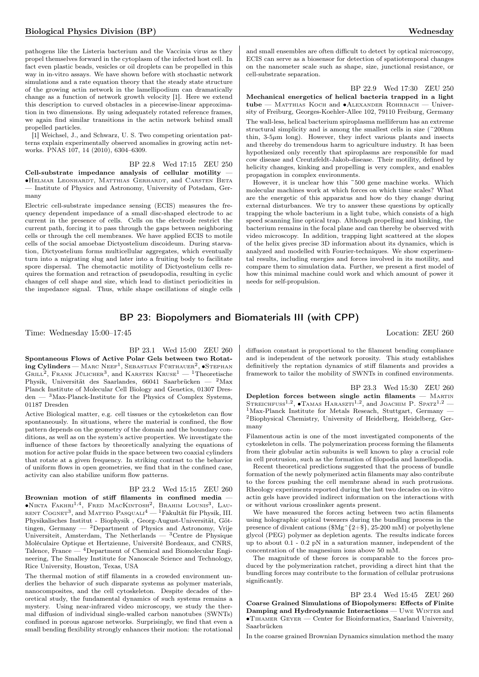pathogens like the Listeria bacterium and the Vaccinia virus as they propel themselves forward in the cytoplasm of the infected host cell. In fact even plastic beads, vesicles or oil droplets can be propelled in this way in in-vitro assays. We have shown before with stochastic network simulations and a rate equation theory that the steady state structure of the growing actin network in the lamellipodium can dramatically change as a function of network growth velocity [1]. Here we extend this description to curved obstacles in a piecewise-linear approximation in two dimensions. By using adequately rotated reference frames, we again find similar transitions in the actin network behind small propelled particles.

[1] Weichsel, J., and Schwarz, U. S. Two competing orientation patterns explain experimentally observed anomalies in growing actin networks. PNAS 107, 14 (2010), 6304–6309.

BP 22.8 Wed 17:15 ZEU 250 Cell-substrate impedance analysis of cellular motility — ∙Helmar Leonhardt, Matthias Gerhardt, and Carsten Beta — Institute of Physics and Astronomy, University of Potsdam, Germany

Electric cell-substrate impedance sensing (ECIS) measures the frequency dependent impedance of a small disc-shaped electrode to ac current in the presence of cells. Cells on the electrode restrict the current path, forcing it to pass through the gaps between neighboring cells or through the cell membranes. We have applied ECIS to motile cells of the social amoebae Dictyostelium discoideum. During starvation, Dictyostelium forms multicellular aggregates, which eventually turn into a migrating slug and later into a fruiting body to facilitate spore dispersal. The chemotactic motility of Dictyostelium cells requires the formation and retraction of pseudopodia, resulting in cyclic changes of cell shape and size, which lead to distinct periodicities in the impedance signal. Thus, while shape oscillations of single cells and small ensembles are often difficult to detect by optical microscopy, ECIS can serve as a biosensor for detection of spatiotemporal changes on the nanometer scale such as shape, size, junctional resistance, or cell-substrate separation.

BP 22.9 Wed 17:30 ZEU 250 Mechanical energetics of helical bacteria trapped in a light tube — Matthias Koch and ∙Alexander Rohrbach — University of Freiburg, Georges-Koehler-Allee 102, 79110 Freiburg, Germany

The wall-less, helical bacterium spiroplasma melliferum has an extreme structural simplicity and is among the smallest cells in size (~200nm thin,  $3-5\mu m$  long). However, they infect various plants and insects and thereby do tremendous harm to agriculture industry. It has been hypothesized only recently that spiroplasms are responsible for mad cow disease and Creutzfeldt-Jakob-disease. Their motility, defined by helicity changes, kinking and propelling is very complex, and enables propagation in complex environments.

However, it is unclear how this ~500 gene machine works. Which molecular machines work at which forces on which time scales? What are the energetic of this apparatus and how do they change during external disturbances. We try to answer these questions by optically trapping the whole bacterium in a light tube, which consists of a high speed scanning line optical trap. Although propelling and kinking, the bacterium remains in the focal plane and can thereby be observed with video microscopy. In addition, trapping light scattered at the slopes of the helix gives precise 3D information about its dynamics, which is analyzed and modelled with Fourier-techniques. We show experimental results, including energies and forces involved in its motility, and compare them to simulation data. Further, we present a first model of how this minimal machine could work and which amount of power it needs for self-propulsion.

## BP 23: Biopolymers and Biomaterials III (with CPP)

Time: Wednesday 15:00–17:45 Location: ZEU 260

BP 23.1 Wed 15:00 ZEU 260

Spontaneous Flows of Active Polar Gels between two Rotat- $\log \text{Cylinders} - \text{Marc NeeF}^1, \text{Sebastian Fürthauer}^2, \bullet \text{STEPHAN}$ GRILL<sup>2</sup>, FRANK JÜLICHER<sup>3</sup>, and KARSTEN  $\text{Kruse}^{1} - \text{1}$ Theoretische Physik, Universität des Saarlandes, 66041 Saarbrücken — <sup>2</sup>Max Planck Institute of Molecular Cell Biology and Genetics, 01307 Dres $den - 3$ Max-Planck-Institute for the Physics of Complex Systems, 01187 Dresden

Active Biological matter, e.g. cell tissues or the cytoskeleton can flow spontaneously. In situations, where the material is confined, the flow pattern depends on the geometry of the domain and the boundary conditions, as well as on the system's active properties. We investigate the influence of these factors by theoretically analyzing the equations of motion for active polar fluids in the space between two coaxial cylinders that rotate at a given frequency. In striking contrast to the behavior of uniform flows in open geometries, we find that in the confined case, activity can also stabilize uniform flow patterns.

BP 23.2 Wed 15:15 ZEU 260

Brownian motion of stiff filaments in confined media — ∙Nikta Fakhri1,<sup>4</sup> , Fred MacKintosh<sup>2</sup> , Brahim Lounis<sup>3</sup> , Lau-rent Cognet3 , and Matteo Pasquali<sup>4</sup> — <sup>1</sup>Fakultät für Physik, III. Physikalisches Institut - Biophysik , Georg-August-Universität, Göttingen, Germany  $-$  <sup>2</sup>Department of Physics and Astronomy, Vrije Universiteit, Amsterdam, The Netherlands —  ${}^{3}$ Centre de Physique Moléculaire Optique et Hertzienne, Université Bordeaux, and CNRS, Talence, France — <sup>4</sup>Department of Chemical and Biomolecular Engineering, The Smalley Institute for Nanoscale Science and Technology, Rice University, Houston, Texas, USA

The thermal motion of stiff filaments in a crowded environment underlies the behavior of such disparate systems as polymer materials, nanocomposites, and the cell cytoskeleton. Despite decades of theoretical study, the fundamental dynamics of such systems remains a mystery. Using near-infrared video microscopy, we study the thermal diffusion of individual single-walled carbon nanotubes (SWNTs) confined in porous agarose networks. Surprisingly, we find that even a small bending flexibility strongly enhances their motion: the rotational

diffusion constant is proportional to the filament bending compliance and is independent of the network porosity. This study establishes definitively the reptation dynamics of stiff filaments and provides a framework to tailor the mobility of SWNTs in confined environments.

BP 23.3 Wed 15:30 ZEU 260 Depletion forces between single actin filaments  $-$  MARTIN STREICHFUSS<sup>1,2</sup>,  $\bullet$ Tamas Haraszti<sup>1,2</sup>, and Joachim P. Spatz<sup>1,2</sup> – <sup>1</sup>Max-Planck Institute for Metals Reseach, Stuttgart, Germany <sup>2</sup>Biophysical Chemistry, University of Heidelberg, Heidelberg, Germany

Filamentous actin is one of the most investigated components of the cytoskeleton in cells. The polymerization process forming the filaments from their globular actin subunits is well known to play a crucial role in cell protrusion, such as the formation of filopodia and lamellopodia.

Recent theoretical predictions suggested that the process of bundle formation of the newly polymerized actin filaments may also contribute to the forces pushing the cell membrane ahead in such protrusions. Rheology experiments reported during the last two decades on in-vitro actin gels have provided indirect information on the interactions with or without various crosslinker agents present.

We have measured the forces acting between two actin filaments using holographic optical tweezers during the bundling process in the presence of divalent cations  $(\text{Mg}^{\text{}}/2+\text{)}$ , 25-200 mM) or polyethylene glycol (PEG) polymer as depletion agents. The results indicate forces up to about 0.1 - 0.2 pN in a saturation manner, independent of the concentration of the magnesium ions above 50 mM.

The magnitude of these forces is comparable to the forces produced by the polymerization ratchet, providing a direct hint that the bundling forces may contribute to the formation of cellular protrusions significantly.

BP 23.4 Wed 15:45 ZEU 260 Coarse Grained Simulations of Biopolymers: Effects of Finite Damping and Hydrodynamic Interactions — Uwe Winter and ∙Tihamer Geyer — Center for Bioinformatics, Saarland University, Saarbrücken

In the coarse grained Brownian Dynamics simulation method the many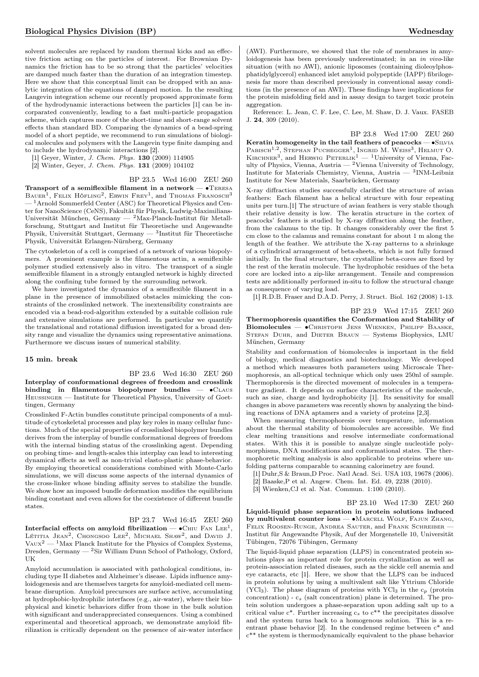solvent molecules are replaced by random thermal kicks and an effective friction acting on the particles of interest. For Brownian Dynamics the friction has to be so strong that the particles' velocities are damped much faster than the duration of an integration timestep. Here we show that this conceptual limit can be dropped with an analytic integration of the equations of damped motion. In the resulting Langevin integration scheme our recently proposed approximate form of the hydrodynamic interactions between the particles [1] can be incorparated conveniently, leading to a fast multi-particle propagation scheme, which captures more of the short-time and short-range solvent effects than standard BD. Comparing the dynamics of a bead-spring model of a short peptide, we recommend to run simulations of biological molecules and polymers with the Langevin type finite damping and to include the hydrodynamic interactions [2].

[1] Geyer, Winter, J. Chem. Phys. 130 (2009) 114905

[2] Winter, Geyer, J. Chem. Phys. 131 (2009) 104102

## BP 23.5 Wed 16:00 ZEU 260

Transport of a semiflexible filament in a network — ∙Teresa  $B$ AUER<sup>1</sup>, FELIX HÖFLING<sup>2</sup>, ERWIN FREY<sup>1</sup>, and Thomas Franosch<sup>3</sup> <sup>1</sup> Arnold Sommerfeld Center (ASC) for Theoretical Physics and Center for NanoScience (CeNS), Fakultät für Physik, Ludwig-Maximilians-Universität München, Germany — <sup>2</sup>Max-Planck-Institut für Metallforschung, Stuttgart and Institut für Theoretische und Angewandte Physik, Universität Stuttgart, Germany —  ${}^{3}$ Institut für Theoretische Physik, Universität Erlangen-Nürnberg, Germany

The cytoskeleton of a cell is comprised of a network of various biopolymers. A prominent example is the filamentous actin, a semiflexible polymer studied extensively also in vitro. The transport of a single semiflexible filament in a strongly entangled network is highly directed along the confining tube formed by the surrounding network.

We have investigated the dynamics of a semiflexible filament in a plane in the presence of immobilized obstacles mimicking the constraints of the crosslinked network. The inextensibility constraints are encoded via a bead-rod-algorithm extended by a suitable collision rule and extensive simulations are performed. In particular we quantify the translational and rotational diffusion investigated for a broad density range and visualize the dynamics using representative animations. Furthermore we discuss issues of numerical stability.

## 15 min. break

BP 23.6 Wed 16:30 ZEU 260 Interplay of conformational degrees of freedom and crosslink binding in filamentous biopolymer bundles —  $\bullet$ CLAUS Heussinger — Institute for Theoretical Physics, University of Goettingen, Germany

Crosslinked F-Actin bundles constitute principal components of a multitude of cytoskeletal processes and play key roles in many cellular functions. Much of the special properties of crosslinked biopolymer bundles derives from the interplay of bundle conformational degrees of freedom with the internal binding status of the crosslinking agent. Depending on probing time- and length-scales this interplay can lead to interesting dynamical effects as well as non-trivial elasto-plastic phase-behavior. By employing theoretical considerations combined with Monte-Carlo simulations, we will discuss some aspects of the internal dynamics of the cross-linker whose binding affinity serves to stabilize the bundle. We show how an imposed bundle deformation modifies the equilibrium binding constant and even allows for the coexistence of different bundle states.

#### BP 23.7 Wed 16:45 ZEU 260

Interfacial effects on amyloid fibrilization —  $\bullet$ Chiu Fan Lee $^1,$ Létitia Jean<sup>2</sup>, Chongsoo Lee<sup>2</sup>, Michael Shaw<sup>2</sup>, and David J.  $V_{AUX}^2$  — <sup>1</sup>Max Planck Institute for the Physics of Complex Systems, Dresden, Germany — <sup>2</sup>Sir William Dunn School of Pathology, Oxford, UK

Amyloid accumulation is associated with pathological conditions, including type II diabetes and Alzheimer's disease. Lipids influence amyloidogenesis and are themselves targets for amyloid-mediated cell membrane disruption. Amyloid precursors are surface active, accumulating at hydrophobic-hydrophilic interfaces (e.g., air-water), where their biophysical and kinetic behaviors differ from those in the bulk solution with significant and underappreciated consequences. Using a combined experimental and theoretical approach, we demonstrate amyloid fibrilization is critically dependent on the presence of air-water interface

(AWI). Furthermore, we showed that the role of membranes in amyloidogenesis has been previously underestimated; in an in vivo-like situation (with no AWI), anionic liposomes (containing dioleoylphosphatidylglycerol) enhanced islet amyloid polypeptide (IAPP) fibrilogenesis far more than described previously in conventional assay conditions (in the presence of an AWI). These findings have implications for the protein misfolding field and in assay design to target toxic protein aggregation.

Reference: L. Jean, C. F. Lee, C. Lee, M. Shaw, D. J. Vaux. FASEB J. 24, 309 (2010).

BP 23.8 Wed 17:00 ZEU 260 Keratin homogeneity in the tail feathers of peacocks — •SILVIA PABISCH<sup>1,2</sup>, STEPHAN PUCHEGGER<sup>1</sup>, INGRID M. WEISS<sup>3</sup>, HELMUT O. KIRCHNER<sup>3</sup>, and HERWIG PETERLIK<sup>1</sup> — <sup>1</sup>University of Vienna, Faculty of Physics, Vienna, Austria — <sup>2</sup>Vienna University of Technology, Institute for Materials Chemistry, Vienna, Austria — <sup>3</sup> INM-Leibniz Institute for New Materials, Saarbrücken, Germany

X-ray diffraction studies successfully clarified the structure of avian feathers: Each filament has a helical structure with four repeating units per turn.[1] The structure of avian feathers is very stable though their relative density is low. The keratin structure in the cortex of peacocks' feathers is studied by X-ray diffraction along the feather, from the calamus to the tip. It changes considerably over the first 5 cm close to the calamus and remains constant for about 1 m along the length of the feather. We attribute the X-ray patterns to a shrinkage of a cylindrical arrangement of beta-sheets, which is not fully formed initially. In the final structure, the crystalline beta-cores are fixed by the rest of the keratin molecule. The hydrophobic residues of the beta core are locked into a zip-like arrangement. Tensile and compression tests are additionally performed in-situ to follow the structural change as consequence of varying load.

[1] R.D.B. Fraser and D.A.D. Perry, J. Struct. Biol. 162 (2008) 1-13.

BP 23.9 Wed 17:15 ZEU 260 Thermophoresis quantifies the Conformation and Stability of Biomolecules — ∙Christoph Jens Wienken, Philipp Baaske, STEFAN DUHR, and DIETER BRAUN - Systems Biophysics, LMU München, Germany

Stability and conformation of biomolecules is important in the field of biology, medical diagnostics and biotechnology. We developed a method which measures both parameters using Microscale Thermophoresis, an all-optical technique which only uses 250nl of sample. Thermophoresis is the directed movement of molecules in a temperature gradient. It depends on surface characteristics of the molecule, such as size, charge and hydrophobicity [1]. Its sensitivity for small changes in above parameters was recently shown by analyzing the binding reactions of DNA aptamers and a variety of proteins [2,3].

When measuring thermophoresis over temperature, information about the thermal stability of biomolecules are accessible. We find clear melting transitions and resolve intermediate conformational states. With this it is possible to analyze single nucleotide polymorphisms, DNA modifications and conformational states. The thermophoretic melting analysis is also applicable to proteins where unfolding patterns comparable to scanning calorimetry are found.

[1] Duhr,S & Braun,D Proc. Natl Acad. Sci. USA 103, 19678 (2006).

- [2] Baaske,P et al. Angew. Chem. Int. Ed. 49, 2238 (2010).
- [3] Wienken,CJ et al. Nat. Commun. 1:100 (2010).

BP 23.10 Wed 17:30 ZEU 260 Liquid-liquid phase separation in protein solutions induced by multivalent counter ions — ∙Marcell Wolf, Fajun Zhang, FELIX ROOSEN-RUNGE, ANDREA SAUTER, and FRANK SCHREIBER -Institut für Angewandte Physik, Auf der Morgenstelle 10, Universität Tübingen, 72076 Tübingen, Germany

The liquid-liquid phase separation (LLPS) in concentrated protein solutions plays an important role for protein crystallization as well as protein-association related diseases, such as the sickle cell anemia and eye cataracts, etc [1]. Here, we show that the LLPS can be induced in protein solutions by using a multivalent salt like Yttrium Chloride (YCl<sub>3</sub>). The phase diagram of proteins with YCl<sub>3</sub> in the  $c_p$  (protein concentration) -  $c_s$  (salt concentration) plane is determined. The protein solution undergoes a phase-separation upon adding salt up to a critical value  $c^*$ . Further increasing  $c_s$  to  $c^{**}$  the precipitates dissolve and the system turns back to a homogenous solution. This is a reentrant phase behavior [2]. In the condensed regime between c\* and c\*\* the system is thermodynamically equivalent to the phase behavior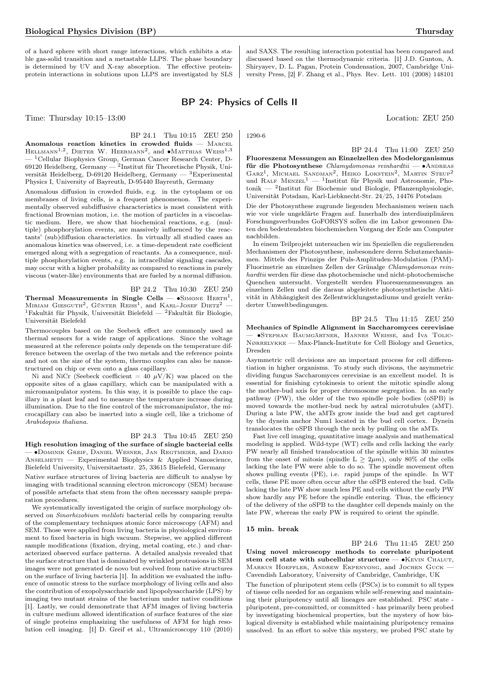of a hard sphere with short range interactions, which exhibits a stable gas-solid transition and a metastable LLPS. The phase boundary is determined by UV and X-ray absorption. The effective proteinprotein interactions in solutions upon LLPS are investigated by SLS

# BP 24: Physics of Cells II

Time: Thursday  $10:15-13:00$  Location: ZEU 250

BP 24.1 Thu 10:15 ZEU 250 Anomalous reaction kinetics in crowded fluids — Marcel HELLMANN<sup>1,2</sup>, DIETER W. HEERMANN<sup>2</sup>, and •MATTHIAS WEISS<sup>1,3</sup> — <sup>1</sup>Cellular Biophysics Group, German Cancer Research Center, D-69120 Heidelberg, Germany —  $^2$ Institut für Theoretische Physik, Universität Heidelberg, D-69120 Heidelberg, Germany — <sup>3</sup>Experimental Physics I, University of Bayreuth, D-95440 Bayreuth, Germany

Anomalous diffusion in crowded fluids, e.g. in the cytoplasm or on membranes of living cells, is a frequent phenomenon. The experimentally observed subdiffusive characteristics is most consistent with fractional Brownian motion, i.e. the motion of particles in a viscoelastic medium. Here, we show that biochemical reactions, e.g. (multiple) phosphorylation events, are massively influenced by the reactants' (sub)diffusion characteristics. In virtually all studied cases an anomalous kinetics was observed, i.e. a time-dependent rate coefficient emerged along with a segregation of reactants. As a consequence, multiple phosphorylation events, e.g. in intracellular signaling cascades, may occur with a higher probability as compared to reactions in purely viscous (water-like) environments that are fueled by a normal diffusion.

## BP 24.2 Thu 10:30 ZEU 250

Thermal Measurements in Single Cells —  $\bullet$ SIMONE HERTH<sup>1</sup>, MIRIAM GIESGUTH<sup>2</sup>, GÜNTER REISS<sup>1</sup>, and KARL-JOSEF DIETZ<sup>2</sup> – <sup>1</sup>Fakultät für Physik, Universität Bielefeld — <sup>2</sup>Fakultät für Biologie, Universität Bielefeld

Thermocouples based on the Seebeck effect are commonly used as thermal sensors for a wide range of applications. Since the voltage measured at the reference points only depends on the temperature difference between the overlap of the two metals and the reference points and not on the size of the system, thermo couples can also be nanostructured on chip or even onto a glass capillary.

Ni and NiCr (Seebeck coefficient = 40  $\mu$ V/K) was placed on the opposite sites of a glass capillary, which can be manipulated with a micromanipulator system. In this way, it is possible to place the capillary in a plant leaf and to measure the temperature increase during illumination. Due to the fine control of the micromanipulator, the microcapillary can also be inserted into a single cell, like a trichome of Arabidopsis thaliana.

## BP 24.3 Thu 10:45 ZEU 250

High resolution imaging of the surface of single bacterial cells — ∙Dominik Greif, Daniel Wesner, Jan Regtmeier, and Dario ANSELMETTI — Experimental Biophysics & Applied Nanoscience, Bielefeld University, Universitaetsstr. 25, 33615 Bielefeld, Germany

Native surface structures of living bacteria are difficult to analyse by imaging with traditional scanning electron microscopy (SEM) because of possible artefacts that stem from the often necessary sample preparation procedures.

We systematically investigated the origin of surface morphology observed on Sinorhizobium meliloti bacterial cells by comparing results of the complementary techniques atomic force microscopy (AFM) and SEM. Those were applied from living bacteria in physiological environment to fixed bacteria in high vacuum. Stepwise, we applied different sample modifications (fixation, drying, metal coating, etc.) and characterized observed surface patterns. A detailed analysis revealed that the surface structure that is dominated by wrinkled protrusions in SEM images were not generated de novo but evolved from native structures on the surface of living bacteria [1]. In addition we evaluated the influence of osmotic stress to the surface morphology of living cells and also the contribution of exopolysaccharide and lipopolysaccharide (LPS) by imaging two mutant strains of the bacterium under native conditions [1]. Lastly, we could demonstrate that AFM images of living bacteria in culture medium allowed identification of surface features of the size of single proteins emphasizing the usefulness of AFM for high resolution cell imaging. [1] D. Greif et al., Ultramicroscopy 110 (2010)

1290-6

BP 24.4 Thu 11:00 ZEU 250 Fluoreszenz Messungen an Einzelzellen des Modelorganismus für die Photosynthese  $Chlamudomonas$  reinhardtii — •ANDREAS GARZ<sup>1</sup>, MICHAEL SANDMAN<sup>2</sup>, HEIKO LOKSTEIN<sup>2</sup>, MARTIN STEUP<sup>2</sup> und RALF MENZEL<sup>1</sup> — <sup>1</sup>Institut für Physik und Astronomie, Photonik — <sup>2</sup> Institut für Biochemie und Biologie, Pflanzenphysiologie, Universität Potsdam, Karl-Liebknecht-Str. 24/25, 14476 Potsdam

Die der Photosynthese zugrunde liegenden Mechanismen weisen nach wie vor viele ungeklärte Fragen auf. Innerhalb des interdisziplinären Forschungsverbundes GoFORSYS sollen die im Labor gewonnen Daten den bedeutendsten biochemischen Vorgang der Erde am Computer nachbilden.

In einem Teilprojekt untersuchen wir im Speziellen die regulierenden Mechanismen der Photosynthese, insbesondere deren Schutzmechanismen. Mittels des Prinzips der Puls-Amplituden-Modulation (PAM)- Fluorimetrie an einzelnen Zellen der Grünalge Chlamydomonas reinhardtii werden für diese das photochemische und nicht-photochemische Quenchen untersucht. Vorgestellt werden Fluoreszenzmessungen an einzelnen Zellen und die daraus abgeleitete photosynthetische Aktivität in Abhängigkeit des Zellentwicklungsstadiums und gezielt veränderter Umweltbedingungen.

BP 24.5 Thu 11:15 ZEU 250

Mechanics of Spindle Alignment in Saccharomyces cerevisiae — ∙Stephan Baumgärtner, Hannes Weisse, and Iva Tolic-Nørrelykke — Max-Planck-Institute for Cell Biology and Genetics, Dresden

Asymmetric cell devisions are an important process for cell differentiation in higher organisms. To study such divisons, the asymmetric dividing fungus Saccharomyces cerevisiae is an excellent model. It is essential for finishing cytokinesis to orient the mitotic spindle along the mother-bud axis for proper chromosome segregation. In an early pathway (PW), the older of the two spindle pole bodies (oSPB) is moved towards the mother-bud neck by astral microtubules (aMT). During a late PW, the aMTs grow inside the bud and get captured by the dynein anchor Num1 located in the bud cell cortex. Dynein translocates the oSPB through the neck by pulling on the aMTs.

Fast live cell imaging, quantitative image analysis and mathematical modeling is applied. Wild-type (WT) cells and cells lacking the early PW nearly all finished translocation of the spindle within 30 minutes from the onset of mitosis (spindle  $L \geq 2\mu m$ ), only 80% of the cells lacking the late PW were able to do so. The spindle movement often shows pulling events (PE), i.e. rapid jumps of the spindle. In WT cells, these PE more often occur after the oSPB entered the bud. Cells lacking the late PW show much less PE and cells without the early PW show hardly any PE before the spindle entering. Thus, the efficiency of the delivery of the oSPB to the daughter cell depends mainly on the late PW, whereas the early PW is required to orient the spindle.

#### 15 min. break

BP 24.6 Thu 11:45 ZEU 250 Using novel microscopy methods to correlate pluripotent stem cell state with subcellular structure — •KEVIN CHALUT, Markus Hoepfler, Andrew Ekpenyong, and Jochen Guck — Cavendish Laboratory, University of Cambridge, Cambridge, UK

The function of pluripotent stem cells (PSCs) is to commit to all types of tissue cells needed for an organism while self-renewing and maintaining their pluripotency until all lineages are established. PSC state pluripotent, pre-committed, or committed - has primarily been probed by investigating biochemical properties, but the mystery of how biological diversity is established while maintaining pluripotency remains unsolved. In an effort to solve this mystery, we probed PSC state by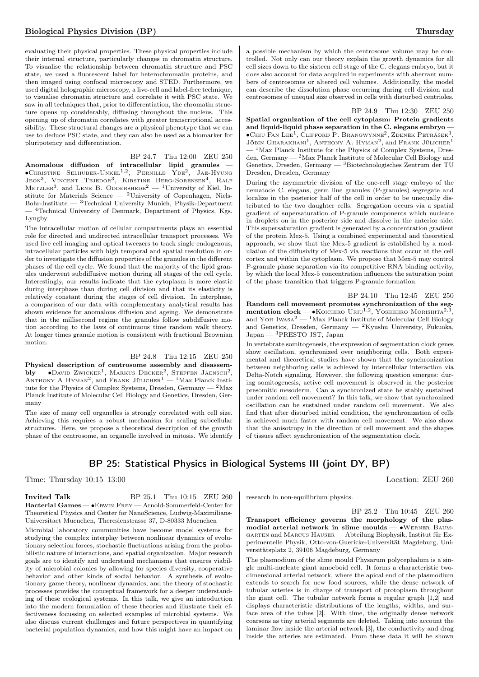evaluating their physical properties. These physical properties include their internal structure, particularly changes in chromatin structure. To visualise the relationship between chromatin structure and PSC state, we used a fluorescent label for heterochromatin proteins, and then imaged using confocal microscopy and STED. Furthermore, we used digital holographic microscopy, a live-cell and label-free technique, to visualise chromatin structure and correlate it with PSC state. We saw in all techniques that, prior to differentiation, the chromatin structure opens up considerably, diffusing throughout the nucleus. This opening up of chromatin correlates with greater transcriptional accessibility. These structural changes are a physical phenotype that we can use to deduce PSC state, and they can also be used as a biomarker for pluripotency and differentiation.

## BP 24.7 Thu 12:00 ZEU 250

Anomalous diffusion of intracellular lipid granules — ∙Christine Selhuber-Unkel1,<sup>2</sup> , Pernille Yde<sup>2</sup> , Jae-Hyung JEON<sup>3</sup>, VINCENT TEJEDOR<sup>3</sup>, KIRSTINE BERG-SORENSEN<sup>4</sup>, RALF METZLER<sup>3</sup>, and LENE B. ODDERSHEDE<sup>2</sup> — <sup>1</sup>University of Kiel, Institute for Materials Science —  $2$ University of Copenhagen, Niels-Bohr-Institute —  ${}^{3}$ Technical University Munich, Physik-Department — <sup>4</sup>Technical University of Denmark, Department of Physics, Kgs. Lyngby

The intracellular motion of cellular compartments plays an essential role for directed and undirected intracellular transport processes. We used live cell imaging and optical tweezers to track single endogenous, intracellular particles with high temporal and spatial resolution in order to investigate the diffusion properties of the granules in the different phases of the cell cycle. We found that the majority of the lipid granules underwent subdiffusive motion during all stages of the cell cycle. Interestingly, our results indicate that the cytoplasm is more elastic during interphase than during cell division and that its elasticity is relatively constant during the stages of cell division. In interphase, a comparison of our data with complementary analytical results has shown evidence for anomalous diffusion and ageing. We demonstrate that in the millisecond regime the granules follow subdiffusive motion according to the laws of continuous time random walk theory. At longer times granule motion is consistent with fractional Brownian motion.

BP 24.8 Thu 12:15 ZEU 250

Physical description of centrosome assembly and disassem- $\text{bly} \rightharpoonup \bullet$ David Zwicker<sup>1</sup>, Markus Decker<sup>2</sup>, Steffen Jaensch<sup>2</sup>, ANTHONY A HYMAN<sup>2</sup>, and Frank Jülicher<sup>1</sup> — <sup>1</sup>Max Planck Institute for the Physics of Complex Systems, Dresden, Germany  $-2$  Max Planck Institute of Molecular Cell Biology and Genetics, Dresden, Germany

The size of many cell organelles is strongly correlated with cell size. Achieving this requires a robust mechanism for scaling subcellular structures. Here, we propose a theoretical description of the growth phase of the centrosome, an organelle involved in mitosis. We identify a possible mechanism by which the centrosome volume may be controlled. Not only can our theory explain the growth dynamics for all cell sizes down to the sixteen cell stage of the C. elegans embryo, but it does also account for data acquired in experiments with aberrant numbers of centrosomes or altered cell volumes. Additionally, the model can describe the dissolution phase occurring during cell division and centrosomes of unequal size observed in cells with disturbed centrioles.

## BP 24.9 Thu 12:30 ZEU 250

Spatial organization of the cell cytoplasm: Protein gradients and liquid-liquid phase separation in the C. elegans embryo — ∙Chiu Fan Lee<sup>1</sup> , Clifford P. Brangwynne<sup>2</sup> , Zdeněk Petrášek<sup>3</sup> , JÖBIN GHARAKHANI<sup>1</sup>, ANTHONY A. HYMAN<sup>2</sup>, and FRANK JÜLICHER<sup>1</sup> <sup>1</sup>Max Planck Institute for the Physics of Complex Systems, Dresden, Germany — <sup>2</sup>Max Planck Institute of Molecular Cell Biology and Genetics, Dresden, Germany — <sup>3</sup>Biotechnologisches Zentrum der TU Dresden, Dresden, Germany

During the asymmetric division of the one-cell stage embryo of the nematode C. elegans, germ line granules (P-granules) segregate and localize in the posterior half of the cell in order to be unequally distributed to the two daughter cells. Segregation occurs via a spatial gradient of supersaturation of P-granule components which nucleate in droplets on in the posterior side and dissolve in the anterior side. This supersaturation gradient is generated by a concentration gradient of the protein Mex-5. Using a combined experimental and theoretical approach, we show that the Mex-5 gradient is established by a modulation of the diffusivity of Mex-5 via reactions that occur at the cell cortex and within the cytoplasm. We propose that Mex-5 may control P-granule phase separation via its competitive RNA binding activity, by which the local Mex-5 concentration influences the saturation point of the phase transition that triggers P-granule formation.

BP 24.10 Thu 12:45 ZEU 250 Random cell movement promotes synchronization of the segmentation clock — • KOICHIRO URIU<sup>1,2</sup>, YOSHIHIRO MORISHITA<sup>2,3</sup> and Yoh Iwasa<sup>2</sup> — <sup>1</sup>Max Planck Institute of Molecular Cell Biology and Genetics, Dresden, Germany —  ${}^{2}$ Kyushu University, Fukuoka, Japan — <sup>3</sup>PRESTO JST, Japan

In vertebrate somitogenesis, the expression of segmentation clock genes show oscillation, synchronized over neighboring cells. Both experimental and theoretical studies have shown that the synchronization between neighboring cells is achieved by intercellular interaction via Delta-Notch signaling. However, the following question emerges: during somitogenesis, active cell movement is observed in the posterior presomitic mesoderm. Can a synchronized state be stably sustained under random cell movement? In this talk, we show that synchronized oscillation can be sustained under random cell movement. We also find that after disturbed initial condition, the synchronization of cells is achieved much faster with random cell movement. We also show that the anisotropy in the direction of cell movement and the shapes of tissues affect synchronization of the segmentation clock.

## BP 25: Statistical Physics in Biological Systems III (joint DY, BP)

Time: Thursday 10:15–13:00 Location: ZEU 260

**Invited Talk** BP 25.1 Thu 10:15 ZEU 260 Bacterial Games — ∙Erwin Frey — Arnold-Sommerfeld-Center for Theoretical Physics and Center for NanoScience, Ludwig-Maximilians-Universitaet Muenchen, Theresienstrasse 37, D-80333 Muenchen

Microbial laboratory communities have become model systems for studying the complex interplay between nonlinear dynamics of evolutionary selection forces, stochastic fluctuations arising from the probabilistic nature of interactions, and spatial organization. Major research goals are to identify and understand mechanisms that ensures viability of microbial colonies by allowing for species diversity, cooperative behavior and other kinds of social behavior. A synthesis of evolutionary game theory, nonlinear dynamics, and the theory of stochastic processes provides the conceptual framework for a deeper understanding of these ecological systems. In this talk, we give an introduction into the modern formulation of these theories and illustrate their effectiveness focussing on selected examples of microbial systems. We also discuss current challenges and future perspectives in quantifying bacterial population dynamics, and how this might have an impact on

research in non-equilibrium physics.

BP 25.2 Thu 10:45 ZEU 260

Transport efficiency governs the morphology of the plasmodial arterial network in slime moulds — ∙Werner Baumgarten and Marcus Hauser — Abteilung Biophysik, Institut für Experimentelle Physik, Otto-von-Guericke-Universität Magdeburg, Universitätsplatz 2, 39106 Magdeburg, Germany

The plasmodium of the slime mould Physarum polycephalum is a single multi-nucleate giant amoeboid cell. It forms a characteristic twodimensional arterial network, where the apical end of the plasmodium extends to search for new food sources, while the dense network of tubular arteries is in charge of transport of protoplasm throughout the giant cell. The tubular network forms a regular graph [1,2] and displays characteristic distributions of the lengths, widths, and surface area of the tubes [2]. With time, the originally dense network coarsens as tiny arterial segments are deleted. Taking into account the laminar flow inside the arterial network [3], the conductivity and drag inside the arteries are estimated. From these data it will be shown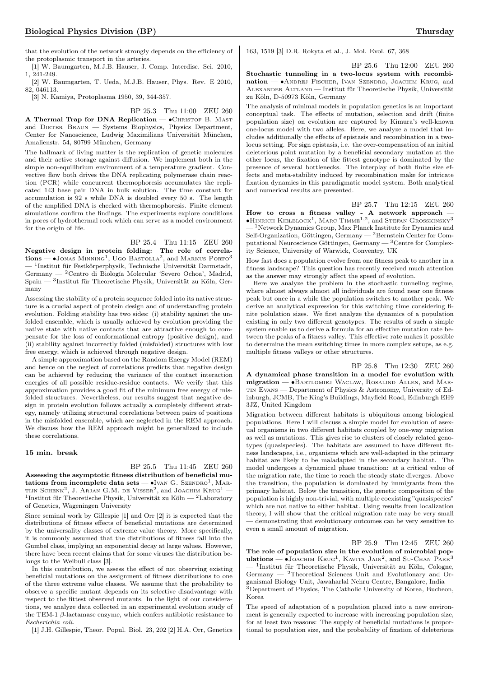that the evolution of the network strongly depends on the efficiency of the protoplasmic transport in the arteries.

[1] W. Baumgarten, M.J.B. Hauser, J. Comp. Interdisc. Sci. 2010, 1, 241-249.

[2] W. Baumgarten, T. Ueda, M.J.B. Hauser, Phys. Rev. E 2010, 82, 046113.

[3] N. Kamiya, Protoplasma 1950, 39, 344-357.

BP 25.3 Thu 11:00 ZEU 260

A Thermal Trap for DNA Replication — • CHRISTOF B. MAST and DIETER BRAUN — Systems Biophysics, Physics Department, Center for Nanoscience, Ludwig Maximilians Universität München, Amalienstr. 54, 80799 München, Germany

The hallmark of living matter is the replication of genetic molecules and their active storage against diffusion. We implement both in the simple non-equilibrium environment of a temperature gradient. Convective flow both drives the DNA replicating polymerase chain reaction (PCR) while concurrent thermophoresis accumulates the replicated 143 base pair DNA in bulk solution. The time constant for accumulation is 92 s while DNA is doubled every 50 s. The length of the amplified DNA is checked with thermophoresis. Finite element simulations confirm the findings. The experiments explore conditions in pores of hydrothermal rock which can serve as a model environment for the origin of life.

BP 25.4 Thu 11:15 ZEU 260

Negative design in protein folding: The role of correla $tions - \bullet$ Jonas Minning<sup>1</sup>, Ugo Bastolla<sup>2</sup>, and Markus Porto<sup>3</sup> — <sup>1</sup> Institut für Festkörperphysik, Technische Universität Darmstadt, Germany — <sup>2</sup>Centro di Biología Molecular 'Severo Ochoa', Madrid, Spain — <sup>3</sup> Institut für Theoretische Physik, Universität zu Köln, Germany

Assessing the stability of a protein sequence folded into its native structure is a crucial aspect of protein design and of understanding protein evolution. Folding stability has two sides: (i) stability against the unfolded ensemble, which is usually achieved by evolution providing the native state with native contacts that are attractive enough to compensate for the loss of conformational entropy (positive design), and (ii) stability against incorrectly folded (misfolded) structures with low free energy, which is achieved through negative design.

A simple approximation based on the Random Energy Model (REM) and hence on the neglect of correlations predicts that negative design can be achieved by reducing the variance of the contact interaction energies of all possible residue-residue contacts. We verify that this approximation provides a good fit of the minimum free energy of misfolded structures. Nevertheless, our results suggest that negative design in protein evolution follows actually a completely different strategy, namely utilizing structural correlations between pairs of positions in the misfolded ensemble, which are neglected in the REM approach. We discuss how the REM approach might be generalized to include these correlations.

#### 15 min. break

BP 25.5 Thu 11:45 ZEU 260 Assessing the asymptotic fitness distribution of beneficial mutations from incomplete data sets —  $\bullet$ Ivan G. Szendro<sup>1</sup>, Martijn Schenk<sup>2</sup>, J. Arjan G.M. de Visser<sup>2</sup>, and Joachim Krug<sup>1</sup> — <sup>1</sup>Institut für Theoretische Physik, Universität zu Köln — <sup>2</sup>Laboratory of Genetics, Wageningen University

Since seminal work by Gillespie [1] and Orr [2] it is expected that the distributions of fitness effects of beneficial mutations are determined by the universality classes of extreme value theory. More specifically, it is commonly assumed that the distributions of fitness fall into the Gumbel class, implying an exponential decay at large values. However, there have been recent claims that for some viruses the distribution belongs to the Weibull class [3].

In this contribution, we assess the effect of not observing existing beneficial mutations on the assignment of fitness distributions to one of the three extreme value classes. We assume that the probability to observe a specific mutant depends on its selective disadvantage with respect to the fittest observed mutants. In the light of our considerations, we analyze data collected in an experimental evolution study of the TEM-1  $\beta$ -lactamase enzyme, which confers antibiotic resistance to Escherichia coli.

[1] J.H. Gillespie, Theor. Popul. Biol. 23, 202 [2] H.A. Orr, Genetics

163, 1519 [3] D.R. Rokyta et al., J. Mol. Evol. 67, 368

BP 25.6 Thu 12:00 ZEU 260

Stochastic tunneling in a two-locus system with recombination — • ANDREJ FISCHER, IVAN SZENDRO, JOACHIM KRUG, and Alexander Altland — Institut für Theoretische Physik, Universität zu Köln, D-50973 Köln, Germany

The analysis of minimal models in population genetics is an important conceptual task. The effects of mutation, selection and drift (finite population size) on evolution are captured by Kimura's well-known one-locus model with two alleles. Here, we analyze a model that includes additionally the effects of epistasis and recombination in a twolocus setting. For sign epistasis, i.e. the over-compensation of an initial deleterious point mutation by a beneficial secondary mutation at the other locus, the fixation of the fittest genotype is dominated by the presence of several bottlenecks. The interplay of both finite size effects and meta-stability induced by recombination make for intricate fixation dynamics in this paradigmatic model system. Both analytical and numerical results are presented.

BP 25.7 Thu 12:15 ZEU 260

How to cross a fitness valley - A network approach — • HINRICH KIELBLOCK<sup>1</sup>, MARC TIMME<sup>1,2</sup>, and STEFAN GROSSKINSKY<sup>3</sup> <sup>1</sup>Network Dynamics Group, Max Planck Institute for Dynamics and Self-Organization, Göttingen, Germany — <sup>2</sup>Bernstein Center for Computational Neuroscience Göttingen, Germany — <sup>3</sup>Centre for Complexity Science, University of Warwick, Conventry, UK

How fast does a population evolve from one fitness peak to another in a fitness landscape? This question has recently received much attention as the answer may strongly affect the speed of evolution.

Here we analyze the problem in the stochastic tunneling regime, where almost always almost all individuals are found near one fitness peak but once in a while the population switches to another peak. We derive an analytical expression for this switching time considering finite polulation sizes. We first analyze the dynamics of a population existing in only two different genotypes. The results of such a simple system enable us to derive a formula for an effective mutation rate between the peaks of a fitness valley. This effective rate makes it possible to determine the mean switching times in more complex setups, as e.g. multiple fitness valleys or other structures.

BP 25.8 Thu 12:30 ZEU 260 A dynamical phase transition in a model for evolution with migration — ∙Bartlomiej Waclaw, Rosalind Allen, and Martin Evans — Department of Physics & Astronomy, University of Edinburgh, JCMB, The King's Buildings, Mayfield Road, Edinburgh EH9 3JZ, United Kingdom

Migration between different habitats is ubiquitous among biological populations. Here I will discuss a simple model for evolution of asexual organisms in two different habitats coupled by one-way migration as well as mutations. This gives rise to clusters of closely related genotypes (quasispecies). The habitats are assumed to have different fitness landscapes, i.e., organisms which are well-adapted in the primary habitat are likely to be maladapted in the secondary habitat. The model undergoes a dynamical phase transition: at a critical value of the migration rate, the time to reach the steady state diverges. Above the transition, the population is dominated by immigrants from the primary habitat. Below the transition, the genetic composition of the population is highly non-trivial, with multiple coexisting "quasispecies" which are not native to either habitat. Using results from localization theory, I will show that the critical migration rate may be very small — demonstrating that evolutionary outcomes can be very sensitive to even a small amount of migration.

BP 25.9 Thu 12:45 ZEU 260 The role of population size in the evolution of microbial populations —  $\bullet$ JOACHIM KRUG<sup>1</sup>, KAVITA JAIN<sup>2</sup>, and SU-CHAN PARK<sup>3</sup> — <sup>1</sup> Institut für Theoretische Physik, Universität zu Köln, Cologne, Germany — <sup>2</sup>Theoretical Sciences Unit and Evolutionary and Organismal Biology Unit, Jawaharlal Nehru Centre, Bangalore, India —  ${}^{3}$ Department of Physics, The Catholic University of Korea, Bucheon, Korea

The speed of adaptation of a population placed into a new environment is generally expected to increase with increasing population size, for at least two reasons: The supply of beneficial mutations is proportional to population size, and the probability of fixation of deleterious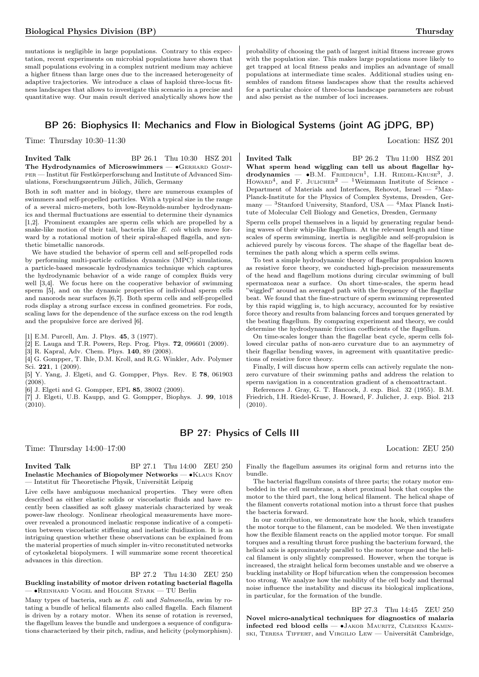mutations is negligible in large populations. Contrary to this expectation, recent experiments on microbial populations have shown that small populations evolving in a complex nutrient medium may achieve a higher fitness than large ones due to the increased heterogeneity of adaptive trajectories. We introduce a class of haploid three-locus fitness landscapes that allows to investigate this scenario in a precise and quantitative way. Our main result derived analytically shows how the

probability of choosing the path of largest initial fitness increase grows with the population size. This makes large populations more likely to get trapped at local fitness peaks and implies an advantage of small populations at intermediate time scales. Additional studies using ensembles of random fitness landscapes show that the results achieved for a particular choice of three-locus landscape parameters are robust and also persist as the number of loci increases.

## BP 26: Biophysics II: Mechanics and Flow in Biological Systems (joint AG jDPG, BP)

**Invited Talk** BP 26.1 Thu 10:30 HSZ 201 The Hydrodynamics of Microswimmers — • GERHARD GOMPper — Institut für Festkörperforschung and Institute of Advanced Simulations, Forschungszentrum Jülich, Jülich, Germany

Both in soft matter and in biology, there are numerous examples of swimmers and self-propelled particles. With a typical size in the range of a several micro-meters, both low-Reynolds-number hydrodynamics and thermal fluctuations are essential to determine their dynamics [1,2]. Prominent examples are sperm cells which are propelled by a snake-like motion of their tail, bacteria like E. coli which move forward by a rotational motion of their spiral-shaped flagella, and synthetic bimetallic nanorods.

We have studied the behavior of sperm cell and self-propelled rods by performing multi-particle collision dynamics (MPC) simulations, a particle-based mesoscale hydrodynamics technique which captures the hydrodynamic behavior of a wide range of complex fluids very well [3,4]. We focus here on the cooperative behavior of swimming sperm [5], and on the dynamic properties of individual sperm cells and nanorods near surfaces [6,7]. Both sperm cells and self-propelled rods display a strong surface excess in confined geometries. For rods, scaling laws for the dependence of the surface excess on the rod length and the propulsive force are derived [6].

[1] E.M. Purcell, Am. J. Phys. 45, 3 (1977).

[2] E. Lauga and T.R. Powers, Rep. Prog. Phys. 72, 096601 (2009).

[3] R. Kapral, Adv. Chem. Phys. 140, 89 (2008).

[4] G. Gompper, T. Ihle, D.M. Kroll, and R.G. Winkler, Adv. Polymer Sci. 221, 1 (2009).

[5] Y. Yang, J. Elgeti, and G. Gompper, Phys. Rev. E 78, 061903  $(2008)$ .

[6] J. Elgeti and G. Gompper, EPL 85, 38002 (2009).

[7] J. Elgeti, U.B. Kaupp, and G. Gompper, Biophys. J. 99, 1018 (2010).

Time: Thursday 10:30–11:30 Location: HSZ 201 **Invited Talk** BP 26.2 Thu 11:00 HSZ 201 What sperm head wiggling can tell us about flagellar hy- $\text{drodynamics}$   $\bullet$  B.M. FRIEDRICH<sup>1</sup>, I.H. RIEDEL-KRUSE<sup>3</sup>, J.

Howard<sup>4</sup>, and F. JULICHER<sup>2</sup> — <sup>1</sup>Weizmann Institute of Science -Department of Materials and Interfaces, Rehovot, Israel  $2$ Max-Planck-Institute for the Physics of Complex Systems, Dresden, Germany —  ${}^{3}$ Stanford University, Stanford, USA —  ${}^{4}$ Max Planck Institute of Molecular Cell Biology and Genetics, Dresden, Germany

Sperm cells propel themselves in a liquid by generating regular bending waves of their whip-like flagellum. At the relevant length and time scales of sperm swimming, inertia is negligible and self-propulsion is achieved purely by viscous forces. The shape of the flagellar beat determines the path along which a sperm cells swims.

To test a simple hydrodynamic theory of flagellar propulsion known as resistive force theory, we conducted high-precision measurements of the head and flagellum motions during circular swimming of bull spermatozoa near a surface. On short time-scales, the sperm head "wiggled" around an averaged path with the frequency of the flagellar beat. We found that the fine-structure of sperm swimming represented by this rapid wiggling is, to high accuracy, accounted for by resistive force theory and results from balancing forces and torques generated by the beating flagellum. By comparing experiment and theory, we could determine the hydrodynamic friction coefficients of the flagellum.

On time-scales longer than the flagellar beat cycle, sperm cells followed circular paths of non-zero curvature due to an asymmetry of their flagellar bending waves, in agreement with quantitative predictions of resistive force theory.

Finally, I will discuss how sperm cells can actively regulate the nonzero curvature of their swimming paths and address the relation to sperm navigation in a concentration gradient of a chemoattractant.

References J. Gray, G. T. Hancock, J. exp. Biol. 32 (1955). B.M. Friedrich, I.H. Riedel-Kruse, J. Howard, F. Julicher, J. exp. Biol. 213  $(2010).$ 

## BP 27: Physics of Cells III

Time: Thursday  $14:00-17:00$  Location: ZEU 250

**Invited Talk** BP 27.1 Thu 14:00 ZEU 250 Inelastic Mechanics of Biopolymer Networks — ∙Klaus Kroy — Intstitut für Theoretische Physik, Universität Leipzig

Live cells have ambiguous mechanical properties. They were often described as either elastic solids or viscoelastic fluids and have recently been classified as soft glassy materials characterized by weak power-law rheology. Nonlinear rheological measurements have moreover revealed a pronounced inelastic response indicative of a competition between viscoelastic stiffening and inelastic fluidization. It is an intriguing question whether these observations can be explained from the material properties of much simpler in-vitro reconstituted networks of cytoskeletal biopolymers. I will summarize some recent theoretical advances in this direction.

BP 27.2 Thu 14:30 ZEU 250 Buckling instability of motor driven rotating bacterial flagella — ∙Reinhard Vogel and Holger Stark — TU Berlin

Many types of bacteria, such as E. coli and Salmonella, swim by rotating a bundle of helical filaments also called flagella. Each filament is driven by a rotary motor. When its sense of rotation is reversed, the flagellum leaves the bundle and undergoes a sequence of configurations characterized by their pitch, radius, and helicity (polymorphism).

Finally the flagellum assumes its original form and returns into the bundle.

The bacterial flagellum consists of three parts; the rotary motor embedded in the cell membrane, a short proximal hook that couples the motor to the third part, the long helical filament. The helical shape of the filament converts rotational motion into a thrust force that pushes the bacteria forward.

In our contribution, we demonstrate how the hook, which transfers the motor torque to the filament, can be modeled. We then investigate how the flexible filament reacts on the applied motor torque. For small torques and a resulting thrust force pushing the bacterium forward, the helical axis is approximately parallel to the motor torque and the helical filament is only slightly compressed. However, when the torque is increased, the straight helical form becomes unstable and we observe a buckling instability or Hopf bifurcation when the compression becomes too strong. We analyze how the mobility of the cell body and thermal noise influence the instability and discuss its biological implications, in particular, for the formation of the bundle.

BP 27.3 Thu 14:45 ZEU 250 Novel micro-analytical techniques for diagnostics of malaria infected red blood cells — ∙Jakob Mauritz, Clemens Kaminski, Teresa Tiffert, and Virgilio Lew — Universität Cambridge,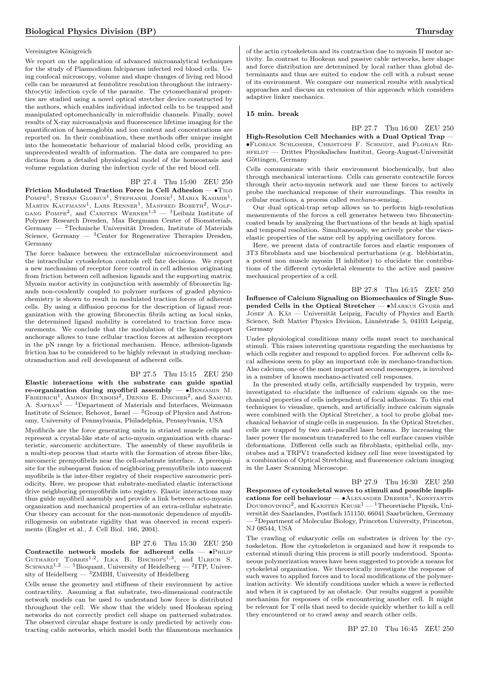## Vereinigtes Königreich

We report on the application of advanced microanalytical techniques for the study of Plasmodium falciparum infected red blood cells. Using confocal microscopy, volume and shape changes of living red blood cells can be measured at femtolitre resolution throughout the intraerythrocytic infection cycle of the parasite. The cytomechanical properties are studied using a novel optical stretcher device constructed by the authors, which enables individual infected cells to be trapped and manipulated optomechanically in microfluidic channels. Finally, novel results of X-ray microanalysis and fluorescence lifetime imaging for the quantification of haemoglobin and ion content and concentrations are reported on. In their combination, these methods offer unique insight into the homeostatic behaviour of malarial blood cells, providing an unprecedented wealth of information. The data are compared to predictions from a detailed physiological model of the homeostasis and volume regulation during the infection cycle of the red blood cell.

#### BP 27.4 Thu 15:00 ZEU 250

Friction Modulated Traction Force in Cell Adhesion — ∙Tilo POMPE<sup>1</sup>, Stefan Glorius<sup>1</sup>, Stephanie Johne<sup>1</sup>, Maria Kasimir<sup>1</sup>, Martin Kaufmann<sup>1</sup>, Lars Renner<sup>1</sup>, Manfred Bobeth<sup>2</sup>, Wolf-GANG POMPE<sup>2</sup>, and CARSTEN WERNER<sup>1,3</sup> - <sup>1</sup>Leibniz Institute of Polymer Research Dresden, Max Bergmann Center of Biomaterials, Germany  $-$  <sup>2</sup>Technische Universität Dresden, Institute of Materials Science, Germany  $-$  <sup>3</sup>Center for Regenerative Therapies Dresden, Germany

The force balance between the extracellular microenvironment and the intracellular cytoskeleton controls cell fate decisions. We report a new mechanism of receptor force control in cell adhesion originating from friction between cell adhesion ligands and the supporting matrix. Myosin motor activity in conjunction with assembly of fibronectin ligands non-covalently coupled to polymer surfaces of graded physicochemistry is shown to result in modulated traction forces of adherent cells. By using a diffusion process for the description of ligand reorganization with the growing fibronectin fibrils acting as local sinks, the determined ligand mobility is correlated to traction force measurements. We conclude that the modulation of the ligand-support anchorage allows to tune cellular traction forces at adhesion receptors in the pN range by a frictional mechanism. Hence, adhesion-ligands friction has to be considered to be highly relevant in studying mechanotransduction and cell development of adherent cells.

## BP 27.5 Thu 15:15 ZEU 250

Elastic interactions with the substrate can guide spatial re-organization during myofibril assembly — •BENJAMIN M.  $F$ riedrich<sup>1</sup>, Amnon Buxboim<sup>2</sup>, Dennis E. Discher<sup>2</sup>, and Samuel A.  $\text{SAFRAN}^1$  — <sup>1</sup>Department of Materials and Interfaces, Weizmann Institute of Science, Rehovot, Israel —  ${}^{2}$ Group of Physics and Astronomy, University of Pennsylvania, Philadelphia, Pennsylvania, USA

Myofibrils are the force generating units in striated muscle cells and represent a crystal-like state of acto-myosin organization with characteristic, sarcomeric architecture. The assembly of these myofibrils is a multi-step process that starts with the formation of stress fiber-like, sarcomeric premyofibrils near the cell-substrate interface. A prerequisite for the subsequent fusion of neighboring premyofibrils into nascent myofibrils is the inter-fiber registry of their respective sarcomeric periodicity. Here, we propose that substrate-mediated elastic interactions drive neighboring premyofibrils into registry. Elastic interactions may thus guide myofibril assembly and provide a link between acto-myosin organization and mechanical properties of an extra-cellular substrate. Our theory can account for the non-monotonic dependence of myofibrillogenesis on substrate rigidity that was observed in recent experiments (Engler et al., J. Cell Biol. 166, 2004).

#### BP 27.6 Thu 15:30 ZEU 250

Contractile network models for adherent cells —  $\bullet$ PHILIP GUTHARDT  $T$ ORRES<sup>1,2</sup>, ILKA B. BISCHOFS<sup>1,3</sup>, and ULRICH S. SCHWARZ<sup>1,2</sup> — <sup>1</sup>Bioquant, University of Heidelberg — <sup>2</sup>ITP, University of Heidelberg  $-$  <sup>3</sup>ZMBH, University of Heidelberg

Cells sense the geometry and stiffness of their environment by active contractility. Assuming a flat substrate, two-dimensional contractile network models can be used to understand how force is distributed throughout the cell. We show that the widely used Hookean spring networks do not correctly predict cell shape on patterned substrates. The observed circular shape feature is only predicted by actively contracting cable networks, which model both the filamentous mechanics

of the actin cytoskeleton and its contraction due to myosin II motor activity. In contrast to Hookean and passive cable networks, here shape and force distribution are determined by local rather than global determinants and thus are suited to endow the cell with a robust sense of its environment. We compare our numerical results with analytical approaches and discuss an extension of this approach which considers adaptive linker mechanics.

#### 15 min. break

BP 27.7 Thu 16:00 ZEU 250 High-Resolution Cell Mechanics with a Dual Optical Trap -∙Florian Schlosser, Christoph F. Schmidt, and Florian Rehfeldt — Drittes Physikalisches Institut, Georg-August-Universität Göttingen, Germany

Cells communicate with their environment biochemically, but also through mechanical interactions. Cells can generate contractile forces through their acto-myosin network and use these forces to actively probe the mechanical response of their surroundings. This results in cellular reactions, a process called mechano-sensing.

Our dual optical-trap setup allows us to perform high-resolution measurements of the forces a cell generates between two fibronectincoated beads by analyzing the fluctuations of the beads at high spatial and temporal resolution. Simultaneously, we actively probe the viscoelastic properties of the same cell by applying oscillatory forces.

Here, we present data of contractile forces and elastic responses of 3T3 fibroblasts and use biochemical perturbations (e.g. blebbistatin, a potent non muscle myosin II inhibitor) to elucidate the contributions of the different cytoskeletal elements to the active and passive mechanical properties of a cell.

BP 27.8 Thu 16:15 ZEU 250 Influence of Calcium Signaling on Biomechanics of Single Suspended Cells in the Optical Stretcher — ∙Markus Gyger and Josef A. Käs — Universität Leipzig, Faculty of Physics and Earth Science, Soft Matter Physics Division, Linnéstraße 5, 04103 Leipzig, Germany

Under physiological conditions many cells must react to mechanical stimuli. This raises interesting questions regarding the mechanisms by which cells register and respond to applied forces. For adherent cells focal adhesions seem to play an important role in mechano-tranduction. Also calcium, one of the most important second messengers, is involved in a number of known mechano-activated cell responses.

In the presented study cells, artificially suspended by trypsin, were investigated to elucidate the influence of calcium signals on the mechanical properties of cells independent of focal adhesions. To this end techniques to visualize, quench, and artificially induce calcium signals were combined with the Optical Stretcher, a tool to probe global mechanical behavior of single cells in suspension. In the Optical Stretcher, cells are trapped by two anti-parallel laser beams. By increasing the laser power the momentum transferred to the cell surface causes visible deformations. Different cells such as fibroblasts, epithelial cells, myotubes and a TRPV1 transfected kidney cell line were investigated by a combination of Optical Stretching and fluorescence calcium imaging in the Laser Scanning Microscope.

BP 27.9 Thu 16:30 ZEU 250 Responses of cytoskeletal waves to stimuli and possible implications for cell behaviour — • ALEXANDER DREHER<sup>1</sup>, KONSTANTIN DOUBROVINSKI<sup>2</sup>, and KARSTEN KRUSE<sup>1</sup> — <sup>1</sup>Theoretische Physik, Universität des Saarlandes, Postfach 151150, 66041 Saarbrücken, Germany — <sup>2</sup>Department of Molecular Biology, Princeton University, Princeton, NJ 08544, USA

The crawling of eukaryotic cells on substrates is driven by the cytoskeleton. How the cytoskeleton is organized and how it responds to external stimuli during this process is still poorly understood. Spontaneous polymerization waves have been suggested to provide a means for cytokeletal organization. We theoretically investigate the response of such waves to applied forces and to local modifications of the polymerization activity. We identify conditions under which a wave is reflected and when it is captured by an obstacle. Our results suggest a possible mechanism for responses of cells encountering another cell. It might be relevant for T cells that need to decide quickly whether to kill a cell they encountered or to crawl away and search other cells.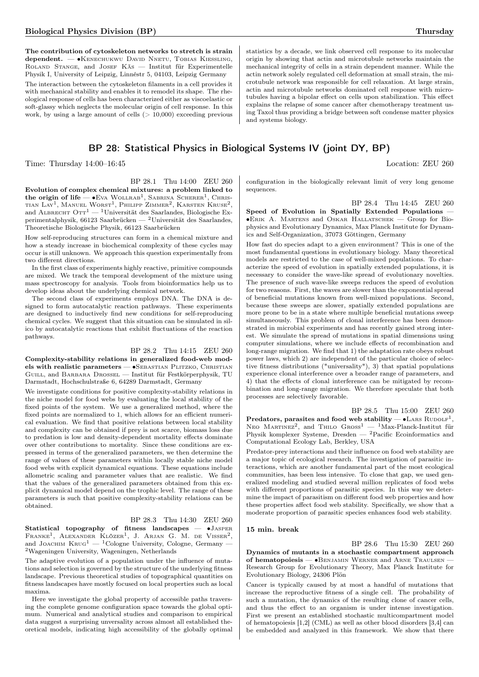The contribution of cytoskeleton networks to stretch is strain dependent. — • KENECHUKWU DAVID NNETU, TOBIAS KIESSLING, Roland Stange, and Josef Käs — Institut für Experimentelle Physik I, University of Leipzig, Linnéstr 5, 04103, Leipzig Germany

The interaction between the cytoskeleton filaments in a cell provides it with mechanical stability and enables it to remodel its shape. The rheological response of cells has been characterized either as viscoelastic or soft-glassy which neglects the molecular origin of cell response. In this work, by using a large amount of cells  $(> 10,000)$  exceeding previous

## BP 28: Statistical Physics in Biological Systems IV (joint DY, BP)

BP 28.1 Thu 14:00 ZEU 260 Evolution of complex chemical mixtures: a problem linked to the origin of life —  $\bullet$  Eva Wollrab<sup>1</sup>, Sabrina Scherer<sup>1</sup>, Christian Lay<sup>1</sup>, Manuel Worst<sup>1</sup>, Philipp Zimmer<sup>2</sup>, Karsten Kruse<sup>2</sup>, and ALBRECHT OTT<sup>1</sup> — <sup>1</sup>Universität des Saarlandes, Biologische Experimentalphysik, 66123 Saarbrücken — <sup>2</sup>Universität des Saarlandes, Theoretische Biologische Physik, 66123 Saarbrücken

How self-reproducing structures can form in a chemical mixture and how a steady increase in biochemical complexity of these cycles may occur is still unknown. We approach this question experimentally from two different directions.

In the first class of experiments highly reactive, primitive compounds are mixed. We track the temporal development of the mixture using mass spectroscopy for analysis. Tools from bioinformatics help us to develop ideas about the underlying chemical network.

The second class of experiments employs DNA. The DNA is designed to form autocatalytic reaction pathways. These experiments are designed to inductively find new conditions for self-reproducing chemical cycles. We suggest that this situation can be simulated in silico by autocatalytic reactions that exhibit fluctuations of the reaction pathways.

## BP 28.2 Thu 14:15 ZEU 260

Complexity-stability relations in generalized food-web models with realistic parameters — • SEBASTIAN PLITZKO, CHRISTIAN Guill, and Barbara Drossel — Institut für Festkörperphysik, TU Darmstadt, Hochschulstraße 6, 64289 Darmstadt, Germany

We investigate conditions for positive complexity-stability relations in the niche model for food webs by evaluating the local stability of the fixed points of the system. We use a generalized method, where the fixed points are normalized to 1, which allows for an efficient numerical evaluation. We find that positive relations between local stability and complexity can be obtained if prey is not scarce, biomass loss due to predation is low and density-dependent mortality effects dominate over other contributions to mortality. Since these conditions are expressed in terms of the generalized parameters, we then determine the range of values of these parameters within locally stable niche model food webs with explicit dynamical equations. These equations include allometric scaling and parameter values that are realistic. We find that the values of the generalized parameters obtained from this explicit dynamical model depend on the trophic level. The range of these parameters is such that positive complexity-stability relations can be obtained.

BP 28.3 Thu 14:30 ZEU 260 Statistical topography of fitness landscapes — ∙Jasper FRANKE<sup>1</sup>, ALEXANDER KLÖZER<sup>1</sup>, J. ARJAN G. M. DE VISSER<sup>2</sup>, and JOACHIM  $K\text{Rug}^1$  — <sup>1</sup>Cologne University, Cologne, Germany – <sup>2</sup>Wageningen University, Wageningen, Netherlands

The adaptive evolution of a population under the influence of mutations and selection is governed by the structure of the underlying fitness landscape. Previous theoretical studies of topographical quantities on fitness landscapes have mostly focused on local properties such as local maxima.

Here we investigate the global property of accessible paths traversing the complete genome configuration space towards the global optimum. Numerical and analytical studies and comparison to empirical data suggest a surprising unversality across almost all established theoretical models, indicating high accessibility of the globally optimal

statistics by a decade, we link observed cell response to its molecular origin by showing that actin and microtubule networks maintain the mechanical integrity of cells in a strain dependent manner. While the actin network solely regulated cell deformation at small strain, the microtubule network was responsible for cell relaxation. At large strain, actin and microtubule networks dominated cell response with microtubules having a bipolar effect on cells upon stabilization. This effect explains the relapse of some cancer after chemotherapy treatment using Taxol thus providing a bridge between soft condense matter physics and systems biology.

Time: Thursday  $14:00-16:45$  Location: ZEU 260

configuration in the biologically relevant limit of very long genome sequences.

BP 28.4 Thu 14:45 ZEU 260

Speed of Evolution in Spatially Extended Populations — ∙Erik A. Martens and Oskar Hallatschek — Group for Biophysics and Evolutionary Dynamics, Max Planck Institute for Dynamics and Self-Organization, 37073 Göttingen, Germany

How fast do species adapt to a given environment? This is one of the most fundamental questions in evolutionary biology. Many theoretical models are restricted to the case of well-mixed populations. To characterize the speed of evolution in spatially extended populations, it is necessary to consider the wave-like spread of evolutionary novelties. The presence of such wave-like sweeps reduces the speed of evolution for two reasons. First, the waves are slower than the exponential spread of beneficial mutations known from well-mixed populations. Second, because these sweeps are slower, spatially extended populations are more prone to be in a state where multiple beneficial mutations sweep simultaneously. This problem of clonal interference has been demonstrated in microbial experiments and has recently gained strong interest. We simulate the spread of mutations in spatial dimensions using computer simulations, where we include effects of recombination and long-range migration. We find that 1) the adaptation rate obeys robust power laws, which 2) are independent of the particular choice of selective fitness distributions ("universality"), 3) that spatial populations experience clonal interference over a broader range of parameters, and 4) that the effects of clonal interference can be mitigated by recombination and long-range migration. We therefore speculate that both processes are selectively favorable.

BP 28.5 Thu 15:00 ZEU 260 Predators, parasites and food web stability —  $\bullet$  LARS RUDOLF<sup>1</sup>, NEO MARTINEZ<sup>2</sup>, and THILO  $G$ ROSS<sup>1</sup> - <sup>1</sup>Max-Planck-Institut für Physik komplexer Systeme, Dresden — <sup>2</sup>Pacific Ecoinformatics and Computational Ecology Lab, Berkley, USA

Predator-prey interactions and their influence on food web stability are a major topic of ecological research. The investigation of parasitic interactions, which are another fundamental part of the most ecological communities, has been less intensive. To close that gap, we used generalized modeling and studied several million replicates of food webs with different proportions of parasitic species. In this way we determine the impact of parasitism on different food web properties and how these properties affect food web stability. Specifically, we show that a moderate proportion of parasitic species enhances food web stability.

#### 15 min. break

BP 28.6 Thu 15:30 ZEU 260

Dynamics of mutants in a stochastic compartment approach of hematopoiesis — ∙Benjamin Werner and Arne Traulsen — Research Group for Evolutionary Theory, Max Planck Institute for Evolutionary Biology, 24306 Plön

Cancer is typically caused by at most a handful of mutations that increase the reproductive fitness of a single cell. The probability of such a mutation, the dynamics of the resulting clone of cancer cells, and thus the effect to an organism is under intense investigation. First we present an established stochastic multicompartment model of hematopoiesis [1,2] (CML) as well as other blood disorders [3,4] can be embedded and analyzed in this framework. We show that there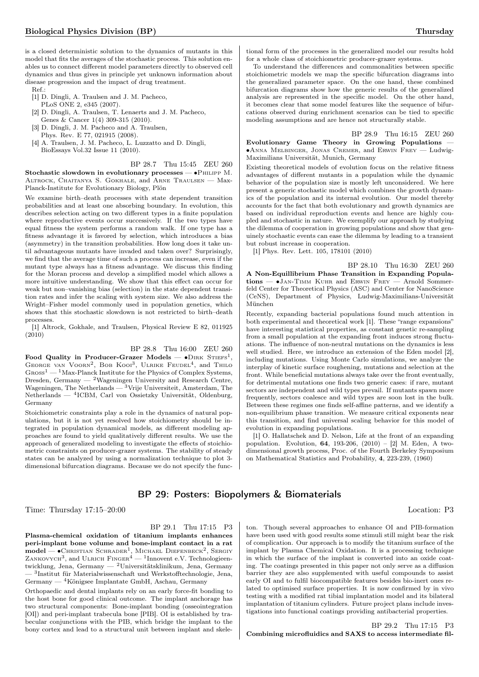is a closed deterministic solution to the dynamics of mutants in this model that fits the averages of the stochastic process. This solution enables us to connect different model parameters directly to observed cell dynamics and thus gives in principle yet unknown information about disease progression and the impact of drug treatment.

 $Ref$ .

- [1] D. Dingli, A. Traulsen and J. M. Pacheco, PLoS ONE 2, e345 (2007).
- [2] D. Dingli, A. Traulsen, T. Lenaerts and J. M. Pacheco,
- Genes & Cancer 1(4) 309-315 (2010). [3] D. Dingli, J. M. Pacheco and A. Traulsen,
- Phys. Rev. E 77, 021915 (2008).
- [4] A. Traulsen, J. M. Pacheco, L. Luzzatto and D. Dingli, BioEssays Vol.32 Issue 11 (2010).

BP 28.7 Thu 15:45 ZEU 260 Stochastic slowdown in evolutionary processes — •PHILIPP M. Altrock, Chaitanya S. Gokhale, and Arne Traulsen — Max-Planck-Institute for Evolutionary Biology, Plön

We examine birth–death processes with state dependent transition probabilities and at least one absorbing boundary. In evolution, this describes selection acting on two different types in a finite population where reproductive events occur successively. If the two types have equal fitness the system performs a random walk. If one type has a fitness advantage it is favored by selection, which introduces a bias (asymmetry) in the transition probabilities. How long does it take until advantageous mutants have invaded and taken over? Surprisingly, we find that the average time of such a process can increase, even if the mutant type always has a fitness advantage. We discuss this finding for the Moran process and develop a simplified model which allows a more intuitive understanding. We show that this effect can occur for weak but non–vanishing bias (selection) in the state dependent transition rates and infer the scaling with system size. We also address the Wright–Fisher model commonly used in population genetics, which shows that this stochastic slowdown is not restricted to birth–death processes.

[1] Altrock, Gokhale, and Traulsen, Physical Review E 82, 011925 (2010)

BP 28.8 Thu 16:00 ZEU 260

Food Quality in Producer-Grazer Models —  $\bullet$ DIRK STIEFS<sup>1</sup>, GEORGE VAN VOORN<sup>2</sup>, BOB KOOI<sup>3</sup>, ULRIKE FEUDEL<sup>4</sup>, and THILO  $G$ ROSS<sup>1</sup> — <sup>1</sup>Max-Planck Institute for the Physics of Complex Systems, Dresden, Germany —  $^2$  Wageningen University and Research Centre, Wageningen, The Netherlands — <sup>3</sup>Vrije Universiteit, Amsterdam, The Netherlands — <sup>4</sup> ICBM, Carl von Ossietzky Universität, Oldenburg, Germany

Stoichiometric constraints play a role in the dynamics of natural populations, but it is not yet resolved how stoichiometry should be integrated in population dynamical models, as different modeling approaches are found to yield qualitatively different results. We use the approach of generalized modeling to investigate the effects of stoichiometric constraints on producer-grazer systems. The stability of steady states can be analyzed by using a normalization technique to plot 3 dimensional bifurcation diagrams. Because we do not specify the func-

# BP 29: Posters: Biopolymers & Biomaterials

Time: Thursday 17:15–20:00 Location: P3

BP 29.1 Thu 17:15 P3

Plasma-chemical oxidation of titanium implants enhances peri-implant bone volume and bone-implant contact in a rat model — •Снкізтіам Schrader<sup>1</sup>, Міснаеl Diefenbeck<sup>2</sup>, Sergiy<br>Zankovych<sup>3</sup>, and Ulrich Finger<sup>4</sup> — <sup>1</sup>Innovent e.V. Technologieentwicklung, Jena, Germany — <sup>2</sup>Universitätsklinikum, Jena, Germany — <sup>3</sup> Institut für Materialwissenschaft und Werkstofftechnologie, Jena,  $\rm{Germany} \xrightarrow{~~} 4K$ önigsee Implantate GmbH, Aschau, Germany

Orthopaedic and dental implants rely on an early force-fit bonding to the host bone for good clinical outcome. The implant anchorage has two structural components: Bone-implant bonding (osseointegration [OI]) and peri-implant trabecula bone [PIB]. OI is established by trabecular conjunctions with the PIB, which bridge the implant to the bony cortex and lead to a structural unit between implant and skele-

tional form of the processes in the generalized model our results hold for a whole class of stoichiometric producer-grazer systems.

To understand the differences and commonalities between specific stoichiometric models we map the specific bifurcation diagrams into the generalized parameter space. On the one hand, these combined bifurcation diagrams show how the generic results of the generalized analysis are represented in the specific model. On the other hand, it becomes clear that some model features like the sequence of bifurcations observed during enrichment scenarios can be tied to specific modeling assumptions and are hence not structurally stable.

BP 28.9 Thu 16:15 ZEU 260 Evolutionary Game Theory in Growing Populations — ∙Anna Melbinger, Jonas Cremer, and Erwin Frey — Ludwig-Maximilians Universität, Munich, Germany

Existing theoretical models of evolution focus on the relative fitness advantages of different mutants in a population while the dynamic behavior of the population size is mostly left unconsidered. We here present a generic stochastic model which combines the growth dynamics of the population and its internal evolution. Our model thereby accounts for the fact that both evolutionary and growth dynamics are based on individual reproduction events and hence are highly coupled and stochastic in nature. We exemplify our approach by studying the dilemma of cooperation in growing populations and show that genuinely stochastic events can ease the dilemma by leading to a transient but robust increase in cooperation.

[1] Phys. Rev. Lett. 105, 178101 (2010)

BP 28.10 Thu 16:30 ZEU 260 A Non-Equillibrium Phase Transition in Expanding Populations — ∙Jan-Timm Kuhr and Erwin Frey — Arnold Sommerfeld Center for Theoretical Physics (ASC) and Center for NanoScience (CeNS), Department of Physics, Ludwig-Maximilians-Universität München

Recently, expanding bacterial populations found much attention in both experimental and theoretical work [1]. These "range expansions" have interesting statistical properties, as constant genetic re-sampling from a small population at the expanding front induces strong fluctuations. The influence of non-neutral mutations on the dynamics is less well studied. Here, we introduce an extension of the Eden model [2], including mutations. Using Monte Carlo simulations, we analyze the interplay of kinetic surface roughening, mutations and selection at the front. While beneficial mutations always take over the front eventually, for detrimental mutations one finds two generic cases: if rare, mutant sectors are independent and wild types prevail. If mutants spawn more frequently, sectors coalesce and wild types are soon lost in the bulk. Between these regimes one finds self-affine patterns, and we identify a non-equilibrium phase transition. We measure critical exponents near this transition, and find universal scaling behavior for this model of evolution in expanding populations.

[1] O. Hallatschek and D. Nelson, Life at the front of an expanding population. Evolution, 64, 193-206, (2010) – [2] M. Eden, A twodimensional growth process, Proc. of the Fourth Berkeley Symposium on Mathematical Statistics and Probability, 4, 223-239, (1960)

ton. Though several approaches to enhance OI and PIB-formation have been used with good results some stimuli still might bear the risk of complication. Our approach is to modify the titanium surface of the implant by Plasma Chemical Oxidation. It is a processing technique in which the surface of the implant is converted into an oxide coating. The coatings presented in this paper not only serve as a diffusion barrier they are also supplemented with useful compounds to assist early OI and to fulfil biocompatible features besides bio-inert ones related to optimised surface properties. It is now confirmed by in vivo testing with a modified rat tibial implantation model and its bilateral implantation of titanium cylinders. Future project plans include investigations into functional coatings providing antibacterial properties.

BP 29.2 Thu 17:15 P3 Combining microfluidics and SAXS to access intermediate fil-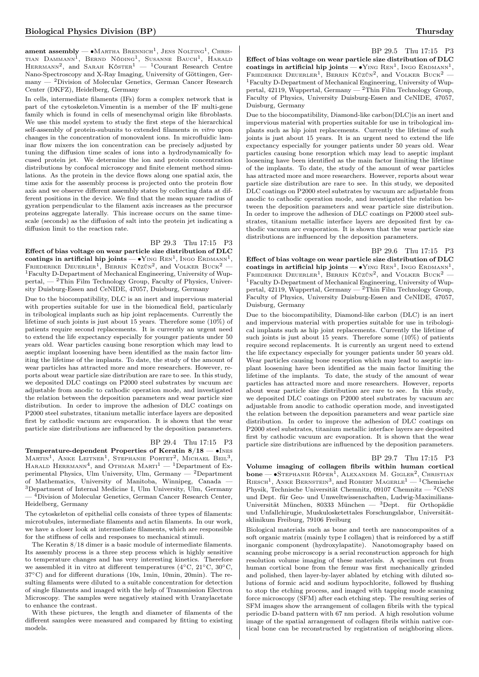**ament assembly — •**Мактна Вкеммісн<sup>1</sup>, Jens Nolting<sup>1</sup>, Chris-<br>тіам Dаммамм<sup>1</sup>, Bernd Nöding<sup>1</sup>, Susanne Bauch<sup>1</sup>, Harald<br>Неккмамм<sup>2</sup>, and Sarah Kösтек<sup>1</sup> — <sup>1</sup>Courant Research Centre Nano-Spectroscopy and X-Ray Imaging, University of Göttingen, Germany — <sup>2</sup>Division of Molecular Genetics, German Cancer Research Center (DKFZ), Heidelberg, Germany

In cells, intermediate filaments (IFs) form a complex network that is part of the cytoskeleton.Vimentin is a member of the IF multi-gene family which is found in cells of mesenchymal origin like fibroblasts. We use this model system to study the first steps of the hierarchical self-assembly of protein-subunits to extended filaments in vitro upon changes in the concentration of monovalent ions. In microfluidic laminar flow mixers the ion concentration can be precisely adjusted by tuning the diffusion time scales of ions into a hydrodynamically focused protein jet. We determine the ion and protein concentration distributions by confocal microscopy and finite element method simulations. As the protein in the device flows along one spatial axis, the time axis for the assembly process is projected onto the protein flow axis and we observe different assembly states by collecting data at different positions in the device. We find that the mean square radius of gyration perpendicular to the filament axis increases as the precursor proteins aggregate laterally. This increase occurs on the same timescale (seconds) as the diffusion of salt into the protein jet indicating a diffusion limit to the reaction rate.

## BP 29.3 Thu 17:15 P3

Effect of bias voltage on wear particle size distribution of DLC coatings in artificial hip joints —  $\bullet$ YING REN<sup>1</sup>, INGO ERDMANN<sup>1</sup>, FRIEDERIKE DEUERLER<sup>1</sup>, BERRIN KÜZÜN<sup>2</sup>, and VOLKER BUCK<sup>2</sup> -<sup>1</sup>Faculty D-Department of Mechanical Engineering, University of Wuppertal,  $-$ <sup>2</sup>Thin Film Technology Group, Faculty of Physics, University Duisburg-Essen and CeNIDE, 47057, Duisburg, Germany

Due to the biocompatibility, DLC is an inert and impervious material with properties suitable for use in the biomedical field, particularly in tribological implants such as hip joint replacements. Currently the lifetime of such joints is just about 15 years. Therefore some (10%) of patients require second replacements. It is currently an urgent need to extend the life expectancy especially for younger patients under 50 years old. Wear particles causing bone resorption which may lead to aseptic implant loosening have been identified as the main factor limiting the lifetime of the implants. To date, the study of the amount of wear particles has attracted more and more researchers. However, reports about wear particle size distribution are rare to see. In this study, we deposited DLC coatings on P2000 steel substrates by vacuum arc adjustable from anodic to cathodic operation mode, and investigated the relation between the deposition parameters and wear particle size distribution. In order to improve the adhesion of DLC coatings on P2000 steel substrates, titanium metallic interface layers are deposited first by cathodic vacuum arc evaporation. It is shown that the wear particle size distributions are influenced by the deposition parameters.

## BP 29.4 Thu 17:15 P3

Temperature-dependent Properties of Keratin 8/18 — ∙Ines  $M$ artin<sup>1</sup>, Anke Leitner<sup>1</sup>, Stephanie Portet<sup>2</sup>, Michael Beil<sup>3</sup>, HARALD HERRMANN<sup>4</sup>, and OTHMAR  $M$ ARTI<sup>1</sup> — <sup>1</sup>Department of Experimental Physics, Ulm University, Ulm, Germany  $-$  <sup>2</sup>Department of Mathematics, University of Manitoba, Winnipeg, Canada — <sup>3</sup>Department of Internal Medicine I, Ulm University, Ulm, Germany — <sup>4</sup>Division of Molecular Genetics, German Cancer Research Center, Heidelberg, Germany

The cytoskeleton of epithelial cells consists of three types of filaments: microtubules, intermediate filaments and actin filaments. In our work, we have a closer look at intermediate filaments, which are responsible for the stiffness of cells and responses to mechanical stimuli.

The Keratin 8/18 dimer is a basic module of intermediate filaments. Its assembly process is a three step process which is highly sensitive to temperature changes and has very interesting kinetics. Therefore we assembled it in vitro at different temperatures (4∘C, 21∘C, 30∘C, 37∘C) and for different durations (10s, 1min, 10min, 20min). The resulting filaments were diluted to a suitable concentration for detection of single filaments and imaged with the help of Transmission Electron Microscopy. The samples were negatively stained with Uranylacetate to enhance the contrast.

With these pictures, the length and diameter of filaments of the different samples were measured and compared by fitting to existing models.

## BP 29.5 Thu 17:15 P3

Effect of bias voltage on wear particle size distribution of DLC coatings in artificial hip joints  $- \cdot Y_{ING}$  REN<sup>1</sup>, INGO ERDMANN<sup>1</sup>, FRIEDERIKE DEUERLER<sup>1</sup>, BERRIN KÜZÜN<sup>2</sup>, and VOLKER BUCK<sup>2</sup> -<sup>1</sup>Faculty D-Department of Mechanical Engineering, University of Wuppertal, 42119, Wuppertal, Germany  $-2$ Thin Film Technology Group, Faculty of Physics, University Duisburg-Essen and CeNIDE, 47057, Duisburg, Germany

Due to the biocompatibility, Diamond-like carbon(DLC)is an inert and impervious material with properties suitable for use in tribological implants such as hip joint replacements. Currently the lifetime of such joints is just about 15 years. It is an urgent need to extend the life expectancy especially for younger patients under 50 years old. Wear particles causing bone resorption which may lead to aseptic implant loosening have been identified as the main factor limiting the lifetime of the implants. To date, the study of the amount of wear particles has attracted more and more researchers. However, reports about wear particle size distribution are rare to see. In this study, we deposited DLC coatings on P2000 steel substrates by vacuum arc adjustable from anodic to cathodic operation mode, and investigated the relation between the deposition parameters and wear particle size distribution. In order to improve the adhesion of DLC coatings on P2000 steel substrates, titanium metallic interface layers are deposited first by cathodic vacuum arc evaporation. It is shown that the wear particle size distributions are influenced by the deposition parameters.

### BP 29.6 Thu 17:15 P3

Effect of bias voltage on wear particle size distribution of DLC coatings in artificial hip joints —  $\bullet$ YING REN<sup>1</sup>, INGO ERDMANN<sup>1</sup>, FRIEDERIKE DEUERLER<sup>1</sup>, BERRIN KÜZÜN<sup>2</sup>, and VOLKER BUCK<sup>2</sup> -<sup>1</sup>Faculty D-Department of Mechanical Engineering, University of Wuppertal, 42119, Wuppertal, Germany — <sup>2</sup>Thin Film Technology Group, Faculty of Physics, University Duisburg-Essen and CeNIDE, 47057, Duisburg, Germany

Due to the biocompatibility, Diamond-like carbon (DLC) is an inert and impervious material with properties suitable for use in tribological implants such as hip joint replacements. Currently the lifetime of such joints is just about 15 years. Therefore some (10%) of patients require second replacements. It is currently an urgent need to extend the life expectancy especially for younger patients under 50 years old. Wear particles causing bone resorption which may lead to aseptic implant loosening have been identified as the main factor limiting the lifetime of the implants. To date, the study of the amount of wear particles has attracted more and more researchers. However, reports about wear particle size distribution are rare to see. In this study, we deposited DLC coatings on P2000 steel substrates by vacuum arc adjustable from anodic to cathodic operation mode, and investigated the relation between the deposition parameters and wear particle size distribution. In order to improve the adhesion of DLC coatings on P2000 steel substrates, titanium metallic interface layers are deposited first by cathodic vacuum arc evaporation. It is shown that the wear particle size distributions are influenced by the deposition parameters.

#### BP 29.7 Thu 17:15 P3

Volume imaging of collagen fibrils within human cortical **bone** — •Stephanie Röper<sup>1</sup>, Alexander M. Gigler<sup>2</sup>, Christian Riesch<sup>1</sup>, Anke Bernstein<sup>3</sup>, and Robert Magerle<sup>1</sup> — <sup>1</sup>Chemische Physik, Technische Universität Chemnitz, 09107 Chemnitz —  ${}^{2}$ CeNS und Dept. für Geo- und Umweltwissenschaften, Ludwig-Maximilians-Universität München, 80333 München — <sup>3</sup>Dept. für Orthopädie und Unfallchirugie, Muskulosketettales Forschungslabor, Universitätsklinikum Freiburg, 79106 Freiburg

Biological materials such as bone and teeth are nanocomposites of a soft organic matrix (mainly type I collagen) that is reinforced by a stiff inorganic component (hydroxylapatite). Nanotomography based on scanning probe microscopy is a serial reconstruction approach for high resolution volume imaging of these materials. A specimen cut from human cortical bone from the femur was first mechanically grinded and polished, then layer-by-layer ablated by etching with diluted solutions of formic acid and sodium hypochlorite, followed by flushing to stop the etching process, and imaged with tapping mode scanning force microscopy (SFM) after each etching step. The resulting series of SFM images show the arrangement of collagen fibrils with the typical periodic D-band pattern with 67 nm period. A high resolution volume image of the spatial arrangement of collagen fibrils within native cortical bone can be reconstructed by registration of neighboring slices.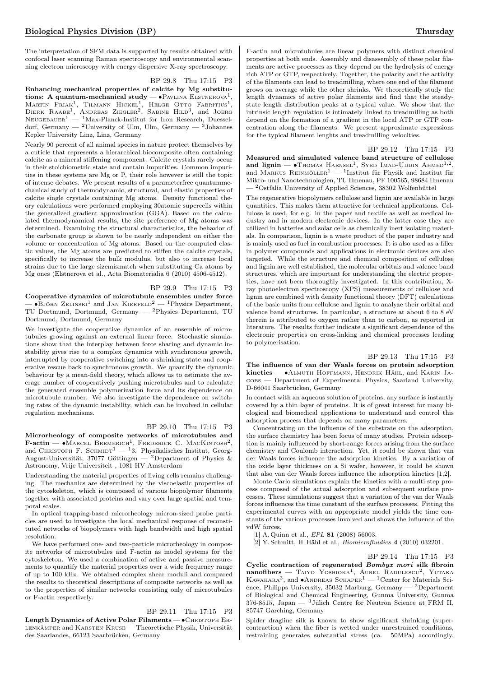The interpretation of SFM data is supported by results obtained with confocal laser scanning Raman spectroscopy and environmental scanning electron microscopy with energy dispersive X-ray spectroscopy.

BP 29.8 Thu 17:15 P3

Enhancing mechanical properties of calcite by Mg substitutions: A quantum-mechanical study —  $\bullet$  PAVLINA ELSTNEROVA<sup>1</sup>, Martin Friak<sup>1</sup>, Tilmann Hickel<sup>1</sup>, Helge Otto Fabritius<sup>1</sup>,<br>Dierk Raabe<sup>1</sup>, Andreas Ziegler<sup>2</sup>, Sabine Hild<sup>3</sup>, and Joerg  $N$ EUGEBAUER<sup>1</sup> — <sup>1</sup>Max-Planck-Institut for Iron Research, Duesseldorf, Germany — <sup>2</sup>University of Ulm, Ulm, Germany — <sup>3</sup>Johannes Kepler University Linz, Linz, Germany

Nearly 90 percent of all animal species in nature protect themselves by a cuticle that represents a hierarchical biocomposite often containing calcite as a mineral stiffening component. Calcite crystals rarely occur in their stoichiometric state and contain impurities. Common impurities in these systems are Mg or P, their role however is still the topic of intense debates. We present results of a parameterfree quantummechanical study of thermodynamic, structural, and elastic properties of calcite single crystals containing Mg atoms. Density functional theory calculations were performed employing 30atomic supercells within the generalized gradient approximation (GGA). Based on the calculated thermodynamical results, the site preference of Mg atoms was determined. Examining the structural characteristics, the behavior of the carbonate group is shown to be nearly independent on either the volume or concentration of Mg atoms. Based on the computed elastic values, the Mg atoms are predicted to stiffen the calcite crystals, specifically to increase the bulk modulus, but also to increase local strains due to the large sizemismatch when substituting Ca atoms by Mg ones (Elstnerova et al., Acta Biomaterialia 6 (2010) 4506-4512).

## BP 29.9 Thu 17:15 P3

Cooperative dynamics of microtubule ensembles under force  $\bullet$ Björn Zelinski<sup>1</sup> and Jan Kierfeld<sup>2</sup> — <sup>1</sup>Physics Department, TU Dortmund, Dortmund, Germany — <sup>2</sup>Physics Department, TU Dortmund, Dortmund, Germany

We investigate the cooperative dynamics of an ensemble of microtubules growing against an external linear force. Stochastic simulations show that the interplay between force sharing and dynamic instability gives rise to a complex dynamics with synchronous growth, interrupted by cooperative switching into a shrinking state and cooperative rescue back to synchronous growth. We quantify the dynamic behaviour by a mean-field theory, which allows us to estimate the average number of cooperatively pushing microtubules and to calculate the generated ensemble polymerization force and its dependence on microtubule number. We also investigate the dependence on switching rates of the dynamic instability, which can be involved in cellular regulation mechanisms.

## BP 29.10 Thu 17:15 P3

Microrheology of composite networks of microtubules and  $\textbf{F-action} \longrightarrow \text{Marcel}$  BREMERICH<sup>1</sup>, FREDERICK C. MACKINTOSH<sup>2</sup>,  $\frac{1}{2}$  Christoph F. SCHMIDT<sup>1</sup> — <sup>1</sup>3. Physikalisches Institut, Georg-August-Universität, 37077 Göttingen — <sup>2</sup>Department of Physics & Astronomy, Vrije Universiteit , 1081 HV Amsterdam

Understanding the material properties of living cells remains challenging. The mechanics are determined by the viscoelastic properties of the cytoskeleton, which is composed of various biopolymer filaments together with associated proteins and vary over large spatial and temporal scales.

In optical trapping-based microrheology micron-sized probe particles are used to investigate the local mechanical response of reconstituted networks of biopolymers with high bandwidth and high spatial resolution.

We have performed one- and two-particle microrheology in composite networks of microtubules and F-actin as model systems for the cytoskeleton. We used a combination of active and passive measurements to quantify the material properties over a wide frequency range of up to 100 kHz. We obtained complex shear moduli and compared the results to theoretical descriptions of composite networks as well as to the properties of similar networks consisting only of microtubules or F-actin respectively.

## BP 29.11 Thu 17:15 P3

Length Dynamics of Active Polar Filaments — • CHRISTOPH ERlenkämper and Karsten Kruse — Theoretische Physik, Universität des Saarlandes, 66123 Saarbrücken, Germany

F-actin and microtubules are linear polymers with distinct chemical properties at both ends. Assembly and disassembly of these polar filaments are active processes as they depend on the hydrolysis of energy rich ATP or GTP, respectively. Together, the polarity and the activity of the filaments can lead to treadmilling, where one end of the filament grows on average while the other shrinks. We theoretically study the length dynamics of active polar filaments and find that the steadystate length distribution peaks at a typical value. We show that the intrinsic length regulation is intimately linked to treadmilling as both depend on the formation of a gradient in the local ATP or GTP concentration along the filaments. We present approximate expressions for the typical filament lenghts and treadmilling velocities.

BP 29.12 Thu 17:15 P3 Measured and simulated valence band structure of cellulose and lignin —  $\bullet$ Thomas HAENSEL<sup>1</sup>, Syed Imad-Uddin Ahmed<sup>1,2</sup>, and MARKUS REINMÖLLER<sup>1</sup> — <sup>1</sup>Institut für Physik and Institut für Mikro- und Nanotechnologien, TU Ilmenau, PF 100565, 98684 Ilmenau — <sup>2</sup>Ostfalia University of Applied Sciences, 38302 Wolfenbüttel

The regenerative biopolymers cellulose and lignin are available in large quantities. This makes them attractive for technical applications. Cellulose is used, for e.g. in the paper and textile as well as medical industry and in modern electronic devices. In the latter case they are utilized in batteries and solar cells as chemically inert isolating materials. In comparison, lignin is a waste product of the paper industry and is mainly used as fuel in combustion processes. It is also used as a filler in polymer compounds and applications in electronic devices are also targeted. While the structure and chemical composition of cellulose and lignin are well established, the molecular orbitals and valence band structures, which are important for understanding the electric properties, have not been thoroughly investigated. In this contribution, Xray photoelectron spectroscopy (XPS) measurements of cellulose and lignin are combined with density functional theory (DFT) calculations of the basic units from cellulose and lignin to analyze their orbital and valence band structures. In particular, a structure at about 6 to 8 eV therein is attributed to oxygen rather than to carbon, as reported in literature. The results further indicate a significant dependence of the electronic properties on cross-linking and chemical processes leading to polymerisation.

## BP 29.13 Thu 17:15 P3

The influence of van der Waals forces on protein adsorption kinetics — ∙Almuth Hoffmann, Hendrik Hähl, and Karin Jacobs — Department of Experimental Physics, Saarland University, D-66041 Saarbrücken, Germany

In contact with an aqueous solution of proteins, any surface is instantly covered by a thin layer of proteins. It is of great interest for many biological and biomedical applications to understand and control this adsorption process that depends on many parameters.

Concentrating on the influence of the substrate on the adsorption, the surface chemistry has been focus of many studies. Protein adsorption is mainly influenced by short-range forces arising from the surface chemistry and Coulomb interaction. Yet, it could be shown that van der Waals forces influence the adsorption kinetics. By a variation of the oxide layer thickness on a Si wafer, however, it could be shown that also van der Waals forces influence the adsorption kinetics [1,2].

Monte Carlo simulations explain the kinetics with a multi step process composed of the actual adsorption and subsequent surface processes. These simulations suggest that a variation of the van der Waals forces influences the time constant of the surface processes. Fitting the experimental curves with an appropriate model yields the time constants of the various processes involved and shows the influence of the vdW forces.

[1] A. Quinn et al., EPL 81 (2008) 56003.

[2] Y. Schmitt, H. Hähl et al., Biomicrofluidics 4 (2010) 032201.

#### BP 29.14 Thu 17:15 P3

Cyclic contraction of regenerated Bombyx mori silk fibroin nanofibers — TAIYO YOSHIOKA<sup>1</sup>, AUREL RADULESCU<sup>2</sup>, YUTAKA Kawahara3 , and ∙Andreas Schaper<sup>1</sup> — <sup>1</sup>Center for Materials Science, Philipps University, 35032<br> Marburg, Germany —  $^2\mbox{Department}$ of Biological and Chemical Engineering, Gunma University, Gunma 376-8515, Japan — <sup>3</sup>Jülich Centre for Neutron Science at FRM II, 85747 Garching, Germany

Spider dragline silk is known to show significant shrinking (supercontraction) when the fiber is wetted under unrestrained conditions, restraining generates substantial stress (ca. 50MPa) accordingly.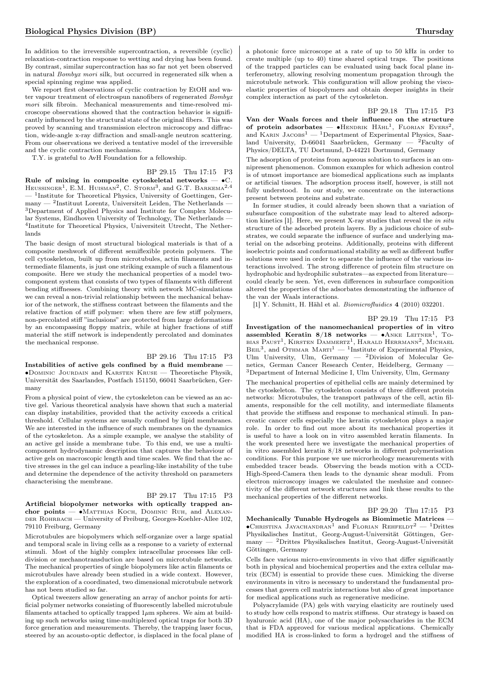In addition to the irreversible supercontraction, a reversible (cyclic) relaxation-contraction response to wetting and drying has been found. By contrast, similar supercontraction has so far not yet been observed in natural Bombyx mori silk, but occurred in regenerated silk when a special spinning regime was applied.

We report first observations of cyclic contraction by EtOH and water vapour treatment of electrospun nanofibers of regenerated Bombyx mori silk fibroin. Mechanical measurements and time-resolved microscope observations showed that the contraction behavior is significantly influenced by the structural state of the original fibers. This was proved by scanning and transmission electron microscopy and diffraction, wide-angle x-ray diffraction and small-angle neutron scattering. From our observations we derived a tentative model of the irreversible and the cyclic contraction mechanisms.

T.Y. is grateful to AvH Foundation for a fellowship.

BP 29.15 Thu 17:15 P3 Rule of mixing in composite cytoskeletal networks  $-$  •C. HEUSSINGER<sup>1</sup>, E.M. HUISMAN<sup>2</sup>, C. STORM<sup>3</sup>, and G.T. BARKEMA<sup>2,4</sup> — <sup>1</sup> Institute for Theoretical Physics, University of Goettingen, Ger- $\mu$ many — <sup>2</sup>Instituut Lorentz, Universiteit Leiden, The Netherlands — <sup>3</sup>Department of Applied Physics and Institute for Complex Molecular Systems, Eindhoven University of Technology, The Netherlands — 4 Institute for Theoretical Physics, Universiteit Utrecht, The Netherlands

The basic design of most structural biological materials is that of a composite meshwork of different semiflexible protein polymers. The cell cytoskeleton, built up from microtubules, actin filaments and intermediate filaments, is just one striking example of such a filamentous composite. Here we study the mechanical properties of a model twocomponent system that consists of two types of filaments with different bending stiffnesses. Combining theory with network MC-simulations we can reveal a non-trivial relationship between the mechanical behavior of the network, the stiffness contrast between the filaments and the relative fraction of stiff polymer: when there are few stiff polymers, non-percolated stiff "inclusions" are protected from large deformations by an encompassing floppy matrix, while at higher fractions of stiff material the stiff network is independently percolated and dominates the mechanical response.

## BP 29.16 Thu 17:15 P3

Instabilities of active gels confined by a fluid membrane — ∙Dominic Jourdain and Karsten Kruse — Theoretische Physik, Universität des Saarlandes, Postfach 151150, 66041 Saarbrücken, Germany

From a physical point of view, the cytoskeleton can be viewed as an active gel. Various theoretical analysis have shown that such a material can display instabilities, provided that the activity exceeds a critical threshold. Cellular systems are usually confined by lipid membranes. We are interested in the influence of such membranes on the dynamics of the cytoskeleton. As a simple example, we analyse the stability of an active gel inside a membrane tube. To this end, we use a multicomponent hydrodynamic description that captures the behaviour of active gels on macroscopic length and time scales. We find that the active stresses in the gel can induce a pearling-like instability of the tube and determine the dependence of the activity threshold on parameters characterising the membrane.

BP 29.17 Thu 17:15 P3 Artificial biopolymer networks with optically trapped anchor points — ∙Matthias Koch, Dominic Ruh, and Alexan-DER ROHRBACH — University of Freiburg, Georges-Koehler-Allee 102, 79110 Freiburg, Germany

Microtubules are biopolymers which self-organize over a large spatial and temporal scale in living cells as a response to a variety of external stimuli. Most of the highly complex intracellular processes like celldivision or mechanotransduction are based on microtubule networks. The mechanical properties of single biopolymers like actin filaments or microtubules have already been studied in a wide context. However, the exploration of a coordinated, two dimensional microtubule network has not been studied so far.

Optical tweezers allow generating an array of anchor points for artificial polymer networks consisting of fluorescently labelled microtubule filaments attached to optically trapped  $1\mu$ m spheres. We aim at building up such networks using time-multiplexed optical traps for both 3D force generation and measurements. Thereby, the trapping laser focus, steered by an acousto-optic deflector, is displaced in the focal plane of a photonic force microscope at a rate of up to 50 kHz in order to create multiple (up to 40) time shared optical traps. The positions of the trapped particles can be evaluated using back focal plane interferometry, allowing resolving momentum propagation through the microtubule network. This configuration will allow probing the viscoelastic properties of biopolymers and obtain deeper insights in their complex interaction as part of the cytoskeleton.

## BP 29.18 Thu 17:15 P3

Van der Waals forces and their influence on the structure of protein adsorbates —  $\bullet$ HENDRIK HÄHL<sup>1</sup>, FLORIAN EVERS<sup>2</sup>, and KARIN JACOBS<sup>1</sup> — <sup>1</sup>Department of Experimental Physics, Saarland University, D-66041 Saarbrücken, Germany  $-$  <sup>2</sup>Faculty of Physics/DELTA, TU Dortmund, D-44221 Dortmund, Germany

The adsorption of proteins from aqueous solution to surfaces is an omnipresent phenomenon. Common examples for which adhesion control is of utmost importance are biomedical applications such as implants or artificial tissues. The adsorption process itself, however, is still not fully understood. In our study, we concentrate on the interactions present between proteins and substrate.

In former studies, it could already been shown that a variation of subsurface composition of the substrate may lead to altered adsorption kinetics [1]. Here, we present X-ray studies that reveal the in situ structure of the adsorbed protein layers. By a judicious choice of substrates, we could separate the influence of surface and underlying material on the adsorbing proteins. Additionally, proteins with different isoelectric points and conformational stability as well as different buffer solutions were used in order to separate the influence of the various interactions involved. The strong difference of protein film structure on hydrophobic and hydrophilic substrates—as expected from literature could clearly be seen. Yet, even differences in subsurface composition altered the properties of the adsorbates demonstrating the influence of the van der Waals interactions.

[1] Y. Schmitt, H. Hähl et al. Biomicrofluidics 4 (2010) 032201.

BP 29.19 Thu 17:15 P3

Investigation of the nanomechanical properties of in vitro assembled Keratin  $8/18$  networks — •ANKE LEITNER<sup>1</sup>, To-BIAS PAUST<sup>1</sup>, KIRSTEN DAMMERTZ<sup>1</sup>, HARALD HERRMANN<sup>2</sup>, MICHAEL BEIL<sup>3</sup>, and OTHMAR MARTI<sup>1</sup> — <sup>1</sup>Institute of Experimental Physics, Ulm University, Ulm, Germany — <sup>2</sup>Division of Molecular Genetics, German Cancer Research Center, Heidelberg, Germany — <sup>3</sup>Department of Internal Medicine I, Ulm University, Ulm, Germany The mechanical properties of epithelial cells are mainly determined by the cytoskeleton. The cytoskeleton consists of three different protein networks: Microtubules, the transport pathways of the cell, actin filaments, responsible for the cell motility, and intermediate filaments that provide the stiffness and response to mechanical stimuli. In pancreatic cancer cells especially the keratin cytoskeleton plays a major role. In order to find out more about its mechanical properties it is useful to have a look on in vitro assembled keratin filaments. In the work presented here we investigate the mechanical properties of in vitro assembled keratin 8/18 networks in different polymerisation conditions. For this purpose we use microrheology measurements with embedded tracer beads. Observing the beads motion with a CCD-High-Speed-Camera then leads to the dynamic shear moduli. From electron microscopy images we calculated the meshsize and connectivity of the different network structures and link these results to the mechanical properties of the different networks.

## BP 29.20 Thu 17:15 P3

Mechanically Tunable Hydrogels as Biomimetic Matrices —  $\bullet$ Christina Jayachandran $^1$  and Florian Rehfeldt $^2$  —  $^1$  Drittes Physikalisches Institut, Georg-August-Universität Göttingen, Germany — <sup>2</sup>Drittes Physikalisches Institut, Georg-August-Universität Göttingen, Germany

Cells face various micro-environments in vivo that differ significantly both in physical and biochemical properties and the extra cellular matrix (ECM) is essential to provide these cues. Mimicking the diverse environments in vitro is necessary to understand the fundamental processes that govern cell matrix interactions but also of great importance for medical applications such as regenerative medicine.

Polyacrylamide (PA) gels with varying elasticity are routinely used to study how cells respond to matrix stiffness. Our strategy is based on hyaluronic acid (HA), one of the major polysaccharides in the ECM that is FDA approved for various medical applications. Chemically modified HA is cross-linked to form a hydrogel and the stiffness of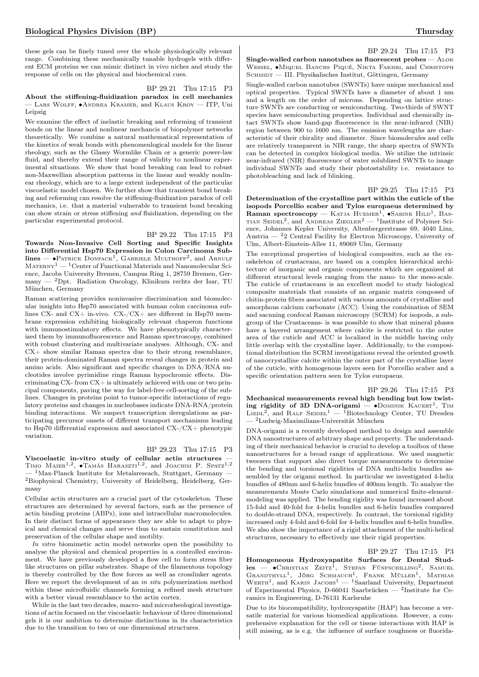these gels can be finely tuned over the whole physiologically relevant range. Combining these mechanically tunable hydrogels with different ECM proteins we can mimic distinct in vivo niches and study the response of cells on the physical and biochemical cues.

## BP 29.21 Thu 17:15 P3 About the stiffening-fluidization paradox in cell mechanics — Lars Wolff, ∙Andrea Kramer, and Klaus Kroy — ITP, Uni Leipzig

We examine the effect of inelastic breaking and reforming of transient bonds on the linear and nonlinear mechancis of biopolymer networks theoretically. We combine a natural mathematical representation of the kinetics of weak bonds with phenomenlogical models for the linear rheology, such as the Glassy Wormlike Chain or a generic power-law fluid, and thereby extend their range of validity to nonlinear experimental situations. We show that bond breaking can lead to robust non-Maxwellian absorption patterns in the linear and weakly nonlinear rheology, which are to a large extent independent of the particular viscoelastic model chosen. We further show that transient bond breaking and reforming can resolve the stiffening-fluidization paradox of cell mechanics, i.e. that a material vulnerable to transient bond breaking can show strain or stress stiffening and fluidization, depending on the particular experimental protocol.

### BP 29.22 Thu 17:15 P3

Towards Non-Invasive Cell Sorting and Specific Insights into Differential Hsp70 Expression in Colon Carcinoma Sub- $\text{lines} \longrightarrow \text{P}$ Atrice Donfack<sup>1</sup>, Gabriele Multhoff<sup>2</sup>, and Arnulf  $\textsc{Maren} \mathrm{v}^1 - \textsc{1} \mathrm{Center}$  of Functional Materials and Nanomolecular Science, Jacobs University Bremen, Campus Ring 1, 28759 Bremen, Germany — <sup>2</sup>Dpt. Radiation Oncology, Klinikum rechts der Isar, TU München, Germany

Raman scattering provides noninvasive discrimination and biomolecular insights into Hsp70 associated with human colon carcinoma sublines CX- and CX+ in-vivo. CX-/CX+ are different in Hsp70 membrane expression exhibiting biologically relevant chaperon functions with immunostimulatory effects. We have phenotypically characterized them by immunofluorescence and Raman spectroscopy, combined with robust clustering and multivariate analyses. Although, CX- and  $CX+$  show similar Raman spectra due to their strong resemblance, their protein-dominated Raman spectra reveal changes in protein and amino acids. Also significant and specific changes in DNA/RNA nucleotides involve pyrimidine rings Raman hypochromic effects. Discriminating CX- from CX+ is ultimately achieved with one or two principal components, paving the way for label-free cell-sorting of the sublines. Changes in proteins point to tumor-specific interactions of regulatory proteins and changes in nucleobases indicate DNA-RNA/protein binding interactions. We suspect transcription deregulations as participating precursor onsets of different transport mechanisms leading to Hsp70 differential expression and associated CX-/CX+ phenotypic variation.

## BP 29.23 Thu 17:15 P3

Viscoelastic in-vitro study of cellular actin structures — TIMO  $M$ AIER<sup>1,2</sup>,  $\bullet$ Tamás Haraszti<sup>1,2</sup>, and Joachim P. Spatz<sup>1,2</sup>  $1$ Max-Planck Institute for Metalsreseach, Stuttgart, Germany — <sup>2</sup>Biophysical Chemistry, University of Heidelberg, Heidelberg, Germany

Cellular actin structures are a crucial part of the cytoskeleton. These structures are determined by several factors, such as the presence of actin binding proteins (ABPs), ions and intracellular macromolecules. In their distinct forms of appearance they are able to adapt to physical and chemical changes and serve thus to sustain constitution and preservation of the cellular shape and motility.

In vitro biomimetic actin model networks open the possibility to analyse the physical and chemical properties in a controlled environment. We have previously developed a flow cell to form stress fiber like structures on pillar substrates. Shape of the filamentous topology is thereby controlled by the flow forces as well as crosslinker agents. Here we report the development of an in situ polymerization method within these microfluidic channels forming a refined mesh structure with a better visual resemblance to the actin cortex.

While in the last two decades, macro- and microrheological investigations of actin focused on the viscoelastic behaviour of three dimensional gels it is our ambition to determine distinctions in its characteristics due to the transition to two or one dimensional structures.

## BP 29.24 Thu 17:15 P3

Single-walled carbon nanotubes as fluorescent probes — ALOK WESSEL, •MIQUEL BANCHS PIQUÉ, NIKTA FAKHRI, and CHRISTOPH SCHMIDT — III. Physikalisches Institut, Göttingen, Germany

Single-walled carbon nanotubes (SWNTs) have unique mechanical and optical properties. Typical SWNTs have a diameter of about 1 nm and a length on the order of microns. Depending on lattice structure SWNTs are conducting or semiconducting. Two-thirds of SWNT species have semiconducting properties. Individual and chemically intact SWNTs show band-gap fluorescence in the near-infrared (NIR) region between 900 to 1600 nm. The emission wavelengths are characteristic of their chirality and diameter. Since biomolecules and cells are relatively transparent in NIR range, the sharp spectra of SWNTs can be detected in complex biological media. We utilize the intrinsic near-infrared (NIR) fluorescence of water solublized SWNTs to image individual SWNTs and study their photostability i.e. resistance to photobleaching and lack of blinking.

BP 29.25 Thu 17:15 P3

Determination of the crystalline part within the cuticle of the isopods Porcellio scaber and Tylos europaeus determined by Raman spectroscopy — KATJA HUEMER<sup>1</sup>,  $\bullet$ SABINE HILD<sup>1</sup>, BAS-TIAN SEIDEL<sup>2</sup>, and ANDREAS ZIEGLER<sup>2</sup> — <sup>1</sup>Institute of Polymer Science, Johannes Kepler University, Altenbergerstrasse 69, 4040 Linz, Austria  $-22$  Central Facility for Electron Microscopy, University of Ulm, Albert-Einstein-Allee 11, 89069 Ulm, Germany

The exceptional properties of biological composites, such as the exoskeleton of crustaceans, are based on a complex hierarchical architecture of inorganic and organic components which are organized at different structural levels ranging from the nano- to the meso-scale. The cuticle of crustaceans is an excellent model to study biological composite materials that consists of an organic matrix composed of chitin-protein fibers associated with various amounts of crystalline and amorphous calcium carbonate (ACC). Using the combination of SEM and sacnning confocal Raman microscopy (SCRM) for isopods, a subgroup of the Crustaceans- is was possible to show that mineral phases have a layered arrangement where calcite is restricted to the outer area of the cuticle and ACC is localized in the middle having only little overlap with the crystalline layer. Additionally, to the compositional distribution the SCRM investigations reveal the oriented growth of nanocrystalline calcite within the outer part of the crystalline layer of the cuticle, with homogenous layers seen for Porcellio scaber and a specific orientation pattern seen for Tylos europaeus.

BP 29.26 Thu 17:15 P3 Mechanical measurements reveal high bending but low twisting rigidity of 3D DNA-origami —  $\bullet$ DOMINIK KAUERT<sup>1</sup>, TIM  $\text{Lieb1}^2$ , and RALF SEIDEL<sup>1</sup> — <sup>1</sup>Biotechnology Center, TU Dresden  $^2$ Ludwig-Maximilians-Universität München

DNA-origami is a recently developed method to design and assemble DNA nanostructures of arbitrary shape and property. The understanding of their mechanical behavior is crucial to develop a toolbox of these nanostructures for a broad range of applications. We used magnetic tweezers that support also direct torque measurements to determine the bending and torsional rigidities of DNA multi-helix bundles assembled by the origami method. In particular we investigated 4-helix bundles of 480nm and 6-helix bundles of 400nm length. To analyze the measurements Monte Carlo simulations and numerical finite-elementmodeling was applied. The bending rigidity was found increased about 15-fold and 40-fold for 4-helix bundles and 6-helix bundles compared to double-strand DNA, respectively. In contrast, the torsional rigidity increased only 4-fold and 6-fold for 4-helix bundles and 6-helix bundles. We also show the importance of a rigid attachment of the multi-helical structures, necessary to effectively use their rigid properties.

## BP 29.27 Thu 17:15 P3

Homogeneous Hydroxyapatite Surfaces for Dental Stud- $\text{ies}$   $\text{•}$   $\text{•}$   $\text{CHRISTIAN}$   $\text{ZEITZ}^{\text{I}}$ , STEFAN FÜNFSCHILLING<sup>2</sup>, SAMUEL GRANDTHYLL<sup>1</sup>, JÖRG SCHMAUCH<sup>1</sup>, FRANK MÜLLER<sup>1</sup>, MATHIAS  $WERTH<sup>1</sup>$ , and KARIN JACOBS<sup>1</sup> — <sup>1</sup>Saarland University, Department of Experimental Physics, D-66041 Saarbrücken —  $^2$ Institute for Ceramics in Engineering, D-76131 Karlsruhe

Due to its biocompatibility, hydroxyapatite (HAP) has become a versatile material for various biomedical applications. However, a comprehensive explanation for the cell or tissue interactions with HAP is still missing, as is e.g. the influence of surface roughness or fluorida-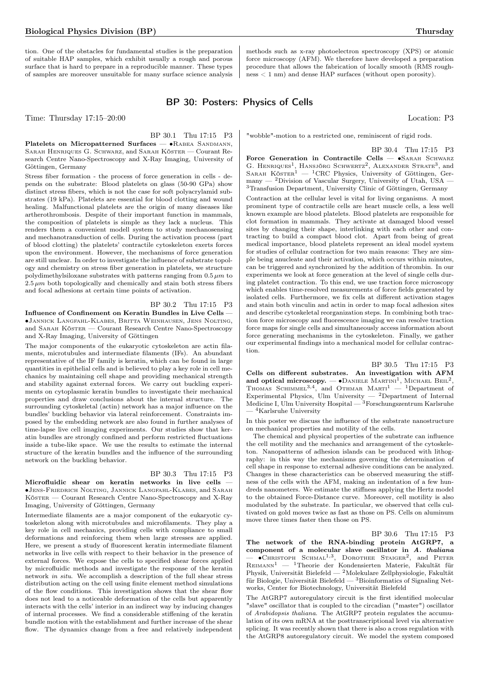tion. One of the obstacles for fundamental studies is the preparation of suitable HAP samples, which exhibit usually a rough and porous surface that is hard to prepare in a reproducible manner. These types of samples are moreover unsuitable for many surface science analysis methods such as x-ray photoelectron spectroscopy (XPS) or atomic force microscopy (AFM). We therefore have developed a preparation procedure that allows the fabrication of locally smooth (RMS rough $ness < 1$  nm) and dense HAP surfaces (without open porosity).

# BP 30: Posters: Physics of Cells

Time: Thursday 17:15–20:00 Location: P3

BP 30.1 Thu 17:15 P3

Platelets on Micropatterned Surfaces — • RABEA SANDMANN, Sarah Henriques G. Schwarz, and Sarah Köster — Courant Research Centre Nano-Spectroscopy and X-Ray Imaging, University of Göttingen, Germany

Stress fiber formation - the process of force generation in cells - depends on the substrate: Blood platelets on glass (50-90 GPa) show distinct stress fibers, which is not the case for soft polyacrylamid substrates (19 kPa). Platelets are essential for blood clotting and wound healing. Malfunctional platelets are the origin of many diseases like artherothrombosis. Despite of their important function in mammals, the composition of platelets is simple as they lack a nucleus. This renders them a convenient modell system to study mechanosensing and mechanotransduction of cells. During the activation process (part of blood clotting) the platelets' contractile cytoskeleton exerts forces upon the environment. However, the mechanisms of force generation are still unclear. In order to investigate the influence of substrate topology and chemistry on stress fiber generation in platelets, we structure polydimethylsiloxane substrates with patterns ranging from  $0.5 \mu m$  to  $2.5 \mu m$  both topologically and chemically and stain both stress fibers and focal adhesions at certain time points of activation.

## BP 30.2 Thu 17:15 P3

Influence of Confinement on Keratin Bundles in Live Cells — ∙Jannick Langfahl-Klabes, Britta Weinhausen, Jens Nolting, and Sarah Köster — Courant Research Centre Nano-Spectroscopy and X-Ray Imaging, University of Göttingen

The major components of the eukaryotic cytoskeleton are actin filaments, microtubules and intermediate filaments (IFs). An abundant representative of the IF family is keratin, which can be found in large quantities in epithelial cells and is believed to play a key role in cell mechanics by maintaining cell shape and providing mechanical strength and stability against external forces. We carry out buckling experiments on cytoplasmic keratin bundles to investigate their mechanical properties and draw conclusions about the internal structure. The surrounding cytoskeletal (actin) network has a major influence on the bundles' buckling behavior via lateral reinforcement. Constraints imposed by the embedding network are also found in further analyses of time-lapse live cell imaging experiments. Our studies show that keratin bundles are strongly confined and perform restricted fluctuations inside a tube-like space. We use the results to estimate the internal structure of the keratin bundles and the influence of the surrounding network on the buckling behavior.

#### BP 30.3 Thu 17:15 P3

Microfluidic shear on keratin networks in live cells — ∙Jens-Friedrich Nolting, Jannick Langfahl-Klabes, and Sarah Köster — Courant Research Centre Nano-Spectroscopy and X-Ray Imaging, University of Göttingen, Germany

Intermediate filaments are a major component of the eukaryotic cytoskeleton along with microtubules and microfilaments. They play a key role in cell mechanics, providing cells with compliance to small deformations and reinforcing them when large stresses are applied. Here, we present a study of fluorescent keratin intermediate filament networks in live cells with respect to their behavior in the presence of external forces. We expose the cells to specified shear forces applied by microfluidic methods and investigate the response of the keratin network in situ. We accomplish a description of the full shear stress distribution acting on the cell using finite element method simulations of the flow conditions. This investigation shows that the shear flow does not lead to a noticeable deformation of the cells but apparently interacts with the cells' interior in an indirect way by inducing changes of internal processes. We find a considerable stiffening of the keratin bundle motion with the establishment and further increase of the shear flow. The dynamics change from a free and relatively independent

"wobble"-motion to a restricted one, reminiscent of rigid rods.

BP 30.4 Thu 17:15 P3

Force Generation in Contractile Cells — ∙Sarah Schwarz G. HENRIQUES<sup>1</sup>, HANSJÖRG SCHWERTZ<sup>2</sup>, ALEXANDER STRATE<sup>3</sup>, and SARAH  $K\ddot{\text{o}}s$ TER<sup>1</sup> — <sup>1</sup>CRC Physics, University of Göttingen, Germany — <sup>2</sup>Division of Vascular Surgery, University of Utah, USA — <sup>3</sup>Transfusion Department, University Clinic of Göttingen, Germany

Contraction at the cellular level is vital for living organisms. A most prominent type of contractile cells are heart muscle cells, a less well known example are blood platelets. Blood platelets are responsible for clot formation in mammals. They activate at damaged blood vessel sites by changing their shape, interlinking with each other and contracting to build a compact blood clot. Apart from being of great medical importance, blood platelets represent an ideal model system for studies of cellular contraction for two main reasons: They are simple being anucleate and their activation, which occurs within minutes, can be triggered and synchronized by the addition of thrombin. In our experiments we look at force generation at the level of single cells during platelet contraction. To this end, we use traction force microscopy which enables time-resolved measurements of force fields generated by isolated cells. Furthermore, we fix cells at different activation stages and stain both vinculin and actin in order to map focal adhesion sites and describe cytoskeletal reorganization steps. In combining both traction force microscopy and fluorescence imaging we can resolve traction force maps for single cells and simultaneously access information about force generating mechanisms in the cytoskeleton. Finally, we gather our experimental findings into a mechanical model for cellular contraction.

BP 30.5 Thu 17:15 P3 Cells on different substrates. An investigation with AFM and optical microscopy.  $-$  • DANIELE MARTINI<sup>1</sup>, MICHAEL BEIL<sup>2</sup>, THOMAS SCHIMMEL<sup>3,4</sup>, and OTHMAR MARTI<sup>1</sup> - <sup>1</sup>Department of Experimental Physics, Ulm University  $-$  2Department of Internal Medicine I, Ulm University Hospital — <sup>3</sup>Forschungszentrum Karlsruhe - <sup>4</sup>Karlsruhe University

In this poster we discuss the influence of the substrate nanostructure on mechanical properties and motility of the cells.

The chemical and physical properties of the substrate can influence the cell motility and the mechanics and arrangement of the cytoskeleton. Nanopatterns of adhesion islands can be produced with lithography: in this way the mechanisms governing the determination of cell shape in response to external adhesive conditions can be analyzed. Changes in these characteristics can be observed measuring the stiffness of the cells with the AFM, making an indentation of a few hundreds nanometers. We estimate the stiffness applying the Hertz model to the obtained Force-Distance curve. Moreover, cell motility is also modulated by the substrate. In particular, we observed that cells cultivated on gold moves twice as fast as those on PS. Cells on aluminum move three times faster then those on PS.

#### BP 30.6 Thu 17:15 P3

The network of the RNA-binding protein AtGRP7, a component of a molecular slave oscillator in A. thaliana  $-$  • CHRISTOPH SCHMAL<sup>1,3</sup>, DOROTHEE STAIGER<sup>2</sup>, and PETER  $\rm{REIMANN}^1$  —  $\rm{^1Theorie}$  der Kondensierten Materie, Fakultät für Physik, Universität Bielefeld — <sup>2</sup>Molekulare Zellphysiologie, Fakultät für Biologie, Universität Bielefeld —  ${}^{3}$ Bioinformatics of Signaling Networks, Center for Biotechnology, Universität Bielefeld

The AtGRP7 autoregulatory circuit is the first identified molecular "slave" oscillator that is coupled to the circadian ("master") oscillator of Arabidopsis thaliana. The AtGRP7 protein regulates the accumulation of its own mRNA at the posttranscriptional level via alternative splicing. It was recently shown that there is also a cross regulation with the AtGRP8 autoregulatory circuit. We model the system composed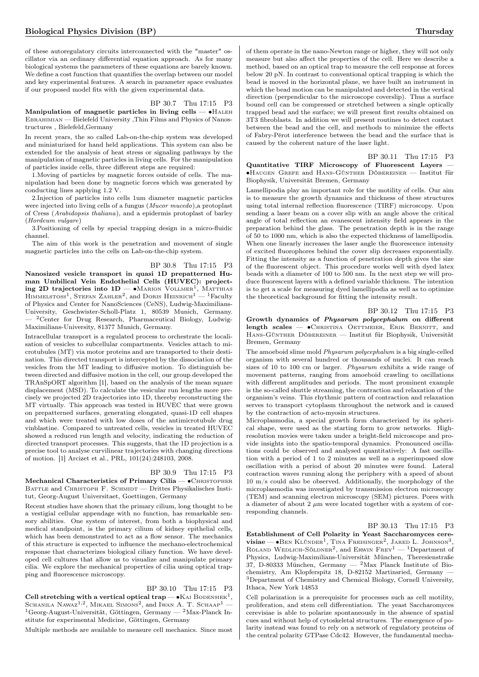of these autoregulatory circuits interconnected with the "master" oscillator via an ordinary differential equation approach. As for many biological systems the parameters of these equations are barely known. We define a cost function that quantifies the overlap between our model and key experimental features. A search in parameter space evaluates if our proposed model fits with the given experimental data.

## BP 30.7 Thu 17:15 P3 Manipulation of magnetic particles in living cells —  $\bullet$ HALEH Ebrahimian — Bielefeld University ,Thin Films and Physics of Nanos-

tructures , Bielefeld,Germany In recent years, the so called Lab-on-the-chip system was developed and miniaturized for hand held applications. This system can also be extended for the analysis of heat stress or signaling pathways by the manipulation of magnetic particles in living cells. For the manipulation of particles inside cells, three different steps are required:

1.Moving of particles by magnetic forces outside of cells. The manipulation had been done by magnetic forces which was generated by conducting lines applying 1.2 V.

2.Injection of particles into cells 1um diameter magnetic particles were injected into living cells of a fungus (Mucor mucedo),a protoplast of Cress (Arabidopsis thaliana), and a epidermis protoplast of barley (Hordeum vulgare)

3.Positioning of cells by special trapping design in a micro-fluidic channel.

The aim of this work is the penetration and movement of single magnetic particles into the cells on Lab-on-the-chip system.

## BP 30.8 Thu 17:15 P3

Nanosized vesicle transport in quasi 1D prepatterned Human Umbilical Vein Endothelial Cells (HUVEC): project**ing 2D trajectories into 1D** — ●MARION VOLLMER<sup>1</sup>, MATTHIAS<br>HIMMELSTOSS<sup>1</sup>, STEFAN ZAHLER<sup>2</sup>, and DORIS HEINRICH<sup>1</sup> — <sup>1</sup>Faculty of Physics and Center for NanoSciences (CeNS), Ludwig-Maximilians-University, Geschwister-Scholl-Platz 1, 80539 Munich, Germany. <sup>2</sup>Center for Drug Research, Pharmaceutical Biology, Ludwig-Maximilians-University, 81377 Munich, Germany.

Intracellular transport is a regulated process to orchestrate the localisation of vesicles to subcellular compartments. Vesicles attach to microtubules (MT) via motor proteins and are transported to their destination. This directed transport is intercepted by the dissociation of the vesicles from the MT leading to diffusive motion. To distinguish between directed and diffusive motion in the cell, our group developed the TRAnSpORT algorithm [1], based on the analysis of the mean square displacement (MSD). To calculate the vesicular run lengths more precisely we projected 2D trajectories into 1D, thereby reconstructing the MT virtually. This approach was tested in HUVEC that were grown on prepatterned surfaces, generating elongated, quasi-1D cell shapes and which were treated with low doses of the antimicrotubule drug vinblastine. Compared to untreated cells, vesicles in treated HUVEC showed a reduced run length and velocity, indicating the reduction of directed transport processes. This suggests, that the 1D projection is a precise tool to analyse curvilinear trajectories with changing directions of motion. [1] Arcizet et al., PRL, 101(24):248103, 2008.

#### BP 30.9 Thu 17:15 P3

Mechanical Characteristics of Primary Cilia — • CHRISTOPHER BATTLE and CHRISTOPH F. SCHMIDT — Drittes Physikalisches Institut, Georg-August Universitaet, Goettingen, Germany

Recent studies have shown that the primary cilium, long thought to be a vestigial cellular appendage with no function, has remarkable sensory abilities. One system of interest, from both a biophysical and medical standpoint, is the primary cilium of kidney epithelial cells, which has been demonstrated to act as a flow sensor. The mechanics of this structure is expected to influence the mechano-electrochemical response that characterizes biological ciliary function. We have developed cell cultures that allow us to visualize and manipulate primary cilia. We explore the mechanical properties of cilia using optical trapping and fluorescence microscopy.

BP 30.10 Thu 17:15 P3 Cell stretching with a vertical optical trap —  $\bullet$ KAI BODENSIEK<sup>1</sup>, SCHANILA  $\text{Nawaz}^{1,2}$ ,  $\text{Mikael}$  Simons<sup>2</sup>, and Iwan A. T. Schaap<sup>1</sup> —  $1$ Georg-August-Universität, Göttingen, Germany —  $2$ Max-Planck Institute for experimental Medicine, Göttingen, Germany

Multiple methods are available to measure cell mechanics. Since most

of them operate in the nano-Newton range or higher, they will not only measure but also affect the properties of the cell. Here we describe a method, based on an optical trap to measure the cell response at forces below 20 pN. In contrast to conventional optical trapping is which the bead is moved in the horizontal plane, we have built an instrument in which the bead motion can be manipulated and detected in the vertical direction (perpendicular to the microscope coverslip). Thus a surface bound cell can be compressed or stretched between a single optically trapped bead and the surface; we will present first results obtained on 3T3 fibroblasts. In addition we will present routines to detect contact between the bead and the cell, and methods to minimize the effects of Fabry-Pérot interference between the bead and the surface that is caused by the coherent nature of the laser light.

## BP 30.11 Thu 17:15 P3

Quantitative TIRF Microscopy of Fluorescent Layers — ∙Haugen Grefe and Hans-Günther Döbereiner — Institut für Biophysik, Universität Bremen, Germany

Lamellipodia play an important role for the motility of cells. Our aim is to measure the growth dynamics and thickness of these structures using total internal reflection fluorescence (TIRF) microscopy. Upon sending a laser beam on a cover slip with an angle above the critical angle of total reflection an evanescent intensity field appears in the preparation behind the glass. The penetration depth is in the range of 50 to 1000 nm, which is also the expected thickness of lamellipodia. When one linearly increases the laser angle the fluorescence intensity of excited fluorophores behind the cover slip decreases exponentially. Fitting the intensity as a function of penetration depth gives the size of the fluorescent object. This procedure works well with dyed latex beads with a diameter of 100 to 500 nm. In the next step we will produce fluorescent layers with a defined variable thickness. The intention is to get a scale for measuring dyed lamellipodia as well as to optimize the theoretical background for fitting the intensity result.

### BP 30.12 Thu 17:15 P3

Growth dynamics of Physarum polycephalum on different length scales — •CHRISTINA OETTMEIER, ERIK BERNITT, and Hans-Günther Döbereiner — Institut für Biophysik, Universität Bremen, Germany

The amoeboid slime mold Physarum polycephalum is a big single-celled organism with several hundred or thousands of nuclei. It can reach sizes of 10 to 100 cm or larger. Physarum exhibits a wide range of movement patterns, ranging from amoeboid crawling to oscillations with different amplitudes and periods. The most prominent example is the so-called shuttle streaming, the contraction and relaxation of the organism's veins. This rhythmic pattern of contraction and relaxation serves to transport cytoplasm throughout the network and is caused by the contraction of acto-myosin structures.

Microplasmodia, a special growth form characterized by its spherical shape, were used as the starting form to grow networks. Highresolution movies were taken under a bright-field microscope and provide insights into the spatio-temporal dynamics. Pronounced oscillations could be observed and analysed quantitatively: A fast oscillation with a period of 1 to 2 minutes as well as a superimposed slow oscillation with a period of about 20 minutes were found. Lateral contraction waves running along the periphery with a speed of about 10 m/s could also be observed. Additionally, the morphology of the microplasmodia was investigated by transmission electron microscopy (TEM) and scanning electron microscopy (SEM) pictures. Pores with a diameter of about 2  $\mu$ m were located together with a system of corresponding channels.

## BP 30.13 Thu 17:15 P3

Establishment of Cell Polarity in Yeast Saccharomyces cere- $\mathbf{visiae}$  → BEN KLÜNDER<sup>1</sup>, TINA FREISINGER<sup>2</sup>, JARED L. JOHNSON<sup>3</sup>, ROLAND WEDLICH-SÖLDNER<sup>2</sup>, and ERWIN FREY<sup>1</sup> — <sup>1</sup>Department of Physics, Ludwig-Maximilians-Universität München, Theresienstraße 37, D-80333 München, Germany —  $^2$ Max Planck Institute of Biochemistry, Am Klopferspitz 18, D-82152 Martinsried, Germany — <sup>3</sup>Department of Chemistry and Chemical Biology, Cornell University, Ithaca, New York 14853

Cell polarization is a prerequisite for processes such as cell motility, proliferation, and stem cell differentiation. The yeast Saccharomyces cerevisiae is able to polarize spontaneously in the absence of spatial cues and without help of cytoskeletal structures. The emergence of polarity instead was found to rely on a network of regulatory proteins of the central polarity GTPase Cdc42. However, the fundamental mecha-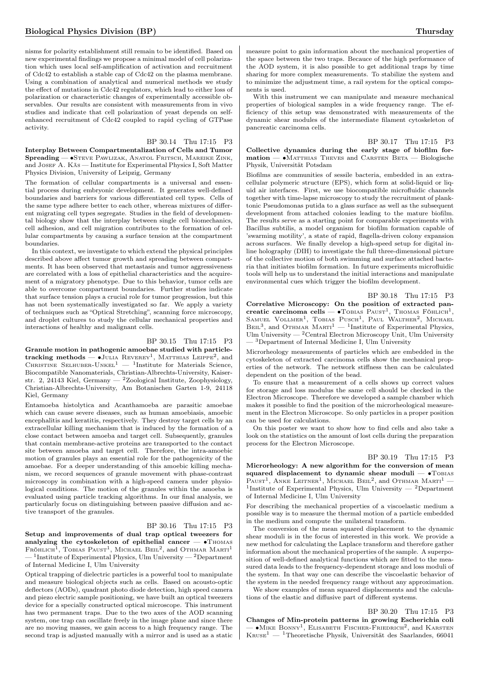nisms for polarity establishment still remain to be identified. Based on new experimental findings we propose a minimal model of cell polarization which uses local self-amplification of activation and recruitment of Cdc42 to establish a stable cap of Cdc42 on the plasma membrane. Using a combination of analytical and numerical methods we study the effect of mutations in Cdc42 regulators, which lead to either loss of polarization or characteristic changes of experimentally accessible observables. Our results are consistent with measurements from in vivo studies and indicate that cell polarization of yeast depends on selfenhanced recruitment of Cdc42 coupled to rapid cycling of GTPase activity.

## BP 30.14 Thu 17:15 P3

Interplay Between Compartmentalization of Cells and Tumor Spreading — •STEVE PAWLIZAK, ANATOL FRITSCH, MAREIKE ZINK, and JOSEF A. Käs - Institute for Experimental Physics I, Soft Matter Physics Division, University of Leipzig, Germany

The formation of cellular compartments is a universal and essential process during embryonic development. It generates well-defined boundaries and barriers for various differentiated cell types. Cells of the same type adhere better to each other, whereas mixtures of different migrating cell types segregate. Studies in the field of developmental biology show that the interplay between single cell biomechanics, cell adhesion, and cell migration contributes to the formation of cellular compartments by causing a surface tension at the compartment boundaries.

In this context, we investigate to which extend the physical principles described above affect tumor growth and spreading between compartments. It has been observed that metastasis and tumor aggressiveness are correlated with a loss of epithelial characteristics and the acquirement of a migratory phenotype. Due to this behavior, tumor cells are able to overcome compartment boundaries. Further studies indicate that surface tension plays a crucial role for tumor progression, but this has not been systematically investigated so far. We apply a variety of techniques such as "Optical Stretching", scanning force microscopy, and droplet cultures to study the cellular mechanical properties and interactions of healthy and malignant cells.

## BP 30.15 Thu 17:15 P3

Granule motion in pathogenic amoebae studied with particletracking methods —  $\bullet$ Julia Reverey<sup>1</sup>, Matthias Leippe<sup>2</sup>, and<br>Christine Selhuber-Unkel<sup>1</sup> — <sup>1</sup>Institute for Materials Science, Biocompatible Nanomaterials, Christian-Albrechts-University, Kaiserstr. 2, 24143 Kiel, Germany — <sup>2</sup>Zoological Institute, Zoophysiology, Christian-Albrechts-University, Am Botanischen Garten 1-9, 24118 Kiel, Germany

Entamoeba histolytica and Acanthamoeba are parasitic amoebae which can cause severe diseases, such as human amoebiasis, amoebic encephalitis and keratitis, respectively. They destroy target cells by an extracellular killing mechanism that is induced by the formation of a close contact between amoeba and target cell. Subsequently, granules that contain membrane-active proteins are transported to the contact site between amoeba and target cell. Therefore, the intra-amoebic motion of granules plays an essential role for the pathogenicity of the amoebae. For a deeper understanding of this amoebic killing mechanism, we record sequences of granule movement with phase-contrast microscopy in combination with a high-speed camera under physiological conditions. The motion of the granules within the amoeba is evaluated using particle tracking algorithms. In our final analysis, we particularly focus on distinguishing between passive diffusion and active transport of the granules.

## BP 30.16 Thu 17:15 P3

Setup and improvements of dual trap optical tweezers for analyzing the cytoskeleton of epithelial cancer —  $\bullet$ Thomas Fröhlich<sup>1</sup>, Tobias Paust<sup>1</sup>, Michael Beil<sup>2</sup>, and Othmar Marti<sup>1</sup>  $-$  <sup>1</sup>Institute of Experimental Physics, Ulm University  $-$  <sup>2</sup>Department of Internal Medicine I, Ulm University

Optical trapping of dielectric particles is a powerful tool to manipulate and measure biological objects such as cells. Based on acousto-optic deflectors (AODs), quadrant photo diode detection, high speed camera and piezo electric sample positioning, we have built an optical tweezers device for a specially constructed optical microscope. This instrument has two permanent traps. Due to the two axes of the AOD scanning system, one trap can oscillate freely in the image plane and since there are no moving masses, we gain access to a high frequency range. The second trap is adjusted manually with a mirror and is used as a static

measure point to gain information about the mechanical properties of the space between the two traps. Becauce of the high performance of the AOD system, it is also possible to get additional traps by time sharing for more complex measurements. To stabilize the system and to minimize the adjustment time, a rail system for the optical components is used.

With this instrument we can manipulate and measure mechanical properties of biological samples in a wide frequency range. The efficiency of this setup was demonstrated with measurements of the dynamic shear modules of the intermediate filament cytoskeleton of pancreatic carcinoma cells.

BP 30.17 Thu 17:15 P3 Collective dynamics during the early stage of biofilm for $mation - ∘MATTHIAS$  Theves and CARSTEN BETA — Biologische Physik, Universität Potsdam

Biofilms are communities of sessile bacteria, embedded in an extracellular polymeric structure (EPS), which form at solid-liquid or liquid air interfaces. First, we use biocompatible microfluidic channels together with time-lapse microscopy to study the recruitment of planktonic Pseudomonas putida to a glass surface as well as the subsequent development from attached colonies leading to the mature biofilm. The results serve as a starting point for comparable experiments with Bacillus subtilis, a model organism for biofilm formation capable of 'swarming motility', a state of rapid, flagella-driven colony expansion across surfaces. We finally develop a high-speed setup for digital inline holography (DIH) to investigate the full three-dimensional picture of the collective motion of both swimming and surface attached bacteria that initiates biofilm formation. In future experiments microfluidic tools will help us to understand the initial interactions and manipulate environmental cues which trigger the biofilm development.

## BP 30.18 Thu 17:15 P3

Correlative Microscopy: On the position of extracted pancreatic carcinoma cells — •Товіая Раизт<sup>1</sup>, Тномая Ғонілсн<sup>1</sup>, Sамиеl Vollmer<sup>1</sup>, Tовіая Ризсн<sup>1</sup>, Paul Walther<sup>2</sup>, Міснаеl BEIL<sup>3</sup>, and OTHMAR MARTI<sup>1</sup> — <sup>1</sup>Institute of Experimental Physics, Ulm University —  ${}^{2}$ Central Electron Microscopy Unit, Ulm University — <sup>3</sup>Department of Internal Medicine I, Ulm University

Microrheology measurements of particles which are embedded in the cytoskeleton of extracted carcinoma cells show the mechanical properties of the network. The network stiffness then can be calculated dependent on the position of the bead.

To ensure that a measurement of a cells shows up correct values for storage and loss modulus the same cell should be checked in the Electron Microscope. Therefore we developed a sample chamber which makes it possible to find the position of the microrheological measurement in the Electron Microscope. So only particles in a proper position can be used for calculations.

On this poster we want to show how to find cells and also take a look on the statistics on the amount of lost cells during the preparation process for the Electron Microscope.

#### BP 30.19 Thu 17:15 P3

Microrheology: A new algorithm for the conversion of mean squared displacement to dynamic shear moduli — •TOBIAS PAUST<sup>1</sup>, ANKE LEITNER<sup>1</sup>, MICHAEL BEIL<sup>2</sup>, and OTHMAR MARTI<sup>1</sup> -<sup>1</sup>Institute of Experimental Physics, Ulm University — <sup>2</sup>Department of Internal Medicine I, Ulm University

For describing the mechanical properties of a viscoelastic medium a possible way is to measure the thermal motion of a particle embedded in the medium and compute the unilateral transform.

The conversion of the mean squared displacement to the dynamic shear moduli is in the focus of interested in this work. We provide a new method for calculating the Laplace transform and therefore gather information about the mechanical properties of the sample. A superposition of well-defined analytical functions which are fitted to the measured data leads to the frequency-dependent storage and loss moduli of the system. In that way one can describe the viscoelastic behavior of the system in the needed frequency range without any approximation.

We show examples of mean squared displacements and the calculations of the elastic and diffusive part of different systems.

## BP 30.20 Thu 17:15 P3

Changes of Min-protein patterns in growing Escherichia coli  $-$  • MIKE BONNY<sup>1</sup>, ELISABETH FISCHER-FRIEDRICH<sup>2</sup>, and KARSTEN  $\rm K\sc{n} \rm s\sc{e}^{-1}$ Theoretische Physik, Universität des Saarlandes, 66041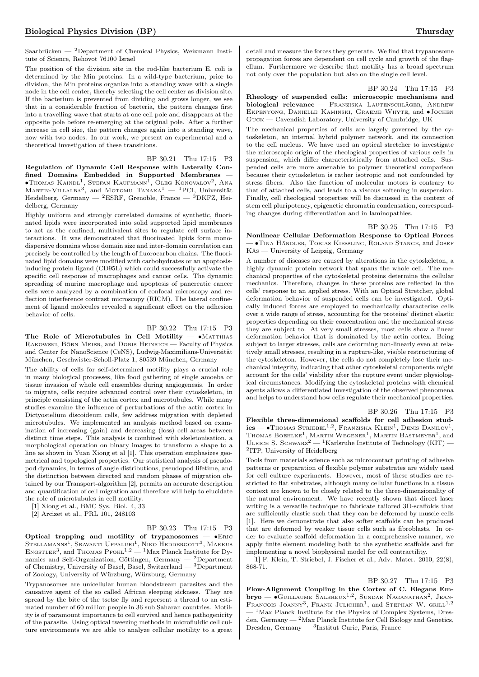Saarbrücken —  $^2$ Department of Chemical Physics, Weizmann Institute of Science, Rehovot 76100 Israel

The position of the division site in the rod-like bacterium E. coli is determined by the Min proteins. In a wild-type bacterium, prior to division, the Min proteins organize into a standing wave with a single node in the cell center, thereby selecting the cell center as division site. If the bacterium is prevented from dividing and grows longer, we see that in a considerable fraction of bacteria, the pattern changes first into a travelling wave that starts at one cell pole and disappears at the opposite pole before re-emerging at the original pole. After a further increase in cell size, the pattern changes again into a standing wave, now with two nodes. In our work, we present an experimental and a theoretical investigation of these transitions.

BP 30.21 Thu 17:15 P3 Regulation of Dynamic Cell Response with Laterally Confined Domains Embedded in Supported Membranes  $\bullet$ Thomas Kaindl<sup>1</sup>, Stefan Kaufmann<sup>1</sup>, Oleg Konovalov<sup>2</sup>, Ana  $M$ ARTIN-VILLALBA<sup>3</sup>, and MOTOMU TANAKA<sup>1</sup> — <sup>1</sup>PCI, Universität Heidelberg, Germany — <sup>2</sup>ESRF, Grenoble, France — <sup>3</sup>DKFZ, Heidelberg, Germany

Highly uniform and strongly correlated domains of synthetic, fluorinated lipids were incorporated into solid supported lipid membranes to act as the confined, multivalent sites to regulate cell surface interactions. It was demonstrated that fluorinated lipids form monodispersive domains whose domain size and inter-domain correlation can precisely be controlled by the length of fluorocarbon chains. The fluorinated lipid domains were modified with carbohydrates or an apoptosisinducing protein ligand (CD95L) which could successfully activate the specific cell response of macrophages and cancer cells. The dynamic spreading of murine macrophage and apoptosis of pancreatic cancer cells were analyzed by a combination of confocal microscopy and reflection interference contrast microscopy (RICM). The lateral confinement of ligand molecules revealed a significant effect on the adhesion behavior of cells.

## BP 30.22 Thu 17:15 P3

The Role of Microtubules in Cell Motility —  $\bullet$ Matthias Rakowski, Börn Meier, and Doris Heinrich — Faculty of Physics and Center for NanoScience (CeNS), Ludwig-Maximilians-Universität München, Geschwister-Scholl-Platz 1, 80539 München, Germany

The ability of cells for self-determined motility plays a crucial role in many biological processes, like food gathering of single amoeba or tissue invasion of whole cell ensembles during angiogenesis. In order to migrate, cells require advanced control over their cytoskeleton, in principle consisting of the actin cortex and microtubules. While many studies examine the influence of perturbations of the actin cortex in Dictyostelium discoideum cells, few address migration with depleted microtubules. We implemented an analysis method based on examination of increasing (gain) and decreasing (loss) cell areas between distinct time steps. This analysis is combined with skeletonisation, a morphological operation on binary images to transform a shape to a line as shown in Yuan Xiong et al [1]. This operation emphasizes geometrical and topological properties. Our statistical analysis of pseudopod dynamics, in terms of angle distributions, pseudopod lifetime, and the distinction between directed and random phases of migration obtained by our Transport-algorithm [2], permits an accurate description and quantification of cell migration and therefore will help to elucidate the role of microtubules in cell motility.

[1] Xiong et al., BMC Sys. Biol. 4, 33

[2] Arcizet et al., PRL 101, 248103

#### BP 30.23 Thu 17:15 P3

Optical trapping and motility of trypanosomes — ∙Eric Stellamanns<sup>1</sup>, Sravanti Uppaluri<sup>1</sup>, Niko Heddergott<sup>3</sup>, Markus<br>Engstler<sup>3</sup>, and Thomas Pfohl<sup>1,2</sup> — <sup>1</sup>Max Planck Institute for Dynamics and Self-Organization, Göttingen, Germany  $-$  2Department of Chemistry, University of Basel, Basel, Switzerland — <sup>3</sup>Department of Zoology, University of Würzburg, Würzburg, Germany

Trypanosomes are unicellular human bloodstream parasites and the causative agent of the so called African sleeping sickness. They are spread by the bite of the tsetse fly and represent a thread to an estimated number of 60 million people in 36 sub Saharan countries. Motility is of paramount importance to cell survival and hence pathogenicity of the parasite. Using optical tweezing methods in microfluidic cell culture environments we are able to analyze cellular motility to a great

detail and measure the forces they generate. We find that trypanosome propagation forces are dependent on cell cycle and growth of the flagellum. Furthermore we describe that motility has a broad spectrum not only over the population but also on the single cell level.

BP 30.24 Thu 17:15 P3

Rheology of suspended cells: microscopic mechanisms and biological relevance — FRANZISKA LAUTENSCHLÄGER, ANDREW Ekpenyong, Danielle Kaminski, Graeme Whyte, and ∙Jochen Guck — Cavendish Laboratory, University of Cambridge, UK

The mechanical properties of cells are largely governed by the cytoskeleton, an internal hybrid polymer network, and its connection to the cell nucleus. We have used an optical stretcher to investigate the microscopic origin of the rheological properties of various cells in suspension, which differ characteristically from attached cells. Suspended cells are more amenable to polymer theoretical comparison because their cytoskeleton is rather isotropic and not confounded by stress fibers. Also the function of molecular motors is contrary to that of attached cells, and leads to a viscous softening in suspension. Finally, cell rheological properties will be discussed in the context of stem cell pluripotency, epigenetic chromatin condensation, corresponding changes during differentiation and in laminopathies.

BP 30.25 Thu 17:15 P3 Nonlinear Cellular Deformation Response to Optical Forces — ∙Tina Händler, Tobias Kießling, Roland Stange, and Josef Käs — University of Leipzig, Germany

A number of diseases are caused by alterations in the cytoskeleton, a highly dynamic protein network that spans the whole cell. The mechanical properties of the cytoskeletal proteins determine the cellular mechanics. Therefore, changes in these proteins are reflected in the cells' response to an applied stress. With an Optical Stretcher, global deformation behavior of suspended cells can be investigated. Optically induced forces are employed to mechanically characterize cells over a wide range of stress, accounting for the proteins' distinct elastic properties depending on their concentration and the mechanical stress they are subject to. At very small stresses, most cells show a linear deformation behavior that is dominated by the actin cortex. Being subject to larger stresses, cells are deforming non-linearly even at relatively small stresses, resulting in a rupture-like, visible restructuring of the cytoskeleton. However, the cells do not completely lose their mechanical integrity, indicating that other cytoskeletal components might account for the cells' viability after the rupture event under physiological circumstances. Modifying the cytoskeletal proteins with chemical agents allows a differentiated investigation of the observed phenomena and helps to understand how cells regulate their mechanical properties.

#### BP 30.26 Thu 17:15 P3

Flexible three-dimensional scaffolds for cell adhesion stud- $\text{ies} \longrightarrow \text{Thomas Striebel}^{1,2}$ , Franziska Klein<sup>1</sup>, Denis Danilov<sup>1</sup>, THOMAS BOEHLKE<sup>1</sup>, MARTIN WEGENER<sup>1</sup>, MARTIN BASTMEYER<sup>1</sup>, and ULRICH S. SCHWARZ<sup>2</sup> — <sup>1</sup>Karlsruhe Institute of Technology (KIT) — 2 ITP, University of Heidelberg

Tools from materials science such as microcontact printing of adhesive patterns or preparation of flexible polymer substrates are widely used for cell culture experiments. However, most of these studies are restricted to flat substrates, although many cellular functions in a tissue context are known to be closely related to the three-dimensionality of the natural environment. We have recently shown that direct laser writing is a versatile technique to fabricate tailored 3D-scaffolds that are sufficiently elastic such that they can be deformed by muscle cells [1]. Here we demonstrate that also softer scaffolds can be produced that are deformed by weaker tissue cells such as fibroblasts. In order to evaluate scaffold deformation in a comprehensive manner, we apply finite element modeling both to the synthetic scaffolds and for implementing a novel biophysical model for cell contractility.

[1] F. Klein, T. Striebel, J. Fischer et al., Adv. Mater. 2010, 22(8), 868-71.

BP 30.27 Thu 17:15 P3 Flow-Alignment Coupling in the Cortex of C. Elegans Embryo — •GUILLAUME SALBREUX<sup>1,2</sup>, SUNDAR NAGANATHAN<sup>2</sup>, JEAN-FRANCOIS JOANNY<sup>3</sup>, FRANK JULICHER<sup>1</sup>, and STEPHAN W. GRILL<sup>1,2</sup> <sup>- 1</sup>Max Planck Institute for the Physics of Complex Systems, Dresden, Germany — <sup>2</sup>Max Planck Institute for Cell Biology and Genetics, Dresden, Germany — <sup>3</sup> Institut Curie, Paris, France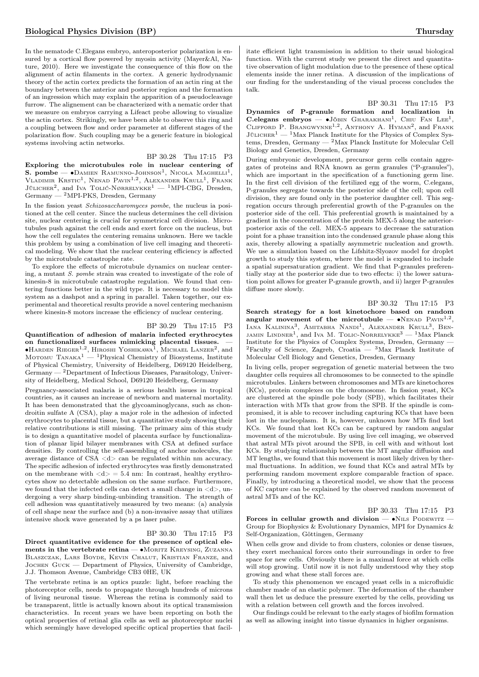In the nematode C.Elegans embryo, anteroposterior polarization is ensured by a cortical flow powered by myosin activity (Mayer&Al, Nature, 2010). Here we investigate the consequence of this flow on the alignment of actin filaments in the cortex. A generic hydrodynamic theory of the actin cortex predicts the formation of an actin ring at the boundary between the anterior and posterior region and the formation of an ingression which may explain the apparition of a pseudocleavage furrow. The alignement can be characterized with a nematic order that we measure on embryos carrying a Lifeact probe allowing to visualize the actin cortex. Strikingly, we have been able to observe this ring and a coupling between flow and order parameter at different stages of the polarization flow. Such coupling may be a generic feature in biological systems involving actin networks.

BP 30.28 Thu 17:15 P3 Exploring the microtubules role in nuclear centering of S. pombe —  $\bullet$ Damien Ramunno-Johnson<sup>1</sup>, Nicola Maghelli<sup>1</sup>, Vladimir Krstic<sup>1</sup>, Nenad Pavin<sup>1,2</sup>, Alexander Krull<sup>1</sup>, Frank Jülicher<sup>2</sup>, and Iva Tolić-Nørrelykke<sup>1</sup> — <sup>1</sup>MPI-CBG, Dresden,  $Germany - 2MPI-PKS$ , Dresden,  $Germany$ 

In the fission yeast Schizosaccharomyces pombe, the nucleus ia positioned at the cell center. Since the nucleus determines the cell division site, nuclear centering is crucial for symmetrical cell division. Microtubules push against the cell ends and exert force on the nucleus, but how the cell regulates the centering remains unknown. Here we tackle this problem by using a combination of live cell imaging and theoretical modeling. We show that the nuclear centering efficiency is affected by the microtubule catastrophe rate.

To explore the effects of microtubule dynamics on nuclear centering, a mutant S. pombe strain was created to investigate of the role of kinesin-8 in microtubule catastrophe regulation. We found that centering functions better in the wild type. It is necessary to model this system as a dashpot and a spring in parallel. Taken together, our experimental and theoretical results provide a novel centering mechanism where kinesin-8 motors increase the efficiency of nuclear centering.

BP 30.29 Thu 17:15 P3 Quantification of adhesion of malaria infected erythrocytes on functionalized surfaces mimicking placental tissues. — ●Накрем Rieger<sup>1,2</sup>, Нікоѕні Yоѕнікаwа<sup>1</sup>, Міснаеl Lамzеr<sup>2</sup>, and<br>Мотоми Тамака<sup>1</sup> — <sup>1</sup>Physical Chemistry of Biosystems, Institute of Physical Chemistry, University of Heidelberg, D69120 Heidelberg, Germany — <sup>2</sup>Department of Infectious Diseases, Parasitology, University of Heidelberg, Medical School, D69120 Heidelberg, Germany

Pregnancy-associated malaria is a serious health issues in tropical countries, as it causes an increase of newborn and maternal mortality. It has been demonstrated that the glycoaminoglycans, such as chondroitin sulfate A (CSA), play a major role in the adhesion of infected erythrocytes to placental tissue, but a quantitative study showing their relative contributions is still missing. The primary aim of this study is to design a quantitative model of placenta surface by functionalization of planar lipid bilayer membranes with CSA at defined surface densities. By controlling the self-assembling of anchor molecules, the average distance of CSA <d> can be regulated within nm accuracy. The specific adhesion of infected erythrocytes was firstly demonstrated on the membrane with  $\langle d \rangle = 5.4$  nm: In contrast, healthy erythrocytes show no detectable adhesion on the same surface. Furthermore, we found that the infected cells can detect a small change in  $\langle d \rangle$ , undergoing a very sharp binding-unbinding transition. The strength of cell adhesion was quantitatively measured by two means: (a) analysis of cell shape near the surface and (b) a non-invasive assay that utilizes intensive shock wave generated by a ps laser pulse.

#### BP 30.30 Thu 17:15 P3

Direct quantitative evidence for the presence of optical elements in the vertebrate retina — •MORITZ KREYSING, ZUZANNA Blaszczak, Lars Boyde, Kevin Chalut, Kristian Franze, and Jochen Guck — Department of Physics, University of Cambridge, J.J. Thomson Avenue, Cambridge CB3 0HE, UK

The vertebrate retina is an optics puzzle: light, before reaching the photoreceptor cells, needs to propagate through hundreds of microns of living neuronal tissue. Whereas the retina is commonly said to be transparent, little is actually known about its optical transmission characteristics. In recent years we have been reporting on both the optical properties of retinal glia cells as well as photoreceptor nuclei which seemingly have developed specific optical properties that facilitate efficient light transmission in addition to their usual biological function. With the current study we present the direct and quantitative observation of light modulation due to the presence of these optical elements inside the inner retina. A discussion of the implications of our finding for the understanding of the visual process concludes the talk.

BP 30.31 Thu 17:15 P3

Dynamics of P-granule formation and localization in C.elegans embryos — •JÖBIN GHARAKHANI<sup>1</sup>, CHIU FAN LEE<sup>1</sup>, CLIFFORD P. BRANGWYNNE<sup>1,2</sup>, ANTHONY A. HYMAN<sup>2</sup>, and FRANK JÜLICHER<sup>1</sup> — <sup>1</sup>Max Planck Institute for the Physics of Complex Systems, Dresden, Germany — <sup>2</sup>Max Planck Institute for Molecular Cell Biology and Genetics, Dresden, Germany

During embryonic development, precursor germ cells contain aggregates of proteins and RNA known as germ granules ("P-granules"), which are important in the specification of a functioning germ line. In the first cell division of the fertilized egg of the worm, C.elegans, P-granules segregate towards the posterior side of the cell; upon cell division, they are found only in the posterior daughter cell. This segregation occurs through preferential growth of the P-granules on the posterior side of the cell. This preferential growth is maintained by a gradient in the concentration of the protein MEX-5 along the anteriorposterior axis of the cell. MEX-5 appears to decrease the saturation point for a phase transition into the condensed granule phase along this axis, thereby allowing a spatially asymmetric nucleation and growth. We use a simulation based on the Lifshitz-Slyozov model for droplet growth to study this system, where the model is expanded to include a spatial supersaturation gradient. We find that P-granules preferentially stay at the posterior side due to two effects: i) the lower saturation point allows for greater P-granule growth, and ii) larger P-granules diffuse more slowly.

## BP 30.32 Thu 17:15 P3

Search strategy for a lost kinetochore based on random angular movement of the microtubule — •NENAD  $\text{PAVIN}^{1,2}$ IANA KALININA<sup>3</sup>, AMITABHA NANDI<sup>1</sup>, ALEXANDER KRULL<sup>3</sup>, BEN-JAMIN LINDNER<sup>1</sup>, and IVA M. TOLIC-NORRELYKKE<sup>3</sup> — <sup>1</sup>Max Planck Institute for the Physics of Complex Systems, Dresden, Germany — <sup>2</sup>Faculty of Science, Zagreb, Croatia —  ${}^{3}$ Max Planck Institute of Molecular Cell Biology and Genetics, Dresden, Germany

In living cells, proper segregation of genetic material between the two daughter cells requires all chromosomes to be connected to the spindle microtubules. Linkers between chromosomes and MTs are kinetochores (KCs), protein complexes on the chromosome. In fission yeast, KCs are clustered at the spindle pole body (SPB), which facilitates their interaction with MTs that grow from the SPB. If the spindle is compromised, it is able to recover including capturing KCs that have been lost in the nucleoplasm. It is, however, unknown how MTs find lost KCs. We found that lost KCs can be captured by random angular movement of the microtubule. By using live cell imaging, we observed that astral MTs pivot around the SPB, in cell with and without lost KCs. By studying relationship between the MT angular diffusion and MT lengths, we found that this movement is most likely driven by thermal fluctuations. In addition, we found that KCs and astral MTs by performing random movement explore comparable fraction of space. Finally, by introducing a theoretical model, we show that the process of KC capture can be explained by the observed random movement of astral MTs and of the KC.

#### BP 30.33 Thu 17:15 P3

Forces in cellular growth and division —  $\bullet$ N<sub>ILS</sub> PODEWITZ – Group for Biophysics & Evolutionary Dynamics, MPI for Dynamics & Self-Organization, Göttingen, Germany

When cells grow and divide to from clusters, colonies or dense tissues, they exert mechanical forces onto their surroundings in order to free space for new cells. Obviously there is a maximal force at which cells will stop growing. Until now it is not fully understood why they stop growing and what these stall forces are.

To study this phenomenon we encaged yeast cells in a microfluidic chamber made of an elastic polymer. The deformation of the chamber wall then let us deduce the pressure exerted by the cells, providing us with a relation between cell growth and the forces involved.

Our findings could be relevant to the early stages of biofilm formation as well as allowing insight into tissue dynamics in higher organisms.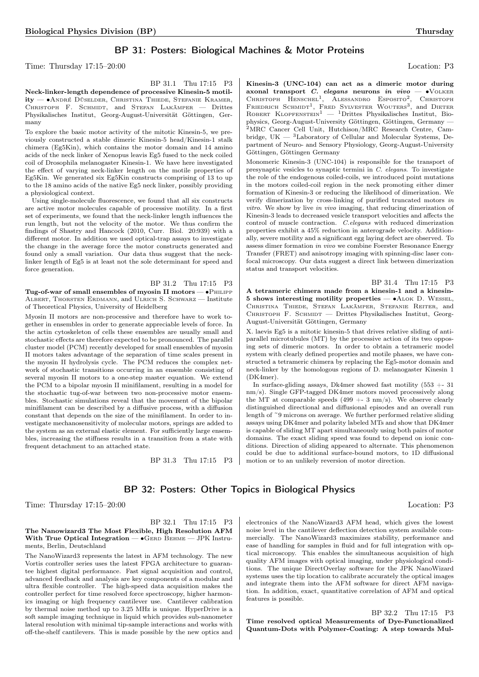## BP 31: Posters: Biological Machines & Motor Proteins

Time: Thursday 17:15–20:00 Location: P3

BP 31.1 Thu 17:15 P3

Neck-linker-length dependence of processive Kinesin-5 motility — ∙André Düselder, Christina Thiede, Stefanie Kramer, CHRISTOPH F. SCHMIDT, and STEFAN LAKÄMPER - Drittes Physikalisches Institut, Georg-August-Universität Göttingen, Germany

To explore the basic motor activity of the mitotic Kinesin-5, we previously constructed a stable dimeric Kinesin-5 head/Kinesin-1 stalk chimera (Eg5Kin), which contains the motor domain and 14 amino acids of the neck linker of Xenopus leavis Eg5 fused to the neck coiled coil of Drosophila melanogaster Kinesin-1. We have here investigated the effect of varying neck-linker length on the motile properties of Eg5Kin. We generated six Eg5Kin constructs comprising of 13 to up to the 18 amino acids of the native Eg5 neck linker, possibly providing a physiological context.

Using single-molecule fluorescence, we found that all six constructs are active motor molecules capable of processive motility. In a first set of experiments, we found that the neck-linker length influences the run length, but not the velocity of the motor. We thus confirm the findings of Shastry and Hancock (2010, Curr. Biol. 20:939) with a different motor. In addition we used optical-trap assays to investigate the change in the average force the motor constructs generated and found only a small variation. Our data thus suggest that the necklinker length of Eg5 is at least not the sole determinant for speed and force generation.

## BP 31.2 Thu 17:15 P3 Tug-of-war of small ensembles of myosin II motors — •PHILIPP Albert, Thorsten Erdmann, and Ulrich S. Schwarz — Institute of Theoretical Physics, University of Heidelberg

Myosin II motors are non-processive and therefore have to work together in ensembles in order to generate appreciable levels of force. In the actin cytoskeleton of cells these ensembles are usually small and stochastic effects are therefore expected to be pronounced. The parallel cluster model (PCM) recently developed for small ensembles of myosin II motors takes advantage of the separation of time scales present in the myosin II hydrolysis cycle. The PCM reduces the complex network of stochastic transitions occurring in an ensemble consisting of several myosin II motors to a one-step master equation. We extend the PCM to a bipolar myosin II minifilament, resulting in a model for the stochastic tug-of-war between two non-processive motor ensembles. Stochastic simulations reveal that the movement of the bipolar minifilament can be described by a diffusive process, with a diffusion constant that depends on the size of the minifilament. In order to investigate mechanosensitivity of molecular motors, springs are added to the system as an external elastic element. For sufficiently large ensembles, increasing the stiffness results in a transition from a state with frequent detachment to an attached state.

BP 31.3 Thu 17:15 P3

Kinesin-3 (UNC-104) can act as a dimeric motor during axonal transport C. elegans neurons in vivo — •VOLKER CHRISTOPH HENSCHEL<sup>1</sup>, ALESSANDRO ESPOSITO<sup>2</sup>, CHRISTOPH FRIEDRICH SCHMIDT<sup>1</sup>, FRED SYLVESTER WOUTERS<sup>3</sup>, and DIETER ROBERT KLOPFENSTEIN<sup>1</sup> — <sup>1</sup>Drittes Physikalisches Institut, Biophysics, Georg-August-University Göttingen, Göttingen, Germany — <sup>2</sup>MRC Cancer Cell Unit, Hutchison/MRC Research Centre, Cambridge, UK — <sup>3</sup>Laboratory of Cellular and Molecular Systems, Department of Neuro- and Sensory Physiology, Georg-August-University Göttingen, Göttingen Germany

Monomeric Kinesin-3 (UNC-104) is responsible for the transport of presynaptic vesicles to synaptic termini in C. elegans. To investigate the role of the endogenous coiled-coils, we introduced point mutations in the motors coiled-coil region in the neck promoting either dimer formation of Kinesin-3 or reducing the likelihood of dimerization. We verify dimerization by cross-linking of purified truncated motors in vitro. We show by live in vivo imaging, that reducing dimerization of Kinesin-3 leads to decreased vesicle transport velocities and affects the control of muscle contraction. C.elegans with reduced dimerization properties exhibit a 45% reduction in anterograde velocity. Additionally, severe motility and a significant egg laying defect are observed. To assess dimer formation in vivo we combine Foerster Resonance Energy Transfer (FRET) and anisotropy imaging with spinning-disc laser confocal microscopy. Our data suggest a direct link between dimerization status and transport velocities.

BP 31.4 Thu 17:15 P3

A tetrameric chimera made from a kinesin-1 and a kinesin-5 shows interesting motility properties — ∙Alok D. Weßel, Christina Thiede, Stefan Lakämper, Stefanie Reiter, and CHRISTOPH F. SCHMIDT — Drittes Physikalisches Institut, Georg-August-Universität Göttingen, Germany

X. laevis Eg5 is a mitotic kinesin-5 that drives relative sliding of antiparallel microtubules (MT) by the processive action of its two opposing sets of dimeric motors. In order to obtain a tetrameric model system with clearly defined properties and motile phases, we have constructed a tetrameric chimera by replacing the Eg5-motor domain and neck-linker by the homologous regions of D. melanogaster Kinesin 1 (DK4mer).

In surface-gliding assays, Dk4mer showed fast motility (553 +- 31 nm/s). Single GFP-tagged DK4mer motors moved processively along the MT at comparable speeds  $(499 + -3 \text{ nm/s})$ . We observe clearly distinguished directional and diffusional episodes and an overall run length of ~9 microns on average. We further performed relative sliding assays using DK4mer and polarity labeled MTs and show that DK4mer is capable of sliding MT apart simultaneously using both pairs of motor domains. The exact sliding speed was found to depend on ionic conditions. Direction of sliding appeared to alternate. This phenomenon could be due to additional surface-bound motors, to 1D diffusional motion or to an unlikely reversion of motor direction.

# BP 32: Posters: Other Topics in Biological Physics

Time: Thursday 17:15–20:00 Location: P3

## BP 32.1 Thu 17:15 P3 The Nanowizard3 The Most Flexible, High Resolution AFM With True Optical Integration —  $\bullet$  GERD BEHME — JPK Instruments, Berlin, Deutschland

The NanoWizard3 represents the latest in AFM technology. The new Vortis controller series uses the latest FPGA architecture to guarantee highest digital performance. Fast signal acquisition and control, advanced feedback and analysis are key components of a modular and ultra flexible controller. The high-speed data acquisition makes the controller perfect for time resolved force spectroscopy, higher harmonics imaging or high frequency cantilever use. Cantilever calibration by thermal noise method up to 3.25 MHz is unique. HyperDrive is a soft sample imaging technique in liquid which provides sub-nanometer lateral resolution with minimal tip-sample interactions and works with off-the-shelf cantilevers. This is made possible by the new optics and

electronics of the NanoWizard3 AFM head, which gives the lowest noise level in the cantilever deflection detection system available commercially. The NanoWizard3 maximizes stability, performance and ease of handling for samples in fluid and for full integration with optical microscopy. This enables the simultaneous acquisition of high quality AFM images with optical imaging, under physiological conditions. The unique DirectOverlay software for the JPK NanoWizard systems uses the tip location to calibrate accurately the optical images and integrate them into the AFM software for direct AFM navigation. In addition, exact, quantitative correlation of AFM and optical features is possible.

BP 32.2 Thu 17:15 P3 Time resolved optical Measurements of Dye-Functionalized Quantum-Dots with Polymer-Coating: A step towards Mul-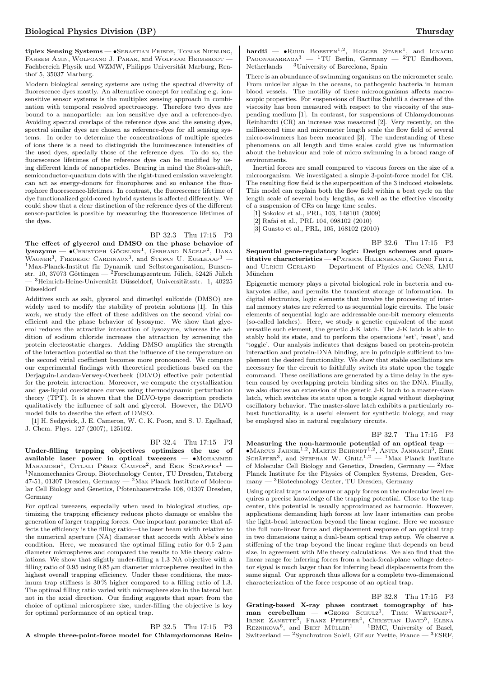tiplex Sensing Systems — ∙Sebastian Friede, Tobias Niebling, FAHEEM AMIN, WOLFGANG J. PARAK, and WOLFRAM HEIMBRODT -Fachbereich Physik und WZMW, Philipps Universität Marburg, Renthof 5, 35037 Marburg.

Modern biological sensing systems are using the spectral diversity of fluorescence dyes mostly. An alternative concept for realizing e.g. ionsensitive sensor systems is the multiplex sensing approach in combination with temporal resolved spectroscopy. Therefore two dyes are bound to a nanoparticle: an ion sensitive dye and a reference-dye. Avoiding spectral overlaps of the reference dyes and the sensing dyes, spectral similar dyes are chosen as reference-dyes for all sensing systems. In order to determine the concentrations of multiple species of ions there is a need to distinguish the luminescence intensities of the used dyes, specially those of the reference dyes. To do so, the fluorescence lifetimes of the reference dyes can be modified by using different kinds of nanoparticles. Bearing in mind the Stokes-shift, semiconductor-quantum dots with the right-tuned emission wavelenght can act as energy-donors for fluorophores and so enhance the fluorophore fluorescence-lifetimes. In contrast, the fluorescence lifetime of dye functionalized gold-cored hybrid systems is affected differently. We could show that a clear distinction of the reference dyes of the different sensor-particles is possible by measuring the fluorescence lifetimes of the dyes.

## BP 32.3 Thu 17:15 P3

The effect of glycerol and DMSO on the phase behavior of  ${\rm lysozyme} \--\> C$ hristoph Gögelein<sup>1</sup>, Gerhard Nägele<sup>2</sup>, Dana WAGNER<sup>3</sup>, FREDERIC CARDINAUX<sup>3</sup>, and STEFAN U. EGELHAAF<sup>3</sup> – <sup>1</sup>Max-Planck-Institut für Dynamik und Selbstorganisation, Bunsenstr. 10, 37073 Göttingen — <sup>2</sup>Forschungszentrum Jülich, 52425 Jülich - <sup>3</sup>Heinrich-Heine-Universität Düsseldorf, Universitätsstr. 1, 40225 Düsseldorf

Additives such as salt, glycerol and dimethyl sulfoxide (DMSO) are widely used to modify the stability of protein solutions [1]. In this work, we study the effect of these additives on the second virial coefficient and the phase behavior of lysozyme. We show that glycerol reduces the attractive interaction of lysozyme, whereas the addition of sodium chloride increases the attraction by screening the protein electrostatic charges. Adding DMSO amplifies the strength of the interaction potential so that the influence of the temperature on the second virial coefficient becomes more pronounced. We compare our experimental findings with theoretical predictions based on the Derjaguin-Landau-Verwey-Overbeek (DLVO) effective pair potential for the protein interaction. Moreover, we compute the crystallization and gas-liquid coexistence curves using thermodynamic perturbation theory (TPT). It is shown that the DLVO-type description predicts qualitatively the influence of salt and glycerol. However, the DLVO model fails to describe the effect of DMSO.

[1] H. Sedgwick, J. E. Cameron, W. C. K. Poon, and S. U. Egelhaaf, J. Chem. Phys. 127 (2007), 125102.

## BP 32.4 Thu 17:15 P3

Under-filling trapping objectives optimizes the use of available laser power in optical tweezers — •MOHAMMED MAHAMDEH<sup>1</sup>, CITLALI PÉREZ CAMPOS<sup>2</sup>, and ERIK SCHÄFFER<sup>1</sup> – <sup>1</sup>Nanomechanics Group, Biotechnology Center, TU Dresden, Tatzberg  $47-51,01307$  Dresden, Germany  $-$  <sup>2</sup>Max Planck Institute of Molecular Cell Biology and Genetics, Pfotenhauerstraße 108, 01307 Dresden, Germany

For optical tweezers, especially when used in biological studies, optimizing the trapping efficiency reduces photo damage or enables the generation of larger trapping forces. One important parameter that affects the efficiency is the filling ratio—the laser beam width relative to the numerical aperture (NA) diameter that accords with Abbe's sine condition. Here, we measured the optimal filling ratio for  $0.5-2 \mu m$ diameter microspheres and compared the results to Mie theory calculations. We show that slightly under-filling a 1.3 NA objective with a filling ratio of 0.95 using  $0.85 \mu m$  diameter microspheres resulted in the highest overall trapping efficiency. Under these conditions, the maximum trap stiffness is 30 % higher compared to a filling ratio of 1.3. The optimal filling ratio varied with microsphere size in the lateral but not in the axial direction. Our finding suggests that apart from the choice of optimal microsphere size, under-filling the objective is key for optimal performance of an optical trap.

BP 32.5 Thu 17:15 P3 A simple three-point-force model for Chlamydomonas Rein-

hardti —  $\bullet$ Ruud Boesten<sup>1,2</sup>, Holger Stark<sup>1</sup>, and Ignacio PAGONABARRAGA<sup>3</sup> — <sup>1</sup>TU Berlin, Germany — <sup>2</sup>TU Eindhoven, Netherlands — <sup>3</sup>University of Barcelona, Spain

There is an abundance of swimming organisms on the micrometer scale. From unicellar algae in the oceans, to pathogenic bacteria in human blood vessels. The motility of these microorganisms affects macroscopic properties. For suspensions of Bactilus Subtili a decrease of the viscosity has been measured with respect to the viscosity of the suspending medium [1]. In contrast, for suspensions of Chlamydomonas Reinhardti (CR) an increase was measured [2]. Very recently, on the millisecond time and micrometer length scale the flow field of several micro-swimmers has been measured [3]. The understanding of these phenomena on all length and time scales could give us information about the behaviour and role of micro swimming in a broad range of environments.

Inertial forces are small compared to viscous forces on the size of a microorganism. We investigated a simple 3-point-force model for CR. The resulting flow field is the superposition of the 3 induced stokeslets. This model can explain both the flow field within a beat cycle on the length scale of several body lengths, as well as the effective viscosity of a suspension of CRs on large time scales.

[1] Sokolov et al., PRL, 103, 148101 (2009)

[2] Rafai et al., PRL 104, 098102 (2010)

München

[3] Guasto et al., PRL, 105, 168102 (2010)

BP 32.6 Thu 17:15 P3 Sequential gene-regulatory logic: Design schemes and quantitative characteristics — ∙Patrick Hillenbrand, Georg Fritz, and ULRICH GERLAND — Department of Physics and CeNS, LMU

Epigenetic memory plays a pivotal biological role in bacteria and eukaryotes alike, and permits the transient storage of information. In digital electronics, logic elements that involve the processing of internal memory states are referred to as sequential logic circuits. The basic elements of sequential logic are addressable one-bit memory elements (so-called latches). Here, we study a genetic equivalent of the most versatile such element, the genetic J-K latch. The J-K latch is able to stably hold its state, and to perform the operations 'set', 'reset', and 'toggle'. Our analysis indicates that designs based on protein-protein interaction and protein-DNA binding, are in principle sufficient to implement the desired functionality. We show that stable oscillations are necessary for the circuit to faithfully switch its state upon the toggle command. These oscillations are generated by a time delay in the system caused by overlapping protein binding sites on the DNA. Finally, we also discuss an extension of the genetic J-K latch to a master-slave latch, which switches its state upon a toggle signal without displaying oscillatory behavior. The master-slave latch exhibits a particularly robust functionality, is a useful element for synthetic biology, and may be employed also in natural regulatory circuits.

## BP 32.7 Thu 17:15 P3

Measuring the non-harmonic potential of an optical trap  $-\,$ ●Marcus Jahnel<sup>1,2</sup>, Martin Behrnd<sup>-1,2</sup>, Anita Jannasch<sup>3</sup>, Erik<br>Schäffer<sup>3</sup>, and Stephan W. Grill<sup>1,2</sup> — <sup>1</sup>Max Planck Institute of Molecular Cell Biology and Genetics, Dresden, Germany  $-2$  Max Planck Institute for the Physics of Complex Systems, Dresden, Germany — <sup>3</sup>Biotechnology Center, TU Dresden, Germany

Using optical traps to measure or apply forces on the molecular level requires a precise knowledge of the trapping potential. Close to the trap center, this potential is usually approximated as harmonic. However, applications demanding high forces at low laser intensities can probe the light-bead interaction beyond the linear regime. Here we measure the full non-linear force and displacement response of an optical trap in two dimensions using a dual-beam optical trap setup. We observe a stiffening of the trap beyond the linear regime that depends on bead size, in agreement with Mie theory calculations. We also find that the linear range for inferring forces from a back-focal-plane voltage detector signal is much larger than for inferring bead displacements from the same signal. Our approach thus allows for a complete two-dimensional characterization of the force response of an optical trap.

BP 32.8 Thu 17:15 P3 Grating-based X-ray phase contrast tomography of human cerebellum —  $\bullet$ GEORG SCHULZ<sup>1</sup>, TIMM WEITKAMP<sup>2</sup>, IRENE ZANETTE<sup>3</sup>, FRANZ PFEIFFER<sup>4</sup>, CHRISTIAN DAVID<sup>5</sup>, ELENA<br>REZNIKOVA<sup>6</sup>, and BERT MÜLLER<sup>1</sup> — <sup>1</sup>BMC, University of Basel, Switzerland — <sup>2</sup>Synchrotron Soleil, Gif sur Yvette, France — <sup>3</sup>ESRF,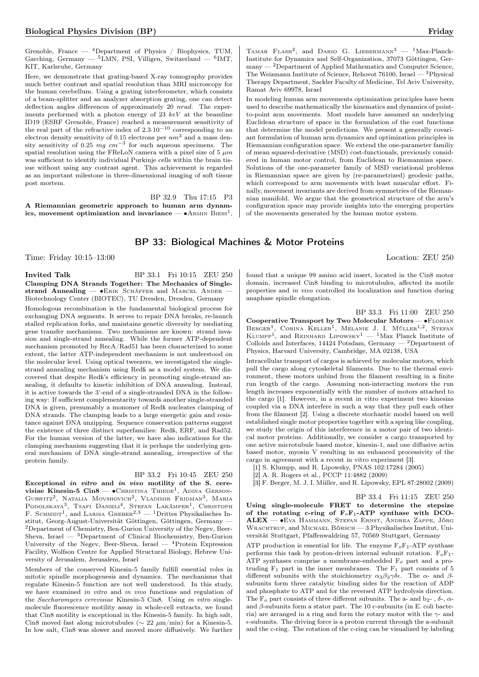Grenoble, France  $-$  <sup>4</sup>Department of Physics / Biophysics, TUM, Garching, Germany — <sup>5</sup>LMN, PSI, Villigen, Switzerland — <sup>6</sup>IMT, KIT, Karlsruhe, Germany

Here, we demonstrate that grating-based X-ray tomography provides much better contrast and spatial resolution than MRI microscopy for the human cerebellum. Using a grating interferometer, which consists of a beam-splitter and an analyzer absorption grating, one can detect deflection angles differences of approximately 20 nrad. The experiments performed with a photon energy of  $23~keV$  at the beamline ID19 (ESRF Grenoble, France) reached a measurement sensitivity of the real part of the refractive index of  $2.3 \cdot 10^{-10}$  corresponding to an electron density sensitivity of 0.15 electrons per  $nm<sup>3</sup>$  and a mass density sensitivity of 0.25  $mg \, cm^{-3}$  for such aqueous specimens. The spatial resolution using the FReLoN camera with a pixel size of 5  $\mu m$ was sufficient to identify individual Purkinje cells within the brain tissue without using any contrast agent. This achievement is regarded as an important milestone in three-dimensional imaging of soft tissue post mortem.

BP 32.9 Thu 17:15 P3 A Riemannian geometric approach to human arm dynamics, movement optimization and invariance —  $\bullet$ Armin Biess<sup>1</sup>,

TAMAR FLASH<sup>2</sup>, and DARIO G. LIEBERMANN<sup>3</sup> - <sup>1</sup>Max-Planck-Institute for Dynamics and Self-Organization, 37073 Göttingen, Ger- $\,$  many  $^2$  Department of Applied Mathematics and Computer Science, The Weizmann Institute of Science, Rehovot 76100, Israel — <sup>3</sup>Physical Therapy Department, Sackler Faculty of Medicine, Tel Aviv University, Ramat Aviv 69978, Israel

In modeling human arm movements optimization principles have been used to describe mathematically the kinematics and dynamics of pointto-point arm movements. Most models have assumed an underlying Euclidean structure of space in the formulation of the cost functions that determine the model predictions. We present a generally covariant formulation of human arm dynamics and optimization principles in Riemannian configuration space. We extend the one-parameter familiy of mean squared-derivative (MSD) cost-functionals, previously considered in human motor control, from Euclidean to Riemannian space. Solutions of the one-parameter family of MSD variational problems in Riemannian space are given by (re-parametrized) geodesic paths, which correspond to arm movements with least muscular effort. Finally, movement invariants are derived from symmetries of the Riemannian manifold. We argue that the geometrical structure of the arm's configuration space may provide insights into the emerging properties of the movements generated by the human motor system.

## BP 33: Biological Machines & Motor Proteins

Time: Friday 10:15–13:00 Location: ZEU 250

Invited Talk BP 33.1 Fri 10:15 ZEU 250 Clamping DNA Strands Together: The Mechanics of Singlestrand Annealing — •ERIK SCHÄFFER and MARCEL ANDER Biotechnology Center (BIOTEC), TU Dresden, Dresden, Germany

Homologous recombination is the fundamental biological process for exchanging DNA segments. It serves to repair DNA breaks, re-launch stalled replication forks, and maintains genetic diversity by mediating gene transfer mechanisms. Two mechanisms are known: strand invasion and single-strand annealing. While the former ATP-dependent mechanism promoted by RecA/Rad51 has been characterized to some extent, the latter ATP-independent mechanism is not understood on the molecular level. Using optical tweezers, we investigated the singlestrand annealing mechanism using Redß as a model system. We discovered that despite Redß's efficiency in promoting single-strand annealing, it defaults to kinetic inhibition of DNA annealing. Instead, it is active towards the 3'-end of a single-stranded DNA in the following way: If sufficient complementarity towards another single-stranded DNA is given, presumably a monomer of Redß nucleates clamping of DNA strands. The clamping leads to a large energetic gain and resistance against DNA unzipping. Sequence conservation patterns suggest the existence of three distinct superfamilies: Redß, ERF, and Rad52. For the human version of the latter, we have also indications for the clamping mechanism suggesting that it is perhaps the underlying general mechanism of DNA single-strand annealing, irrespective of the protein family.

#### BP 33.2 Fri 10:45 ZEU 250

Exceptional in vitro and in vivo motility of the S. cerevisiae Kinesin-5 Cin $8-\bullet$ Christina Thiede<sup>1</sup>, Adina Gerson-GURWITZ<sup>2</sup>, NATALIA MOVSHOVICH<sup>2</sup>, VLADIMIR FRIDMAN<sup>3</sup>, MARIA Podolskaya<sup>3</sup>, Tsafi Danieli<sup>4</sup>, Stefan Lakämper<sup>1</sup>, Christoph F. SCHMIDT<sup>1</sup>, and LARISA GHEBER<sup>2,3</sup> — <sup>1</sup>Drittes Physikalisches Institut, Georg-August-Universität Göttingen, Göttingen, Germany — <sup>2</sup>Department of Chemistry, Ben-Gurion University of the Negev, Beer-Sheva, Israel  $-$  3Department of Clinical Biochemistry, Ben-Gurion University of the Negev, Beer-Sheva, Israel —  ${}^{4}$ Protein Expression Facility, Wolfson Centre for Applied Structural Biology, Hebrew University of Jerusalem, Jerusalem, Israel

Members of the conserved Kinesin-5 family fulfill essential roles in mitotic spindle morphogenesis and dynamics. The mechanisms that regulate Kinesin-5 function are not well understood. In this study, we have examined in vitro and in vivo functions and regulation of the Saccharomyces cerevisiae Kinesin-5 Cin8. Using in vitro singlemolecule fluorescence motility assay in whole-cell extracts, we found that Cin8 motility is exceptional in the Kinesin-5 family. In high salt, Cin8 moved fast along microtubules ( $\sim 22 \ \mu m/min$ ) for a Kinesin-5. In low salt, Cin8 was slower and moved more diffusively. We further

found that a unique 99 amino acid insert, located in the Cin8 motor

domain, increased Cin8 binding to microtubules, affected its motile properties and in vivo controlled its localization and function during anaphase spindle elongation.

BP 33.3 Fri 11:00 ZEU 250 Cooperative Transport by Two Molecular Motors — •FLORIAN BERGER<sup>1</sup>, CORINA KELLER<sup>1</sup>, MELANIE J. I. MÜLLER<sup>1,2</sup>, STEFAN KLUMPP<sup>1</sup>, and REINHARD LIPOWSKY<sup>1</sup> — <sup>1</sup>Max Planck Institute of Colloids and Interfaces, 14424 Potsdam, Germany  $-$  <sup>2</sup>Department of

Physics, Harvard University, Cambridge, MA 02138, USA

Intracellular transport of cargos is achieved by molecular motors, which pull the cargo along cytoskeletal filaments. Due to the thermal environment, these motors unbind from the filament resulting in a finite run length of the cargo. Assuming non-interacting motors the run length increases exponentially with the number of motors attached to the cargo [1]. However, in a recent in vitro experiment two kinesins coupled via a DNA interfere in such a way that they pull each other from the filament [2]. Using a discrete stochastic model based on well established single motor properties together with a spring like coupling, we study the origin of this interference in a motor pair of two identical motor proteins. Additionally, we consider a cargo transported by one active microtubule based motor, kinesin-1, and one diffusive actin based motor, myosin V resulting in an enhanced processivity of the cargo in agreement with a recent in vitro experiment [3].

[1] S. Klumpp, and R. Lipowsky, PNAS 102:17284 (2005)

[2] A. R. Rogers et al., PCCP 11:4882 (2009)

[3] F. Berger, M. J. I. Müller, and R. Lipowsky, EPL 87:28002 (2009)

BP 33.4 Fri 11:15 ZEU 250

Using single-molecule FRET to determine the stepsize of the rotating c-ring of  $F_oF_1$ -ATP synthase with DCO-ALEX — ∙Eva Hammann, Stefan Ernst, Andrea Zappe, Jörg WRACHTRUP, and MICHAEL BÖRSCH - 3.Physikalisches Institut, Universität Stuttgart, Pfaffenwaldring 57, 70569 Stuttgart, Germany

ATP production is essential for life. The enzyme  $F_0F_1$ -ATP synthase performs this task by proton-driven internal subunit rotation.  $F_0F_1$ -ATP synthases comprise a membrane-embedded  $F<sub>o</sub>$  part and a protruding  $F_1$  part in the inner membranes. The  $F_1$  part consists of 5 different subunits with the stoichiometry  $\alpha_3\beta_3\gamma\delta\epsilon$ . The  $\alpha$ - and  $\beta$ subunits form three catalytic binding sides for the reaction of ADP and phosphate to ATP and for the reversed ATP hydrolysis direction. The  $F_{\alpha}$  part consists of three different subunits. The a- and b<sub>2</sub>-,  $\delta$ -,  $\alpha$ and  $\beta$ -subunits form a stator part. The 10 c-subunits (in E. coli bacteria) are arranged in a ring and form the rotary motor with the  $\gamma$ - and  $\epsilon$ -subunits. The driving force is a proton current through the a-subunit and the c-ring. The rotation of the c-ring can be visualized by labeling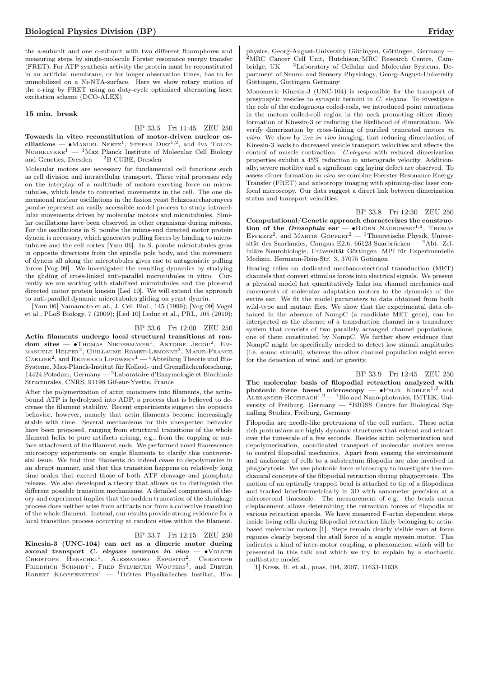the a-subunit and one c-subunit with two different fluorophores and measuring steps by single-molecule Förster resonance energy transfer (FRET). For ATP synthesis activity the protein must be reconstituted in an artificial membrane, or for longer observation times, has to be immobilized on a Ni-NTA-surface. Here we show rotary motion of the c-ring by FRET using an duty-cycle optimized alternating laser excitation scheme (DCO-ALEX).

#### 15 min. break

BP 33.5 Fri 11:45 ZEU 250 Towards in vitro reconstitution of motor-driven nuclear oscillations — • MANUEL NEETZ<sup>1</sup>, STEFAN  $\text{DIEZ}^{1,2}$ , and Iva TOLIC- $\rm{Nor}$ RELYKKE<sup>1</sup> — <sup>1</sup>Max Planck Institute of Molecular Cell Biology and Genetics, Dresden — <sup>2</sup>B CUBE, Dresden

Molecular motors are necessary for fundamental cell functions such as cell division and intracellular transport. These vital processes rely on the interplay of a multitude of motors exerting force on microtubules, which leads to concerted movements in the cell. The one dimensional nuclear oscillations in the fission yeast Schizosaccharomyces pombe represent an easily accessible model process to study intracellular movements driven by molecular motors and microtubules. Similar oscillations have been observed in other organisms during mitosis. For the oscillations in S. pombe the minus-end directed motor protein dynein is necessary, which generates pulling forces by binding to microtubules and the cell cortex [Yam 06]. In S. pombe microtubules grow in opposite directions from the spindle pole body, and the movement of dynein all along the microtubules gives rise to antagonistic pulling forces [Vog 09]. We investigated the resulting dynamics by studying the gliding of cross-linked anti-parallel microtubules in vitro. Currently we are working with stabilized microtubules and the plus-end directed motor protein kinesin [Led 10]. We will extend the approach to anti-parallel dynamic microtubules gliding on yeast dynein.

[Yam 06] Yamamoto et al., J. Cell Biol., 145 (1999); [Vog 09] Vogel et al., PLoS Biology, 7 (2009); [Led 10] Leduc et al., PRL, 105 (2010);

## BP 33.6 Fri 12:00 ZEU 250

Actin filaments undergo local structural transitions at random sites — •Thomas Niedermayer<sup>1</sup>, Antoine Jegou<sup>2</sup>, Emmanuele  $\mathrm{He}_{\mathrm{LFER}}{}^2, \mathrm{Gu}_{\mathrm{LLAUME}}$  Romet-Lemonne<sup>2</sup>, Marie-France CARLIER<sup>2</sup>, and REINHARD LIPOWSKY<sup>1</sup> — <sup>1</sup>Abteilung Theorie und Bio-Systeme, Max-Planck-Institut für Kolloid- und Grenzflächenforschung, 14424 Potsdam, Germany — <sup>2</sup>Laboratoire d'Enzymologie et Biochimie Structurales, CNRS, 91198 Gif-sur-Yvette, France

After the polymerization of actin monomers into filaments, the actinbound ATP is hydrolyzed into ADP, a process that is believed to decrease the filament stability. Recent experiments suggest the opposite behavior, however, namely that actin filaments become increasingly stable with time. Several mechanisms for this unexpected behavior have been proposed, ranging from structural transitions of the whole filament helix to pure artifacts arising, e.g., from the capping or surface attachment of the filament ends. We performed novel fluorescence microscopy experiments on single filaments to clarify this controversial issue. We find that filaments do indeed cease to depolymerize in an abrupt manner, and that this transition happens on relatively long time scales that exceed those of both ATP cleavage and phosphate release. We also developed a theory that allows us to distinguish the different possible transition mechanisms. A detailed comparison of theory and experiment implies that the sudden truncation of the shrinkage process does neither arise from artifacts nor from a collective transition of the whole filament. Instead, our results provide strong evidence for a local transition process occurring at random sites within the filament.

## BP 33.7 Fri 12:15 ZEU 250

Kinesin-3 (UNC-104) can act as a dimeric motor during axonal transport *C. elegans* neurons *in vivo* — •VOLKER<br>Christoph Henschel<sup>1</sup>, Alessandro Esposito<sup>2</sup>, Christoph FRIEDRICH SCHMIDT<sup>1</sup>, FRED SYLVESTER WOUTERS<sup>3</sup>, and DIETER ROBERT KLOPFENSTEIN<sup>1</sup> — <sup>1</sup>Drittes Physikalisches Institut, Biophysics, Georg-August-University Göttingen, Göttingen, Germany — <sup>2</sup>MRC Cancer Cell Unit, Hutchison/MRC Research Centre, Cambridge,  $UK - 3$ Laboratory of Cellular and Molecular Systems, Department of Neuro- and Sensory Physiology, Georg-August-University Göttingen, Göttingen Germany

Monomeric Kinesin-3 (UNC-104) is responsible for the transport of presynaptic vesicles to synaptic termini in C. elegans. To investigate the role of the endogenous coiled-coils, we introduced point mutations in the motors coiled-coil region in the neck promoting either dimer formation of Kinesin-3 or reducing the likelihood of dimerization. We verify dimerization by cross-linking of purified truncated motors in vitro. We show by live in vivo imaging, that reducing dimerization of Kinesin-3 leads to decreased vesicle transport velocities and affects the control of muscle contraction. C.elegans with reduced dimerization properties exhibit a 45% reduction in anterograde velocity. Additionally, severe motility and a significant egg laying defect are observed. To assess dimer formation in vivo we combine Foerster Resonance Energy Transfer (FRET) and anisotropy imaging with spinning-disc laser confocal microscopy. Our data suggest a direct link between dimerization status and transport velocities.

BP 33.8 Fri 12:30 ZEU 250

Computational/Genetic approach characterizes the construction of the Drosophila ear —  $\bullet$ Björn Nadrowski<sup>1,2</sup>, Thomas EFFERTZ<sup>2</sup>, and MARTIN GÖPFERT<sup>2</sup> — <sup>1</sup>Theoretische Physik, Universität des Saarlandes, Campus E2.6, 66123 Saarbrücken — <sup>2</sup>Abt. Zelluläre Neurobiologie, Universität Göttingen, MPI für Experimentelle Medizin, Hermann-Rein-Str. 3, 37075 Götingen

Hearing relies on dedicated mechano-electrical transduction (MET) channels that convert stimulus forces into electrical signals. We present a physical model hat quantitatively links ion channel mechanics and movements of molecular adaptation motors to the dynamics of the entire ear. We fit the model parameters to data obtained from both wild-type and mutant flies. We show that the experimental data obtained in the absence of NompC (a candidate MET gene), can be interpreted as the absence of a transduction channel in a transducer system that consists of two parallely arranged channel populations, one of them constituted by NompC. We further show evidence that NompC might be specifically needed to detect low stimuli amplitudes (i.e. sound stimuli), whereas the other channel population might serve for the detection of wind and/or gravity.

BP 33.9 Fri 12:45 ZEU 250 The molecular basis of filopodial retraction analyzed with photonic force based microscopy —  $\bullet$ FELIX KOHLER<sup>1,2</sup> and ALEXANDER ROHRBACH<sup>1,2</sup>  $-$ <sup>1</sup>Bio and Nano-photonics, IMTEK, University of Freiburg, Germany — <sup>2</sup>BIOSS Centre for Biological Signalling Studies, Freiburg, Germany

Filopodia are needle-like protrusions of the cell surface. These actin rich protrusions are highly dynamic structures that extend and retract over the timescale of a few seconds. Besides actin polymerization and depolymerization, coordinated transport of molecular motors seems to control filopodial mechanics. Apart from sensing the environment and anchorage of cells to a substratum filopodia are also involved in phagocytosis. We use photonic force microscopy to investigate the mechanical concepts of the filopodial retraction during phagocytosis. The motion of an optically trapped bead is attached to tip of a filopodium and tracked interferometrically in 3D with nanometer precision at a microsecond timescale. The measurement of e.g. the beads mean displacement allows determining the retraction forces of filopodia at various retraction speeds. We have measured F-actin dependent steps inside living cells during filopodial retraction likely belonging to actinbased molecular motors [1]. Steps remain clearly visible even at force regimes clearly beyond the stall force of a single myosin motor. This indicates a kind of inter-motor coupling, a phenomenon which will be presented in this talk and which we try to explain by a stochastic multi-state model.

[1] Kress, H. et al., pnas, 104, 2007, 11633-11638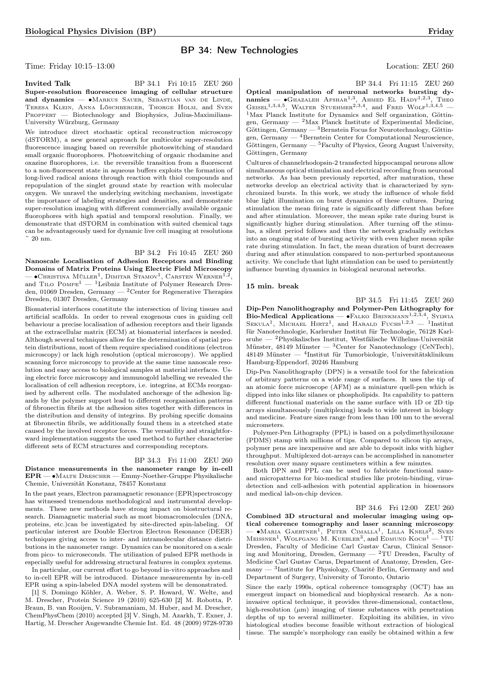## BP 34: New Technologies

Time: Friday 10:15–13:00 Location: ZEU 260

**Invited Talk** BP 34.1 Fri 10:15 ZEU 260 Super-resolution fluorescence imaging of cellular structure and dynamics — ∙Markus Sauer, Sebastian van de Linde, Teresa Klein, Anna Löschberger, Thorge Holm, and Sven Proppert — Biotechnology and Biophysics, Julius-Maximilians-University Würzburg, Germany

We introduce direct stochastic optical reconstruction microscopy (dSTORM), a new general approach for multicolor super-resolution fluorescence imaging based on reversible photoswitching of standard small organic fluorophores. Photoswitching of organic rhodamine and oxazine fluorophores, i.e. the reversible transition from a fluorescent to a non-fluorescent state in aqueous buffers exploits the formation of long-lived radical anions through reaction with thiol compounds and repopulation of the singlet ground state by reaction with molecular oxygen. We unravel the underlying switching mechanism, investigate the importance of labeling strategies and densities, and demonstrate super-resolution imaging with different commercially available organic fluorophores with high spatial and temporal resolution. Finally, we demonstrate that dSTORM in combination with suited chemical tags can be advantageously used for dynamic live cell imaging at resolutions ~ 20 nm.

BP 34.2 Fri 10:45 ZEU 260 Nanoscale Localisation of Adhesion Receptors and Binding Domains of Matrix Proteins Using Electric Field Microscopy —  $\bullet$ Christina Müller<sup>1</sup>, Dimitar Stamov<sup>1</sup>, Carsten Werner<sup>1,2</sup> , and TILO  $P_{\text{OMPE}}^{1}$  — <sup>1</sup>Leibniz Institute of Polymer Research Dresden, 01069 Dresden, Germany — <sup>2</sup>Center for Regenerative Therapies Dresden, 01307 Dresden, Germany

Biomaterial interfaces constitute the intersection of living tissues and artificial scaffolds. In order to reveal exogenous cues in guiding cell behaviour a precise localisation of adhesion receptors and their ligands at the extracellular matrix (ECM) at biomaterial interfaces is needed. Although several techniques allow for the determination of spatial protein distributions, most of them require specialised conditions (electron microscopy) or lack high resolution (optical microscopy). We applied scanning force microscopy to provide at the same time nanoscale resolution and easy access to biological samples at material interfaces. Using electric force microscopy and immunogold labelling we revealed the localisation of cell adhesion receptors, i.e. integrins, at ECMs reorganised by adherent cells. The modulated anchorage of the adhesion ligands by the polymer support lead to different reorganisation patterns of fibronectin fibrils at the adhesion sites together with differences in the distribution and density of integrins. By probing specific domains at fibronectin fibrils, we additionally found them in a stretched state caused by the involved receptor forces. The versatility and straightforward implementation suggests the used method to further characterise different sets of ECM structures and corresponding receptors.

## BP 34.3 Fri 11:00 ZEU 260

Distance measurements in the nanometer range by in-cell EPR — ∙Malte Drescher — Emmy-Noether-Gruppe Physikalische Chemie, Universität Konstanz, 78457 Konstanz

In the past years, Electron paramagnetic resonance (EPR)spectroscopy has witnessed tremendous methodological and instrumental developments. These new methods have strong impact on biostructural research. Diamagnetic material such as most biomacromolecules (DNA, proteins, etc.)can be investigated by site-directed spin-labeling. Of particular interest are Double Electron Electron Resonance (DEER) techniques giving access to inter- and intramolecular distance distributions in the nanometer range. Dynamics can be monitored on a scale from pico- to microseconds. The utilization of pulsed EPR methods is especially useful for addressing structural features in complex systems.

In particular, our current effort to go beyond in-vitro approaches and to in-cell EPR will be introduced. Distance measurements by in-cell EPR using a spin-labeled DNA model system will be demonstrated.

[1] S. Domingo Köhler, A. Weber, S. P. Howard, W. Welte, and M. Drescher, Protein Science 19 (2010) 625-630 [2] M. Robotta, P. Braun, B. van Rooijen, V. Subramaniam, M. Huber, and M. Drescher, ChemPhysChem (2010) accepted [3] V. Singh, M. Azarkh, T. Exner, J. Hartig, M. Drescher Angewandte Chemie Int. Ed. 48 (2009) 9728-9730 BP 34.4 Fri 11:15 ZEU 260

Optical manipulation of neuronal networks bursting dynamics —  $\bullet$ Ghazaleh Afshar<sup>1,3</sup>, Ahmed El Hady<sup>1,2,3</sup> , Theo GEISEL<sup>1,3,4,5</sup>, WALTER STUEHMER<sup>2,3,4</sup>, and FRED WOLF<sup>1,3,4,5</sup> -<sup>1</sup>Max Planck Institute for Dynamics and Self organization, Göttingen, Germany — <sup>2</sup>Max Planck Institute of Experimental Medicine, Göttingen, Germany — <sup>3</sup>Bernstein Focus for Neurotechnology, Göttingen, Germany  $-$  <sup>4</sup>Bernstein Center for Computational Neuroscience, Göttingen, Germany — <sup>5</sup>Faculty of Physics, Georg August University, Göttingen, Germany

Cultures of channelrhodopsin-2 transfected hippocampal neurons allow simultaneous optical stimulation and electrical recording from neuronal networks. As has been previously reported, after maturation, these networks develop an electrical activity that is characterized by synchronized bursts. In this work, we study the influence of whole field blue light illumination on burst dynamics of these cultures. During stimulation the mean firing rate is significantly different than before and after stimulation. Moreover, the mean spike rate during burst is significantly higher during stimulation. After turning off the stimulus, a silent period follows and then the network gradually switches into an ongoing state of bursting activity with even higher mean spike rate during stimulation. In fact, the mean duration of burst decreases during and after stimulation compared to non-perturbed spontaneous activity. We conclude that light stimulation can be used to persistently influence bursting dynamics in biological neuronal networks.

#### 15 min. break

BP 34.5 Fri 11:45 ZEU 260 Dip-Pen Nanolithography and Polymer-Pen Lithography for Bio-Medical Applications — • FALKO BRINKMANN<sup>1,2,3,4</sup>, SYLWIA SEKULA<sup>1</sup>, MICHAEL HIRTZ<sup>1</sup>, and HARALD FUCHS<sup>1,2,3</sup> - <sup>1</sup>Institut für Nanotechnologie, Karlsruher Institut für Technologie, 76128 Karlsruhe — <sup>2</sup>Physikalisches Institut, Westfälische Wilhelms-Universität Münster, 48149 Münster —  ${}^{3}$ Center for Nanotechnology (CeNTech), 48149 Münster — <sup>4</sup> Institut für Tumorbiologie, Universitätsklinikum Hamburg-Eppendorf, 20246 Hamburg

Dip-Pen Nanolithography (DPN) is a versatile tool for the fabrication of arbitrary patterns on a wide range of surfaces. It uses the tip of an atomic force microscope (AFM) as a miniature quell-pen which is dipped into inks like silanes or phospholipids. Its capability to pattern different functional materials on the same surface with 1D or 2D tip arrays simultaneously (multiplexing) leads to wide interest in biology and medicine. Feature sizes range from less than 100 nm to the several micrometers.

Polymer-Pen Lithography (PPL) is based on a polydimethysiloxane (PDMS) stamp with millions of tips. Compared to silicon tip arrays, polymer pens are inexpensive and are able to deposit inks with higher throughput. Multiplexed dot-arrays can be accomplished in nanometer resolution over many square centimeters within a few minutes.

Both DPN and PPL can be used to fabricate functional nanoand micropatterns for bio-medical studies like protein-binding, virusdetection and cell-adhesion with potential application in biosensors and medical lab-on-chip devices.

BP 34.6 Fri 12:00 ZEU 260

Combined 3D structural and molecular imaging using optical coherence tomography and laser scanning microscopy — ∙Maria Gaertner<sup>1</sup> , Peter Cimalla<sup>1</sup> , Lilla Knels<sup>2</sup> , Sven MEISSNER<sup>1</sup>, WOLFGANG M. KUEBLER<sup>3</sup>, and EDMUND KOCH<sup>1</sup> - <sup>1</sup>TU Dresden, Faculty of Medicine Carl Gustav Carus, Clinical Sensoring and Monitoring, Dresden, Germany  $2$ TU Dresden, Faculty of Medicine Carl Gustav Carus, Department of Anatomy, Dresden, Germany — <sup>3</sup> Institute for Physiology, Charité Berlin, Germany and and Department of Surgery, University of Toronto, Ontario

Since the early 1990s, optical coherence tomography (OCT) has an emergent impact on biomedical and biophysical research. As a noninvasive optical technique, it provides three-dimensional, contactless, high-resolution  $(\mu m)$  imaging of tissue substances with penetration depths of up to several millimeter. Exploiting its abilities, in vivo histological studies become feasible without extraction of biological tissue. The sample's morphology can easily be obtained within a few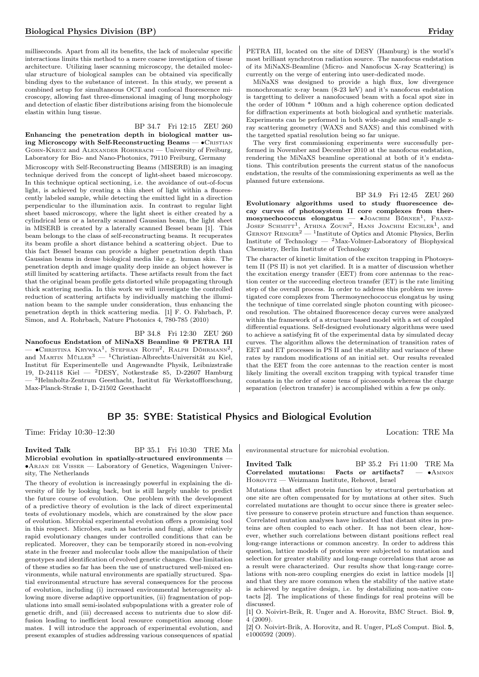milliseconds. Apart from all its benefits, the lack of molecular specific interactions limits this method to a mere coarse investigation of tissue architecture. Utilizing laser scanning microscopy, the detailed molecular structure of biological samples can be obtained via specifically binding dyes to the substance of interest. In this study, we present a combined setup for simultaneous OCT and confocal fluorescence microscopy, allowing fast three-dimensional imaging of lung morphology and detection of elastic fiber distributions arising from the biomolecule elastin within lung tissue.

## BP 34.7 Fri 12:15 ZEU 260

Enhancing the penetration depth in biological matter using Microscopy with Self-Reconstructing Beams —  $\bullet$  CRISTIAN Gohn-Kreuz and Alexander Rohrbach — University of Freiburg, Laboratory for Bio- and Nano-Photonics, 79110 Freiburg, Germany Microscopy with Self-Reconstructing Beams (MISERB) is an imaging technique derived from the concept of light-sheet based microscopy. In this technique optical sectioning, i.e. the avoidance of out-of-focus light, is achieved by creating a thin sheet of light within a fluorescently labeled sample, while detecting the emitted light in a direction perpendicular to the illumination axis. In contrast to regular light sheet based microscopy, where the light sheet is either created by a cylindrical lens or a laterally scanned Gaussian beam, the light sheet in MISERB is created by a laterally scanned Bessel beam [1]. This beam belongs to the class of self-reconstructing beams. It recuperates its beam profile a short distance behind a scattering object. Due to this fact Bessel beams can provide a higher penetration depth than Gaussian beams in dense biological media like e.g. human skin. The penetration depth and image quality deep inside an object however is

still limited by scattering artifacts. These artifacts result from the fact that the original beam profile gets distorted while propagating through thick scattering media. In this work we will investigate the controlled reduction of scattering artifacts by individually matching the illumination beam to the sample under consideration, thus enhancing the penetration depth in thick scattering media. [1] F. O. Fahrbach, P. Simon, and A. Rohrbach, Nature Photonics 4, 780-785 (2010)

BP 34.8 Fri 12:30 ZEU 260

Nanofocus Endstation of MiNaXS Beamline @ PETRA III — •Сн<br/>кізтіма Ккуwка<sup>1</sup>, Sтернам Roth<sup>2</sup>, Ralph Döhrmann<sup>2</sup>, and Martin Müller<sup>3</sup> — <sup>1</sup>Christian-Albrechts-Universität zu Kiel, Institut für Experimentelle und Angewandte Physik, Leibnizstraße 19, D-24118 Kiel — <sup>2</sup>DESY, Notkestraße 85, D-22607 Hamburg — <sup>3</sup>Helmholtz-Zentrum Geesthacht, Institut für Werkstoffforschung, Max-Planck-Straße 1, D-21502 Geesthacht

PETRA III, located on the site of DESY (Hamburg) is the world's most brilliant synchrotron radiation source. The nanofocus endstation of its MiNaXS-Beamline (Micro- and Nanofocus X-ray Scattering) is currently on the verge of entering into user-dedicated mode.

MiNaXS was designed to provide a high flux, low divergence monochromatic x-ray beam (8-23 keV) and it's nanofocus endstation is targetting to deliver a nanofocused beam with a focal spot size in the order of 100nm \* 100nm and a high coherence option dedicated for diffraction experiments at both biological and synthetic materials. Experiments can be performed in both wide-angle and small-angle xray scattering geometry (WAXS and SAXS) and this combined with the targetted spatial resolution being so far unique.

The very first commissioning experiments were successfully performed in November and December 2010 at the nanofocus endstation, rendering the MiNaXS beamline operational at both of it's endstations. This contribution presents the current status of the nanofocus endstation, the results of the commissioning experiments as well as the planned future extensions.

BP 34.9 Fri 12:45 ZEU 260 Evolutionary algorithms used to study fluorescence decay curves of photosystem II core complexes from thermosynechococcus elongatus — •JOACHIM BÖRNER<sup>1</sup>, FRANZ-JOSEF SCHMITT<sup>1</sup>, ATHINA ZOUNI<sup>2</sup>, HANS JOACHIM EICHLER<sup>1</sup>, and GERNOT  $\text{RENGER}^2$  — <sup>1</sup>Institute of Optics and Atomic Physics, Berlin Institute of Technology — <sup>2</sup>Max-Volmer-Laboratory of Biophysical Chemistry, Berlin Institute of Technology

The character of kinetic limitation of the exciton trapping in Photosystem II (PS II) is not yet clarified. It is a matter of discussion whether the excitation energy transfer (EET) from core antennas to the reaction center or the succeeding electron transfer (ET) is the rate limiting step of the overall process. In order to address this problem we investigated core complexes from Thermosynechococcus elongatus by using the technique of time correlated single photon counting with picosecond resolution. The obtained fluorescence decay curves were analyzed within the framework of a structure based model with a set of coupled differential equations. Self-designed evolutionary algorithms were used to achieve a satisfying fit of the experimental data by simulated decay curves. The algorithm allows the determination of transition rates of EET and ET processes in PS II and the stability and variance of these rates by random modifications of an initial set. Our results revealed that the EET from the core antennas to the reaction center is most likely limiting the overall exciton trapping with typical transfer time constants in the order of some tens of picoseconds whereas the charge separation (electron transfer) is accomplished within a few ps only.

# BP 35: SYBE: Statistical Physics and Biological Evolution

Time: Friday 10:30–12:30 Location: TRE Ma

Invited Talk BP 35.1 Fri 10:30 TRE Ma Microbial evolution in spatially-structured environments — ∙Arjan de Visser — Laboratory of Genetics, Wageningen University, The Netherlands

The theory of evolution is increasingly powerful in explaining the diversity of life by looking back, but is still largely unable to predict the future course of evolution. One problem with the development of a predictive theory of evolution is the lack of direct experimental tests of evolutionary models, which are constrained by the slow pace of evolution. Microbial experimental evolution offers a promising tool in this respect. Microbes, such as bacteria and fungi, allow relatively rapid evolutionary changes under controlled conditions that can be replicated. Moreover, they can be temporarily stored in non-evolving state in the freezer and molecular tools allow the manipulation of their genotypes and identification of evolved genetic changes. One limitation of these studies so far has been the use of unstructured well-mixed environments, while natural environments are spatially structured. Spatial environmental structure has several consequences for the process of evolution, including (i) increased environmental heterogeneity allowing more diverse adaptive opportunities, (ii) fragmentation of populations into small semi-isolated subpopulations with a greater role of genetic drift, and (iii) decreased access to nutrients due to slow diffusion leading to inefficient local resource competition among clone mates. I will introduce the approach of experimental evolution, and present examples of studies addressing various consequences of spatial

environmental structure for microbial evolution.

Invited Talk BP 35.2 Fri 11:00 TRE Ma Correlated mutations: Facts or artifacts? — ∙Amnon Horovitz — Weizmann Institute, Rehovot, Israel

Mutations that affect protein function by structural perturbation at one site are often compensated for by mutations at other sites. Such correlated mutations are thought to occur since there is greater selective pressure to conserve protein structure and function than sequence. Correlated mutation analyses have indicated that distant sites in proteins are often coupled to each other. It has not been clear, however, whether such correlations between distant positions reflect real long-range interactions or common ancestry. In order to address this question, lattice models of proteins were subjected to mutation and selection for greater stability and long-range correlations that arose as a result were characterized. Our results show that long-range correlations with non-zero coupling energies do exist in lattice models [1] and that they are more common when the stability of the native state is achieved by negative design, i.e. by destabilizing non-native contacts [2]. The implications of these findings for real proteins will be discussed.

[1] O. Noivirt-Brik, R. Unger and A. Horovitz, BMC Struct. Biol. 9, 4 (2009).

[2] O. Noivirt-Brik, A. Horovitz, and R. Unger, PLoS Comput. Biol. 5, e1000592 (2009).